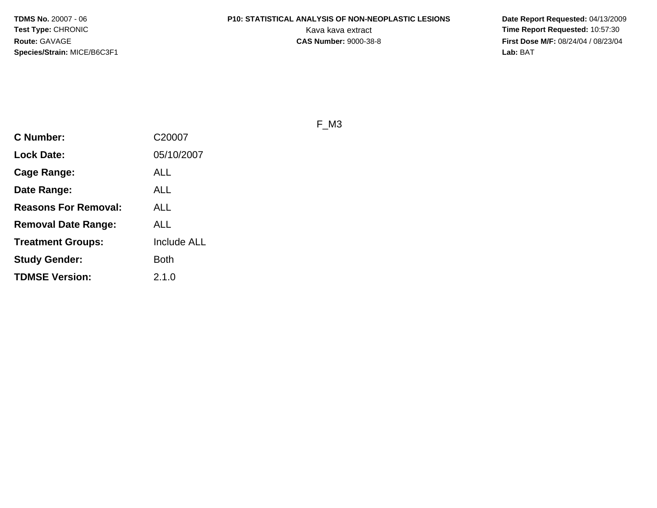# **P10: STATISTICAL ANALYSIS OF NON-NEOPLASTIC LESIONS**

 **Date Report Requested:** 04/13/2009 Kava kava extract **Time Report Requested:** 10:57:30<br>**CAS Number:** 9000-38-8 **Time Report Requested:** 10:57:30 **First Dose M/F:** 08/24/04 / 08/23/04 Lab: BAT **Lab:** BAT

F\_M3

| <b>C Number:</b>            | C20007             |
|-----------------------------|--------------------|
| <b>Lock Date:</b>           | 05/10/2007         |
| <b>Cage Range:</b>          | <b>ALL</b>         |
| Date Range:                 | ALL                |
| <b>Reasons For Removal:</b> | ALL                |
| Removal Date Range:         | ALL                |
| <b>Treatment Groups:</b>    | <b>Include ALL</b> |
| <b>Study Gender:</b>        | <b>Both</b>        |
| <b>TDMSE Version:</b>       | 2.1.0              |
|                             |                    |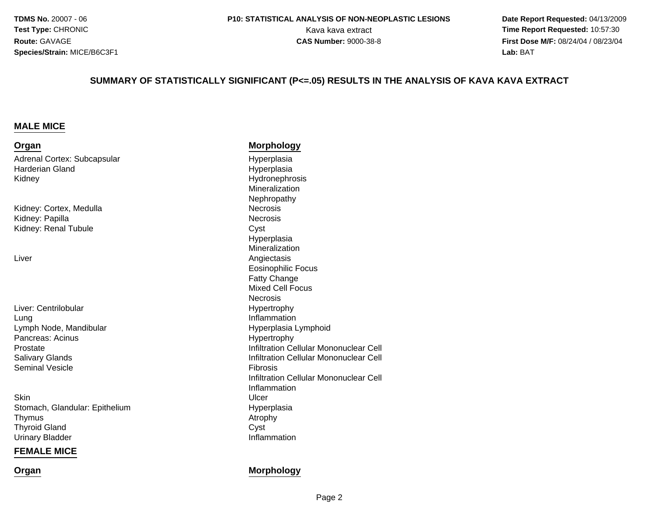**Date Report Requested:** 04/13/2009 Kava kava extract **Time Report Requested:** 10:57:30<br>**CAS Number:** 9000-38-8 **Time Report Requested:** 10:57:30 **First Dose M/F:** 08/24/04 / 08/23/04<br>**Lab:** BAT **Lab:** BAT

#### **SUMMARY OF STATISTICALLY SIGNIFICANT (P<=.05) RESULTS IN THE ANALYSIS OF KAVA KAVA EXTRACT**

#### **MALE MICE**

#### **Organ Morphology** Adrenal Cortex: Subcapsular Hyperplasiad Hyperplasia Harderian GlandKidney Hydronephrosis Mineralization NephropathyKidney: Cortex, MedullaNecrosis<br>Necrosis Kidney: Papillaa **Necrosis** Kidney: Renal Tubulee Cyst Hyperplasia MineralizationLiver Angiectasis Eosinophilic FocusFatty Change Mixed Cell Focus**Necrosis**  HypertrophyLiver: Centrilobularg<br>
g<br>
Inflammation LungLymph Node, Mandibular Hyperplasia LymphoidPancreas: Acinus Hypertrophy Prostate Infiltration Cellular Mononuclear Cell Salivary Glands Infiltration Cellular Mononuclear Cell Seminal Vesiclee Fibrosis e de la provincia de la provincia de la provincia de la provincia de la provincia de la provincia d<br>En 1990, en 1990, en 1990, en 1990, en 1990, en 1990, en 1990, en 1990, en 1990, en 1990, en 1990, en 1990, en Infiltration Cellular Mononuclear CellInflammation**Skin** n Ulcer<br>Ulcer Stomach, Glandular: EpitheliumHyperplasia<br>Atrophy Thymuss Atrophy

Thyroid Glandd Cyst Urinary Bladder

#### **FEMALE MICE**

**Organ**

#### **Morphology**

Inflammation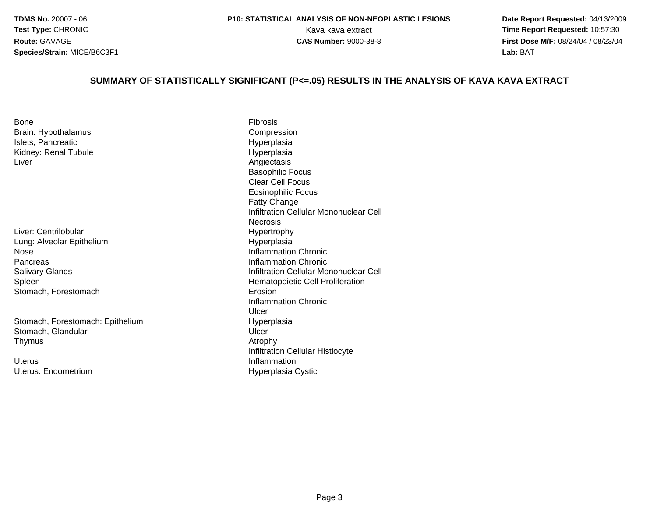**Date Report Requested:** 04/13/2009 Kava kava extract **Time Report Requested:** 10:57:30<br>**CAS Number:** 9000-38-8<br>**Time Report Requested:** 10:57:30 **First Dose M/F:** 08/24/04 / 08/23/04<br>**Lab:** BAT **Lab:** BAT

#### **SUMMARY OF STATISTICALLY SIGNIFICANT (P<=.05) RESULTS IN THE ANALYSIS OF KAVA KAVA EXTRACT**

| <b>Bone</b>          | Fibrosis |
|----------------------|----------|
| Brain: Hypothalamus  | Compre   |
| Islets, Pancreatic   | Hyperpl  |
| Kidney: Renal Tubule | Hyperpl  |
| Liver                | Angiecta |

Liver: CentrilobularLung: Alveolar EpitheliumNosePancreasSalivary GlandsSpleenStomach, Forestomach

Stomach, Forestomach: EpitheliumStomach, Glandularr Ulcer Thymuss and the contract of the contract of the contract of  $\Lambda$  trophy

UterusUterus: Endometrium

 Compressionc **Exercise Structure Control** Hyperplasia e Hyperplasia Angiectasis Basophilic Focus Clear Cell Focus Eosinophilic FocusFatty Change Infiltration Cellular Mononuclear Cell**Necrosis**  Hypertrophy Hyperplasia Inflammation Chronic Inflammation Chronic Infiltration Cellular Mononuclear Cell Hematopoietic Cell Proliferation<br>Erosion h Erosion and the Erosion Inflammation ChronicUlcerm Hyperplasia<br>Lusar Lusar Infiltration Cellular Histiocyte InflammationHyperplasia Cystic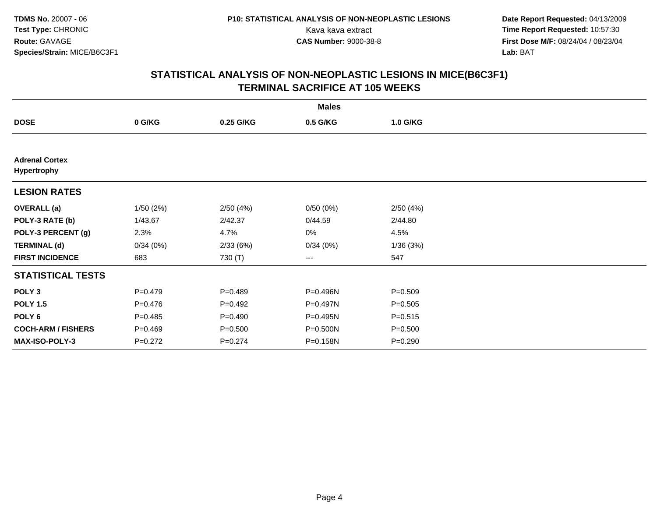**Date Report Requested:** 04/13/2009 Kava kava extract **Time Report Requested:** 10:57:30<br>**CAS Number:** 9000-38-8 **Time Report Requested:** 10:57:30 **First Dose M/F:** 08/24/04 / 08/23/04<br>Lab: BAT **Lab:** BAT

| <b>Males</b>                         |             |             |          |             |  |  |
|--------------------------------------|-------------|-------------|----------|-------------|--|--|
| <b>DOSE</b>                          | 0 G/KG      | 0.25 G/KG   | 0.5 G/KG | 1.0 G/KG    |  |  |
|                                      |             |             |          |             |  |  |
| <b>Adrenal Cortex</b><br>Hypertrophy |             |             |          |             |  |  |
| <b>LESION RATES</b>                  |             |             |          |             |  |  |
| <b>OVERALL</b> (a)                   | 1/50(2%)    | 2/50(4%)    | 0/50(0%) | 2/50(4%)    |  |  |
| POLY-3 RATE (b)                      | 1/43.67     | 2/42.37     | 0/44.59  | 2/44.80     |  |  |
| POLY-3 PERCENT (g)                   | 2.3%        | 4.7%        | 0%       | 4.5%        |  |  |
| <b>TERMINAL (d)</b>                  | 0/34(0%)    | 2/33(6%)    | 0/34(0%) | 1/36(3%)    |  |  |
| <b>FIRST INCIDENCE</b>               | 683         | 730 (T)     | ---      | 547         |  |  |
| <b>STATISTICAL TESTS</b>             |             |             |          |             |  |  |
| POLY <sub>3</sub>                    | $P = 0.479$ | $P=0.489$   | P=0.496N | $P = 0.509$ |  |  |
| <b>POLY 1.5</b>                      | $P = 0.476$ | $P=0.492$   | P=0.497N | $P = 0.505$ |  |  |
| POLY 6                               | $P=0.485$   | $P=0.490$   | P=0.495N | $P = 0.515$ |  |  |
| <b>COCH-ARM / FISHERS</b>            | $P = 0.469$ | $P = 0.500$ | P=0.500N | $P = 0.500$ |  |  |
| <b>MAX-ISO-POLY-3</b>                | $P=0.272$   | $P = 0.274$ | P=0.158N | $P = 0.290$ |  |  |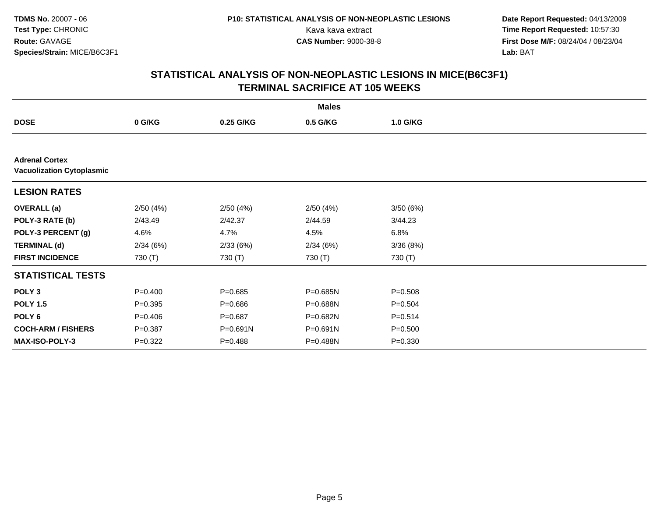**Date Report Requested:** 04/13/2009 Kava kava extract **Time Report Requested:** 10:57:30<br>**CAS Number:** 9000-38-8 **Time Report Requested:** 10:57:30 **First Dose M/F:** 08/24/04 / 08/23/04<br>Lab: BAT **Lab:** BAT

| <b>Males</b>                                              |             |             |          |             |  |  |
|-----------------------------------------------------------|-------------|-------------|----------|-------------|--|--|
| <b>DOSE</b>                                               | 0 G/KG      | 0.25 G/KG   | 0.5 G/KG | 1.0 G/KG    |  |  |
|                                                           |             |             |          |             |  |  |
| <b>Adrenal Cortex</b><br><b>Vacuolization Cytoplasmic</b> |             |             |          |             |  |  |
| <b>LESION RATES</b>                                       |             |             |          |             |  |  |
| <b>OVERALL</b> (a)                                        | 2/50(4%)    | 2/50(4%)    | 2/50(4%) | 3/50(6%)    |  |  |
| POLY-3 RATE (b)                                           | 2/43.49     | 2/42.37     | 2/44.59  | 3/44.23     |  |  |
| POLY-3 PERCENT (g)                                        | 4.6%        | 4.7%        | 4.5%     | 6.8%        |  |  |
| <b>TERMINAL (d)</b>                                       | 2/34(6%)    | 2/33(6%)    | 2/34(6%) | 3/36(8%)    |  |  |
| <b>FIRST INCIDENCE</b>                                    | 730 (T)     | 730 (T)     | 730 (T)  | 730 (T)     |  |  |
| <b>STATISTICAL TESTS</b>                                  |             |             |          |             |  |  |
| POLY <sub>3</sub>                                         | $P=0.400$   | $P = 0.685$ | P=0.685N | $P = 0.508$ |  |  |
| <b>POLY 1.5</b>                                           | $P = 0.395$ | $P = 0.686$ | P=0.688N | $P = 0.504$ |  |  |
| POLY 6                                                    | $P=0.406$   | $P = 0.687$ | P=0.682N | $P = 0.514$ |  |  |
| <b>COCH-ARM / FISHERS</b>                                 | $P = 0.387$ | P=0.691N    | P=0.691N | $P = 0.500$ |  |  |
| MAX-ISO-POLY-3                                            | $P=0.322$   | $P = 0.488$ | P=0.488N | $P = 0.330$ |  |  |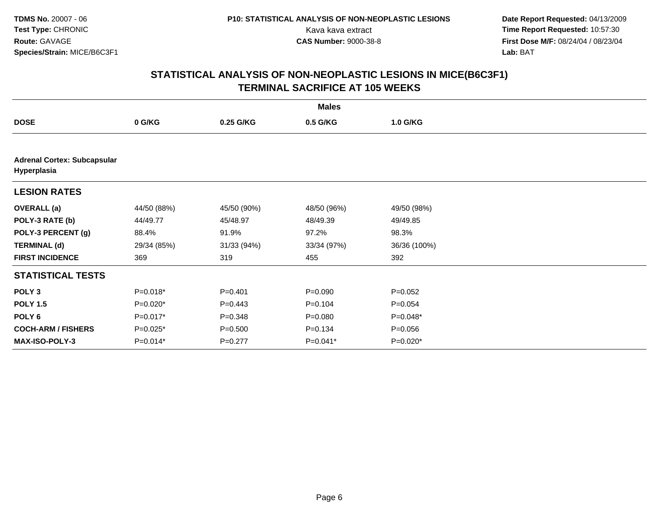**Date Report Requested:** 04/13/2009 Kava kava extract **Time Report Requested:** 10:57:30<br>**CAS Number:** 9000-38-8 **Time Report Requested:** 10:57:30 **First Dose M/F:** 08/24/04 / 08/23/04<br>Lab: BAT **Lab:** BAT

| <b>Males</b>                                      |             |             |             |              |  |  |
|---------------------------------------------------|-------------|-------------|-------------|--------------|--|--|
| <b>DOSE</b>                                       | 0 G/KG      | 0.25 G/KG   | 0.5 G/KG    | 1.0 G/KG     |  |  |
|                                                   |             |             |             |              |  |  |
| <b>Adrenal Cortex: Subcapsular</b><br>Hyperplasia |             |             |             |              |  |  |
| <b>LESION RATES</b>                               |             |             |             |              |  |  |
| <b>OVERALL</b> (a)                                | 44/50 (88%) | 45/50 (90%) | 48/50 (96%) | 49/50 (98%)  |  |  |
| POLY-3 RATE (b)                                   | 44/49.77    | 45/48.97    | 48/49.39    | 49/49.85     |  |  |
| POLY-3 PERCENT (g)                                | 88.4%       | 91.9%       | 97.2%       | 98.3%        |  |  |
| <b>TERMINAL (d)</b>                               | 29/34 (85%) | 31/33 (94%) | 33/34 (97%) | 36/36 (100%) |  |  |
| <b>FIRST INCIDENCE</b>                            | 369         | 319         | 455         | 392          |  |  |
| <b>STATISTICAL TESTS</b>                          |             |             |             |              |  |  |
| POLY <sub>3</sub>                                 | $P=0.018*$  | $P = 0.401$ | $P = 0.090$ | $P = 0.052$  |  |  |
| <b>POLY 1.5</b>                                   | $P=0.020*$  | $P=0.443$   | $P = 0.104$ | $P = 0.054$  |  |  |
| POLY 6                                            | $P=0.017*$  | $P = 0.348$ | $P = 0.080$ | P=0.048*     |  |  |
| <b>COCH-ARM / FISHERS</b>                         | $P=0.025*$  | $P = 0.500$ | $P = 0.134$ | $P = 0.056$  |  |  |
| <b>MAX-ISO-POLY-3</b>                             | $P=0.014*$  | $P=0.277$   | $P=0.041*$  | $P=0.020*$   |  |  |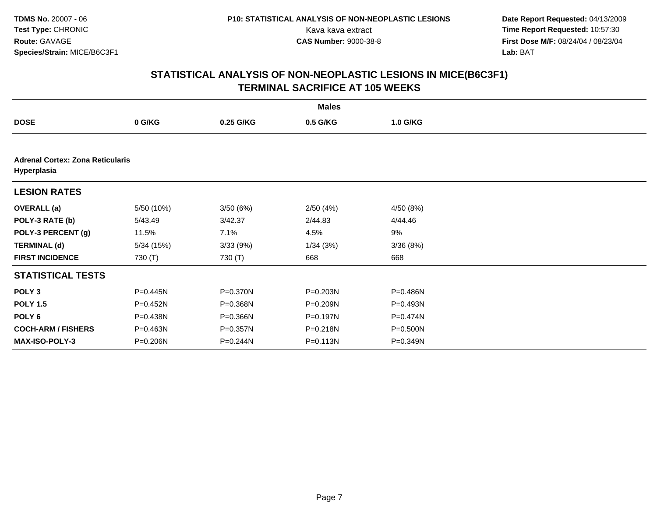**Date Report Requested:** 04/13/2009 Kava kava extract **Time Report Requested:** 10:57:30<br>**CAS Number:** 9000-38-8 **Time Report Requested:** 10:57:30 **First Dose M/F:** 08/24/04 / 08/23/04<br>Lab: BAT **Lab:** BAT

| <b>Males</b>                                           |              |           |              |           |  |  |
|--------------------------------------------------------|--------------|-----------|--------------|-----------|--|--|
| <b>DOSE</b>                                            | 0 G/KG       | 0.25 G/KG | 0.5 G/KG     | 1.0 G/KG  |  |  |
|                                                        |              |           |              |           |  |  |
| <b>Adrenal Cortex: Zona Reticularis</b><br>Hyperplasia |              |           |              |           |  |  |
| <b>LESION RATES</b>                                    |              |           |              |           |  |  |
| <b>OVERALL</b> (a)                                     | 5/50 (10%)   | 3/50(6%)  | 2/50(4%)     | 4/50 (8%) |  |  |
| POLY-3 RATE (b)                                        | 5/43.49      | 3/42.37   | 2/44.83      | 4/44.46   |  |  |
| POLY-3 PERCENT (g)                                     | 11.5%        | 7.1%      | 4.5%         | 9%        |  |  |
| <b>TERMINAL (d)</b>                                    | 5/34(15%)    | 3/33(9%)  | 1/34(3%)     | 3/36(8%)  |  |  |
| <b>FIRST INCIDENCE</b>                                 | 730 (T)      | 730 (T)   | 668          | 668       |  |  |
| <b>STATISTICAL TESTS</b>                               |              |           |              |           |  |  |
| POLY <sub>3</sub>                                      | $P = 0.445N$ | P=0.370N  | P=0.203N     | P=0.486N  |  |  |
| <b>POLY 1.5</b>                                        | P=0.452N     | P=0.368N  | P=0.209N     | P=0.493N  |  |  |
| POLY 6                                                 | P=0.438N     | P=0.366N  | P=0.197N     | P=0.474N  |  |  |
| <b>COCH-ARM / FISHERS</b>                              | P=0.463N     | P=0.357N  | P=0.218N     | P=0.500N  |  |  |
| <b>MAX-ISO-POLY-3</b>                                  | P=0.206N     | P=0.244N  | $P = 0.113N$ | P=0.349N  |  |  |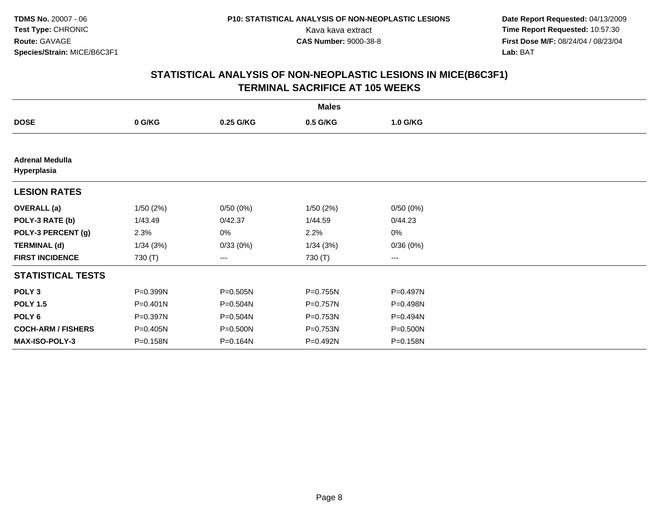**Date Report Requested:** 04/13/2009 Kava kava extract **Time Report Requested:** 10:57:30<br>**CAS Number:** 9000-38-8 **Time Report Requested:** 10:57:30 **First Dose M/F:** 08/24/04 / 08/23/04<br>Lab: BAT **Lab:** BAT

| <b>Males</b>                          |              |           |          |          |  |  |
|---------------------------------------|--------------|-----------|----------|----------|--|--|
| <b>DOSE</b>                           | 0 G/KG       | 0.25 G/KG | 0.5 G/KG | 1.0 G/KG |  |  |
|                                       |              |           |          |          |  |  |
| <b>Adrenal Medulla</b><br>Hyperplasia |              |           |          |          |  |  |
| <b>LESION RATES</b>                   |              |           |          |          |  |  |
| <b>OVERALL</b> (a)                    | 1/50(2%)     | 0/50(0%)  | 1/50(2%) | 0/50(0%) |  |  |
| POLY-3 RATE (b)                       | 1/43.49      | 0/42.37   | 1/44.59  | 0/44.23  |  |  |
| POLY-3 PERCENT (g)                    | 2.3%         | 0%        | 2.2%     | 0%       |  |  |
| <b>TERMINAL (d)</b>                   | 1/34(3%)     | 0/33(0%)  | 1/34(3%) | 0/36(0%) |  |  |
| <b>FIRST INCIDENCE</b>                | 730 (T)      | ---       | 730 (T)  | $--$     |  |  |
| <b>STATISTICAL TESTS</b>              |              |           |          |          |  |  |
| POLY <sub>3</sub>                     | P=0.399N     | P=0.505N  | P=0.755N | P=0.497N |  |  |
| <b>POLY 1.5</b>                       | $P = 0.401N$ | P=0.504N  | P=0.757N | P=0.498N |  |  |
| POLY 6                                | P=0.397N     | P=0.504N  | P=0.753N | P=0.494N |  |  |
| <b>COCH-ARM / FISHERS</b>             | P=0.405N     | P=0.500N  | P=0.753N | P=0.500N |  |  |
| <b>MAX-ISO-POLY-3</b>                 | P=0.158N     | P=0.164N  | P=0.492N | P=0.158N |  |  |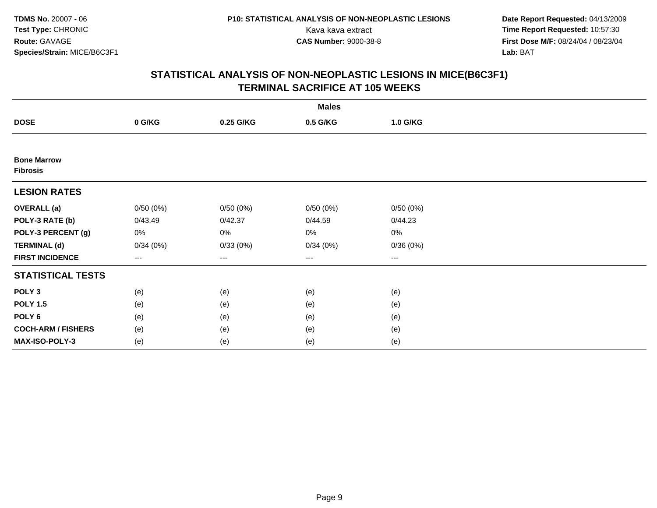**Date Report Requested:** 04/13/2009 Kava kava extract **Time Report Requested:** 10:57:30<br>**CAS Number:** 9000-38-8 **Time Report Requested:** 10:57:30 **First Dose M/F:** 08/24/04 / 08/23/04<br>Lab: BAT **Lab:** BAT

| <b>Males</b>                          |          |                   |          |          |  |  |
|---------------------------------------|----------|-------------------|----------|----------|--|--|
| <b>DOSE</b>                           | 0 G/KG   | 0.25 G/KG         | 0.5 G/KG | 1.0 G/KG |  |  |
|                                       |          |                   |          |          |  |  |
| <b>Bone Marrow</b><br><b>Fibrosis</b> |          |                   |          |          |  |  |
| <b>LESION RATES</b>                   |          |                   |          |          |  |  |
| <b>OVERALL</b> (a)                    | 0/50(0%) | 0/50(0%)          | 0/50(0%) | 0/50(0%) |  |  |
| POLY-3 RATE (b)                       | 0/43.49  | 0/42.37           | 0/44.59  | 0/44.23  |  |  |
| POLY-3 PERCENT (g)                    | 0%       | $0\%$             | 0%       | 0%       |  |  |
| <b>TERMINAL (d)</b>                   | 0/34(0%) | 0/33(0%)          | 0/34(0%) | 0/36(0%) |  |  |
| <b>FIRST INCIDENCE</b>                | $--$     | $\qquad \qquad -$ | ---      | $--$     |  |  |
| <b>STATISTICAL TESTS</b>              |          |                   |          |          |  |  |
| POLY <sub>3</sub>                     | (e)      | (e)               | (e)      | (e)      |  |  |
| <b>POLY 1.5</b>                       | (e)      | (e)               | (e)      | (e)      |  |  |
| POLY <sub>6</sub>                     | (e)      | (e)               | (e)      | (e)      |  |  |
| <b>COCH-ARM / FISHERS</b>             | (e)      | (e)               | (e)      | (e)      |  |  |
| MAX-ISO-POLY-3                        | (e)      | (e)               | (e)      | (e)      |  |  |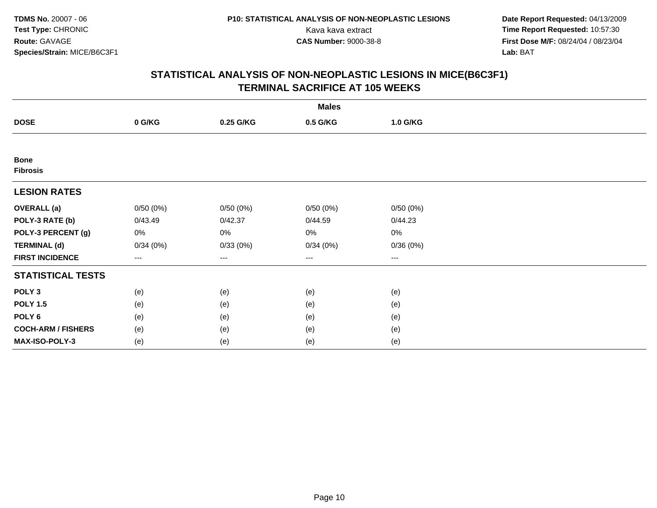**Date Report Requested:** 04/13/2009 Kava kava extract **Time Report Requested:** 10:57:30<br>**CAS Number:** 9000-38-8 **Time Report Requested:** 10:57:30 **First Dose M/F:** 08/24/04 / 08/23/04<br>Lab: BAT **Lab:** BAT

| <b>Males</b>                   |          |           |          |          |  |  |
|--------------------------------|----------|-----------|----------|----------|--|--|
| <b>DOSE</b>                    | 0 G/KG   | 0.25 G/KG | 0.5 G/KG | 1.0 G/KG |  |  |
|                                |          |           |          |          |  |  |
| <b>Bone</b><br><b>Fibrosis</b> |          |           |          |          |  |  |
| <b>LESION RATES</b>            |          |           |          |          |  |  |
| <b>OVERALL</b> (a)             | 0/50(0%) | 0/50(0%)  | 0/50(0%) | 0/50(0%) |  |  |
| POLY-3 RATE (b)                | 0/43.49  | 0/42.37   | 0/44.59  | 0/44.23  |  |  |
| POLY-3 PERCENT (g)             | 0%       | $0\%$     | 0%       | 0%       |  |  |
| <b>TERMINAL (d)</b>            | 0/34(0%) | 0/33(0%)  | 0/34(0%) | 0/36(0%) |  |  |
| <b>FIRST INCIDENCE</b>         | $---$    | ---       | ---      | $---$    |  |  |
| <b>STATISTICAL TESTS</b>       |          |           |          |          |  |  |
| POLY <sub>3</sub>              | (e)      | (e)       | (e)      | (e)      |  |  |
| <b>POLY 1.5</b>                | (e)      | (e)       | (e)      | (e)      |  |  |
| POLY <sub>6</sub>              | (e)      | (e)       | (e)      | (e)      |  |  |
| <b>COCH-ARM / FISHERS</b>      | (e)      | (e)       | (e)      | (e)      |  |  |
| MAX-ISO-POLY-3                 | (e)      | (e)       | (e)      | (e)      |  |  |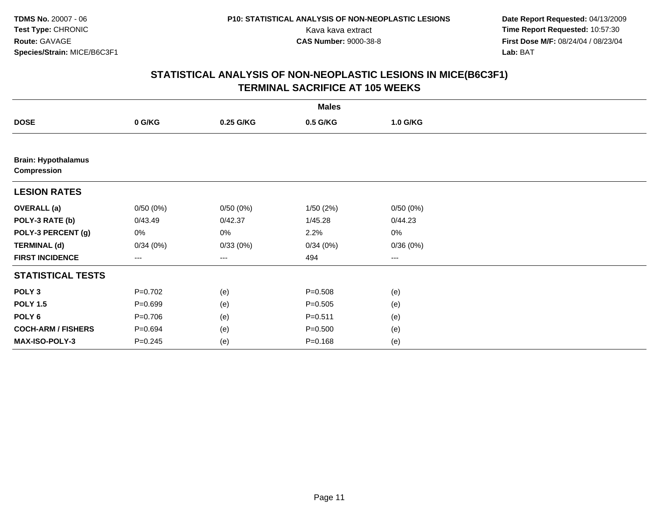**Date Report Requested:** 04/13/2009 Kava kava extract **Time Report Requested:** 10:57:30<br>**CAS Number:** 9000-38-8 **Time Report Requested:** 10:57:30 **First Dose M/F:** 08/24/04 / 08/23/04<br>Lab: BAT **Lab:** BAT

| <b>Males</b>                                     |             |           |             |          |  |  |
|--------------------------------------------------|-------------|-----------|-------------|----------|--|--|
| <b>DOSE</b>                                      | 0 G/KG      | 0.25 G/KG | 0.5 G/KG    | 1.0 G/KG |  |  |
|                                                  |             |           |             |          |  |  |
| <b>Brain: Hypothalamus</b><br><b>Compression</b> |             |           |             |          |  |  |
| <b>LESION RATES</b>                              |             |           |             |          |  |  |
| <b>OVERALL</b> (a)                               | 0/50(0%)    | 0/50(0%)  | 1/50(2%)    | 0/50(0%) |  |  |
| POLY-3 RATE (b)                                  | 0/43.49     | 0/42.37   | 1/45.28     | 0/44.23  |  |  |
| POLY-3 PERCENT (g)                               | 0%          | 0%        | 2.2%        | $0\%$    |  |  |
| <b>TERMINAL (d)</b>                              | 0/34(0%)    | 0/33(0%)  | 0/34(0%)    | 0/36(0%) |  |  |
| <b>FIRST INCIDENCE</b>                           | ---         | ---       | 494         | ---      |  |  |
| <b>STATISTICAL TESTS</b>                         |             |           |             |          |  |  |
| POLY <sub>3</sub>                                | $P=0.702$   | (e)       | $P = 0.508$ | (e)      |  |  |
| <b>POLY 1.5</b>                                  | $P = 0.699$ | (e)       | $P = 0.505$ | (e)      |  |  |
| POLY <sub>6</sub>                                | $P = 0.706$ | (e)       | $P = 0.511$ | (e)      |  |  |
| <b>COCH-ARM / FISHERS</b>                        | $P = 0.694$ | (e)       | $P = 0.500$ | (e)      |  |  |
| MAX-ISO-POLY-3                                   | $P = 0.245$ | (e)       | $P = 0.168$ | (e)      |  |  |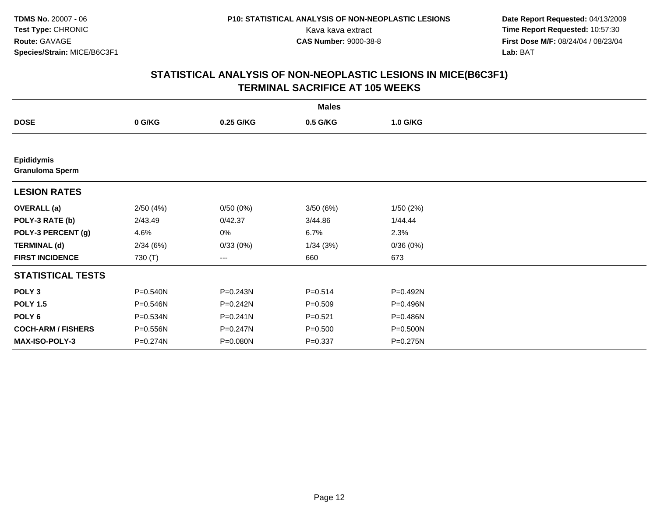**Date Report Requested:** 04/13/2009 Kava kava extract **Time Report Requested:** 10:57:30<br>**CAS Number:** 9000-38-8 **Time Report Requested:** 10:57:30 **First Dose M/F:** 08/24/04 / 08/23/04<br>Lab: BAT **Lab:** BAT

| <b>Males</b>                                |          |              |             |          |  |  |
|---------------------------------------------|----------|--------------|-------------|----------|--|--|
| <b>DOSE</b>                                 | 0 G/KG   | 0.25 G/KG    | 0.5 G/KG    | 1.0 G/KG |  |  |
|                                             |          |              |             |          |  |  |
| <b>Epididymis</b><br><b>Granuloma Sperm</b> |          |              |             |          |  |  |
| <b>LESION RATES</b>                         |          |              |             |          |  |  |
| <b>OVERALL</b> (a)                          | 2/50(4%) | 0/50(0%)     | 3/50 (6%)   | 1/50(2%) |  |  |
| POLY-3 RATE (b)                             | 2/43.49  | 0/42.37      | 3/44.86     | 1/44.44  |  |  |
| POLY-3 PERCENT (g)                          | 4.6%     | 0%           | 6.7%        | 2.3%     |  |  |
| <b>TERMINAL (d)</b>                         | 2/34(6%) | 0/33(0%)     | 1/34(3%)    | 0/36(0%) |  |  |
| <b>FIRST INCIDENCE</b>                      | 730 (T)  | ---          | 660         | 673      |  |  |
| <b>STATISTICAL TESTS</b>                    |          |              |             |          |  |  |
| POLY <sub>3</sub>                           | P=0.540N | P=0.243N     | $P = 0.514$ | P=0.492N |  |  |
| <b>POLY 1.5</b>                             | P=0.546N | $P = 0.242N$ | $P = 0.509$ | P=0.496N |  |  |
| POLY <sub>6</sub>                           | P=0.534N | $P = 0.241N$ | $P = 0.521$ | P=0.486N |  |  |
| <b>COCH-ARM / FISHERS</b>                   | P=0.556N | P=0.247N     | $P = 0.500$ | P=0.500N |  |  |
| <b>MAX-ISO-POLY-3</b>                       | P=0.274N | P=0.080N     | $P = 0.337$ | P=0.275N |  |  |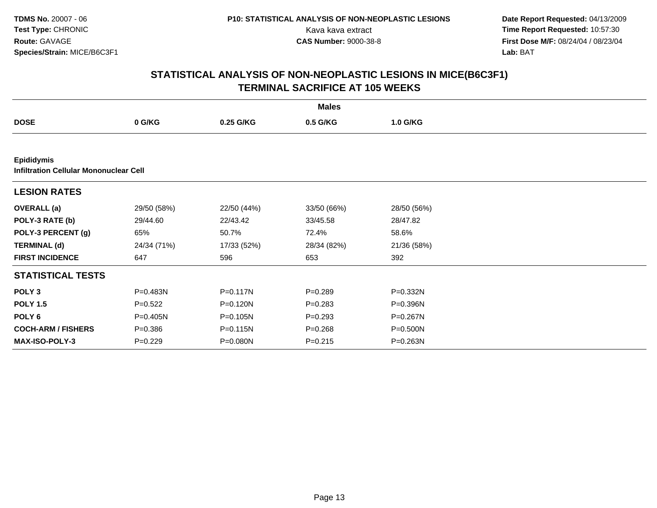**Date Report Requested:** 04/13/2009 Kava kava extract **Time Report Requested:** 10:57:30<br>**CAS Number:** 9000-38-8 **Time Report Requested:** 10:57:30 **First Dose M/F:** 08/24/04 / 08/23/04<br>Lab: BAT **Lab:** BAT

| <b>Males</b>                                                       |             |              |             |             |  |  |
|--------------------------------------------------------------------|-------------|--------------|-------------|-------------|--|--|
| <b>DOSE</b>                                                        | 0 G/KG      | 0.25 G/KG    | 0.5 G/KG    | 1.0 G/KG    |  |  |
|                                                                    |             |              |             |             |  |  |
| <b>Epididymis</b><br><b>Infiltration Cellular Mononuclear Cell</b> |             |              |             |             |  |  |
| <b>LESION RATES</b>                                                |             |              |             |             |  |  |
| <b>OVERALL</b> (a)                                                 | 29/50 (58%) | 22/50 (44%)  | 33/50 (66%) | 28/50 (56%) |  |  |
| POLY-3 RATE (b)                                                    | 29/44.60    | 22/43.42     | 33/45.58    | 28/47.82    |  |  |
| POLY-3 PERCENT (g)                                                 | 65%         | 50.7%        | 72.4%       | 58.6%       |  |  |
| <b>TERMINAL (d)</b>                                                | 24/34 (71%) | 17/33 (52%)  | 28/34 (82%) | 21/36 (58%) |  |  |
| <b>FIRST INCIDENCE</b>                                             | 647         | 596          | 653         | 392         |  |  |
| <b>STATISTICAL TESTS</b>                                           |             |              |             |             |  |  |
| POLY <sub>3</sub>                                                  | P=0.483N    | $P = 0.117N$ | $P = 0.289$ | P=0.332N    |  |  |
| <b>POLY 1.5</b>                                                    | $P=0.522$   | P=0.120N     | $P = 0.283$ | P=0.396N    |  |  |
| POLY 6                                                             | P=0.405N    | P=0.105N     | $P=0.293$   | P=0.267N    |  |  |
| <b>COCH-ARM / FISHERS</b>                                          | $P = 0.386$ | P=0.115N     | $P = 0.268$ | P=0.500N    |  |  |
| <b>MAX-ISO-POLY-3</b>                                              | $P=0.229$   | $P = 0.080N$ | $P = 0.215$ | P=0.263N    |  |  |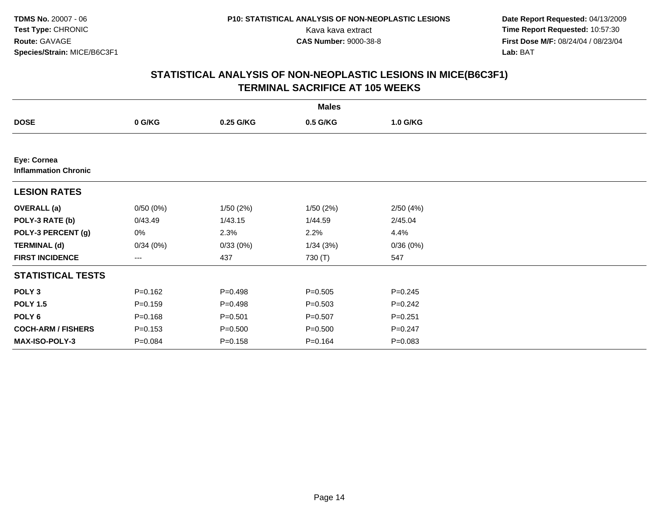**Date Report Requested:** 04/13/2009 Kava kava extract **Time Report Requested:** 10:57:30<br>**CAS Number:** 9000-38-8 **Time Report Requested:** 10:57:30 **First Dose M/F:** 08/24/04 / 08/23/04<br>Lab: BAT **Lab:** BAT

|                                            | <b>Males</b> |             |             |             |  |  |  |  |
|--------------------------------------------|--------------|-------------|-------------|-------------|--|--|--|--|
| <b>DOSE</b>                                | 0 G/KG       | 0.25 G/KG   | 0.5 G/KG    | 1.0 G/KG    |  |  |  |  |
|                                            |              |             |             |             |  |  |  |  |
| Eye: Cornea<br><b>Inflammation Chronic</b> |              |             |             |             |  |  |  |  |
| <b>LESION RATES</b>                        |              |             |             |             |  |  |  |  |
| <b>OVERALL</b> (a)                         | 0/50(0%)     | 1/50(2%)    | 1/50(2%)    | 2/50(4%)    |  |  |  |  |
| POLY-3 RATE (b)                            | 0/43.49      | 1/43.15     | 1/44.59     | 2/45.04     |  |  |  |  |
| POLY-3 PERCENT (g)                         | 0%           | 2.3%        | 2.2%        | 4.4%        |  |  |  |  |
| <b>TERMINAL (d)</b>                        | 0/34(0%)     | 0/33(0%)    | 1/34(3%)    | 0/36(0%)    |  |  |  |  |
| <b>FIRST INCIDENCE</b>                     | ---          | 437         | 730 (T)     | 547         |  |  |  |  |
| <b>STATISTICAL TESTS</b>                   |              |             |             |             |  |  |  |  |
| POLY <sub>3</sub>                          | $P = 0.162$  | $P = 0.498$ | $P = 0.505$ | $P = 0.245$ |  |  |  |  |
| <b>POLY 1.5</b>                            | $P = 0.159$  | $P = 0.498$ | $P = 0.503$ | $P = 0.242$ |  |  |  |  |
| POLY 6                                     | $P = 0.168$  | $P = 0.501$ | $P = 0.507$ | $P = 0.251$ |  |  |  |  |
| <b>COCH-ARM / FISHERS</b>                  | $P = 0.153$  | $P = 0.500$ | $P = 0.500$ | $P = 0.247$ |  |  |  |  |
| MAX-ISO-POLY-3                             | $P = 0.084$  | $P = 0.158$ | $P = 0.164$ | $P = 0.083$ |  |  |  |  |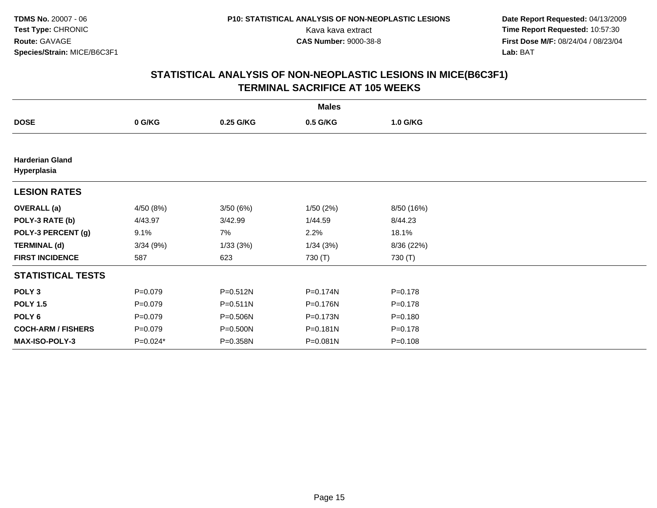**Date Report Requested:** 04/13/2009 Kava kava extract **Time Report Requested:** 10:57:30<br>**CAS Number:** 9000-38-8 **Time Report Requested:** 10:57:30 **First Dose M/F:** 08/24/04 / 08/23/04<br>Lab: BAT **Lab:** BAT

| <b>Males</b>                          |             |              |          |             |  |  |  |
|---------------------------------------|-------------|--------------|----------|-------------|--|--|--|
| <b>DOSE</b>                           | 0 G/KG      | 0.25 G/KG    | 0.5 G/KG | 1.0 G/KG    |  |  |  |
|                                       |             |              |          |             |  |  |  |
| <b>Harderian Gland</b><br>Hyperplasia |             |              |          |             |  |  |  |
| <b>LESION RATES</b>                   |             |              |          |             |  |  |  |
| <b>OVERALL</b> (a)                    | 4/50 (8%)   | 3/50(6%)     | 1/50(2%) | 8/50 (16%)  |  |  |  |
| POLY-3 RATE (b)                       | 4/43.97     | 3/42.99      | 1/44.59  | 8/44.23     |  |  |  |
| POLY-3 PERCENT (g)                    | 9.1%        | 7%           | 2.2%     | 18.1%       |  |  |  |
| <b>TERMINAL (d)</b>                   | 3/34(9%)    | 1/33(3%)     | 1/34(3%) | 8/36 (22%)  |  |  |  |
| <b>FIRST INCIDENCE</b>                | 587         | 623          | 730 (T)  | 730 (T)     |  |  |  |
| <b>STATISTICAL TESTS</b>              |             |              |          |             |  |  |  |
| POLY <sub>3</sub>                     | $P=0.079$   | P=0.512N     | P=0.174N | $P = 0.178$ |  |  |  |
| <b>POLY 1.5</b>                       | $P=0.079$   | $P = 0.511N$ | P=0.176N | $P = 0.178$ |  |  |  |
| POLY <sub>6</sub>                     | $P=0.079$   | P=0.506N     | P=0.173N | $P = 0.180$ |  |  |  |
| <b>COCH-ARM / FISHERS</b>             | $P = 0.079$ | P=0.500N     | P=0.181N | $P = 0.178$ |  |  |  |
| <b>MAX-ISO-POLY-3</b>                 | $P=0.024*$  | P=0.358N     | P=0.081N | $P = 0.108$ |  |  |  |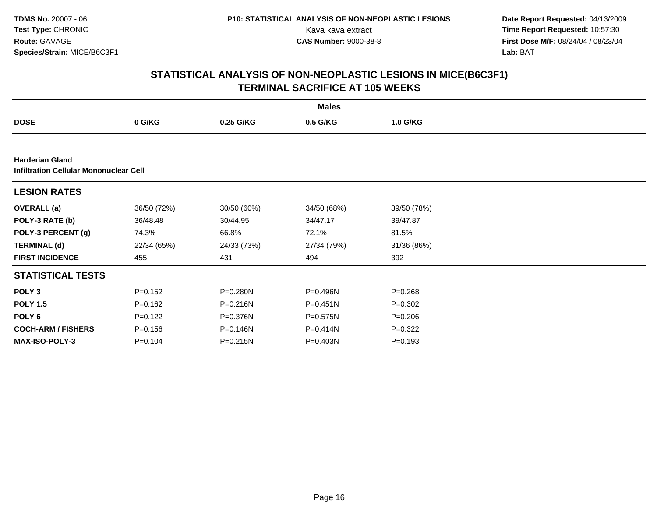**Date Report Requested:** 04/13/2009 Kava kava extract **Time Report Requested:** 10:57:30<br>**CAS Number:** 9000-38-8 **Time Report Requested:** 10:57:30 **First Dose M/F:** 08/24/04 / 08/23/04<br>Lab: BAT **Lab:** BAT

|                                                                         | <b>Males</b> |              |              |             |  |  |  |  |
|-------------------------------------------------------------------------|--------------|--------------|--------------|-------------|--|--|--|--|
| <b>DOSE</b>                                                             | 0 G/KG       | 0.25 G/KG    | 0.5 G/KG     | 1.0 G/KG    |  |  |  |  |
|                                                                         |              |              |              |             |  |  |  |  |
| <b>Harderian Gland</b><br><b>Infiltration Cellular Mononuclear Cell</b> |              |              |              |             |  |  |  |  |
| <b>LESION RATES</b>                                                     |              |              |              |             |  |  |  |  |
| <b>OVERALL</b> (a)                                                      | 36/50 (72%)  | 30/50 (60%)  | 34/50 (68%)  | 39/50 (78%) |  |  |  |  |
| POLY-3 RATE (b)                                                         | 36/48.48     | 30/44.95     | 34/47.17     | 39/47.87    |  |  |  |  |
| POLY-3 PERCENT (g)                                                      | 74.3%        | 66.8%        | 72.1%        | 81.5%       |  |  |  |  |
| <b>TERMINAL (d)</b>                                                     | 22/34 (65%)  | 24/33 (73%)  | 27/34 (79%)  | 31/36 (86%) |  |  |  |  |
| <b>FIRST INCIDENCE</b>                                                  | 455          | 431          | 494          | 392         |  |  |  |  |
| <b>STATISTICAL TESTS</b>                                                |              |              |              |             |  |  |  |  |
| POLY <sub>3</sub>                                                       | $P = 0.152$  | P=0.280N     | P=0.496N     | $P = 0.268$ |  |  |  |  |
| <b>POLY 1.5</b>                                                         | $P=0.162$    | $P = 0.216N$ | $P = 0.451N$ | $P=0.302$   |  |  |  |  |
| POLY 6                                                                  | $P=0.122$    | P=0.376N     | $P = 0.575N$ | $P = 0.206$ |  |  |  |  |
| <b>COCH-ARM / FISHERS</b>                                               | $P = 0.156$  | P=0.146N     | P=0.414N     | $P=0.322$   |  |  |  |  |
| <b>MAX-ISO-POLY-3</b>                                                   | $P = 0.104$  | P=0.215N     | P=0.403N     | $P = 0.193$ |  |  |  |  |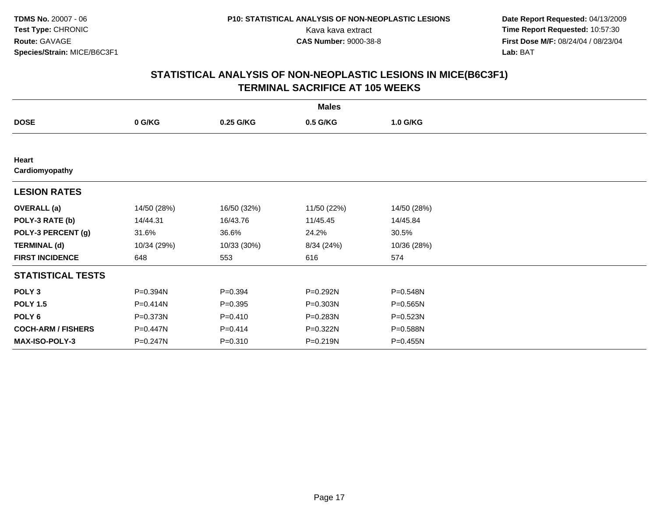**Date Report Requested:** 04/13/2009 Kava kava extract **Time Report Requested:** 10:57:30<br>**CAS Number:** 9000-38-8 **Time Report Requested:** 10:57:30 **First Dose M/F:** 08/24/04 / 08/23/04<br>Lab: BAT **Lab:** BAT

|                           | <b>Males</b> |             |             |              |  |  |  |  |
|---------------------------|--------------|-------------|-------------|--------------|--|--|--|--|
| <b>DOSE</b>               | 0 G/KG       | 0.25 G/KG   | 0.5 G/KG    | 1.0 G/KG     |  |  |  |  |
|                           |              |             |             |              |  |  |  |  |
| Heart<br>Cardiomyopathy   |              |             |             |              |  |  |  |  |
| <b>LESION RATES</b>       |              |             |             |              |  |  |  |  |
| <b>OVERALL</b> (a)        | 14/50 (28%)  | 16/50 (32%) | 11/50 (22%) | 14/50 (28%)  |  |  |  |  |
| POLY-3 RATE (b)           | 14/44.31     | 16/43.76    | 11/45.45    | 14/45.84     |  |  |  |  |
| POLY-3 PERCENT (g)        | 31.6%        | 36.6%       | 24.2%       | 30.5%        |  |  |  |  |
| <b>TERMINAL (d)</b>       | 10/34 (29%)  | 10/33 (30%) | 8/34 (24%)  | 10/36 (28%)  |  |  |  |  |
| <b>FIRST INCIDENCE</b>    | 648          | 553         | 616         | 574          |  |  |  |  |
| <b>STATISTICAL TESTS</b>  |              |             |             |              |  |  |  |  |
| POLY <sub>3</sub>         | P=0.394N     | $P=0.394$   | P=0.292N    | P=0.548N     |  |  |  |  |
| <b>POLY 1.5</b>           | P=0.414N     | $P = 0.395$ | P=0.303N    | P=0.565N     |  |  |  |  |
| POLY <sub>6</sub>         | P=0.373N     | $P=0.410$   | P=0.283N    | $P = 0.523N$ |  |  |  |  |
| <b>COCH-ARM / FISHERS</b> | P=0.447N     | $P = 0.414$ | P=0.322N    | P=0.588N     |  |  |  |  |
| MAX-ISO-POLY-3            | P=0.247N     | $P = 0.310$ | P=0.219N    | $P = 0.455N$ |  |  |  |  |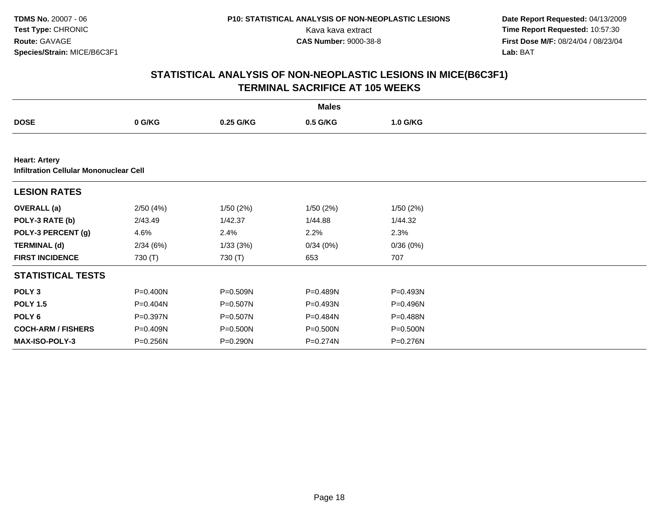**Date Report Requested:** 04/13/2009 Kava kava extract **Time Report Requested:** 10:57:30<br>**CAS Number:** 9000-38-8 **Time Report Requested:** 10:57:30 **First Dose M/F:** 08/24/04 / 08/23/04<br>Lab: BAT **Lab:** BAT

|                                                                       | <b>Males</b> |              |          |          |  |  |  |  |
|-----------------------------------------------------------------------|--------------|--------------|----------|----------|--|--|--|--|
| <b>DOSE</b>                                                           | 0 G/KG       | 0.25 G/KG    | 0.5 G/KG | 1.0 G/KG |  |  |  |  |
|                                                                       |              |              |          |          |  |  |  |  |
| <b>Heart: Artery</b><br><b>Infiltration Cellular Mononuclear Cell</b> |              |              |          |          |  |  |  |  |
| <b>LESION RATES</b>                                                   |              |              |          |          |  |  |  |  |
| <b>OVERALL</b> (a)                                                    | 2/50(4%)     | 1/50(2%)     | 1/50(2%) | 1/50(2%) |  |  |  |  |
| POLY-3 RATE (b)                                                       | 2/43.49      | 1/42.37      | 1/44.88  | 1/44.32  |  |  |  |  |
| POLY-3 PERCENT (g)                                                    | 4.6%         | 2.4%         | 2.2%     | 2.3%     |  |  |  |  |
| <b>TERMINAL (d)</b>                                                   | 2/34(6%)     | 1/33(3%)     | 0/34(0%) | 0/36(0%) |  |  |  |  |
| <b>FIRST INCIDENCE</b>                                                | 730 (T)      | 730 (T)      | 653      | 707      |  |  |  |  |
| <b>STATISTICAL TESTS</b>                                              |              |              |          |          |  |  |  |  |
| POLY <sub>3</sub>                                                     | P=0.400N     | P=0.509N     | P=0.489N | P=0.493N |  |  |  |  |
| <b>POLY 1.5</b>                                                       | P=0.404N     | P=0.507N     | P=0.493N | P=0.496N |  |  |  |  |
| POLY 6                                                                | P=0.397N     | $P = 0.507N$ | P=0.484N | P=0.488N |  |  |  |  |
| <b>COCH-ARM / FISHERS</b>                                             | P=0.409N     | P=0.500N     | P=0.500N | P=0.500N |  |  |  |  |
| <b>MAX-ISO-POLY-3</b>                                                 | P=0.256N     | P=0.290N     | P=0.274N | P=0.276N |  |  |  |  |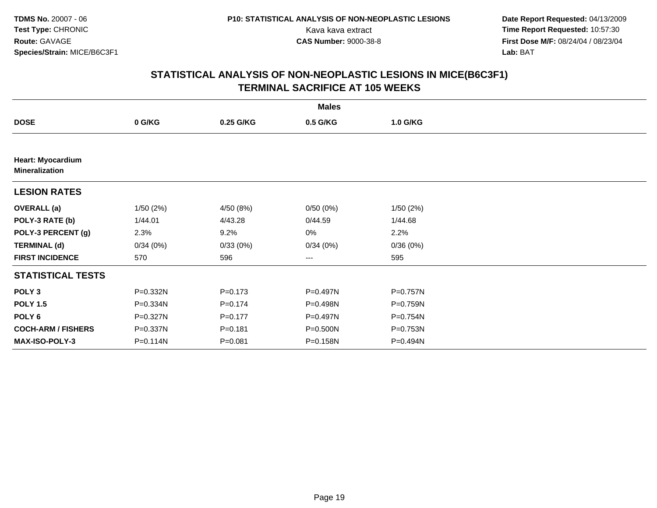**Date Report Requested:** 04/13/2009 Kava kava extract **Time Report Requested:** 10:57:30<br>**CAS Number:** 9000-38-8 **Time Report Requested:** 10:57:30 **First Dose M/F:** 08/24/04 / 08/23/04<br>Lab: BAT **Lab:** BAT

|                                                   | <b>Males</b> |             |          |          |  |  |  |  |
|---------------------------------------------------|--------------|-------------|----------|----------|--|--|--|--|
| <b>DOSE</b>                                       | 0 G/KG       | 0.25 G/KG   | 0.5 G/KG | 1.0 G/KG |  |  |  |  |
|                                                   |              |             |          |          |  |  |  |  |
| <b>Heart: Myocardium</b><br><b>Mineralization</b> |              |             |          |          |  |  |  |  |
| <b>LESION RATES</b>                               |              |             |          |          |  |  |  |  |
| <b>OVERALL</b> (a)                                | 1/50(2%)     | 4/50 (8%)   | 0/50(0%) | 1/50(2%) |  |  |  |  |
| POLY-3 RATE (b)                                   | 1/44.01      | 4/43.28     | 0/44.59  | 1/44.68  |  |  |  |  |
| POLY-3 PERCENT (g)                                | 2.3%         | 9.2%        | 0%       | 2.2%     |  |  |  |  |
| <b>TERMINAL (d)</b>                               | 0/34(0%)     | 0/33(0%)    | 0/34(0%) | 0/36(0%) |  |  |  |  |
| <b>FIRST INCIDENCE</b>                            | 570          | 596         | $--$     | 595      |  |  |  |  |
| <b>STATISTICAL TESTS</b>                          |              |             |          |          |  |  |  |  |
| POLY <sub>3</sub>                                 | P=0.332N     | $P = 0.173$ | P=0.497N | P=0.757N |  |  |  |  |
| <b>POLY 1.5</b>                                   | P=0.334N     | $P=0.174$   | P=0.498N | P=0.759N |  |  |  |  |
| POLY 6                                            | P=0.327N     | $P=0.177$   | P=0.497N | P=0.754N |  |  |  |  |
| <b>COCH-ARM / FISHERS</b>                         | P=0.337N     | $P = 0.181$ | P=0.500N | P=0.753N |  |  |  |  |
| MAX-ISO-POLY-3                                    | P=0.114N     | $P = 0.081$ | P=0.158N | P=0.494N |  |  |  |  |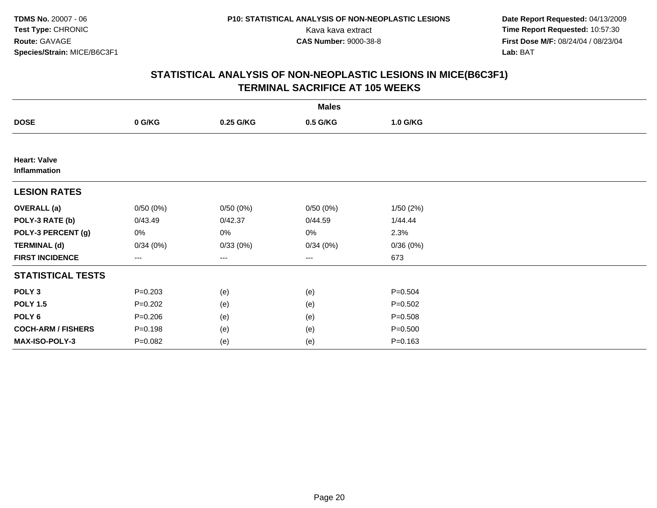**Date Report Requested:** 04/13/2009 Kava kava extract **Time Report Requested:** 10:57:30<br>**CAS Number:** 9000-38-8 **Time Report Requested:** 10:57:30 **First Dose M/F:** 08/24/04 / 08/23/04<br>Lab: BAT **Lab:** BAT

| <b>Males</b>                        |                   |           |          |             |  |  |  |  |
|-------------------------------------|-------------------|-----------|----------|-------------|--|--|--|--|
| <b>DOSE</b>                         | 0 G/KG            | 0.25 G/KG | 0.5 G/KG | 1.0 G/KG    |  |  |  |  |
|                                     |                   |           |          |             |  |  |  |  |
| <b>Heart: Valve</b><br>Inflammation |                   |           |          |             |  |  |  |  |
| <b>LESION RATES</b>                 |                   |           |          |             |  |  |  |  |
| <b>OVERALL</b> (a)                  | 0/50(0%)          | 0/50(0%)  | 0/50(0%) | 1/50(2%)    |  |  |  |  |
| POLY-3 RATE (b)                     | 0/43.49           | 0/42.37   | 0/44.59  | 1/44.44     |  |  |  |  |
| POLY-3 PERCENT (g)                  | 0%                | 0%        | 0%       | 2.3%        |  |  |  |  |
| <b>TERMINAL (d)</b>                 | 0/34(0%)          | 0/33(0%)  | 0/34(0%) | 0/36(0%)    |  |  |  |  |
| <b>FIRST INCIDENCE</b>              | $\qquad \qquad -$ | ---       | ---      | 673         |  |  |  |  |
| <b>STATISTICAL TESTS</b>            |                   |           |          |             |  |  |  |  |
| POLY <sub>3</sub>                   | $P = 0.203$       | (e)       | (e)      | $P = 0.504$ |  |  |  |  |
| <b>POLY 1.5</b>                     | $P=0.202$         | (e)       | (e)      | $P = 0.502$ |  |  |  |  |
| POLY <sub>6</sub>                   | $P = 0.206$       | (e)       | (e)      | $P = 0.508$ |  |  |  |  |
| <b>COCH-ARM / FISHERS</b>           | $P = 0.198$       | (e)       | (e)      | $P = 0.500$ |  |  |  |  |
| MAX-ISO-POLY-3                      | $P=0.082$         | (e)       | (e)      | $P = 0.163$ |  |  |  |  |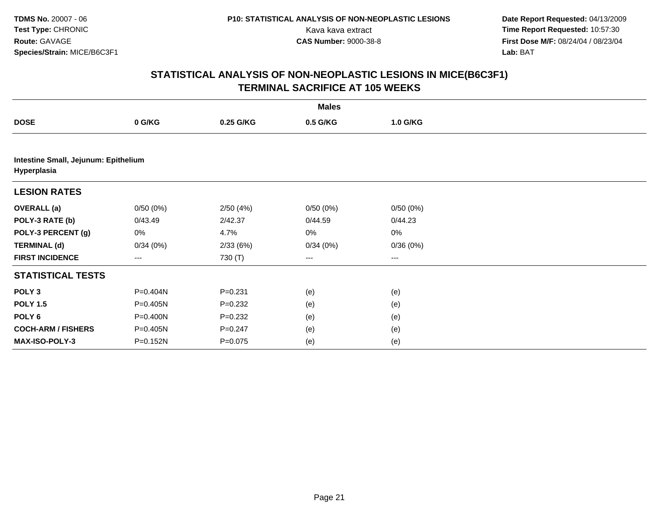**Date Report Requested:** 04/13/2009 Kava kava extract **Time Report Requested:** 10:57:30<br>**CAS Number:** 9000-38-8 **Time Report Requested:** 10:57:30 **First Dose M/F:** 08/24/04 / 08/23/04<br>Lab: BAT **Lab:** BAT

|                                                     | <b>Males</b> |             |                   |          |  |  |  |  |  |
|-----------------------------------------------------|--------------|-------------|-------------------|----------|--|--|--|--|--|
| <b>DOSE</b>                                         | 0 G/KG       | 0.25 G/KG   | 0.5 G/KG          | 1.0 G/KG |  |  |  |  |  |
|                                                     |              |             |                   |          |  |  |  |  |  |
| Intestine Small, Jejunum: Epithelium<br>Hyperplasia |              |             |                   |          |  |  |  |  |  |
| <b>LESION RATES</b>                                 |              |             |                   |          |  |  |  |  |  |
| <b>OVERALL</b> (a)                                  | 0/50(0%)     | 2/50(4%)    | 0/50(0%)          | 0/50(0%) |  |  |  |  |  |
| POLY-3 RATE (b)                                     | 0/43.49      | 2/42.37     | 0/44.59           | 0/44.23  |  |  |  |  |  |
| POLY-3 PERCENT (g)                                  | 0%           | 4.7%        | 0%                | $0\%$    |  |  |  |  |  |
| <b>TERMINAL (d)</b>                                 | 0/34(0%)     | 2/33(6%)    | 0/34(0%)          | 0/36(0%) |  |  |  |  |  |
| <b>FIRST INCIDENCE</b>                              | ---          | 730 (T)     | $\qquad \qquad -$ | $---$    |  |  |  |  |  |
| <b>STATISTICAL TESTS</b>                            |              |             |                   |          |  |  |  |  |  |
| POLY <sub>3</sub>                                   | P=0.404N     | $P = 0.231$ | (e)               | (e)      |  |  |  |  |  |
| <b>POLY 1.5</b>                                     | P=0.405N     | $P = 0.232$ | (e)               | (e)      |  |  |  |  |  |
| POLY <sub>6</sub>                                   | P=0.400N     | $P = 0.232$ | (e)               | (e)      |  |  |  |  |  |
| <b>COCH-ARM / FISHERS</b>                           | P=0.405N     | $P = 0.247$ | (e)               | (e)      |  |  |  |  |  |
| MAX-ISO-POLY-3                                      | P=0.152N     | $P = 0.075$ | (e)               | (e)      |  |  |  |  |  |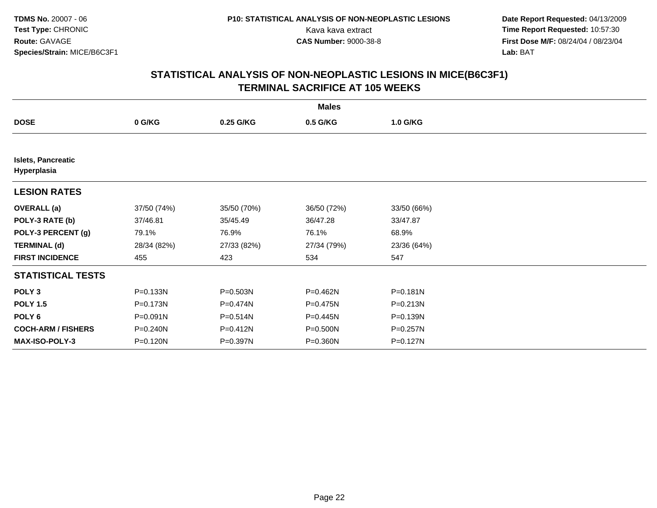**Date Report Requested:** 04/13/2009 Kava kava extract **Time Report Requested:** 10:57:30<br>**CAS Number:** 9000-38-8 **Time Report Requested:** 10:57:30 **First Dose M/F:** 08/24/04 / 08/23/04<br>Lab: BAT **Lab:** BAT

|                                          | <b>Males</b> |              |             |              |  |  |  |  |
|------------------------------------------|--------------|--------------|-------------|--------------|--|--|--|--|
| <b>DOSE</b>                              | 0 G/KG       | 0.25 G/KG    | 0.5 G/KG    | 1.0 G/KG     |  |  |  |  |
|                                          |              |              |             |              |  |  |  |  |
| <b>Islets, Pancreatic</b><br>Hyperplasia |              |              |             |              |  |  |  |  |
| <b>LESION RATES</b>                      |              |              |             |              |  |  |  |  |
| <b>OVERALL</b> (a)                       | 37/50 (74%)  | 35/50 (70%)  | 36/50 (72%) | 33/50 (66%)  |  |  |  |  |
| POLY-3 RATE (b)                          | 37/46.81     | 35/45.49     | 36/47.28    | 33/47.87     |  |  |  |  |
| POLY-3 PERCENT (g)                       | 79.1%        | 76.9%        | 76.1%       | 68.9%        |  |  |  |  |
| <b>TERMINAL (d)</b>                      | 28/34 (82%)  | 27/33 (82%)  | 27/34 (79%) | 23/36 (64%)  |  |  |  |  |
| <b>FIRST INCIDENCE</b>                   | 455          | 423          | 534         | 547          |  |  |  |  |
| <b>STATISTICAL TESTS</b>                 |              |              |             |              |  |  |  |  |
| POLY <sub>3</sub>                        | P=0.133N     | P=0.503N     | P=0.462N    | $P = 0.181N$ |  |  |  |  |
| <b>POLY 1.5</b>                          | P=0.173N     | P=0.474N     | P=0.475N    | $P = 0.213N$ |  |  |  |  |
| POLY 6                                   | P=0.091N     | $P = 0.514N$ | P=0.445N    | $P = 0.139N$ |  |  |  |  |
| <b>COCH-ARM / FISHERS</b>                | P=0.240N     | P=0.412N     | P=0.500N    | P=0.257N     |  |  |  |  |
| MAX-ISO-POLY-3                           | P=0.120N     | P=0.397N     | P=0.360N    | P=0.127N     |  |  |  |  |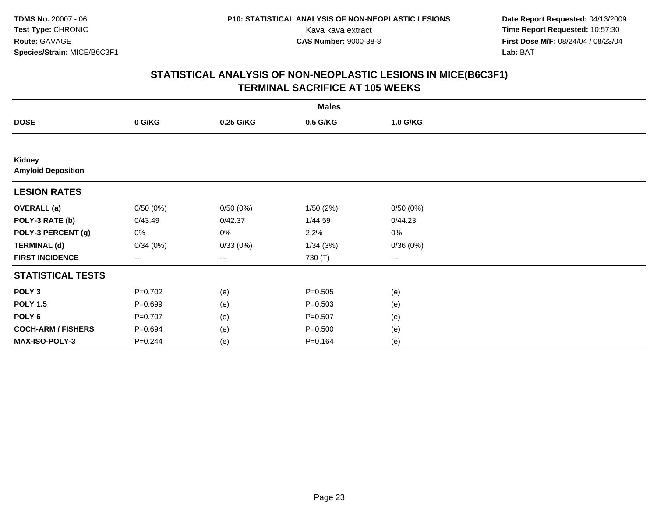**Date Report Requested:** 04/13/2009 Kava kava extract **Time Report Requested:** 10:57:30<br>**CAS Number:** 9000-38-8 **Time Report Requested:** 10:57:30 **First Dose M/F:** 08/24/04 / 08/23/04<br>Lab: BAT **Lab:** BAT

| <b>Males</b>                        |             |           |             |          |  |  |  |  |
|-------------------------------------|-------------|-----------|-------------|----------|--|--|--|--|
| <b>DOSE</b>                         | 0 G/KG      | 0.25 G/KG | 0.5 G/KG    | 1.0 G/KG |  |  |  |  |
|                                     |             |           |             |          |  |  |  |  |
| Kidney<br><b>Amyloid Deposition</b> |             |           |             |          |  |  |  |  |
| <b>LESION RATES</b>                 |             |           |             |          |  |  |  |  |
| <b>OVERALL</b> (a)                  | 0/50(0%)    | 0/50(0%)  | 1/50(2%)    | 0/50(0%) |  |  |  |  |
| POLY-3 RATE (b)                     | 0/43.49     | 0/42.37   | 1/44.59     | 0/44.23  |  |  |  |  |
| POLY-3 PERCENT (g)                  | 0%          | 0%        | 2.2%        | 0%       |  |  |  |  |
| <b>TERMINAL (d)</b>                 | 0/34(0%)    | 0/33(0%)  | 1/34(3%)    | 0/36(0%) |  |  |  |  |
| <b>FIRST INCIDENCE</b>              | $---$       | $---$     | 730 (T)     | $--$     |  |  |  |  |
| <b>STATISTICAL TESTS</b>            |             |           |             |          |  |  |  |  |
| POLY <sub>3</sub>                   | $P=0.702$   | (e)       | $P = 0.505$ | (e)      |  |  |  |  |
| <b>POLY 1.5</b>                     | $P = 0.699$ | (e)       | $P = 0.503$ | (e)      |  |  |  |  |
| POLY <sub>6</sub>                   | $P=0.707$   | (e)       | $P = 0.507$ | (e)      |  |  |  |  |
| <b>COCH-ARM / FISHERS</b>           | P=0.694     | (e)       | $P = 0.500$ | (e)      |  |  |  |  |
| MAX-ISO-POLY-3                      | $P = 0.244$ | (e)       | $P = 0.164$ | (e)      |  |  |  |  |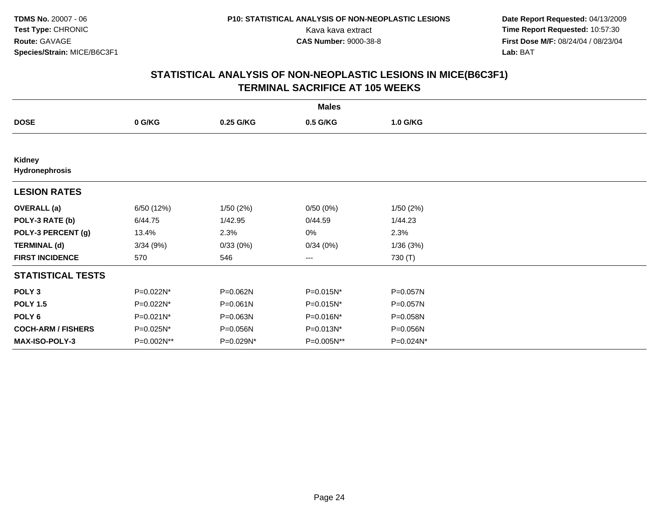**Date Report Requested:** 04/13/2009 Kava kava extract **Time Report Requested:** 10:57:30<br>**CAS Number:** 9000-38-8 **Time Report Requested:** 10:57:30 **First Dose M/F:** 08/24/04 / 08/23/04<br>Lab: BAT **Lab:** BAT

|                                 | <b>Males</b> |           |            |           |  |  |  |  |
|---------------------------------|--------------|-----------|------------|-----------|--|--|--|--|
| <b>DOSE</b>                     | 0 G/KG       | 0.25 G/KG | 0.5 G/KG   | 1.0 G/KG  |  |  |  |  |
|                                 |              |           |            |           |  |  |  |  |
| <b>Kidney</b><br>Hydronephrosis |              |           |            |           |  |  |  |  |
| <b>LESION RATES</b>             |              |           |            |           |  |  |  |  |
| <b>OVERALL</b> (a)              | 6/50 (12%)   | 1/50(2%)  | 0/50(0%)   | 1/50(2%)  |  |  |  |  |
| POLY-3 RATE (b)                 | 6/44.75      | 1/42.95   | 0/44.59    | 1/44.23   |  |  |  |  |
| POLY-3 PERCENT (g)              | 13.4%        | 2.3%      | 0%         | 2.3%      |  |  |  |  |
| <b>TERMINAL (d)</b>             | 3/34(9%)     | 0/33(0%)  | 0/34(0%)   | 1/36(3%)  |  |  |  |  |
| <b>FIRST INCIDENCE</b>          | 570          | 546       | ---        | 730 (T)   |  |  |  |  |
| <b>STATISTICAL TESTS</b>        |              |           |            |           |  |  |  |  |
| POLY <sub>3</sub>               | P=0.022N*    | P=0.062N  | P=0.015N*  | P=0.057N  |  |  |  |  |
| <b>POLY 1.5</b>                 | P=0.022N*    | P=0.061N  | P=0.015N*  | P=0.057N  |  |  |  |  |
| POLY 6                          | P=0.021N*    | P=0.063N  | P=0.016N*  | P=0.058N  |  |  |  |  |
| <b>COCH-ARM / FISHERS</b>       | P=0.025N*    | P=0.056N  | P=0.013N*  | P=0.056N  |  |  |  |  |
| MAX-ISO-POLY-3                  | P=0.002N**   | P=0.029N* | P=0.005N** | P=0.024N* |  |  |  |  |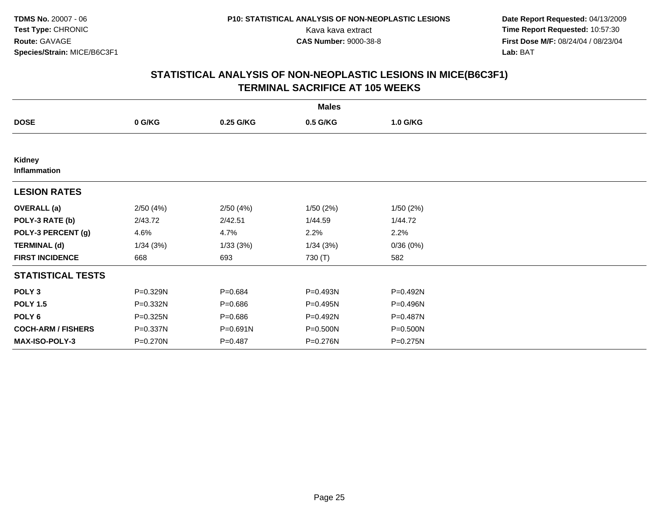**Date Report Requested:** 04/13/2009 Kava kava extract **Time Report Requested:** 10:57:30<br>**CAS Number:** 9000-38-8 **Time Report Requested:** 10:57:30 **First Dose M/F:** 08/24/04 / 08/23/04<br>Lab: BAT **Lab:** BAT

|                           | <b>Males</b> |             |          |          |  |  |  |  |
|---------------------------|--------------|-------------|----------|----------|--|--|--|--|
| <b>DOSE</b>               | 0 G/KG       | 0.25 G/KG   | 0.5 G/KG | 1.0 G/KG |  |  |  |  |
|                           |              |             |          |          |  |  |  |  |
| Kidney<br>Inflammation    |              |             |          |          |  |  |  |  |
| <b>LESION RATES</b>       |              |             |          |          |  |  |  |  |
| <b>OVERALL</b> (a)        | 2/50(4%)     | 2/50(4%)    | 1/50(2%) | 1/50(2%) |  |  |  |  |
| POLY-3 RATE (b)           | 2/43.72      | 2/42.51     | 1/44.59  | 1/44.72  |  |  |  |  |
| POLY-3 PERCENT (g)        | 4.6%         | 4.7%        | 2.2%     | 2.2%     |  |  |  |  |
| <b>TERMINAL (d)</b>       | 1/34(3%)     | 1/33(3%)    | 1/34(3%) | 0/36(0%) |  |  |  |  |
| <b>FIRST INCIDENCE</b>    | 668          | 693         | 730 (T)  | 582      |  |  |  |  |
| <b>STATISTICAL TESTS</b>  |              |             |          |          |  |  |  |  |
| POLY <sub>3</sub>         | P=0.329N     | $P = 0.684$ | P=0.493N | P=0.492N |  |  |  |  |
| <b>POLY 1.5</b>           | P=0.332N     | $P = 0.686$ | P=0.495N | P=0.496N |  |  |  |  |
| POLY <sub>6</sub>         | P=0.325N     | $P = 0.686$ | P=0.492N | P=0.487N |  |  |  |  |
| <b>COCH-ARM / FISHERS</b> | P=0.337N     | P=0.691N    | P=0.500N | P=0.500N |  |  |  |  |
| MAX-ISO-POLY-3            | P=0.270N     | $P = 0.487$ | P=0.276N | P=0.275N |  |  |  |  |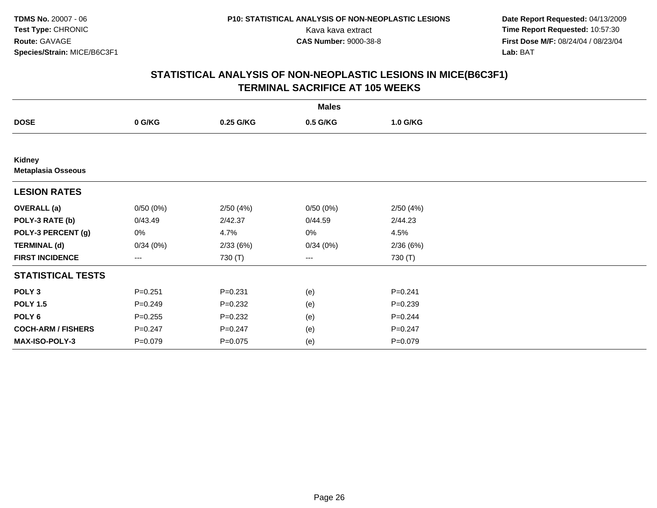**Date Report Requested:** 04/13/2009 Kava kava extract **Time Report Requested:** 10:57:30<br>**CAS Number:** 9000-38-8 **Time Report Requested:** 10:57:30 **First Dose M/F:** 08/24/04 / 08/23/04<br>Lab: BAT **Lab:** BAT

|                                     |             |             | <b>Males</b> |             |  |
|-------------------------------------|-------------|-------------|--------------|-------------|--|
| <b>DOSE</b>                         | 0 G/KG      | 0.25 G/KG   | 0.5 G/KG     | 1.0 G/KG    |  |
|                                     |             |             |              |             |  |
| Kidney<br><b>Metaplasia Osseous</b> |             |             |              |             |  |
| <b>LESION RATES</b>                 |             |             |              |             |  |
| <b>OVERALL</b> (a)                  | 0/50(0%)    | 2/50(4%)    | 0/50(0%)     | 2/50(4%)    |  |
| POLY-3 RATE (b)                     | 0/43.49     | 2/42.37     | 0/44.59      | 2/44.23     |  |
| POLY-3 PERCENT (g)                  | 0%          | 4.7%        | 0%           | 4.5%        |  |
| <b>TERMINAL (d)</b>                 | 0/34(0%)    | 2/33(6%)    | 0/34(0%)     | 2/36(6%)    |  |
| <b>FIRST INCIDENCE</b>              | ---         | 730 (T)     | ---          | 730 (T)     |  |
| <b>STATISTICAL TESTS</b>            |             |             |              |             |  |
| POLY <sub>3</sub>                   | $P = 0.251$ | $P = 0.231$ | (e)          | $P = 0.241$ |  |
| <b>POLY 1.5</b>                     | $P = 0.249$ | $P = 0.232$ | (e)          | $P = 0.239$ |  |
| POLY 6                              | $P = 0.255$ | $P = 0.232$ | (e)          | $P = 0.244$ |  |
| <b>COCH-ARM / FISHERS</b>           | $P = 0.247$ | $P = 0.247$ | (e)          | $P = 0.247$ |  |
| MAX-ISO-POLY-3                      | $P = 0.079$ | $P = 0.075$ | (e)          | $P = 0.079$ |  |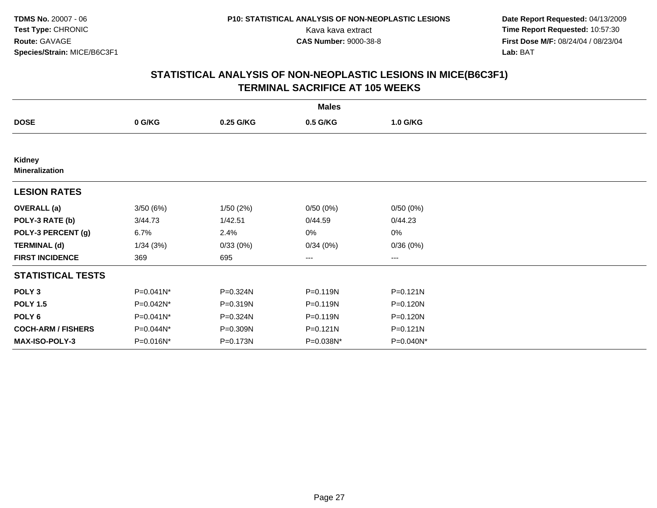**Date Report Requested:** 04/13/2009 Kava kava extract **Time Report Requested:** 10:57:30<br>**CAS Number:** 9000-38-8 **Time Report Requested:** 10:57:30 **First Dose M/F:** 08/24/04 / 08/23/04<br>Lab: BAT **Lab:** BAT

|                                 |           |           | <b>Males</b> |              |  |
|---------------------------------|-----------|-----------|--------------|--------------|--|
| <b>DOSE</b>                     | 0 G/KG    | 0.25 G/KG | 0.5 G/KG     | 1.0 G/KG     |  |
|                                 |           |           |              |              |  |
| Kidney<br><b>Mineralization</b> |           |           |              |              |  |
| <b>LESION RATES</b>             |           |           |              |              |  |
| <b>OVERALL</b> (a)              | 3/50(6%)  | 1/50(2%)  | 0/50(0%)     | 0/50(0%)     |  |
| POLY-3 RATE (b)                 | 3/44.73   | 1/42.51   | 0/44.59      | 0/44.23      |  |
| POLY-3 PERCENT (g)              | 6.7%      | 2.4%      | 0%           | 0%           |  |
| <b>TERMINAL (d)</b>             | 1/34(3%)  | 0/33(0%)  | 0/34(0%)     | 0/36(0%)     |  |
| <b>FIRST INCIDENCE</b>          | 369       | 695       | ---          | $--$         |  |
| <b>STATISTICAL TESTS</b>        |           |           |              |              |  |
| POLY <sub>3</sub>               | P=0.041N* | P=0.324N  | P=0.119N     | $P = 0.121N$ |  |
| <b>POLY 1.5</b>                 | P=0.042N* | P=0.319N  | P=0.119N     | P=0.120N     |  |
| POLY <sub>6</sub>               | P=0.041N* | P=0.324N  | P=0.119N     | P=0.120N     |  |
| <b>COCH-ARM / FISHERS</b>       | P=0.044N* | P=0.309N  | P=0.121N     | $P = 0.121N$ |  |
| <b>MAX-ISO-POLY-3</b>           | P=0.016N* | P=0.173N  | P=0.038N*    | P=0.040N*    |  |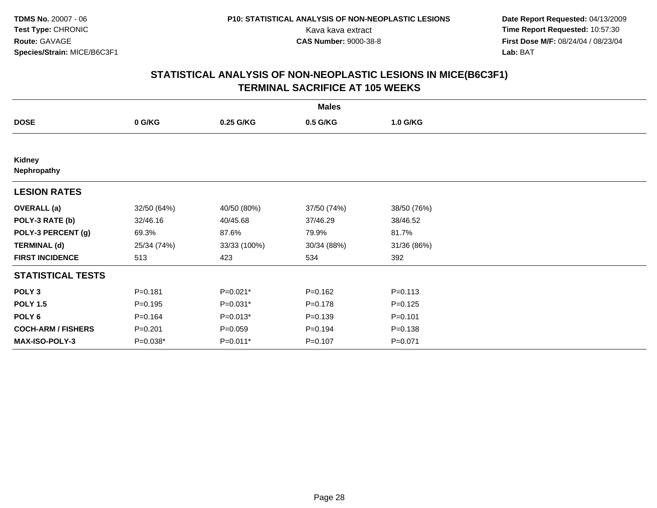**Date Report Requested:** 04/13/2009 Kava kava extract **Time Report Requested:** 10:57:30<br>**CAS Number:** 9000-38-8 **Time Report Requested:** 10:57:30 **First Dose M/F:** 08/24/04 / 08/23/04<br>Lab: BAT **Lab:** BAT

|                           |             |              | <b>Males</b> |             |  |
|---------------------------|-------------|--------------|--------------|-------------|--|
| <b>DOSE</b>               | 0 G/KG      | 0.25 G/KG    | 0.5 G/KG     | 1.0 G/KG    |  |
|                           |             |              |              |             |  |
| Kidney<br>Nephropathy     |             |              |              |             |  |
| <b>LESION RATES</b>       |             |              |              |             |  |
| <b>OVERALL</b> (a)        | 32/50 (64%) | 40/50 (80%)  | 37/50 (74%)  | 38/50 (76%) |  |
| POLY-3 RATE (b)           | 32/46.16    | 40/45.68     | 37/46.29     | 38/46.52    |  |
| POLY-3 PERCENT (g)        | 69.3%       | 87.6%        | 79.9%        | 81.7%       |  |
| <b>TERMINAL (d)</b>       | 25/34 (74%) | 33/33 (100%) | 30/34 (88%)  | 31/36 (86%) |  |
| <b>FIRST INCIDENCE</b>    | 513         | 423          | 534          | 392         |  |
| <b>STATISTICAL TESTS</b>  |             |              |              |             |  |
| POLY <sub>3</sub>         | $P = 0.181$ | $P=0.021*$   | $P = 0.162$  | $P = 0.113$ |  |
| <b>POLY 1.5</b>           | $P = 0.195$ | $P=0.031*$   | $P = 0.178$  | $P = 0.125$ |  |
| POLY <sub>6</sub>         | $P = 0.164$ | $P=0.013*$   | $P = 0.139$  | $P = 0.101$ |  |
| <b>COCH-ARM / FISHERS</b> | $P = 0.201$ | $P=0.059$    | $P = 0.194$  | $P = 0.138$ |  |
| MAX-ISO-POLY-3            | $P=0.038*$  | $P=0.011*$   | $P = 0.107$  | $P = 0.071$ |  |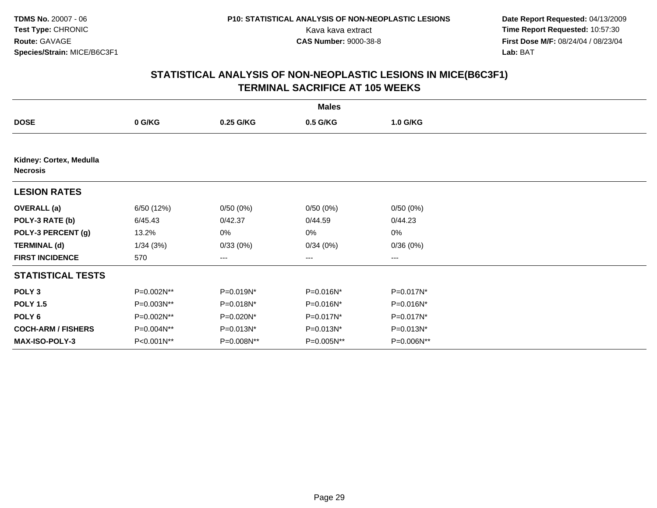**Date Report Requested:** 04/13/2009 Kava kava extract **Time Report Requested:** 10:57:30<br>**CAS Number:** 9000-38-8 **Time Report Requested:** 10:57:30 **First Dose M/F:** 08/24/04 / 08/23/04<br>Lab: BAT **Lab:** BAT

|                                            |            |            | <b>Males</b> |              |  |
|--------------------------------------------|------------|------------|--------------|--------------|--|
| <b>DOSE</b>                                | 0 G/KG     | 0.25 G/KG  | 0.5 G/KG     | 1.0 G/KG     |  |
|                                            |            |            |              |              |  |
| Kidney: Cortex, Medulla<br><b>Necrosis</b> |            |            |              |              |  |
| <b>LESION RATES</b>                        |            |            |              |              |  |
| <b>OVERALL</b> (a)                         | 6/50 (12%) | 0/50(0%)   | 0/50(0%)     | 0/50(0%)     |  |
| POLY-3 RATE (b)                            | 6/45.43    | 0/42.37    | 0/44.59      | 0/44.23      |  |
| POLY-3 PERCENT (g)                         | 13.2%      | 0%         | 0%           | $0\%$        |  |
| <b>TERMINAL (d)</b>                        | 1/34(3%)   | 0/33(0%)   | 0/34(0%)     | 0/36(0%)     |  |
| <b>FIRST INCIDENCE</b>                     | 570        | ---        | $---$        | $---$        |  |
| <b>STATISTICAL TESTS</b>                   |            |            |              |              |  |
| POLY <sub>3</sub>                          | P=0.002N** | P=0.019N*  | P=0.016N*    | P=0.017N*    |  |
| <b>POLY 1.5</b>                            | P=0.003N** | P=0.018N*  | P=0.016N*    | P=0.016N*    |  |
| POLY 6                                     | P=0.002N** | P=0.020N*  | P=0.017N*    | P=0.017N*    |  |
| <b>COCH-ARM / FISHERS</b>                  | P=0.004N** | P=0.013N*  | P=0.013N*    | $P=0.013N^*$ |  |
| MAX-ISO-POLY-3                             | P<0.001N** | P=0.008N** | P=0.005N**   | P=0.006N**   |  |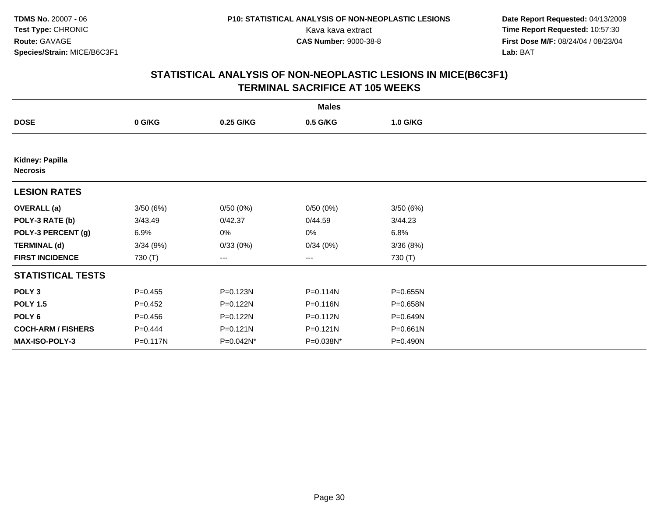**Date Report Requested:** 04/13/2009 Kava kava extract **Time Report Requested:** 10:57:30<br>**CAS Number:** 9000-38-8 **Time Report Requested:** 10:57:30 **First Dose M/F:** 08/24/04 / 08/23/04<br>Lab: BAT **Lab:** BAT

|                                    |             |              | <b>Males</b> |              |  |
|------------------------------------|-------------|--------------|--------------|--------------|--|
| <b>DOSE</b>                        | 0 G/KG      | 0.25 G/KG    | 0.5 G/KG     | 1.0 G/KG     |  |
|                                    |             |              |              |              |  |
| Kidney: Papilla<br><b>Necrosis</b> |             |              |              |              |  |
| <b>LESION RATES</b>                |             |              |              |              |  |
| <b>OVERALL</b> (a)                 | 3/50(6%)    | 0/50(0%)     | 0/50(0%)     | 3/50(6%)     |  |
| POLY-3 RATE (b)                    | 3/43.49     | 0/42.37      | 0/44.59      | 3/44.23      |  |
| POLY-3 PERCENT (g)                 | 6.9%        | 0%           | 0%           | 6.8%         |  |
| <b>TERMINAL (d)</b>                | 3/34(9%)    | 0/33(0%)     | 0/34(0%)     | 3/36(8%)     |  |
| <b>FIRST INCIDENCE</b>             | 730 (T)     | ---          | $--$         | 730 (T)      |  |
| <b>STATISTICAL TESTS</b>           |             |              |              |              |  |
| POLY <sub>3</sub>                  | $P = 0.455$ | P=0.123N     | $P = 0.114N$ | P=0.655N     |  |
| <b>POLY 1.5</b>                    | $P=0.452$   | P=0.122N     | P=0.116N     | P=0.658N     |  |
| POLY <sub>6</sub>                  | $P=0.456$   | $P = 0.122N$ | $P = 0.112N$ | P=0.649N     |  |
| <b>COCH-ARM / FISHERS</b>          | $P = 0.444$ | $P = 0.121N$ | $P = 0.121N$ | $P = 0.661N$ |  |
| MAX-ISO-POLY-3                     | P=0.117N    | P=0.042N*    | P=0.038N*    | P=0.490N     |  |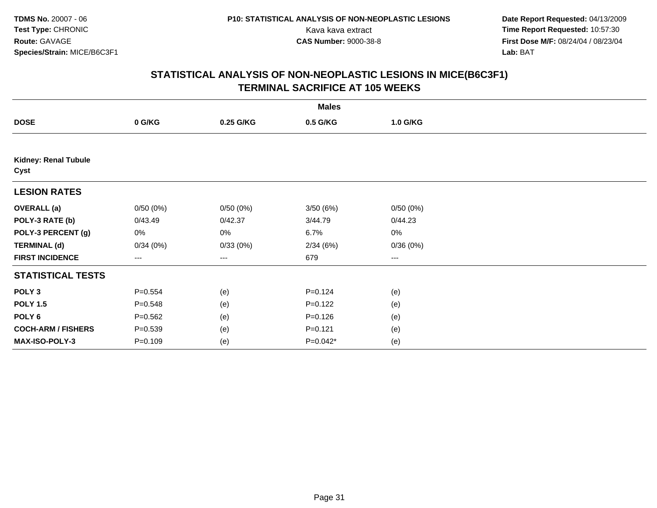**Date Report Requested:** 04/13/2009 Kava kava extract **Time Report Requested:** 10:57:30<br>**CAS Number:** 9000-38-8 **Time Report Requested:** 10:57:30 **First Dose M/F:** 08/24/04 / 08/23/04<br>Lab: BAT **Lab:** BAT

|                                     |             |           | <b>Males</b> |          |  |
|-------------------------------------|-------------|-----------|--------------|----------|--|
| <b>DOSE</b>                         | 0 G/KG      | 0.25 G/KG | 0.5 G/KG     | 1.0 G/KG |  |
|                                     |             |           |              |          |  |
| <b>Kidney: Renal Tubule</b><br>Cyst |             |           |              |          |  |
| <b>LESION RATES</b>                 |             |           |              |          |  |
| <b>OVERALL</b> (a)                  | 0/50(0%)    | 0/50(0%)  | 3/50(6%)     | 0/50(0%) |  |
| POLY-3 RATE (b)                     | 0/43.49     | 0/42.37   | 3/44.79      | 0/44.23  |  |
| POLY-3 PERCENT (g)                  | 0%          | 0%        | 6.7%         | 0%       |  |
| <b>TERMINAL (d)</b>                 | 0/34(0%)    | 0/33(0%)  | 2/34(6%)     | 0/36(0%) |  |
| <b>FIRST INCIDENCE</b>              | ---         | ---       | 679          | ---      |  |
| <b>STATISTICAL TESTS</b>            |             |           |              |          |  |
| POLY <sub>3</sub>                   | $P = 0.554$ | (e)       | $P=0.124$    | (e)      |  |
| <b>POLY 1.5</b>                     | $P = 0.548$ | (e)       | $P = 0.122$  | (e)      |  |
| POLY <sub>6</sub>                   | $P = 0.562$ | (e)       | $P = 0.126$  | (e)      |  |
| <b>COCH-ARM / FISHERS</b>           | $P = 0.539$ | (e)       | $P = 0.121$  | (e)      |  |
| MAX-ISO-POLY-3                      | $P = 0.109$ | (e)       | $P=0.042*$   | (e)      |  |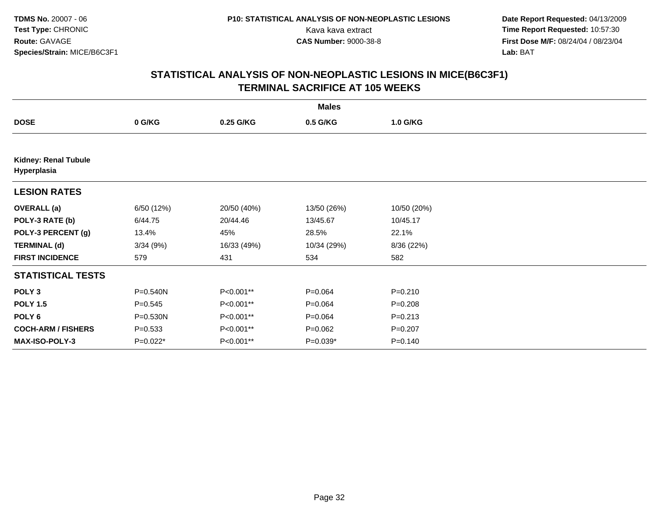**Date Report Requested:** 04/13/2009 Kava kava extract **Time Report Requested:** 10:57:30<br>**CAS Number:** 9000-38-8 **Time Report Requested:** 10:57:30 **First Dose M/F:** 08/24/04 / 08/23/04<br>Lab: BAT **Lab:** BAT

|                                            |             |             | <b>Males</b> |             |  |
|--------------------------------------------|-------------|-------------|--------------|-------------|--|
| <b>DOSE</b>                                | 0 G/KG      | 0.25 G/KG   | 0.5 G/KG     | 1.0 G/KG    |  |
|                                            |             |             |              |             |  |
| <b>Kidney: Renal Tubule</b><br>Hyperplasia |             |             |              |             |  |
| <b>LESION RATES</b>                        |             |             |              |             |  |
| <b>OVERALL</b> (a)                         | 6/50 (12%)  | 20/50 (40%) | 13/50 (26%)  | 10/50 (20%) |  |
| POLY-3 RATE (b)                            | 6/44.75     | 20/44.46    | 13/45.67     | 10/45.17    |  |
| POLY-3 PERCENT (g)                         | 13.4%       | 45%         | 28.5%        | 22.1%       |  |
| <b>TERMINAL (d)</b>                        | 3/34(9%)    | 16/33 (49%) | 10/34 (29%)  | 8/36 (22%)  |  |
| <b>FIRST INCIDENCE</b>                     | 579         | 431         | 534          | 582         |  |
| <b>STATISTICAL TESTS</b>                   |             |             |              |             |  |
| POLY <sub>3</sub>                          | P=0.540N    | P<0.001**   | $P = 0.064$  | $P = 0.210$ |  |
| <b>POLY 1.5</b>                            | $P = 0.545$ | P<0.001**   | $P = 0.064$  | $P = 0.208$ |  |
| POLY 6                                     | P=0.530N    | P<0.001**   | $P = 0.064$  | $P = 0.213$ |  |
| <b>COCH-ARM / FISHERS</b>                  | $P = 0.533$ | P<0.001**   | $P = 0.062$  | $P = 0.207$ |  |
| <b>MAX-ISO-POLY-3</b>                      | P=0.022*    | P<0.001**   | $P=0.039*$   | $P = 0.140$ |  |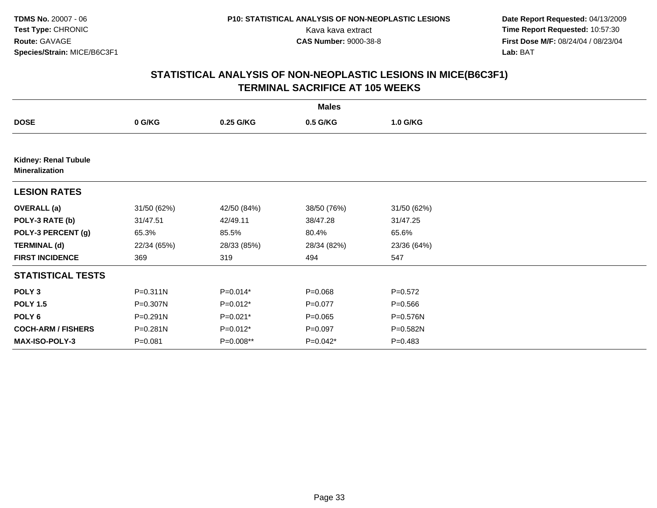**Date Report Requested:** 04/13/2009 Kava kava extract **Time Report Requested:** 10:57:30<br>**CAS Number:** 9000-38-8 **Time Report Requested:** 10:57:30 **First Dose M/F:** 08/24/04 / 08/23/04<br>Lab: BAT **Lab:** BAT

|                                                      |              |             | <b>Males</b> |             |  |
|------------------------------------------------------|--------------|-------------|--------------|-------------|--|
| <b>DOSE</b>                                          | 0 G/KG       | 0.25 G/KG   | 0.5 G/KG     | 1.0 G/KG    |  |
|                                                      |              |             |              |             |  |
| <b>Kidney: Renal Tubule</b><br><b>Mineralization</b> |              |             |              |             |  |
| <b>LESION RATES</b>                                  |              |             |              |             |  |
| <b>OVERALL</b> (a)                                   | 31/50 (62%)  | 42/50 (84%) | 38/50 (76%)  | 31/50 (62%) |  |
| POLY-3 RATE (b)                                      | 31/47.51     | 42/49.11    | 38/47.28     | 31/47.25    |  |
| POLY-3 PERCENT (g)                                   | 65.3%        | 85.5%       | 80.4%        | 65.6%       |  |
| <b>TERMINAL (d)</b>                                  | 22/34 (65%)  | 28/33 (85%) | 28/34 (82%)  | 23/36 (64%) |  |
| <b>FIRST INCIDENCE</b>                               | 369          | 319         | 494          | 547         |  |
| <b>STATISTICAL TESTS</b>                             |              |             |              |             |  |
| POLY <sub>3</sub>                                    | $P = 0.311N$ | $P=0.014*$  | $P = 0.068$  | $P = 0.572$ |  |
| <b>POLY 1.5</b>                                      | P=0.307N     | $P=0.012*$  | $P = 0.077$  | $P = 0.566$ |  |
| POLY 6                                               | P=0.291N     | $P=0.021*$  | $P = 0.065$  | P=0.576N    |  |
| <b>COCH-ARM / FISHERS</b>                            | P=0.281N     | $P=0.012*$  | $P = 0.097$  | P=0.582N    |  |
| <b>MAX-ISO-POLY-3</b>                                | $P = 0.081$  | P=0.008**   | P=0.042*     | $P = 0.483$ |  |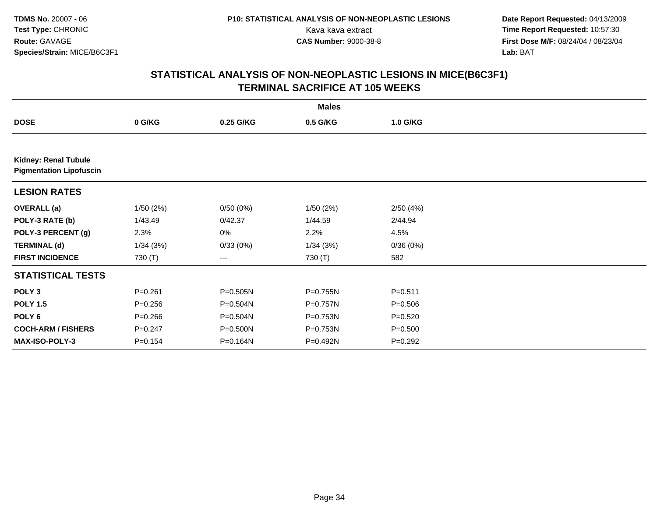**Date Report Requested:** 04/13/2009 Kava kava extract **Time Report Requested:** 10:57:30<br>**CAS Number:** 9000-38-8 **Time Report Requested:** 10:57:30 **First Dose M/F:** 08/24/04 / 08/23/04<br>Lab: BAT **Lab:** BAT

|                                                               |             |              | <b>Males</b> |             |  |
|---------------------------------------------------------------|-------------|--------------|--------------|-------------|--|
| <b>DOSE</b>                                                   | 0 G/KG      | 0.25 G/KG    | 0.5 G/KG     | 1.0 G/KG    |  |
|                                                               |             |              |              |             |  |
| <b>Kidney: Renal Tubule</b><br><b>Pigmentation Lipofuscin</b> |             |              |              |             |  |
| <b>LESION RATES</b>                                           |             |              |              |             |  |
| <b>OVERALL</b> (a)                                            | 1/50(2%)    | 0/50(0%)     | 1/50(2%)     | 2/50(4%)    |  |
| POLY-3 RATE (b)                                               | 1/43.49     | 0/42.37      | 1/44.59      | 2/44.94     |  |
| POLY-3 PERCENT (g)                                            | 2.3%        | 0%           | 2.2%         | 4.5%        |  |
| <b>TERMINAL (d)</b>                                           | 1/34(3%)    | 0/33(0%)     | 1/34(3%)     | 0/36(0%)    |  |
| <b>FIRST INCIDENCE</b>                                        | 730 (T)     | $--$         | 730 (T)      | 582         |  |
| <b>STATISTICAL TESTS</b>                                      |             |              |              |             |  |
| POLY <sub>3</sub>                                             | $P = 0.261$ | $P = 0.505N$ | P=0.755N     | $P = 0.511$ |  |
| <b>POLY 1.5</b>                                               | $P = 0.256$ | P=0.504N     | P=0.757N     | $P = 0.506$ |  |
| POLY 6                                                        | $P = 0.266$ | P=0.504N     | P=0.753N     | $P = 0.520$ |  |
| <b>COCH-ARM / FISHERS</b>                                     | $P = 0.247$ | P=0.500N     | P=0.753N     | $P = 0.500$ |  |
| MAX-ISO-POLY-3                                                | $P = 0.154$ | P=0.164N     | P=0.492N     | $P=0.292$   |  |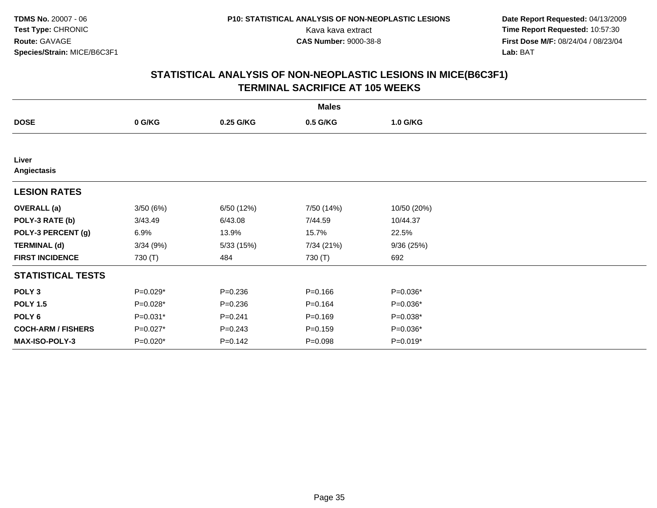**Date Report Requested:** 04/13/2009 Kava kava extract **Time Report Requested:** 10:57:30<br>**CAS Number:** 9000-38-8 **Time Report Requested:** 10:57:30 **First Dose M/F:** 08/24/04 / 08/23/04<br>Lab: BAT **Lab:** BAT

|                           |          |             | <b>Males</b> |             |  |
|---------------------------|----------|-------------|--------------|-------------|--|
| <b>DOSE</b>               | 0 G/KG   | 0.25 G/KG   | 0.5 G/KG     | 1.0 G/KG    |  |
|                           |          |             |              |             |  |
| Liver<br>Angiectasis      |          |             |              |             |  |
| <b>LESION RATES</b>       |          |             |              |             |  |
| <b>OVERALL</b> (a)        | 3/50(6%) | 6/50 (12%)  | 7/50 (14%)   | 10/50 (20%) |  |
| POLY-3 RATE (b)           | 3/43.49  | 6/43.08     | 7/44.59      | 10/44.37    |  |
| POLY-3 PERCENT (g)        | 6.9%     | 13.9%       | 15.7%        | 22.5%       |  |
| <b>TERMINAL (d)</b>       | 3/34(9%) | 5/33(15%)   | 7/34 (21%)   | 9/36(25%)   |  |
| <b>FIRST INCIDENCE</b>    | 730 (T)  | 484         | 730 (T)      | 692         |  |
| <b>STATISTICAL TESTS</b>  |          |             |              |             |  |
| POLY <sub>3</sub>         | P=0.029* | $P = 0.236$ | $P = 0.166$  | $P=0.036*$  |  |
| <b>POLY 1.5</b>           | P=0.028* | $P = 0.236$ | $P = 0.164$  | P=0.036*    |  |
| POLY 6                    | P=0.031* | $P = 0.241$ | $P = 0.169$  | $P=0.038*$  |  |
| <b>COCH-ARM / FISHERS</b> | P=0.027* | $P = 0.243$ | $P = 0.159$  | $P=0.036*$  |  |
| MAX-ISO-POLY-3            | P=0.020* | $P = 0.142$ | $P = 0.098$  | $P=0.019*$  |  |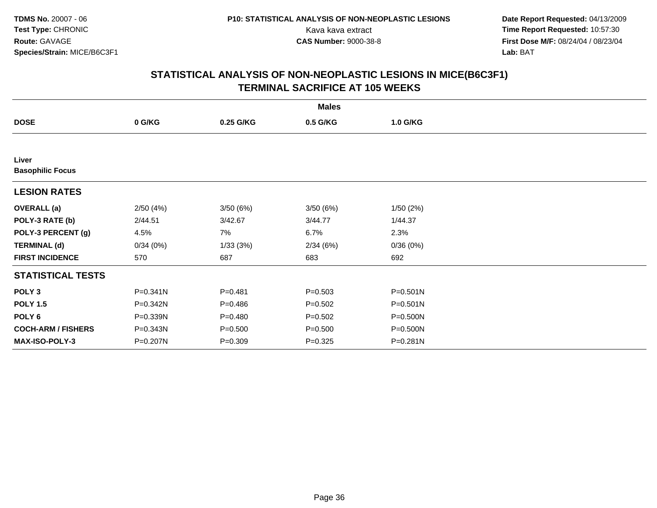**Date Report Requested:** 04/13/2009 Kava kava extract **Time Report Requested:** 10:57:30<br>**CAS Number:** 9000-38-8 **Time Report Requested:** 10:57:30 **First Dose M/F:** 08/24/04 / 08/23/04<br>Lab: BAT **Lab:** BAT

|                                  |          |             | <b>Males</b> |              |  |
|----------------------------------|----------|-------------|--------------|--------------|--|
| <b>DOSE</b>                      | 0 G/KG   | 0.25 G/KG   | 0.5 G/KG     | 1.0 G/KG     |  |
|                                  |          |             |              |              |  |
| Liver<br><b>Basophilic Focus</b> |          |             |              |              |  |
| <b>LESION RATES</b>              |          |             |              |              |  |
| <b>OVERALL</b> (a)               | 2/50(4%) | 3/50(6%)    | 3/50 (6%)    | 1/50(2%)     |  |
| POLY-3 RATE (b)                  | 2/44.51  | 3/42.67     | 3/44.77      | 1/44.37      |  |
| POLY-3 PERCENT (g)               | 4.5%     | 7%          | 6.7%         | 2.3%         |  |
| <b>TERMINAL (d)</b>              | 0/34(0%) | 1/33(3%)    | 2/34(6%)     | 0/36(0%)     |  |
| <b>FIRST INCIDENCE</b>           | 570      | 687         | 683          | 692          |  |
| <b>STATISTICAL TESTS</b>         |          |             |              |              |  |
| POLY <sub>3</sub>                | P=0.341N | $P = 0.481$ | $P = 0.503$  | $P = 0.501N$ |  |
| <b>POLY 1.5</b>                  | P=0.342N | $P = 0.486$ | $P = 0.502$  | P=0.501N     |  |
| POLY <sub>6</sub>                | P=0.339N | $P=0.480$   | $P = 0.502$  | $P = 0.500N$ |  |
| <b>COCH-ARM / FISHERS</b>        | P=0.343N | $P = 0.500$ | $P = 0.500$  | P=0.500N     |  |
| MAX-ISO-POLY-3                   | P=0.207N | $P = 0.309$ | $P=0.325$    | P=0.281N     |  |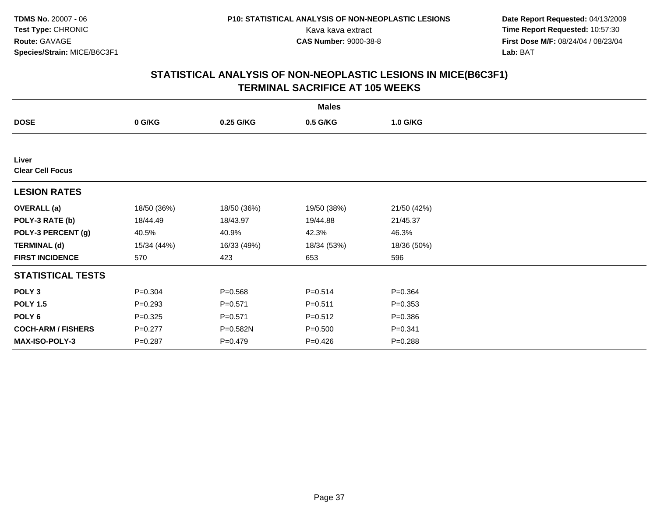**Date Report Requested:** 04/13/2009 Kava kava extract **Time Report Requested:** 10:57:30<br>**CAS Number:** 9000-38-8 **Time Report Requested:** 10:57:30 **First Dose M/F:** 08/24/04 / 08/23/04<br>Lab: BAT **Lab:** BAT

|                                  | <b>Males</b> |             |             |             |  |  |  |  |
|----------------------------------|--------------|-------------|-------------|-------------|--|--|--|--|
| <b>DOSE</b>                      | 0 G/KG       | 0.25 G/KG   | 0.5 G/KG    | 1.0 G/KG    |  |  |  |  |
|                                  |              |             |             |             |  |  |  |  |
| Liver<br><b>Clear Cell Focus</b> |              |             |             |             |  |  |  |  |
| <b>LESION RATES</b>              |              |             |             |             |  |  |  |  |
| <b>OVERALL (a)</b>               | 18/50 (36%)  | 18/50 (36%) | 19/50 (38%) | 21/50 (42%) |  |  |  |  |
| POLY-3 RATE (b)                  | 18/44.49     | 18/43.97    | 19/44.88    | 21/45.37    |  |  |  |  |
| POLY-3 PERCENT (g)               | 40.5%        | 40.9%       | 42.3%       | 46.3%       |  |  |  |  |
| <b>TERMINAL (d)</b>              | 15/34 (44%)  | 16/33 (49%) | 18/34 (53%) | 18/36 (50%) |  |  |  |  |
| <b>FIRST INCIDENCE</b>           | 570          | 423         | 653         | 596         |  |  |  |  |
| <b>STATISTICAL TESTS</b>         |              |             |             |             |  |  |  |  |
| POLY <sub>3</sub>                | $P = 0.304$  | $P = 0.568$ | $P = 0.514$ | $P = 0.364$ |  |  |  |  |
| <b>POLY 1.5</b>                  | $P = 0.293$  | $P = 0.571$ | $P = 0.511$ | $P = 0.353$ |  |  |  |  |
| POLY 6                           | $P = 0.325$  | $P = 0.571$ | $P = 0.512$ | $P = 0.386$ |  |  |  |  |
| <b>COCH-ARM / FISHERS</b>        | $P = 0.277$  | P=0.582N    | $P = 0.500$ | $P = 0.341$ |  |  |  |  |
| <b>MAX-ISO-POLY-3</b>            | $P = 0.287$  | $P = 0.479$ | $P = 0.426$ | $P = 0.288$ |  |  |  |  |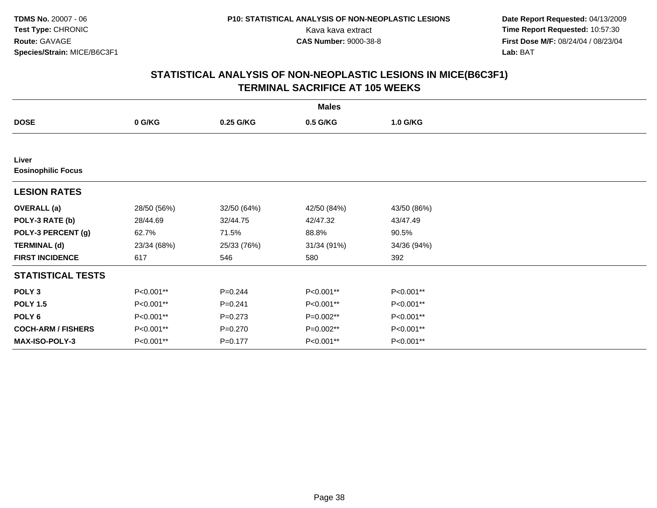**Date Report Requested:** 04/13/2009 Kava kava extract **Time Report Requested:** 10:57:30<br>**CAS Number:** 9000-38-8 **Time Report Requested:** 10:57:30 **First Dose M/F:** 08/24/04 / 08/23/04<br>Lab: BAT **Lab:** BAT

|                                    | <b>Males</b> |             |             |             |  |  |  |  |
|------------------------------------|--------------|-------------|-------------|-------------|--|--|--|--|
| <b>DOSE</b>                        | 0 G/KG       | 0.25 G/KG   | 0.5 G/KG    | 1.0 G/KG    |  |  |  |  |
|                                    |              |             |             |             |  |  |  |  |
| Liver<br><b>Eosinophilic Focus</b> |              |             |             |             |  |  |  |  |
| <b>LESION RATES</b>                |              |             |             |             |  |  |  |  |
| <b>OVERALL</b> (a)                 | 28/50 (56%)  | 32/50 (64%) | 42/50 (84%) | 43/50 (86%) |  |  |  |  |
| POLY-3 RATE (b)                    | 28/44.69     | 32/44.75    | 42/47.32    | 43/47.49    |  |  |  |  |
| POLY-3 PERCENT (g)                 | 62.7%        | 71.5%       | 88.8%       | 90.5%       |  |  |  |  |
| <b>TERMINAL (d)</b>                | 23/34 (68%)  | 25/33 (76%) | 31/34 (91%) | 34/36 (94%) |  |  |  |  |
| <b>FIRST INCIDENCE</b>             | 617          | 546         | 580         | 392         |  |  |  |  |
| <b>STATISTICAL TESTS</b>           |              |             |             |             |  |  |  |  |
| POLY <sub>3</sub>                  | P<0.001**    | $P = 0.244$ | P<0.001**   | P<0.001**   |  |  |  |  |
| <b>POLY 1.5</b>                    | P<0.001**    | $P = 0.241$ | P<0.001**   | P<0.001**   |  |  |  |  |
| POLY 6                             | P<0.001**    | $P = 0.273$ | P=0.002**   | P<0.001**   |  |  |  |  |
| <b>COCH-ARM / FISHERS</b>          | P<0.001**    | $P = 0.270$ | P=0.002**   | P<0.001**   |  |  |  |  |
| MAX-ISO-POLY-3                     | P<0.001**    | $P = 0.177$ | P<0.001**   | P<0.001**   |  |  |  |  |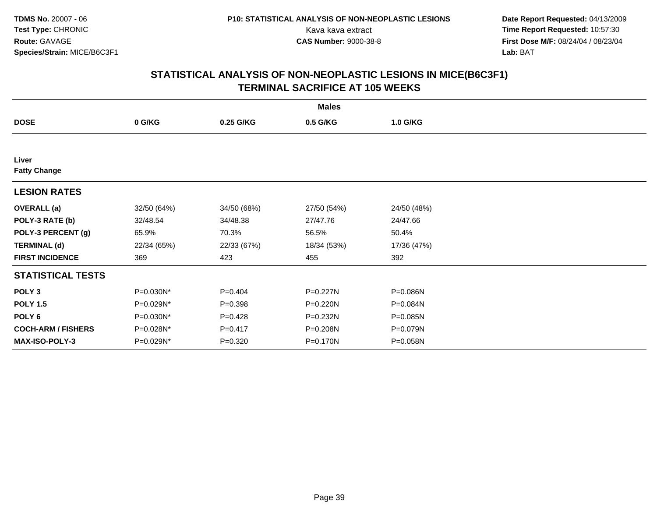**Date Report Requested:** 04/13/2009 Kava kava extract **Time Report Requested:** 10:57:30<br>**CAS Number:** 9000-38-8 **Time Report Requested:** 10:57:30 **First Dose M/F:** 08/24/04 / 08/23/04<br>Lab: BAT **Lab:** BAT

|                              | <b>Males</b> |             |             |             |  |  |  |  |
|------------------------------|--------------|-------------|-------------|-------------|--|--|--|--|
| <b>DOSE</b>                  | 0 G/KG       | 0.25 G/KG   | 0.5 G/KG    | 1.0 G/KG    |  |  |  |  |
|                              |              |             |             |             |  |  |  |  |
| Liver<br><b>Fatty Change</b> |              |             |             |             |  |  |  |  |
| <b>LESION RATES</b>          |              |             |             |             |  |  |  |  |
| <b>OVERALL</b> (a)           | 32/50 (64%)  | 34/50 (68%) | 27/50 (54%) | 24/50 (48%) |  |  |  |  |
| POLY-3 RATE (b)              | 32/48.54     | 34/48.38    | 27/47.76    | 24/47.66    |  |  |  |  |
| POLY-3 PERCENT (g)           | 65.9%        | 70.3%       | 56.5%       | 50.4%       |  |  |  |  |
| <b>TERMINAL (d)</b>          | 22/34 (65%)  | 22/33 (67%) | 18/34 (53%) | 17/36 (47%) |  |  |  |  |
| <b>FIRST INCIDENCE</b>       | 369          | 423         | 455         | 392         |  |  |  |  |
| <b>STATISTICAL TESTS</b>     |              |             |             |             |  |  |  |  |
| POLY <sub>3</sub>            | P=0.030N*    | $P=0.404$   | P=0.227N    | P=0.086N    |  |  |  |  |
| <b>POLY 1.5</b>              | P=0.029N*    | $P = 0.398$ | P=0.220N    | P=0.084N    |  |  |  |  |
| POLY 6                       | P=0.030N*    | $P=0.428$   | P=0.232N    | P=0.085N    |  |  |  |  |
| <b>COCH-ARM / FISHERS</b>    | P=0.028N*    | $P = 0.417$ | P=0.208N    | P=0.079N    |  |  |  |  |
| MAX-ISO-POLY-3               | P=0.029N*    | $P=0.320$   | P=0.170N    | P=0.058N    |  |  |  |  |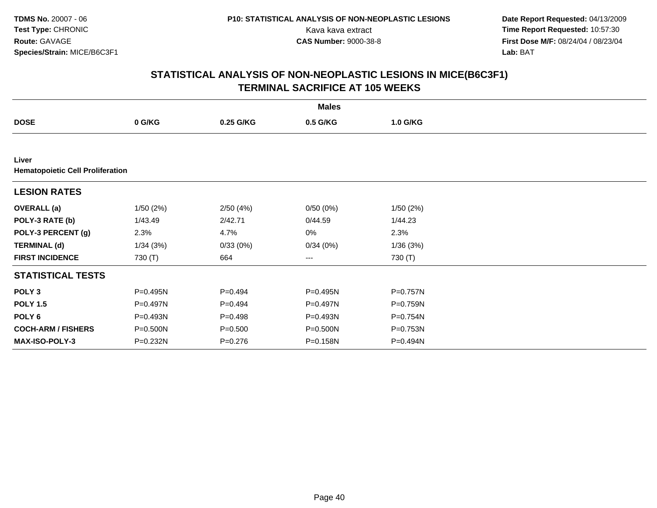**Date Report Requested:** 04/13/2009 Kava kava extract **Time Report Requested:** 10:57:30<br>**CAS Number:** 9000-38-8 **Time Report Requested:** 10:57:30 **First Dose M/F:** 08/24/04 / 08/23/04<br>Lab: BAT **Lab:** BAT

|                                                  | <b>Males</b> |             |                        |          |  |  |  |  |
|--------------------------------------------------|--------------|-------------|------------------------|----------|--|--|--|--|
| <b>DOSE</b>                                      | 0 G/KG       | 0.25 G/KG   | 0.5 G/KG               | 1.0 G/KG |  |  |  |  |
|                                                  |              |             |                        |          |  |  |  |  |
| Liver<br><b>Hematopoietic Cell Proliferation</b> |              |             |                        |          |  |  |  |  |
| <b>LESION RATES</b>                              |              |             |                        |          |  |  |  |  |
| <b>OVERALL</b> (a)                               | 1/50(2%)     | 2/50(4%)    | 0/50(0%)               | 1/50(2%) |  |  |  |  |
| POLY-3 RATE (b)                                  | 1/43.49      | 2/42.71     | 0/44.59                | 1/44.23  |  |  |  |  |
| POLY-3 PERCENT (g)                               | 2.3%         | 4.7%        | 0%                     | 2.3%     |  |  |  |  |
| <b>TERMINAL (d)</b>                              | 1/34(3%)     | 0/33(0%)    | 0/34(0%)               | 1/36(3%) |  |  |  |  |
| <b>FIRST INCIDENCE</b>                           | 730 (T)      | 664         | $\qquad \qquad \cdots$ | 730 (T)  |  |  |  |  |
| <b>STATISTICAL TESTS</b>                         |              |             |                        |          |  |  |  |  |
| POLY <sub>3</sub>                                | P=0.495N     | $P=0.494$   | P=0.495N               | P=0.757N |  |  |  |  |
| <b>POLY 1.5</b>                                  | P=0.497N     | $P=0.494$   | $P=0.497N$             | P=0.759N |  |  |  |  |
| POLY 6                                           | P=0.493N     | $P = 0.498$ | P=0.493N               | P=0.754N |  |  |  |  |
| <b>COCH-ARM / FISHERS</b>                        | P=0.500N     | $P = 0.500$ | P=0.500N               | P=0.753N |  |  |  |  |
| MAX-ISO-POLY-3                                   | P=0.232N     | $P = 0.276$ | P=0.158N               | P=0.494N |  |  |  |  |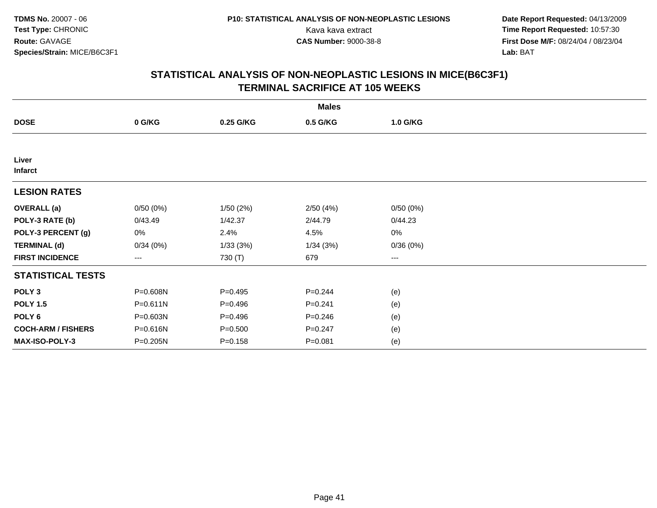**Date Report Requested:** 04/13/2009 Kava kava extract **Time Report Requested:** 10:57:30<br>**CAS Number:** 9000-38-8 **Time Report Requested:** 10:57:30 **First Dose M/F:** 08/24/04 / 08/23/04<br>Lab: BAT **Lab:** BAT

|                           | <b>Males</b> |             |             |          |  |  |  |  |
|---------------------------|--------------|-------------|-------------|----------|--|--|--|--|
| <b>DOSE</b>               | 0 G/KG       | 0.25 G/KG   | 0.5 G/KG    | 1.0 G/KG |  |  |  |  |
|                           |              |             |             |          |  |  |  |  |
| Liver<br><b>Infarct</b>   |              |             |             |          |  |  |  |  |
| <b>LESION RATES</b>       |              |             |             |          |  |  |  |  |
| <b>OVERALL</b> (a)        | 0/50(0%)     | 1/50(2%)    | 2/50(4%)    | 0/50(0%) |  |  |  |  |
| POLY-3 RATE (b)           | 0/43.49      | 1/42.37     | 2/44.79     | 0/44.23  |  |  |  |  |
| POLY-3 PERCENT (g)        | 0%           | 2.4%        | 4.5%        | 0%       |  |  |  |  |
| <b>TERMINAL (d)</b>       | 0/34(0%)     | 1/33(3%)    | 1/34(3%)    | 0/36(0%) |  |  |  |  |
| <b>FIRST INCIDENCE</b>    | ---          | 730 (T)     | 679         | $--$     |  |  |  |  |
| <b>STATISTICAL TESTS</b>  |              |             |             |          |  |  |  |  |
| POLY <sub>3</sub>         | P=0.608N     | $P = 0.495$ | $P = 0.244$ | (e)      |  |  |  |  |
| <b>POLY 1.5</b>           | P=0.611N     | $P=0.496$   | $P = 0.241$ | (e)      |  |  |  |  |
| POLY <sub>6</sub>         | P=0.603N     | $P=0.496$   | $P = 0.246$ | (e)      |  |  |  |  |
| <b>COCH-ARM / FISHERS</b> | P=0.616N     | $P = 0.500$ | $P = 0.247$ | (e)      |  |  |  |  |
| MAX-ISO-POLY-3            | P=0.205N     | $P = 0.158$ | $P = 0.081$ | (e)      |  |  |  |  |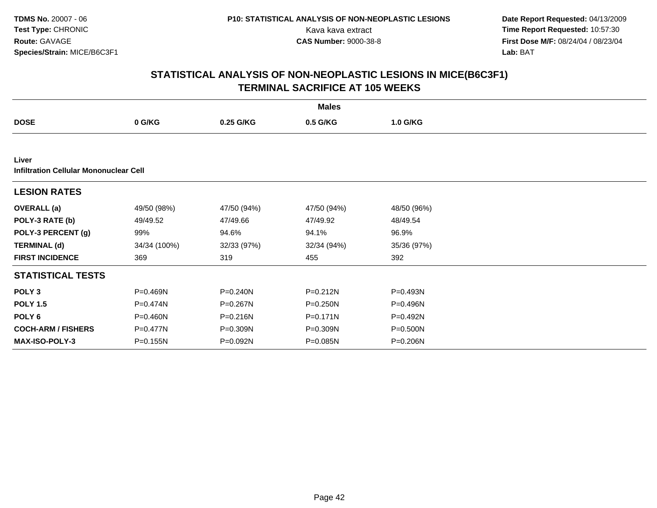**Date Report Requested:** 04/13/2009 Kava kava extract **Time Report Requested:** 10:57:30<br>**CAS Number:** 9000-38-8 **Time Report Requested:** 10:57:30 **First Dose M/F:** 08/24/04 / 08/23/04<br>Lab: BAT **Lab:** BAT

|                                               | <b>Males</b> |              |              |              |  |  |  |  |
|-----------------------------------------------|--------------|--------------|--------------|--------------|--|--|--|--|
| <b>DOSE</b>                                   | 0 G/KG       | 0.25 G/KG    | 0.5 G/KG     | 1.0 G/KG     |  |  |  |  |
|                                               |              |              |              |              |  |  |  |  |
| Liver                                         |              |              |              |              |  |  |  |  |
| <b>Infiltration Cellular Mononuclear Cell</b> |              |              |              |              |  |  |  |  |
| <b>LESION RATES</b>                           |              |              |              |              |  |  |  |  |
| <b>OVERALL</b> (a)                            | 49/50 (98%)  | 47/50 (94%)  | 47/50 (94%)  | 48/50 (96%)  |  |  |  |  |
| POLY-3 RATE (b)                               | 49/49.52     | 47/49.66     | 47/49.92     | 48/49.54     |  |  |  |  |
| POLY-3 PERCENT (g)                            | 99%          | 94.6%        | 94.1%        | 96.9%        |  |  |  |  |
| <b>TERMINAL (d)</b>                           | 34/34 (100%) | 32/33 (97%)  | 32/34 (94%)  | 35/36 (97%)  |  |  |  |  |
| <b>FIRST INCIDENCE</b>                        | 369          | 319          | 455          | 392          |  |  |  |  |
| <b>STATISTICAL TESTS</b>                      |              |              |              |              |  |  |  |  |
| POLY <sub>3</sub>                             | P=0.469N     | P=0.240N     | $P = 0.212N$ | P=0.493N     |  |  |  |  |
| <b>POLY 1.5</b>                               | P=0.474N     | $P = 0.267N$ | $P = 0.250N$ | P=0.496N     |  |  |  |  |
| POLY <sub>6</sub>                             | P=0.460N     | P=0.216N     | $P = 0.171N$ | P=0.492N     |  |  |  |  |
| <b>COCH-ARM / FISHERS</b>                     | P=0.477N     | P=0.309N     | P=0.309N     | $P = 0.500N$ |  |  |  |  |
| <b>MAX-ISO-POLY-3</b>                         | P=0.155N     | P=0.092N     | P=0.085N     | P=0.206N     |  |  |  |  |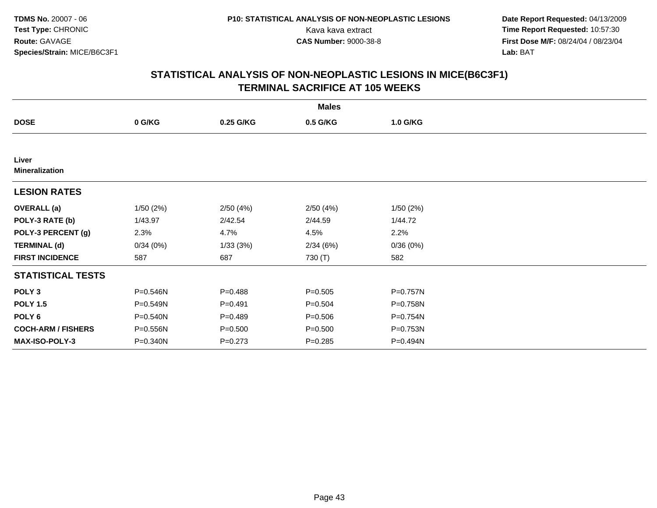**Date Report Requested:** 04/13/2009 Kava kava extract **Time Report Requested:** 10:57:30<br>**CAS Number:** 9000-38-8 **Time Report Requested:** 10:57:30 **First Dose M/F:** 08/24/04 / 08/23/04<br>Lab: BAT **Lab:** BAT

|                                | <b>Males</b> |             |             |          |  |  |  |  |
|--------------------------------|--------------|-------------|-------------|----------|--|--|--|--|
| <b>DOSE</b>                    | 0 G/KG       | 0.25 G/KG   | 0.5 G/KG    | 1.0 G/KG |  |  |  |  |
|                                |              |             |             |          |  |  |  |  |
| Liver<br><b>Mineralization</b> |              |             |             |          |  |  |  |  |
| <b>LESION RATES</b>            |              |             |             |          |  |  |  |  |
| <b>OVERALL</b> (a)             | 1/50(2%)     | 2/50(4%)    | 2/50(4%)    | 1/50(2%) |  |  |  |  |
| POLY-3 RATE (b)                | 1/43.97      | 2/42.54     | 2/44.59     | 1/44.72  |  |  |  |  |
| POLY-3 PERCENT (g)             | 2.3%         | 4.7%        | 4.5%        | 2.2%     |  |  |  |  |
| <b>TERMINAL (d)</b>            | 0/34(0%)     | 1/33(3%)    | 2/34(6%)    | 0/36(0%) |  |  |  |  |
| <b>FIRST INCIDENCE</b>         | 587          | 687         | 730 (T)     | 582      |  |  |  |  |
| <b>STATISTICAL TESTS</b>       |              |             |             |          |  |  |  |  |
| POLY <sub>3</sub>              | P=0.546N     | $P=0.488$   | $P = 0.505$ | P=0.757N |  |  |  |  |
| <b>POLY 1.5</b>                | P=0.549N     | $P = 0.491$ | $P = 0.504$ | P=0.758N |  |  |  |  |
| POLY 6                         | P=0.540N     | $P=0.489$   | $P = 0.506$ | P=0.754N |  |  |  |  |
| <b>COCH-ARM / FISHERS</b>      | P=0.556N     | $P = 0.500$ | $P = 0.500$ | P=0.753N |  |  |  |  |
| <b>MAX-ISO-POLY-3</b>          | P=0.340N     | $P = 0.273$ | $P = 0.285$ | P=0.494N |  |  |  |  |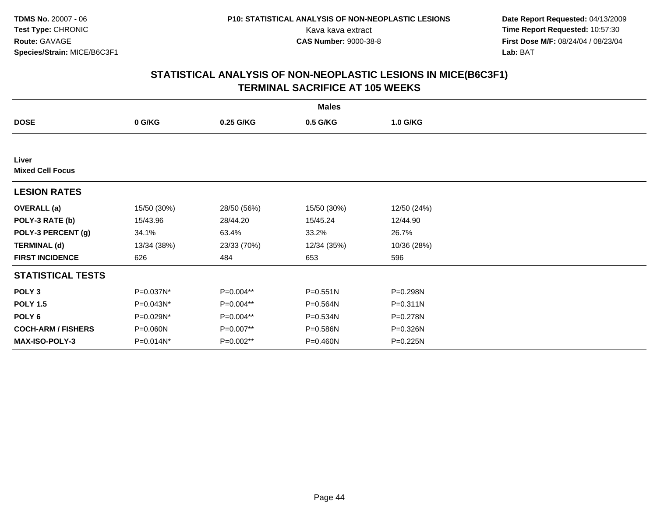**Date Report Requested:** 04/13/2009 Kava kava extract **Time Report Requested:** 10:57:30<br>**CAS Number:** 9000-38-8 **Time Report Requested:** 10:57:30 **First Dose M/F:** 08/24/04 / 08/23/04<br>Lab: BAT **Lab:** BAT

| <b>Males</b>                     |              |             |              |              |  |  |  |
|----------------------------------|--------------|-------------|--------------|--------------|--|--|--|
| <b>DOSE</b>                      | 0 G/KG       | 0.25 G/KG   | 0.5 G/KG     | 1.0 G/KG     |  |  |  |
|                                  |              |             |              |              |  |  |  |
| Liver<br><b>Mixed Cell Focus</b> |              |             |              |              |  |  |  |
| <b>LESION RATES</b>              |              |             |              |              |  |  |  |
| <b>OVERALL</b> (a)               | 15/50 (30%)  | 28/50 (56%) | 15/50 (30%)  | 12/50 (24%)  |  |  |  |
| POLY-3 RATE (b)                  | 15/43.96     | 28/44.20    | 15/45.24     | 12/44.90     |  |  |  |
| POLY-3 PERCENT (g)               | 34.1%        | 63.4%       | 33.2%        | 26.7%        |  |  |  |
| <b>TERMINAL (d)</b>              | 13/34 (38%)  | 23/33 (70%) | 12/34 (35%)  | 10/36 (28%)  |  |  |  |
| <b>FIRST INCIDENCE</b>           | 626          | 484         | 653          | 596          |  |  |  |
| <b>STATISTICAL TESTS</b>         |              |             |              |              |  |  |  |
| POLY <sub>3</sub>                | P=0.037N*    | P=0.004**   | $P = 0.551N$ | P=0.298N     |  |  |  |
| <b>POLY 1.5</b>                  | P=0.043N*    | P=0.004**   | P=0.564N     | $P = 0.311N$ |  |  |  |
| POLY 6                           | P=0.029N*    | $P=0.004**$ | P=0.534N     | P=0.278N     |  |  |  |
| <b>COCH-ARM / FISHERS</b>        | P=0.060N     | P=0.007**   | P=0.586N     | P=0.326N     |  |  |  |
| MAX-ISO-POLY-3                   | $P=0.014N^*$ | P=0.002**   | $P = 0.460N$ | $P = 0.225N$ |  |  |  |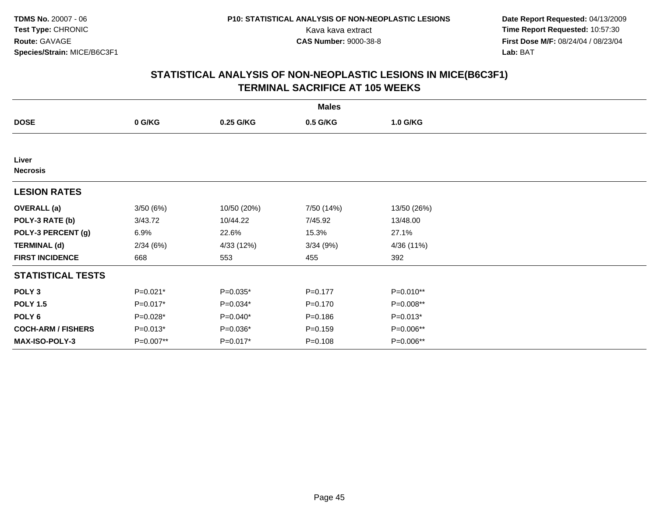**Date Report Requested:** 04/13/2009 Kava kava extract **Time Report Requested:** 10:57:30<br>**CAS Number:** 9000-38-8 **Time Report Requested:** 10:57:30 **First Dose M/F:** 08/24/04 / 08/23/04<br>Lab: BAT **Lab:** BAT

|                           | <b>Males</b> |             |             |             |  |  |  |  |
|---------------------------|--------------|-------------|-------------|-------------|--|--|--|--|
| <b>DOSE</b>               | 0 G/KG       | 0.25 G/KG   | 0.5 G/KG    | 1.0 G/KG    |  |  |  |  |
|                           |              |             |             |             |  |  |  |  |
| Liver<br><b>Necrosis</b>  |              |             |             |             |  |  |  |  |
| <b>LESION RATES</b>       |              |             |             |             |  |  |  |  |
| <b>OVERALL</b> (a)        | 3/50(6%)     | 10/50 (20%) | 7/50 (14%)  | 13/50 (26%) |  |  |  |  |
| POLY-3 RATE (b)           | 3/43.72      | 10/44.22    | 7/45.92     | 13/48.00    |  |  |  |  |
| POLY-3 PERCENT (g)        | 6.9%         | 22.6%       | 15.3%       | 27.1%       |  |  |  |  |
| <b>TERMINAL (d)</b>       | 2/34(6%)     | 4/33 (12%)  | 3/34(9%)    | 4/36 (11%)  |  |  |  |  |
| <b>FIRST INCIDENCE</b>    | 668          | 553         | 455         | 392         |  |  |  |  |
| <b>STATISTICAL TESTS</b>  |              |             |             |             |  |  |  |  |
| POLY <sub>3</sub>         | $P=0.021*$   | $P=0.035*$  | $P = 0.177$ | $P=0.010**$ |  |  |  |  |
| <b>POLY 1.5</b>           | P=0.017*     | $P=0.034*$  | $P = 0.170$ | P=0.008**   |  |  |  |  |
| POLY 6                    | P=0.028*     | $P=0.040*$  | $P = 0.186$ | $P=0.013*$  |  |  |  |  |
| <b>COCH-ARM / FISHERS</b> | $P=0.013*$   | $P=0.036*$  | $P = 0.159$ | P=0.006**   |  |  |  |  |
| MAX-ISO-POLY-3            | P=0.007**    | P=0.017*    | $P = 0.108$ | P=0.006**   |  |  |  |  |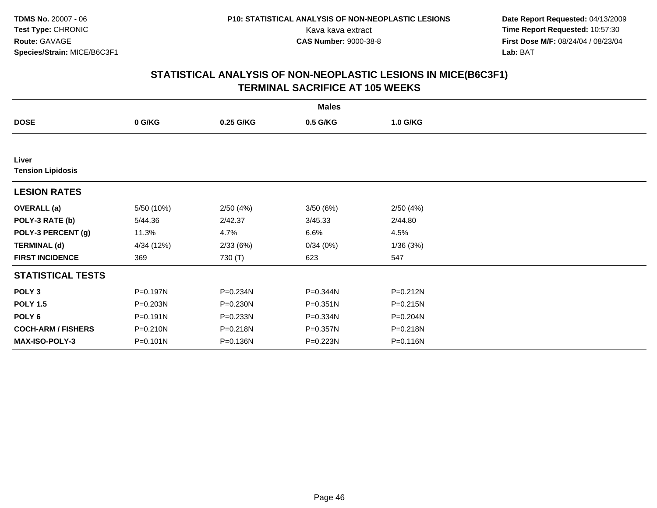**Date Report Requested:** 04/13/2009 Kava kava extract **Time Report Requested:** 10:57:30<br>**CAS Number:** 9000-38-8 **Time Report Requested:** 10:57:30 **First Dose M/F:** 08/24/04 / 08/23/04<br>Lab: BAT **Lab:** BAT

|                                   | <b>Males</b> |              |              |              |  |  |  |  |
|-----------------------------------|--------------|--------------|--------------|--------------|--|--|--|--|
| <b>DOSE</b>                       | 0 G/KG       | 0.25 G/KG    | 0.5 G/KG     | 1.0 G/KG     |  |  |  |  |
|                                   |              |              |              |              |  |  |  |  |
| Liver<br><b>Tension Lipidosis</b> |              |              |              |              |  |  |  |  |
|                                   |              |              |              |              |  |  |  |  |
| <b>LESION RATES</b>               |              |              |              |              |  |  |  |  |
| <b>OVERALL</b> (a)                | 5/50 (10%)   | 2/50(4%)     | 3/50(6%)     | 2/50(4%)     |  |  |  |  |
| POLY-3 RATE (b)                   | 5/44.36      | 2/42.37      | 3/45.33      | 2/44.80      |  |  |  |  |
| POLY-3 PERCENT (g)                | 11.3%        | 4.7%         | 6.6%         | 4.5%         |  |  |  |  |
| <b>TERMINAL (d)</b>               | 4/34 (12%)   | 2/33(6%)     | 0/34(0%)     | 1/36(3%)     |  |  |  |  |
| <b>FIRST INCIDENCE</b>            | 369          | 730 (T)      | 623          | 547          |  |  |  |  |
| <b>STATISTICAL TESTS</b>          |              |              |              |              |  |  |  |  |
| POLY <sub>3</sub>                 | P=0.197N     | P=0.234N     | P=0.344N     | $P = 0.212N$ |  |  |  |  |
| <b>POLY 1.5</b>                   | P=0.203N     | $P = 0.230N$ | $P = 0.351N$ | P=0.215N     |  |  |  |  |
| POLY <sub>6</sub>                 | $P = 0.191N$ | $P = 0.233N$ | P=0.334N     | $P = 0.204N$ |  |  |  |  |
| <b>COCH-ARM / FISHERS</b>         | P=0.210N     | P=0.218N     | P=0.357N     | P=0.218N     |  |  |  |  |
| <b>MAX-ISO-POLY-3</b>             | P=0.101N     | P=0.136N     | P=0.223N     | P=0.116N     |  |  |  |  |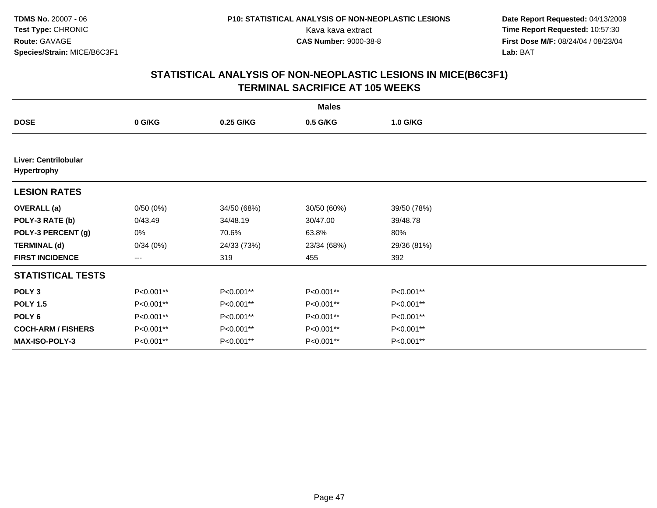**Date Report Requested:** 04/13/2009 Kava kava extract **Time Report Requested:** 10:57:30<br>**CAS Number:** 9000-38-8 **Time Report Requested:** 10:57:30 **First Dose M/F:** 08/24/04 / 08/23/04<br>Lab: BAT **Lab:** BAT

|                                                   | <b>Males</b> |             |             |             |  |  |  |  |
|---------------------------------------------------|--------------|-------------|-------------|-------------|--|--|--|--|
| <b>DOSE</b>                                       | 0 G/KG       | 0.25 G/KG   | 0.5 G/KG    | 1.0 G/KG    |  |  |  |  |
|                                                   |              |             |             |             |  |  |  |  |
| <b>Liver: Centrilobular</b><br><b>Hypertrophy</b> |              |             |             |             |  |  |  |  |
| <b>LESION RATES</b>                               |              |             |             |             |  |  |  |  |
| <b>OVERALL</b> (a)                                | 0/50(0%)     | 34/50 (68%) | 30/50 (60%) | 39/50 (78%) |  |  |  |  |
| POLY-3 RATE (b)                                   | 0/43.49      | 34/48.19    | 30/47.00    | 39/48.78    |  |  |  |  |
| POLY-3 PERCENT (g)                                | 0%           | 70.6%       | 63.8%       | 80%         |  |  |  |  |
| <b>TERMINAL (d)</b>                               | 0/34(0%)     | 24/33 (73%) | 23/34 (68%) | 29/36 (81%) |  |  |  |  |
| <b>FIRST INCIDENCE</b>                            | ---          | 319         | 455         | 392         |  |  |  |  |
| <b>STATISTICAL TESTS</b>                          |              |             |             |             |  |  |  |  |
| POLY <sub>3</sub>                                 | P<0.001**    | P<0.001**   | P<0.001**   | P<0.001**   |  |  |  |  |
| <b>POLY 1.5</b>                                   | P<0.001**    | P<0.001**   | $P<0.001**$ | $P<0.001**$ |  |  |  |  |
| POLY 6                                            | P<0.001**    | P<0.001**   | P<0.001**   | P<0.001**   |  |  |  |  |
| <b>COCH-ARM / FISHERS</b>                         | P<0.001**    | P<0.001**   | P<0.001**   | P<0.001**   |  |  |  |  |
| <b>MAX-ISO-POLY-3</b>                             | P<0.001**    | P<0.001**   | P<0.001**   | P<0.001**   |  |  |  |  |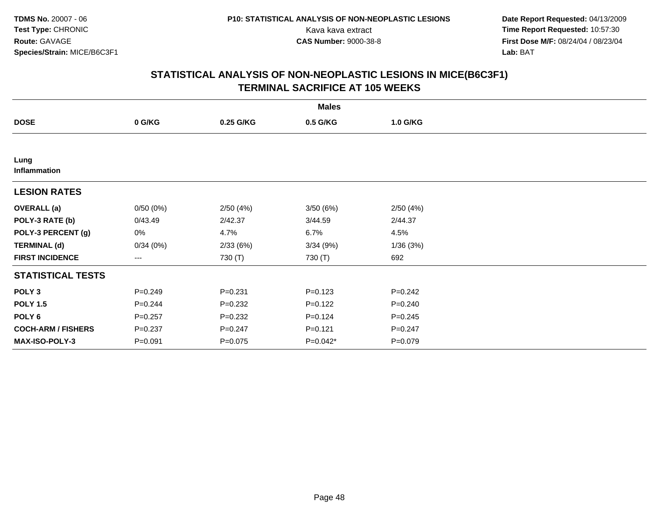**Date Report Requested:** 04/13/2009 Kava kava extract **Time Report Requested:** 10:57:30<br>**CAS Number:** 9000-38-8 **Time Report Requested:** 10:57:30 **First Dose M/F:** 08/24/04 / 08/23/04<br>Lab: BAT **Lab:** BAT

|                           | <b>Males</b> |             |             |             |  |  |  |  |  |
|---------------------------|--------------|-------------|-------------|-------------|--|--|--|--|--|
| <b>DOSE</b>               | 0 G/KG       | 0.25 G/KG   | 0.5 G/KG    | 1.0 G/KG    |  |  |  |  |  |
|                           |              |             |             |             |  |  |  |  |  |
| Lung<br>Inflammation      |              |             |             |             |  |  |  |  |  |
| <b>LESION RATES</b>       |              |             |             |             |  |  |  |  |  |
| <b>OVERALL</b> (a)        | 0/50(0%)     | 2/50(4%)    | 3/50 (6%)   | 2/50(4%)    |  |  |  |  |  |
| POLY-3 RATE (b)           | 0/43.49      | 2/42.37     | 3/44.59     | 2/44.37     |  |  |  |  |  |
| POLY-3 PERCENT (g)        | 0%           | 4.7%        | 6.7%        | 4.5%        |  |  |  |  |  |
| <b>TERMINAL (d)</b>       | 0/34(0%)     | 2/33(6%)    | 3/34(9%)    | 1/36(3%)    |  |  |  |  |  |
| <b>FIRST INCIDENCE</b>    | $---$        | 730 (T)     | 730 (T)     | 692         |  |  |  |  |  |
| <b>STATISTICAL TESTS</b>  |              |             |             |             |  |  |  |  |  |
| POLY <sub>3</sub>         | $P = 0.249$  | $P = 0.231$ | $P = 0.123$ | $P = 0.242$ |  |  |  |  |  |
| <b>POLY 1.5</b>           | $P = 0.244$  | $P=0.232$   | $P = 0.122$ | $P = 0.240$ |  |  |  |  |  |
| POLY 6                    | $P = 0.257$  | $P = 0.232$ | $P = 0.124$ | $P = 0.245$ |  |  |  |  |  |
| <b>COCH-ARM / FISHERS</b> | $P = 0.237$  | $P = 0.247$ | $P=0.121$   | $P = 0.247$ |  |  |  |  |  |
| MAX-ISO-POLY-3            | $P = 0.091$  | $P = 0.075$ | $P=0.042*$  | $P=0.079$   |  |  |  |  |  |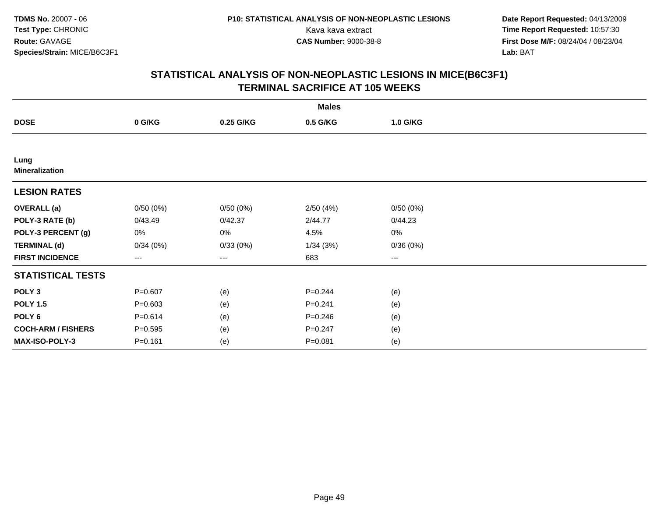**Date Report Requested:** 04/13/2009 Kava kava extract **Time Report Requested:** 10:57:30<br>**CAS Number:** 9000-38-8 **Time Report Requested:** 10:57:30 **First Dose M/F:** 08/24/04 / 08/23/04<br>Lab: BAT **Lab:** BAT

|                               |             |           | <b>Males</b> |          |  |
|-------------------------------|-------------|-----------|--------------|----------|--|
| <b>DOSE</b>                   | 0 G/KG      | 0.25 G/KG | 0.5 G/KG     | 1.0 G/KG |  |
|                               |             |           |              |          |  |
| Lung<br><b>Mineralization</b> |             |           |              |          |  |
| <b>LESION RATES</b>           |             |           |              |          |  |
| <b>OVERALL</b> (a)            | 0/50(0%)    | 0/50(0%)  | 2/50(4%)     | 0/50(0%) |  |
| POLY-3 RATE (b)               | 0/43.49     | 0/42.37   | 2/44.77      | 0/44.23  |  |
| POLY-3 PERCENT (g)            | 0%          | 0%        | 4.5%         | 0%       |  |
| <b>TERMINAL (d)</b>           | 0/34(0%)    | 0/33(0%)  | 1/34(3%)     | 0/36(0%) |  |
| <b>FIRST INCIDENCE</b>        | $---$       | ---       | 683          | $--$     |  |
| <b>STATISTICAL TESTS</b>      |             |           |              |          |  |
| POLY <sub>3</sub>             | $P = 0.607$ | (e)       | $P = 0.244$  | (e)      |  |
| <b>POLY 1.5</b>               | $P = 0.603$ | (e)       | $P = 0.241$  | (e)      |  |
| POLY <sub>6</sub>             | $P = 0.614$ | (e)       | $P = 0.246$  | (e)      |  |
| <b>COCH-ARM / FISHERS</b>     | $P = 0.595$ | (e)       | $P=0.247$    | (e)      |  |
| MAX-ISO-POLY-3                | $P = 0.161$ | (e)       | $P = 0.081$  | (e)      |  |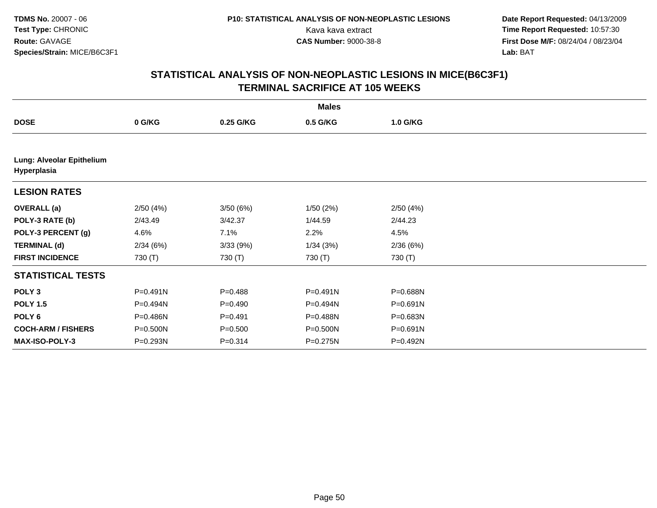**Date Report Requested:** 04/13/2009 Kava kava extract **Time Report Requested:** 10:57:30<br>**CAS Number:** 9000-38-8 **Time Report Requested:** 10:57:30 **First Dose M/F:** 08/24/04 / 08/23/04<br>Lab: BAT **Lab:** BAT

|                                          |          |             | <b>Males</b> |              |  |
|------------------------------------------|----------|-------------|--------------|--------------|--|
| <b>DOSE</b>                              | 0 G/KG   | 0.25 G/KG   | 0.5 G/KG     | 1.0 G/KG     |  |
|                                          |          |             |              |              |  |
| Lung: Alveolar Epithelium<br>Hyperplasia |          |             |              |              |  |
| <b>LESION RATES</b>                      |          |             |              |              |  |
| <b>OVERALL</b> (a)                       | 2/50(4%) | 3/50(6%)    | 1/50(2%)     | 2/50(4%)     |  |
| POLY-3 RATE (b)                          | 2/43.49  | 3/42.37     | 1/44.59      | 2/44.23      |  |
| POLY-3 PERCENT (g)                       | 4.6%     | 7.1%        | 2.2%         | 4.5%         |  |
| <b>TERMINAL (d)</b>                      | 2/34(6%) | 3/33(9%)    | 1/34(3%)     | 2/36(6%)     |  |
| <b>FIRST INCIDENCE</b>                   | 730 (T)  | 730 (T)     | 730 (T)      | 730 (T)      |  |
| <b>STATISTICAL TESTS</b>                 |          |             |              |              |  |
| POLY <sub>3</sub>                        | P=0.491N | $P = 0.488$ | $P = 0.491N$ | P=0.688N     |  |
| <b>POLY 1.5</b>                          | P=0.494N | $P = 0.490$ | P=0.494N     | $P = 0.691N$ |  |
| POLY <sub>6</sub>                        | P=0.486N | $P = 0.491$ | P=0.488N     | P=0.683N     |  |
| <b>COCH-ARM / FISHERS</b>                | P=0.500N | $P = 0.500$ | $P = 0.500N$ | $P = 0.691N$ |  |
| <b>MAX-ISO-POLY-3</b>                    | P=0.293N | $P = 0.314$ | P=0.275N     | P=0.492N     |  |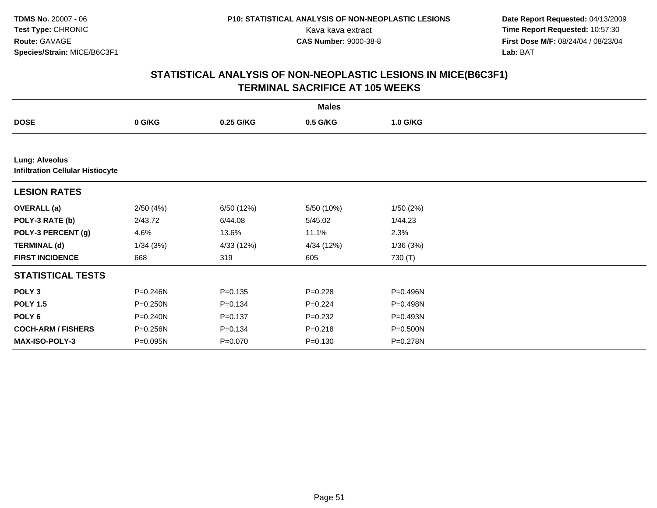**Date Report Requested:** 04/13/2009 Kava kava extract **Time Report Requested:** 10:57:30<br>**CAS Number:** 9000-38-8 **Time Report Requested:** 10:57:30 **First Dose M/F:** 08/24/04 / 08/23/04<br>Lab: BAT **Lab:** BAT

|                                                                  |              |             | <b>Males</b> |          |  |
|------------------------------------------------------------------|--------------|-------------|--------------|----------|--|
| <b>DOSE</b>                                                      | 0 G/KG       | 0.25 G/KG   | 0.5 G/KG     | 1.0 G/KG |  |
|                                                                  |              |             |              |          |  |
| <b>Lung: Alveolus</b><br><b>Infiltration Cellular Histiocyte</b> |              |             |              |          |  |
| <b>LESION RATES</b>                                              |              |             |              |          |  |
| <b>OVERALL</b> (a)                                               | 2/50(4%)     | 6/50 (12%)  | 5/50 (10%)   | 1/50(2%) |  |
| POLY-3 RATE (b)                                                  | 2/43.72      | 6/44.08     | 5/45.02      | 1/44.23  |  |
| POLY-3 PERCENT (g)                                               | 4.6%         | 13.6%       | 11.1%        | 2.3%     |  |
| <b>TERMINAL (d)</b>                                              | 1/34(3%)     | 4/33 (12%)  | 4/34 (12%)   | 1/36(3%) |  |
| <b>FIRST INCIDENCE</b>                                           | 668          | 319         | 605          | 730 (T)  |  |
| <b>STATISTICAL TESTS</b>                                         |              |             |              |          |  |
| POLY <sub>3</sub>                                                | P=0.246N     | $P = 0.135$ | $P=0.228$    | P=0.496N |  |
| <b>POLY 1.5</b>                                                  | P=0.250N     | $P = 0.134$ | $P=0.224$    | P=0.498N |  |
| POLY 6                                                           | $P = 0.240N$ | $P = 0.137$ | $P = 0.232$  | P=0.493N |  |
| <b>COCH-ARM / FISHERS</b>                                        | P=0.256N     | $P = 0.134$ | $P = 0.218$  | P=0.500N |  |
| <b>MAX-ISO-POLY-3</b>                                            | P=0.095N     | $P = 0.070$ | $P = 0.130$  | P=0.278N |  |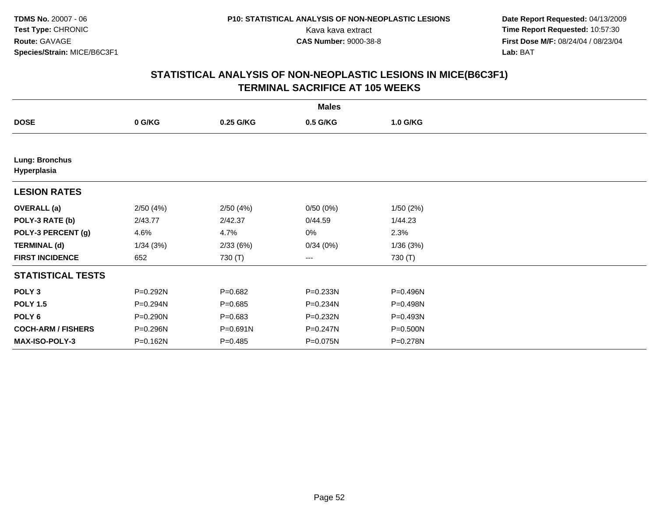**Date Report Requested:** 04/13/2009 Kava kava extract **Time Report Requested:** 10:57:30<br>**CAS Number:** 9000-38-8 **Time Report Requested:** 10:57:30 **First Dose M/F:** 08/24/04 / 08/23/04<br>Lab: BAT **Lab:** BAT

|                                      |          |             | <b>Males</b> |          |  |
|--------------------------------------|----------|-------------|--------------|----------|--|
| <b>DOSE</b>                          | 0 G/KG   | 0.25 G/KG   | 0.5 G/KG     | 1.0 G/KG |  |
|                                      |          |             |              |          |  |
| <b>Lung: Bronchus</b><br>Hyperplasia |          |             |              |          |  |
| <b>LESION RATES</b>                  |          |             |              |          |  |
| <b>OVERALL</b> (a)                   | 2/50(4%) | 2/50(4%)    | 0/50(0%)     | 1/50(2%) |  |
| POLY-3 RATE (b)                      | 2/43.77  | 2/42.37     | 0/44.59      | 1/44.23  |  |
| POLY-3 PERCENT (g)                   | 4.6%     | 4.7%        | 0%           | 2.3%     |  |
| <b>TERMINAL (d)</b>                  | 1/34(3%) | 2/33(6%)    | 0/34(0%)     | 1/36(3%) |  |
| <b>FIRST INCIDENCE</b>               | 652      | 730 (T)     | ---          | 730 (T)  |  |
| <b>STATISTICAL TESTS</b>             |          |             |              |          |  |
| POLY <sub>3</sub>                    | P=0.292N | $P = 0.682$ | P=0.233N     | P=0.496N |  |
| <b>POLY 1.5</b>                      | P=0.294N | $P = 0.685$ | P=0.234N     | P=0.498N |  |
| POLY <sub>6</sub>                    | P=0.290N | $P = 0.683$ | P=0.232N     | P=0.493N |  |
| <b>COCH-ARM / FISHERS</b>            | P=0.296N | P=0.691N    | P=0.247N     | P=0.500N |  |
| <b>MAX-ISO-POLY-3</b>                | P=0.162N | $P = 0.485$ | P=0.075N     | P=0.278N |  |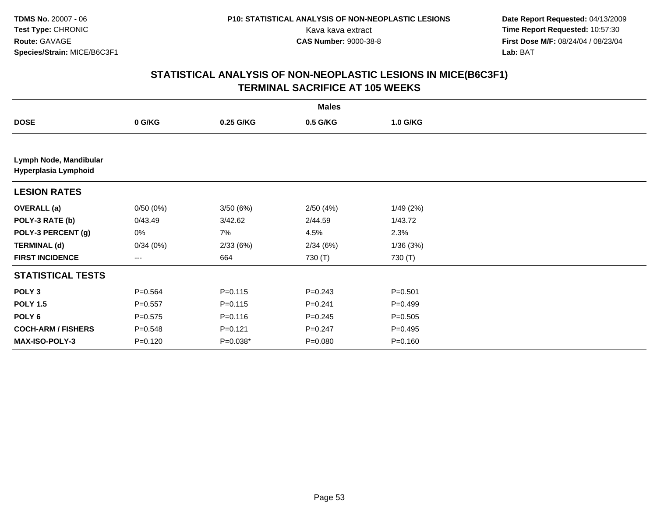**Date Report Requested:** 04/13/2009 Kava kava extract **Time Report Requested:** 10:57:30<br>**CAS Number:** 9000-38-8 **Time Report Requested:** 10:57:30 **First Dose M/F:** 08/24/04 / 08/23/04<br>Lab: BAT **Lab:** BAT

|                                                |             |             | <b>Males</b> |             |  |
|------------------------------------------------|-------------|-------------|--------------|-------------|--|
| <b>DOSE</b>                                    | 0 G/KG      | 0.25 G/KG   | 0.5 G/KG     | 1.0 G/KG    |  |
|                                                |             |             |              |             |  |
| Lymph Node, Mandibular<br>Hyperplasia Lymphoid |             |             |              |             |  |
| <b>LESION RATES</b>                            |             |             |              |             |  |
| <b>OVERALL</b> (a)                             | 0/50(0%)    | 3/50 (6%)   | 2/50(4%)     | 1/49(2%)    |  |
| POLY-3 RATE (b)                                | 0/43.49     | 3/42.62     | 2/44.59      | 1/43.72     |  |
| POLY-3 PERCENT (g)                             | 0%          | 7%          | 4.5%         | 2.3%        |  |
| <b>TERMINAL (d)</b>                            | 0/34(0%)    | 2/33(6%)    | 2/34(6%)     | 1/36(3%)    |  |
| <b>FIRST INCIDENCE</b>                         | ---         | 664         | 730 (T)      | 730 (T)     |  |
| <b>STATISTICAL TESTS</b>                       |             |             |              |             |  |
| POLY <sub>3</sub>                              | $P=0.564$   | $P = 0.115$ | $P=0.243$    | $P = 0.501$ |  |
| <b>POLY 1.5</b>                                | $P = 0.557$ | $P = 0.115$ | $P = 0.241$  | $P=0.499$   |  |
| POLY <sub>6</sub>                              | $P=0.575$   | $P = 0.116$ | $P=0.245$    | $P = 0.505$ |  |
| <b>COCH-ARM / FISHERS</b>                      | $P = 0.548$ | $P = 0.121$ | $P = 0.247$  | $P = 0.495$ |  |
| <b>MAX-ISO-POLY-3</b>                          | $P = 0.120$ | P=0.038*    | $P = 0.080$  | $P = 0.160$ |  |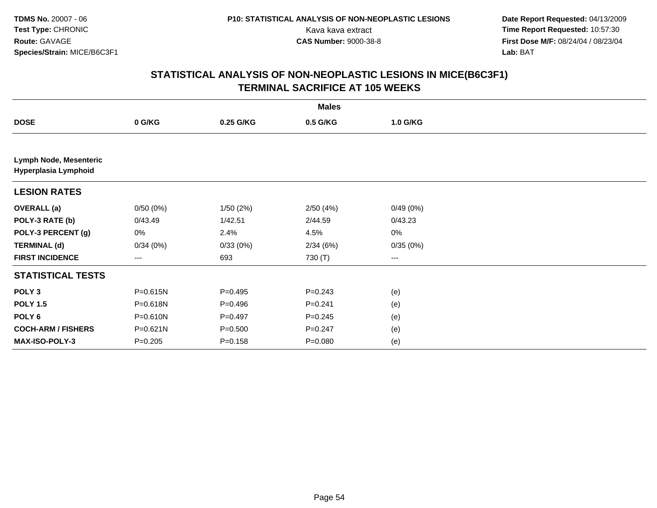**Date Report Requested:** 04/13/2009 Kava kava extract **Time Report Requested:** 10:57:30<br>**CAS Number:** 9000-38-8 **Time Report Requested:** 10:57:30 **First Dose M/F:** 08/24/04 / 08/23/04<br>Lab: BAT **Lab:** BAT

|                                                |             |             | <b>Males</b> |          |  |
|------------------------------------------------|-------------|-------------|--------------|----------|--|
| <b>DOSE</b>                                    | 0 G/KG      | 0.25 G/KG   | 0.5 G/KG     | 1.0 G/KG |  |
|                                                |             |             |              |          |  |
| Lymph Node, Mesenteric<br>Hyperplasia Lymphoid |             |             |              |          |  |
| <b>LESION RATES</b>                            |             |             |              |          |  |
| <b>OVERALL</b> (a)                             | 0/50(0%)    | 1/50(2%)    | 2/50(4%)     | 0/49(0%) |  |
| POLY-3 RATE (b)                                | 0/43.49     | 1/42.51     | 2/44.59      | 0/43.23  |  |
| POLY-3 PERCENT (g)                             | 0%          | 2.4%        | 4.5%         | $0\%$    |  |
| <b>TERMINAL (d)</b>                            | 0/34(0%)    | 0/33(0%)    | 2/34(6%)     | 0/35(0%) |  |
| <b>FIRST INCIDENCE</b>                         | ---         | 693         | 730 (T)      | ---      |  |
| <b>STATISTICAL TESTS</b>                       |             |             |              |          |  |
| POLY <sub>3</sub>                              | P=0.615N    | $P=0.495$   | $P=0.243$    | (e)      |  |
| <b>POLY 1.5</b>                                | P=0.618N    | $P = 0.496$ | $P = 0.241$  | (e)      |  |
| POLY <sub>6</sub>                              | P=0.610N    | $P=0.497$   | $P = 0.245$  | (e)      |  |
| <b>COCH-ARM / FISHERS</b>                      | P=0.621N    | $P = 0.500$ | $P = 0.247$  | (e)      |  |
| MAX-ISO-POLY-3                                 | $P = 0.205$ | $P = 0.158$ | $P = 0.080$  | (e)      |  |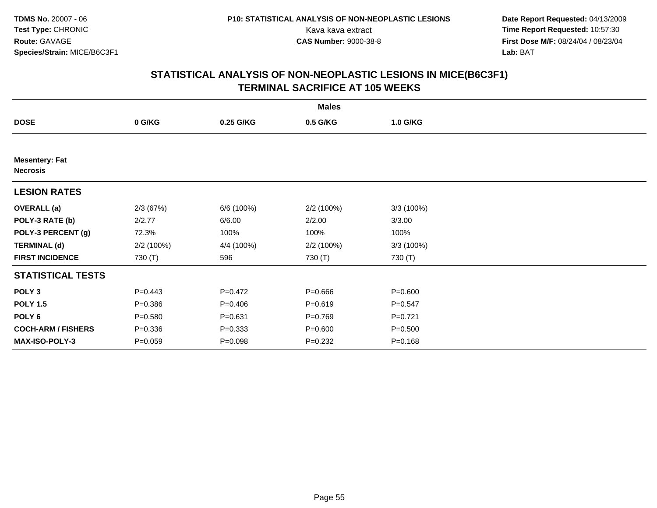**Date Report Requested:** 04/13/2009 Kava kava extract **Time Report Requested:** 10:57:30<br>**CAS Number:** 9000-38-8 **Time Report Requested:** 10:57:30 **First Dose M/F:** 08/24/04 / 08/23/04<br>Lab: BAT **Lab:** BAT

|                                          |             |             | <b>Males</b> |             |  |
|------------------------------------------|-------------|-------------|--------------|-------------|--|
| <b>DOSE</b>                              | 0 G/KG      | 0.25 G/KG   | 0.5 G/KG     | 1.0 G/KG    |  |
|                                          |             |             |              |             |  |
| <b>Mesentery: Fat</b><br><b>Necrosis</b> |             |             |              |             |  |
| <b>LESION RATES</b>                      |             |             |              |             |  |
| <b>OVERALL</b> (a)                       | 2/3(67%)    | 6/6 (100%)  | 2/2 (100%)   | 3/3(100%)   |  |
| POLY-3 RATE (b)                          | 2/2.77      | 6/6.00      | 2/2.00       | 3/3.00      |  |
| POLY-3 PERCENT (g)                       | 72.3%       | 100%        | 100%         | 100%        |  |
| <b>TERMINAL (d)</b>                      | 2/2 (100%)  | 4/4 (100%)  | 2/2 (100%)   | 3/3(100%)   |  |
| <b>FIRST INCIDENCE</b>                   | 730 (T)     | 596         | 730 (T)      | 730 (T)     |  |
| <b>STATISTICAL TESTS</b>                 |             |             |              |             |  |
| POLY <sub>3</sub>                        | $P=0.443$   | $P=0.472$   | $P = 0.666$  | $P = 0.600$ |  |
| <b>POLY 1.5</b>                          | $P = 0.386$ | $P=0.406$   | $P = 0.619$  | $P = 0.547$ |  |
| POLY <sub>6</sub>                        | $P = 0.580$ | $P = 0.631$ | $P=0.769$    | $P=0.721$   |  |
| <b>COCH-ARM / FISHERS</b>                | $P = 0.336$ | $P = 0.333$ | $P = 0.600$  | $P = 0.500$ |  |
| MAX-ISO-POLY-3                           | $P = 0.059$ | $P = 0.098$ | $P = 0.232$  | $P = 0.168$ |  |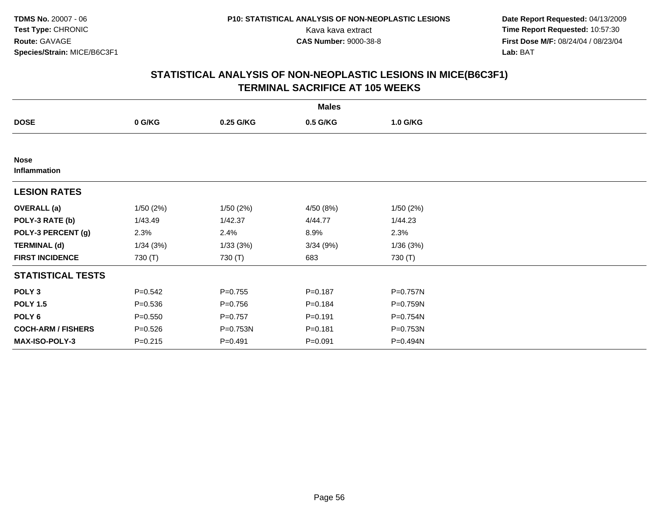**Date Report Requested:** 04/13/2009 Kava kava extract **Time Report Requested:** 10:57:30<br>**CAS Number:** 9000-38-8 **Time Report Requested:** 10:57:30 **First Dose M/F:** 08/24/04 / 08/23/04<br>Lab: BAT **Lab:** BAT

|                             |             |             | <b>Males</b> |          |  |
|-----------------------------|-------------|-------------|--------------|----------|--|
| <b>DOSE</b>                 | 0 G/KG      | 0.25 G/KG   | 0.5 G/KG     | 1.0 G/KG |  |
|                             |             |             |              |          |  |
| <b>Nose</b><br>Inflammation |             |             |              |          |  |
| <b>LESION RATES</b>         |             |             |              |          |  |
| <b>OVERALL</b> (a)          | 1/50(2%)    | 1/50(2%)    | 4/50 (8%)    | 1/50(2%) |  |
| POLY-3 RATE (b)             | 1/43.49     | 1/42.37     | 4/44.77      | 1/44.23  |  |
| POLY-3 PERCENT (g)          | 2.3%        | 2.4%        | 8.9%         | 2.3%     |  |
| <b>TERMINAL (d)</b>         | 1/34(3%)    | 1/33(3%)    | 3/34(9%)     | 1/36(3%) |  |
| <b>FIRST INCIDENCE</b>      | 730 (T)     | 730 (T)     | 683          | 730 (T)  |  |
| <b>STATISTICAL TESTS</b>    |             |             |              |          |  |
| POLY <sub>3</sub>           | $P = 0.542$ | $P = 0.755$ | $P = 0.187$  | P=0.757N |  |
| <b>POLY 1.5</b>             | $P = 0.536$ | $P = 0.756$ | $P = 0.184$  | P=0.759N |  |
| POLY <sub>6</sub>           | $P = 0.550$ | $P=0.757$   | $P = 0.191$  | P=0.754N |  |
| <b>COCH-ARM / FISHERS</b>   | $P = 0.526$ | P=0.753N    | $P = 0.181$  | P=0.753N |  |
| <b>MAX-ISO-POLY-3</b>       | $P = 0.215$ | $P = 0.491$ | $P = 0.091$  | P=0.494N |  |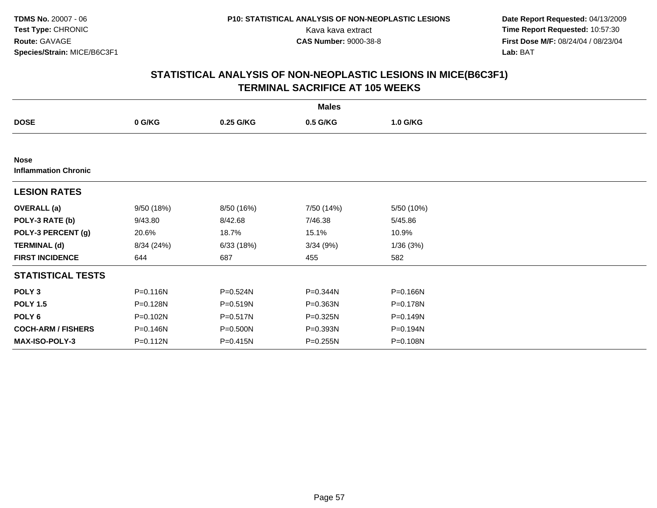**Date Report Requested:** 04/13/2009 Kava kava extract **Time Report Requested:** 10:57:30<br>**CAS Number:** 9000-38-8 **Time Report Requested:** 10:57:30 **First Dose M/F:** 08/24/04 / 08/23/04<br>Lab: BAT **Lab:** BAT

|                                            |            |              | <b>Males</b> |              |  |
|--------------------------------------------|------------|--------------|--------------|--------------|--|
| <b>DOSE</b>                                | 0 G/KG     | 0.25 G/KG    | 0.5 G/KG     | 1.0 G/KG     |  |
|                                            |            |              |              |              |  |
| <b>Nose</b><br><b>Inflammation Chronic</b> |            |              |              |              |  |
| <b>LESION RATES</b>                        |            |              |              |              |  |
| <b>OVERALL</b> (a)                         | 9/50 (18%) | 8/50 (16%)   | 7/50 (14%)   | 5/50 (10%)   |  |
| POLY-3 RATE (b)                            | 9/43.80    | 8/42.68      | 7/46.38      | 5/45.86      |  |
| POLY-3 PERCENT (g)                         | 20.6%      | 18.7%        | 15.1%        | 10.9%        |  |
| <b>TERMINAL (d)</b>                        | 8/34 (24%) | 6/33(18%)    | 3/34(9%)     | 1/36(3%)     |  |
| <b>FIRST INCIDENCE</b>                     | 644        | 687          | 455          | 582          |  |
| <b>STATISTICAL TESTS</b>                   |            |              |              |              |  |
| POLY <sub>3</sub>                          | P=0.116N   | P=0.524N     | P=0.344N     | P=0.166N     |  |
| <b>POLY 1.5</b>                            | P=0.128N   | P=0.519N     | P=0.363N     | P=0.178N     |  |
| POLY <sub>6</sub>                          | P=0.102N   | $P = 0.517N$ | $P = 0.325N$ | $P = 0.149N$ |  |
| <b>COCH-ARM / FISHERS</b>                  | P=0.146N   | P=0.500N     | P=0.393N     | P=0.194N     |  |
| <b>MAX-ISO-POLY-3</b>                      | P=0.112N   | P=0.415N     | $P = 0.255N$ | P=0.108N     |  |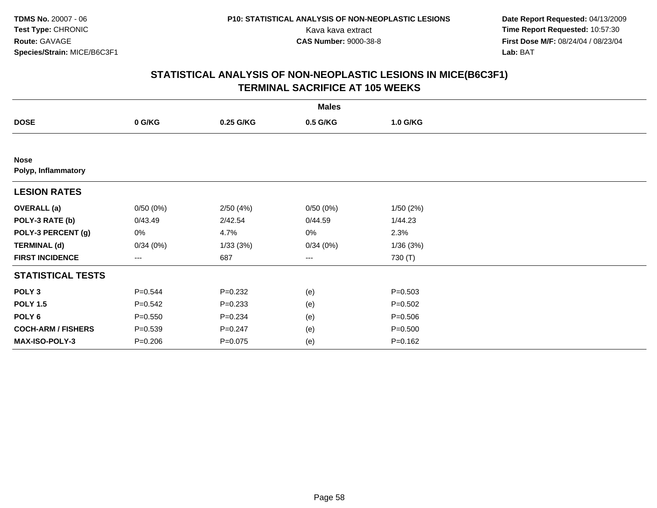**Date Report Requested:** 04/13/2009 Kava kava extract **Time Report Requested:** 10:57:30<br>**CAS Number:** 9000-38-8 **Time Report Requested:** 10:57:30 **First Dose M/F:** 08/24/04 / 08/23/04<br>Lab: BAT **Lab:** BAT

|                                    |             |             | <b>Males</b> |             |  |
|------------------------------------|-------------|-------------|--------------|-------------|--|
| <b>DOSE</b>                        | 0 G/KG      | 0.25 G/KG   | 0.5 G/KG     | 1.0 G/KG    |  |
|                                    |             |             |              |             |  |
| <b>Nose</b><br>Polyp, Inflammatory |             |             |              |             |  |
| <b>LESION RATES</b>                |             |             |              |             |  |
| <b>OVERALL</b> (a)                 | 0/50(0%)    | 2/50(4%)    | 0/50(0%)     | 1/50(2%)    |  |
| POLY-3 RATE (b)                    | 0/43.49     | 2/42.54     | 0/44.59      | 1/44.23     |  |
| POLY-3 PERCENT (g)                 | 0%          | 4.7%        | 0%           | 2.3%        |  |
| <b>TERMINAL (d)</b>                | 0/34(0%)    | 1/33(3%)    | 0/34(0%)     | 1/36(3%)    |  |
| <b>FIRST INCIDENCE</b>             | ---         | 687         | $--$         | 730 (T)     |  |
| <b>STATISTICAL TESTS</b>           |             |             |              |             |  |
| POLY <sub>3</sub>                  | $P = 0.544$ | $P = 0.232$ | (e)          | $P = 0.503$ |  |
| <b>POLY 1.5</b>                    | $P = 0.542$ | $P = 0.233$ | (e)          | $P = 0.502$ |  |
| POLY <sub>6</sub>                  | $P = 0.550$ | $P = 0.234$ | (e)          | $P = 0.506$ |  |
| <b>COCH-ARM / FISHERS</b>          | $P = 0.539$ | $P = 0.247$ | (e)          | $P = 0.500$ |  |
| MAX-ISO-POLY-3                     | $P = 0.206$ | $P = 0.075$ | (e)          | $P = 0.162$ |  |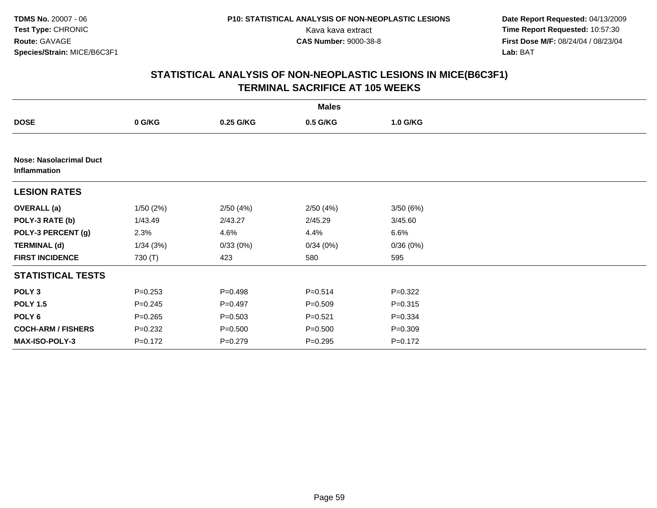**Date Report Requested:** 04/13/2009 Kava kava extract **Time Report Requested:** 10:57:30<br>**CAS Number:** 9000-38-8 **Time Report Requested:** 10:57:30 **First Dose M/F:** 08/24/04 / 08/23/04<br>Lab: BAT **Lab:** BAT

|                                                |             |             | <b>Males</b> |             |  |
|------------------------------------------------|-------------|-------------|--------------|-------------|--|
| <b>DOSE</b>                                    | 0 G/KG      | 0.25 G/KG   | 0.5 G/KG     | 1.0 G/KG    |  |
|                                                |             |             |              |             |  |
| <b>Nose: Nasolacrimal Duct</b><br>Inflammation |             |             |              |             |  |
| <b>LESION RATES</b>                            |             |             |              |             |  |
| <b>OVERALL</b> (a)                             | 1/50(2%)    | 2/50(4%)    | 2/50(4%)     | 3/50(6%)    |  |
| POLY-3 RATE (b)                                | 1/43.49     | 2/43.27     | 2/45.29      | 3/45.60     |  |
| POLY-3 PERCENT (g)                             | 2.3%        | 4.6%        | 4.4%         | 6.6%        |  |
| <b>TERMINAL (d)</b>                            | 1/34(3%)    | 0/33(0%)    | 0/34(0%)     | 0/36(0%)    |  |
| <b>FIRST INCIDENCE</b>                         | 730 (T)     | 423         | 580          | 595         |  |
| <b>STATISTICAL TESTS</b>                       |             |             |              |             |  |
| POLY <sub>3</sub>                              | $P = 0.253$ | $P = 0.498$ | $P = 0.514$  | $P = 0.322$ |  |
| <b>POLY 1.5</b>                                | $P = 0.245$ | $P=0.497$   | $P = 0.509$  | $P = 0.315$ |  |
| POLY 6                                         | $P = 0.265$ | $P = 0.503$ | $P = 0.521$  | $P = 0.334$ |  |
| <b>COCH-ARM / FISHERS</b>                      | $P = 0.232$ | $P = 0.500$ | $P = 0.500$  | $P = 0.309$ |  |
| <b>MAX-ISO-POLY-3</b>                          | $P=0.172$   | $P=0.279$   | $P = 0.295$  | $P = 0.172$ |  |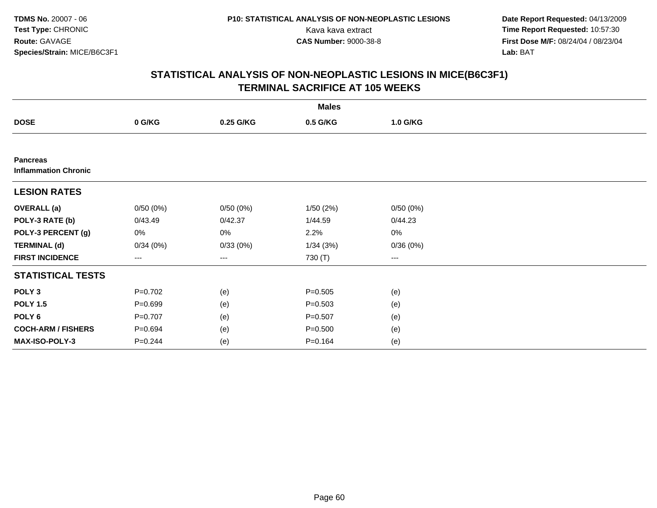**Date Report Requested:** 04/13/2009 Kava kava extract **Time Report Requested:** 10:57:30<br>**CAS Number:** 9000-38-8 **Time Report Requested:** 10:57:30 **First Dose M/F:** 08/24/04 / 08/23/04<br>Lab: BAT **Lab:** BAT

|                                                |             |           | <b>Males</b> |          |  |
|------------------------------------------------|-------------|-----------|--------------|----------|--|
| <b>DOSE</b>                                    | 0 G/KG      | 0.25 G/KG | 0.5 G/KG     | 1.0 G/KG |  |
|                                                |             |           |              |          |  |
| <b>Pancreas</b><br><b>Inflammation Chronic</b> |             |           |              |          |  |
| <b>LESION RATES</b>                            |             |           |              |          |  |
| <b>OVERALL</b> (a)                             | 0/50(0%)    | 0/50(0%)  | 1/50(2%)     | 0/50(0%) |  |
| POLY-3 RATE (b)                                | 0/43.49     | 0/42.37   | 1/44.59      | 0/44.23  |  |
| POLY-3 PERCENT (g)                             | 0%          | 0%        | 2.2%         | 0%       |  |
| <b>TERMINAL (d)</b>                            | 0/34(0%)    | 0/33(0%)  | 1/34(3%)     | 0/36(0%) |  |
| <b>FIRST INCIDENCE</b>                         | ---         | ---       | 730 (T)      | $--$     |  |
| <b>STATISTICAL TESTS</b>                       |             |           |              |          |  |
| POLY <sub>3</sub>                              | $P=0.702$   | (e)       | $P = 0.505$  | (e)      |  |
| <b>POLY 1.5</b>                                | $P = 0.699$ | (e)       | $P = 0.503$  | (e)      |  |
| POLY 6                                         | $P=0.707$   | (e)       | $P = 0.507$  | (e)      |  |
| <b>COCH-ARM / FISHERS</b>                      | $P = 0.694$ | (e)       | $P = 0.500$  | (e)      |  |
| MAX-ISO-POLY-3                                 | $P = 0.244$ | (e)       | $P = 0.164$  | (e)      |  |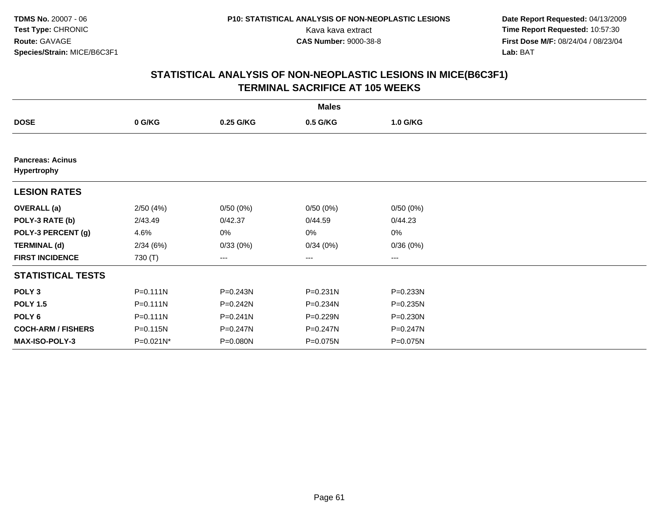**Date Report Requested:** 04/13/2009 Kava kava extract **Time Report Requested:** 10:57:30<br>**CAS Number:** 9000-38-8 **Time Report Requested:** 10:57:30 **First Dose M/F:** 08/24/04 / 08/23/04<br>Lab: BAT **Lab:** BAT

|                                               |              |              | <b>Males</b> |                   |  |
|-----------------------------------------------|--------------|--------------|--------------|-------------------|--|
| <b>DOSE</b>                                   | 0 G/KG       | 0.25 G/KG    | 0.5 G/KG     | 1.0 G/KG          |  |
|                                               |              |              |              |                   |  |
| <b>Pancreas: Acinus</b><br><b>Hypertrophy</b> |              |              |              |                   |  |
| <b>LESION RATES</b>                           |              |              |              |                   |  |
| <b>OVERALL</b> (a)                            | 2/50(4%)     | 0/50(0%)     | 0/50(0%)     | 0/50(0%)          |  |
| POLY-3 RATE (b)                               | 2/43.49      | 0/42.37      | 0/44.59      | 0/44.23           |  |
| POLY-3 PERCENT (g)                            | 4.6%         | 0%           | 0%           | 0%                |  |
| <b>TERMINAL (d)</b>                           | 2/34(6%)     | 0/33(0%)     | 0/34(0%)     | 0/36(0%)          |  |
| <b>FIRST INCIDENCE</b>                        | 730 (T)      | ---          | $---$        | $\qquad \qquad -$ |  |
| <b>STATISTICAL TESTS</b>                      |              |              |              |                   |  |
| POLY <sub>3</sub>                             | P=0.111N     | P=0.243N     | P=0.231N     | P=0.233N          |  |
| <b>POLY 1.5</b>                               | $P = 0.111N$ | $P = 0.242N$ | P=0.234N     | $P = 0.235N$      |  |
| POLY 6                                        | $P = 0.111N$ | $P = 0.241N$ | P=0.229N     | $P = 0.230N$      |  |
| <b>COCH-ARM / FISHERS</b>                     | P=0.115N     | P=0.247N     | P=0.247N     | $P = 0.247N$      |  |
| <b>MAX-ISO-POLY-3</b>                         | P=0.021N*    | P=0.080N     | P=0.075N     | P=0.075N          |  |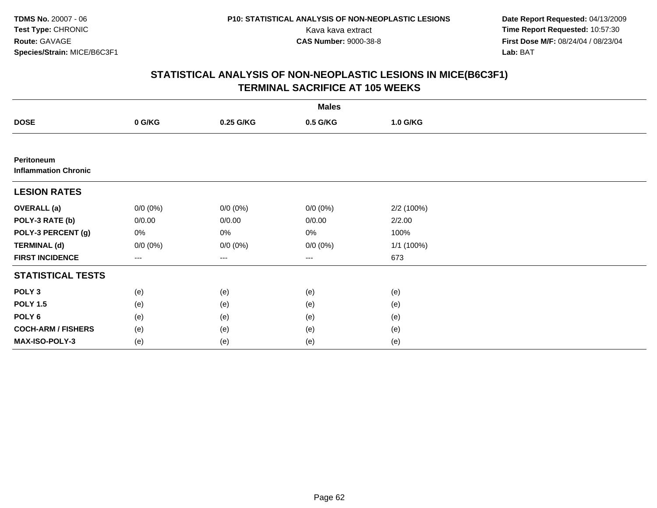**Date Report Requested:** 04/13/2009 Kava kava extract **Time Report Requested:** 10:57:30<br>**CAS Number:** 9000-38-8 **Time Report Requested:** 10:57:30 **First Dose M/F:** 08/24/04 / 08/23/04<br>Lab: BAT **Lab:** BAT

| <b>Males</b>                              |             |             |                        |            |  |  |  |
|-------------------------------------------|-------------|-------------|------------------------|------------|--|--|--|
| <b>DOSE</b>                               | 0 G/KG      | 0.25 G/KG   | 0.5 G/KG               | 1.0 G/KG   |  |  |  |
|                                           |             |             |                        |            |  |  |  |
| Peritoneum<br><b>Inflammation Chronic</b> |             |             |                        |            |  |  |  |
| <b>LESION RATES</b>                       |             |             |                        |            |  |  |  |
| <b>OVERALL (a)</b>                        | $0/0 (0\%)$ | $0/0 (0\%)$ | $0/0 (0\%)$            | 2/2 (100%) |  |  |  |
| POLY-3 RATE (b)                           | 0/0.00      | 0/0.00      | 0/0.00                 | 2/2.00     |  |  |  |
| POLY-3 PERCENT (g)                        | 0%          | 0%          | 0%                     | 100%       |  |  |  |
| <b>TERMINAL (d)</b>                       | $0/0 (0\%)$ | $0/0 (0\%)$ | $0/0 (0\%)$            | 1/1 (100%) |  |  |  |
| <b>FIRST INCIDENCE</b>                    | ---         | ---         | $\qquad \qquad \cdots$ | 673        |  |  |  |
| <b>STATISTICAL TESTS</b>                  |             |             |                        |            |  |  |  |
| POLY <sub>3</sub>                         | (e)         | (e)         | (e)                    | (e)        |  |  |  |
| <b>POLY 1.5</b>                           | (e)         | (e)         | (e)                    | (e)        |  |  |  |
| POLY <sub>6</sub>                         | (e)         | (e)         | (e)                    | (e)        |  |  |  |
| <b>COCH-ARM / FISHERS</b>                 | (e)         | (e)         | (e)                    | (e)        |  |  |  |
| MAX-ISO-POLY-3                            | (e)         | (e)         | (e)                    | (e)        |  |  |  |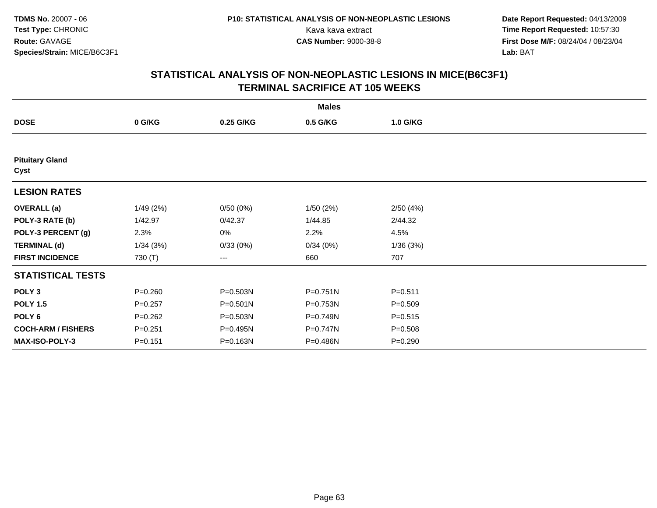**Date Report Requested:** 04/13/2009 Kava kava extract **Time Report Requested:** 10:57:30<br>**CAS Number:** 9000-38-8 **Time Report Requested:** 10:57:30 **First Dose M/F:** 08/24/04 / 08/23/04<br>Lab: BAT **Lab:** BAT

|                                |             |              | <b>Males</b> |             |  |
|--------------------------------|-------------|--------------|--------------|-------------|--|
| <b>DOSE</b>                    | 0 G/KG      | 0.25 G/KG    | 0.5 G/KG     | 1.0 G/KG    |  |
|                                |             |              |              |             |  |
| <b>Pituitary Gland</b><br>Cyst |             |              |              |             |  |
| <b>LESION RATES</b>            |             |              |              |             |  |
| <b>OVERALL</b> (a)             | 1/49(2%)    | 0/50(0%)     | 1/50(2%)     | 2/50(4%)    |  |
| POLY-3 RATE (b)                | 1/42.97     | 0/42.37      | 1/44.85      | 2/44.32     |  |
| POLY-3 PERCENT (g)             | 2.3%        | 0%           | 2.2%         | 4.5%        |  |
| <b>TERMINAL (d)</b>            | 1/34(3%)    | 0/33(0%)     | 0/34(0%)     | 1/36(3%)    |  |
| <b>FIRST INCIDENCE</b>         | 730 (T)     | ---          | 660          | 707         |  |
| <b>STATISTICAL TESTS</b>       |             |              |              |             |  |
| POLY <sub>3</sub>              | $P = 0.260$ | P=0.503N     | P=0.751N     | $P = 0.511$ |  |
| <b>POLY 1.5</b>                | $P = 0.257$ | $P = 0.501N$ | P=0.753N     | $P = 0.509$ |  |
| POLY <sub>6</sub>              | $P = 0.262$ | P=0.503N     | P=0.749N     | $P = 0.515$ |  |
| <b>COCH-ARM / FISHERS</b>      | $P = 0.251$ | P=0.495N     | P=0.747N     | $P = 0.508$ |  |
| <b>MAX-ISO-POLY-3</b>          | $P = 0.151$ | P=0.163N     | P=0.486N     | $P = 0.290$ |  |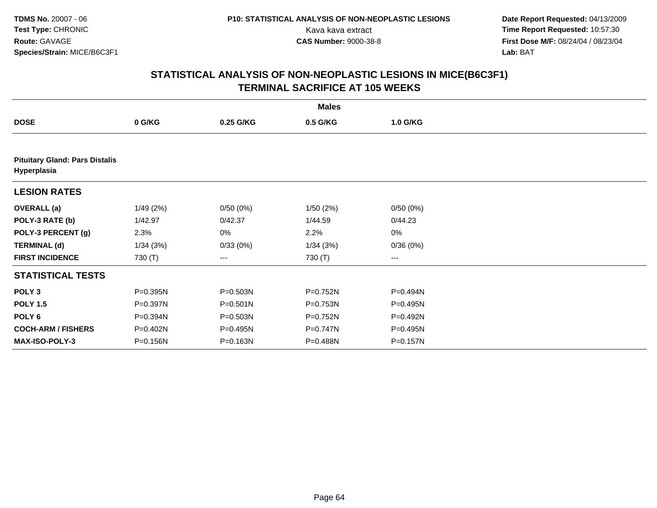**Date Report Requested:** 04/13/2009 Kava kava extract **Time Report Requested:** 10:57:30<br>**CAS Number:** 9000-38-8 **Time Report Requested:** 10:57:30 **First Dose M/F:** 08/24/04 / 08/23/04<br>Lab: BAT **Lab:** BAT

|                                                      |          |              | <b>Males</b> |                   |  |
|------------------------------------------------------|----------|--------------|--------------|-------------------|--|
| <b>DOSE</b>                                          | 0 G/KG   | 0.25 G/KG    | 0.5 G/KG     | 1.0 G/KG          |  |
|                                                      |          |              |              |                   |  |
| <b>Pituitary Gland: Pars Distalis</b><br>Hyperplasia |          |              |              |                   |  |
| <b>LESION RATES</b>                                  |          |              |              |                   |  |
| <b>OVERALL</b> (a)                                   | 1/49(2%) | 0/50(0%)     | 1/50(2%)     | 0/50(0%)          |  |
| POLY-3 RATE (b)                                      | 1/42.97  | 0/42.37      | 1/44.59      | 0/44.23           |  |
| POLY-3 PERCENT (g)                                   | 2.3%     | 0%           | 2.2%         | 0%                |  |
| <b>TERMINAL (d)</b>                                  | 1/34(3%) | 0/33(0%)     | 1/34(3%)     | 0/36(0%)          |  |
| <b>FIRST INCIDENCE</b>                               | 730 (T)  | ---          | 730 (T)      | $\qquad \qquad -$ |  |
| <b>STATISTICAL TESTS</b>                             |          |              |              |                   |  |
| POLY <sub>3</sub>                                    | P=0.395N | P=0.503N     | P=0.752N     | P=0.494N          |  |
| <b>POLY 1.5</b>                                      | P=0.397N | $P = 0.501N$ | P=0.753N     | P=0.495N          |  |
| POLY 6                                               | P=0.394N | P=0.503N     | P=0.752N     | P=0.492N          |  |
| <b>COCH-ARM / FISHERS</b>                            | P=0.402N | P=0.495N     | P=0.747N     | P=0.495N          |  |
| <b>MAX-ISO-POLY-3</b>                                | P=0.156N | P=0.163N     | P=0.488N     | P=0.157N          |  |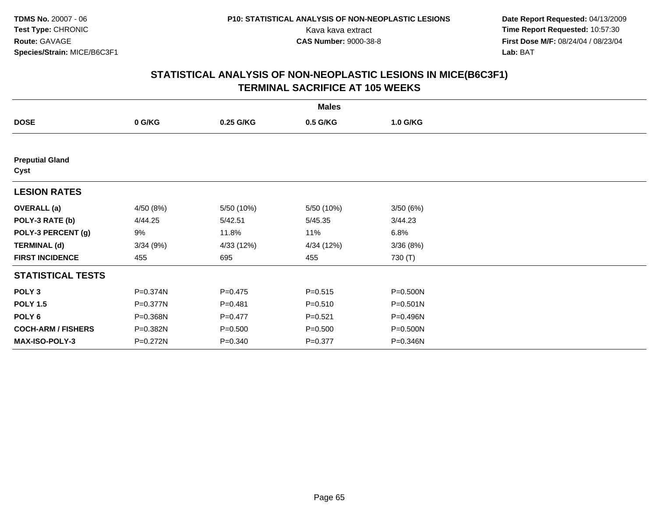**Date Report Requested:** 04/13/2009 Kava kava extract **Time Report Requested:** 10:57:30<br>**CAS Number:** 9000-38-8 **Time Report Requested:** 10:57:30 **First Dose M/F:** 08/24/04 / 08/23/04<br>Lab: BAT **Lab:** BAT

|                                |           |             | <b>Males</b> |          |  |
|--------------------------------|-----------|-------------|--------------|----------|--|
| <b>DOSE</b>                    | 0 G/KG    | 0.25 G/KG   | 0.5 G/KG     | 1.0 G/KG |  |
|                                |           |             |              |          |  |
| <b>Preputial Gland</b><br>Cyst |           |             |              |          |  |
| <b>LESION RATES</b>            |           |             |              |          |  |
| <b>OVERALL</b> (a)             | 4/50 (8%) | 5/50 (10%)  | 5/50 (10%)   | 3/50(6%) |  |
| POLY-3 RATE (b)                | 4/44.25   | 5/42.51     | 5/45.35      | 3/44.23  |  |
| POLY-3 PERCENT (g)             | 9%        | 11.8%       | 11%          | 6.8%     |  |
| <b>TERMINAL (d)</b>            | 3/34(9%)  | 4/33 (12%)  | 4/34 (12%)   | 3/36(8%) |  |
| <b>FIRST INCIDENCE</b>         | 455       | 695         | 455          | 730 (T)  |  |
| <b>STATISTICAL TESTS</b>       |           |             |              |          |  |
| POLY <sub>3</sub>              | P=0.374N  | $P = 0.475$ | $P = 0.515$  | P=0.500N |  |
| <b>POLY 1.5</b>                | P=0.377N  | $P = 0.481$ | $P = 0.510$  | P=0.501N |  |
| POLY <sub>6</sub>              | P=0.368N  | $P=0.477$   | $P = 0.521$  | P=0.496N |  |
| <b>COCH-ARM / FISHERS</b>      | P=0.382N  | $P = 0.500$ | $P = 0.500$  | P=0.500N |  |
| <b>MAX-ISO-POLY-3</b>          | P=0.272N  | $P = 0.340$ | $P = 0.377$  | P=0.346N |  |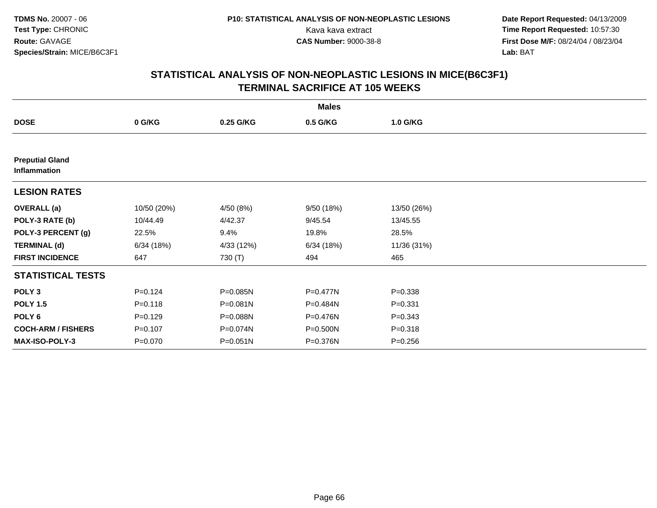**Date Report Requested:** 04/13/2009 Kava kava extract **Time Report Requested:** 10:57:30<br>**CAS Number:** 9000-38-8 **Time Report Requested:** 10:57:30 **First Dose M/F:** 08/24/04 / 08/23/04<br>Lab: BAT **Lab:** BAT

|                                        |             |              | <b>Males</b> |             |  |
|----------------------------------------|-------------|--------------|--------------|-------------|--|
| <b>DOSE</b>                            | 0 G/KG      | 0.25 G/KG    | 0.5 G/KG     | 1.0 G/KG    |  |
|                                        |             |              |              |             |  |
| <b>Preputial Gland</b><br>Inflammation |             |              |              |             |  |
| <b>LESION RATES</b>                    |             |              |              |             |  |
| <b>OVERALL</b> (a)                     | 10/50 (20%) | 4/50 (8%)    | 9/50 (18%)   | 13/50 (26%) |  |
| POLY-3 RATE (b)                        | 10/44.49    | 4/42.37      | 9/45.54      | 13/45.55    |  |
| POLY-3 PERCENT (g)                     | 22.5%       | 9.4%         | 19.8%        | 28.5%       |  |
| <b>TERMINAL (d)</b>                    | 6/34(18%)   | 4/33 (12%)   | 6/34(18%)    | 11/36 (31%) |  |
| <b>FIRST INCIDENCE</b>                 | 647         | 730 (T)      | 494          | 465         |  |
| <b>STATISTICAL TESTS</b>               |             |              |              |             |  |
| POLY <sub>3</sub>                      | $P = 0.124$ | P=0.085N     | P=0.477N     | $P = 0.338$ |  |
| <b>POLY 1.5</b>                        | $P = 0.118$ | $P = 0.081N$ | P=0.484N     | $P = 0.331$ |  |
| POLY 6                                 | $P=0.129$   | P=0.088N     | P=0.476N     | $P = 0.343$ |  |
| <b>COCH-ARM / FISHERS</b>              | $P = 0.107$ | P=0.074N     | P=0.500N     | $P = 0.318$ |  |
| MAX-ISO-POLY-3                         | $P = 0.070$ | $P = 0.051N$ | P=0.376N     | $P = 0.256$ |  |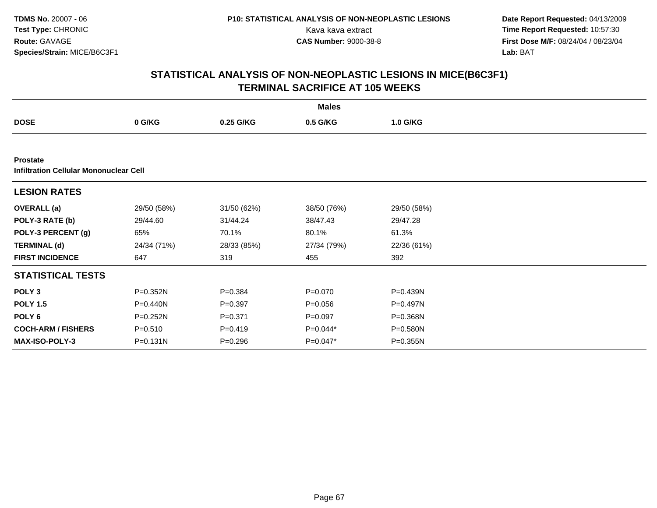**Date Report Requested:** 04/13/2009 Kava kava extract **Time Report Requested:** 10:57:30<br>**CAS Number:** 9000-38-8 **Time Report Requested:** 10:57:30 **First Dose M/F:** 08/24/04 / 08/23/04<br>Lab: BAT **Lab:** BAT

|                                                                  |             |             | <b>Males</b> |              |  |
|------------------------------------------------------------------|-------------|-------------|--------------|--------------|--|
| <b>DOSE</b>                                                      | 0 G/KG      | 0.25 G/KG   | 0.5 G/KG     | 1.0 G/KG     |  |
|                                                                  |             |             |              |              |  |
| <b>Prostate</b><br><b>Infiltration Cellular Mononuclear Cell</b> |             |             |              |              |  |
| <b>LESION RATES</b>                                              |             |             |              |              |  |
| <b>OVERALL</b> (a)                                               | 29/50 (58%) | 31/50 (62%) | 38/50 (76%)  | 29/50 (58%)  |  |
| POLY-3 RATE (b)                                                  | 29/44.60    | 31/44.24    | 38/47.43     | 29/47.28     |  |
| POLY-3 PERCENT (g)                                               | 65%         | 70.1%       | 80.1%        | 61.3%        |  |
| <b>TERMINAL (d)</b>                                              | 24/34 (71%) | 28/33 (85%) | 27/34 (79%)  | 22/36 (61%)  |  |
| <b>FIRST INCIDENCE</b>                                           | 647         | 319         | 455          | 392          |  |
| <b>STATISTICAL TESTS</b>                                         |             |             |              |              |  |
| POLY <sub>3</sub>                                                | P=0.352N    | $P = 0.384$ | $P = 0.070$  | P=0.439N     |  |
| <b>POLY 1.5</b>                                                  | P=0.440N    | $P = 0.397$ | $P = 0.056$  | $P = 0.497N$ |  |
| POLY 6                                                           | P=0.252N    | $P = 0.371$ | $P = 0.097$  | P=0.368N     |  |
| <b>COCH-ARM / FISHERS</b>                                        | $P = 0.510$ | $P = 0.419$ | P=0.044*     | P=0.580N     |  |
| <b>MAX-ISO-POLY-3</b>                                            | P=0.131N    | $P = 0.296$ | P=0.047*     | P=0.355N     |  |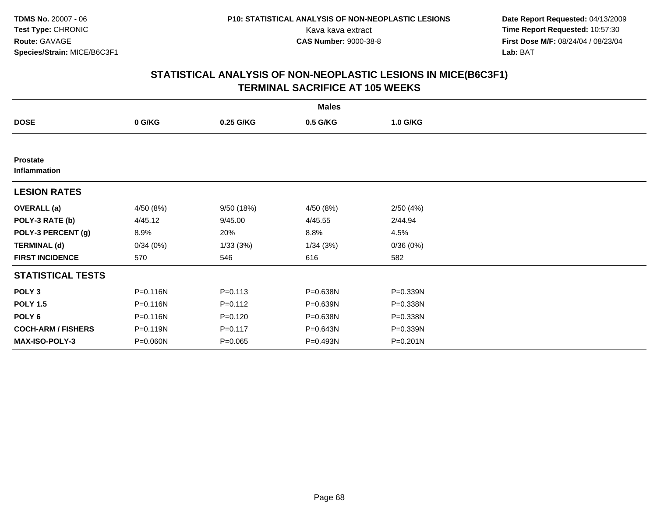**Date Report Requested:** 04/13/2009 Kava kava extract **Time Report Requested:** 10:57:30<br>**CAS Number:** 9000-38-8 **Time Report Requested:** 10:57:30 **First Dose M/F:** 08/24/04 / 08/23/04<br>Lab: BAT **Lab:** BAT

|                                 |           |             | <b>Males</b> |          |  |
|---------------------------------|-----------|-------------|--------------|----------|--|
| <b>DOSE</b>                     | 0 G/KG    | 0.25 G/KG   | 0.5 G/KG     | 1.0 G/KG |  |
|                                 |           |             |              |          |  |
| <b>Prostate</b><br>Inflammation |           |             |              |          |  |
| <b>LESION RATES</b>             |           |             |              |          |  |
| <b>OVERALL</b> (a)              | 4/50 (8%) | 9/50 (18%)  | 4/50 (8%)    | 2/50(4%) |  |
| POLY-3 RATE (b)                 | 4/45.12   | 9/45.00     | 4/45.55      | 2/44.94  |  |
| POLY-3 PERCENT (g)              | 8.9%      | 20%         | 8.8%         | 4.5%     |  |
| <b>TERMINAL (d)</b>             | 0/34(0%)  | 1/33(3%)    | 1/34(3%)     | 0/36(0%) |  |
| <b>FIRST INCIDENCE</b>          | 570       | 546         | 616          | 582      |  |
| <b>STATISTICAL TESTS</b>        |           |             |              |          |  |
| POLY <sub>3</sub>               | P=0.116N  | $P = 0.113$ | P=0.638N     | P=0.339N |  |
| <b>POLY 1.5</b>                 | P=0.116N  | $P = 0.112$ | P=0.639N     | P=0.338N |  |
| POLY 6                          | P=0.116N  | $P = 0.120$ | P=0.638N     | P=0.338N |  |
| <b>COCH-ARM / FISHERS</b>       | P=0.119N  | $P = 0.117$ | P=0.643N     | P=0.339N |  |
| MAX-ISO-POLY-3                  | P=0.060N  | $P = 0.065$ | P=0.493N     | P=0.201N |  |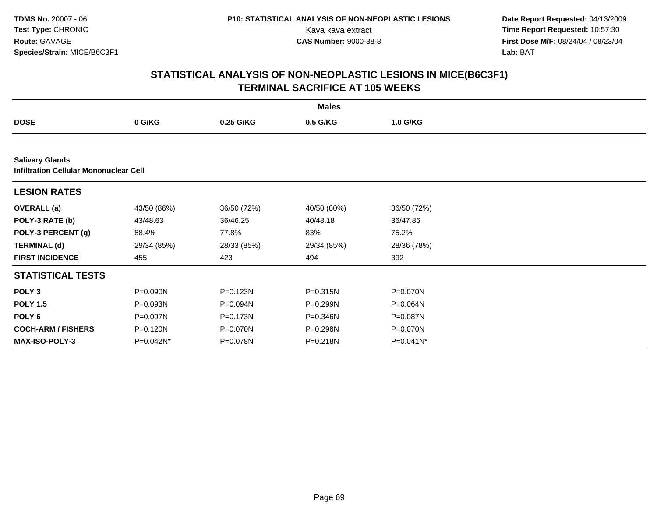**Date Report Requested:** 04/13/2009 Kava kava extract **Time Report Requested:** 10:57:30<br>**CAS Number:** 9000-38-8 **Time Report Requested:** 10:57:30 **First Dose M/F:** 08/24/04 / 08/23/04<br>Lab: BAT **Lab:** BAT

|                                                                         |             |             | <b>Males</b> |              |  |  |  |  |  |
|-------------------------------------------------------------------------|-------------|-------------|--------------|--------------|--|--|--|--|--|
| <b>DOSE</b>                                                             | 0 G/KG      | 0.25 G/KG   | 0.5 G/KG     | 1.0 G/KG     |  |  |  |  |  |
|                                                                         |             |             |              |              |  |  |  |  |  |
| <b>Salivary Glands</b><br><b>Infiltration Cellular Mononuclear Cell</b> |             |             |              |              |  |  |  |  |  |
| <b>LESION RATES</b>                                                     |             |             |              |              |  |  |  |  |  |
| <b>OVERALL</b> (a)                                                      | 43/50 (86%) | 36/50 (72%) | 40/50 (80%)  | 36/50 (72%)  |  |  |  |  |  |
| POLY-3 RATE (b)                                                         | 43/48.63    | 36/46.25    | 40/48.18     | 36/47.86     |  |  |  |  |  |
| POLY-3 PERCENT (g)                                                      | 88.4%       | 77.8%       | 83%          | 75.2%        |  |  |  |  |  |
| <b>TERMINAL (d)</b>                                                     | 29/34 (85%) | 28/33 (85%) | 29/34 (85%)  | 28/36 (78%)  |  |  |  |  |  |
| <b>FIRST INCIDENCE</b>                                                  | 455         | 423         | 494          | 392          |  |  |  |  |  |
| <b>STATISTICAL TESTS</b>                                                |             |             |              |              |  |  |  |  |  |
| POLY <sub>3</sub>                                                       | P=0.090N    | P=0.123N    | $P = 0.315N$ | P=0.070N     |  |  |  |  |  |
| <b>POLY 1.5</b>                                                         | P=0.093N    | P=0.094N    | P=0.299N     | P=0.064N     |  |  |  |  |  |
| POLY 6                                                                  | P=0.097N    | P=0.173N    | P=0.346N     | P=0.087N     |  |  |  |  |  |
| <b>COCH-ARM / FISHERS</b>                                               | P=0.120N    | P=0.070N    | P=0.298N     | P=0.070N     |  |  |  |  |  |
| <b>MAX-ISO-POLY-3</b>                                                   | P=0.042N*   | P=0.078N    | P=0.218N     | $P=0.041N^*$ |  |  |  |  |  |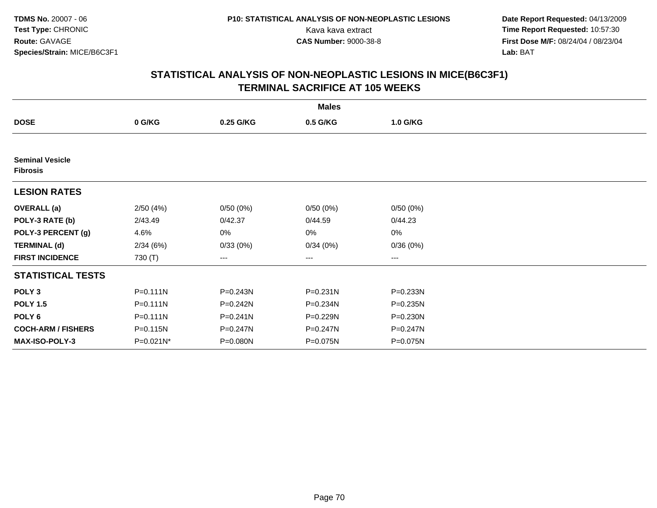**Date Report Requested:** 04/13/2009 Kava kava extract **Time Report Requested:** 10:57:30<br>**CAS Number:** 9000-38-8 **Time Report Requested:** 10:57:30 **First Dose M/F:** 08/24/04 / 08/23/04<br>Lab: BAT **Lab:** BAT

|                                           |              |              | <b>Males</b> |              |  |
|-------------------------------------------|--------------|--------------|--------------|--------------|--|
| <b>DOSE</b>                               | 0 G/KG       | 0.25 G/KG    | 0.5 G/KG     | 1.0 G/KG     |  |
|                                           |              |              |              |              |  |
| <b>Seminal Vesicle</b><br><b>Fibrosis</b> |              |              |              |              |  |
| <b>LESION RATES</b>                       |              |              |              |              |  |
| <b>OVERALL</b> (a)                        | 2/50(4%)     | 0/50(0%)     | 0/50(0%)     | 0/50(0%)     |  |
| POLY-3 RATE (b)                           | 2/43.49      | 0/42.37      | 0/44.59      | 0/44.23      |  |
| POLY-3 PERCENT (g)                        | 4.6%         | 0%           | 0%           | 0%           |  |
| <b>TERMINAL (d)</b>                       | 2/34(6%)     | 0/33(0%)     | 0/34(0%)     | 0/36(0%)     |  |
| <b>FIRST INCIDENCE</b>                    | 730 (T)      | ---          | ---          | ---          |  |
| <b>STATISTICAL TESTS</b>                  |              |              |              |              |  |
| POLY <sub>3</sub>                         | $P = 0.111N$ | P=0.243N     | P=0.231N     | P=0.233N     |  |
| <b>POLY 1.5</b>                           | $P = 0.111N$ | P=0.242N     | P=0.234N     | $P = 0.235N$ |  |
| POLY <sub>6</sub>                         | $P = 0.111N$ | $P = 0.241N$ | P=0.229N     | P=0.230N     |  |
| <b>COCH-ARM / FISHERS</b>                 | P=0.115N     | P=0.247N     | P=0.247N     | P=0.247N     |  |
| <b>MAX-ISO-POLY-3</b>                     | P=0.021N*    | P=0.080N     | P=0.075N     | P=0.075N     |  |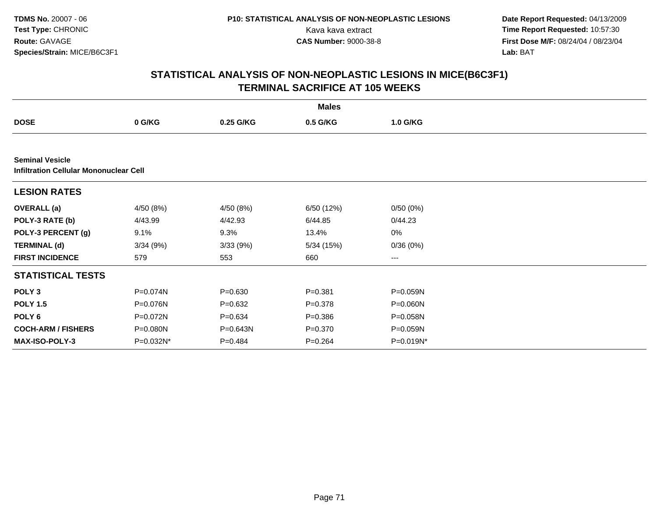**Date Report Requested:** 04/13/2009 Kava kava extract **Time Report Requested:** 10:57:30<br>**CAS Number:** 9000-38-8 **Time Report Requested:** 10:57:30 **First Dose M/F:** 08/24/04 / 08/23/04<br>Lab: BAT **Lab:** BAT

|                                                                         |           |             | <b>Males</b> |           |  |
|-------------------------------------------------------------------------|-----------|-------------|--------------|-----------|--|
| <b>DOSE</b>                                                             | 0 G/KG    | 0.25 G/KG   | 0.5 G/KG     | 1.0 G/KG  |  |
|                                                                         |           |             |              |           |  |
| <b>Seminal Vesicle</b><br><b>Infiltration Cellular Mononuclear Cell</b> |           |             |              |           |  |
| <b>LESION RATES</b>                                                     |           |             |              |           |  |
| <b>OVERALL</b> (a)                                                      | 4/50 (8%) | 4/50 (8%)   | 6/50 (12%)   | 0/50(0%)  |  |
| POLY-3 RATE (b)                                                         | 4/43.99   | 4/42.93     | 6/44.85      | 0/44.23   |  |
| POLY-3 PERCENT (g)                                                      | 9.1%      | 9.3%        | 13.4%        | 0%        |  |
| <b>TERMINAL (d)</b>                                                     | 3/34(9%)  | 3/33(9%)    | 5/34 (15%)   | 0/36(0%)  |  |
| <b>FIRST INCIDENCE</b>                                                  | 579       | 553         | 660          | ---       |  |
| <b>STATISTICAL TESTS</b>                                                |           |             |              |           |  |
| POLY <sub>3</sub>                                                       | P=0.074N  | $P = 0.630$ | $P = 0.381$  | P=0.059N  |  |
| <b>POLY 1.5</b>                                                         | P=0.076N  | $P = 0.632$ | $P = 0.378$  | P=0.060N  |  |
| POLY 6                                                                  | P=0.072N  | $P = 0.634$ | $P = 0.386$  | P=0.058N  |  |
| <b>COCH-ARM / FISHERS</b>                                               | P=0.080N  | P=0.643N    | $P = 0.370$  | P=0.059N  |  |
| <b>MAX-ISO-POLY-3</b>                                                   | P=0.032N* | $P=0.484$   | $P = 0.264$  | P=0.019N* |  |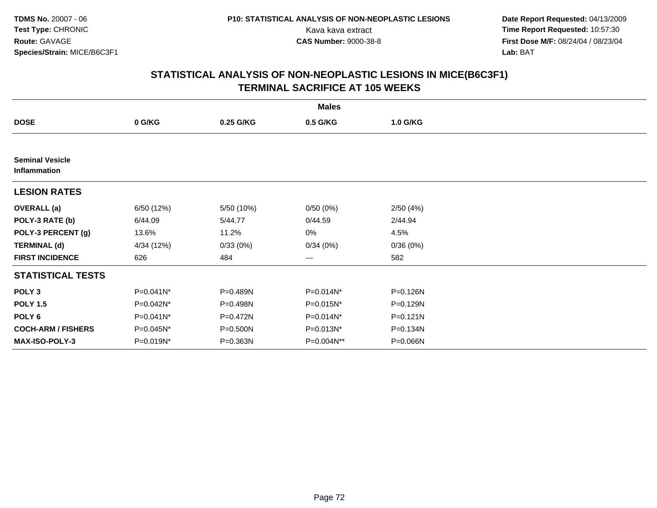**Date Report Requested:** 04/13/2009 Kava kava extract **Time Report Requested:** 10:57:30<br>**CAS Number:** 9000-38-8 **Time Report Requested:** 10:57:30 **First Dose M/F:** 08/24/04 / 08/23/04<br>Lab: BAT **Lab:** BAT

|                                        |            |            | <b>Males</b> |          |  |
|----------------------------------------|------------|------------|--------------|----------|--|
| <b>DOSE</b>                            | 0 G/KG     | 0.25 G/KG  | 0.5 G/KG     | 1.0 G/KG |  |
|                                        |            |            |              |          |  |
| <b>Seminal Vesicle</b><br>Inflammation |            |            |              |          |  |
| <b>LESION RATES</b>                    |            |            |              |          |  |
| <b>OVERALL</b> (a)                     | 6/50 (12%) | 5/50 (10%) | 0/50(0%)     | 2/50(4%) |  |
| POLY-3 RATE (b)                        | 6/44.09    | 5/44.77    | 0/44.59      | 2/44.94  |  |
| POLY-3 PERCENT (g)                     | 13.6%      | 11.2%      | 0%           | 4.5%     |  |
| <b>TERMINAL (d)</b>                    | 4/34 (12%) | 0/33(0%)   | 0/34(0%)     | 0/36(0%) |  |
| <b>FIRST INCIDENCE</b>                 | 626        | 484        | ---          | 582      |  |
| <b>STATISTICAL TESTS</b>               |            |            |              |          |  |
| POLY <sub>3</sub>                      | P=0.041N*  | P=0.489N   | P=0.014N*    | P=0.126N |  |
| <b>POLY 1.5</b>                        | P=0.042N*  | P=0.498N   | P=0.015N*    | P=0.129N |  |
| POLY <sub>6</sub>                      | P=0.041N*  | P=0.472N   | P=0.014N*    | P=0.121N |  |
| <b>COCH-ARM / FISHERS</b>              | P=0.045N*  | P=0.500N   | P=0.013N*    | P=0.134N |  |
| MAX-ISO-POLY-3                         | P=0.019N*  | P=0.363N   | P=0.004N**   | P=0.066N |  |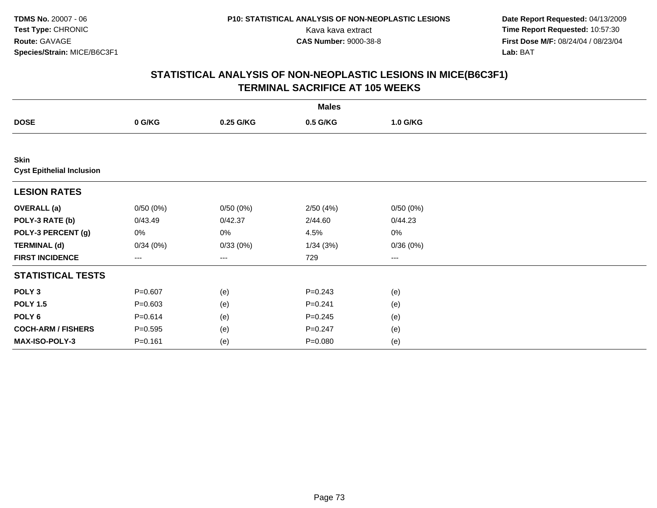**Date Report Requested:** 04/13/2009 Kava kava extract **Time Report Requested:** 10:57:30<br>**CAS Number:** 9000-38-8 **Time Report Requested:** 10:57:30 **First Dose M/F:** 08/24/04 / 08/23/04<br>Lab: BAT **Lab:** BAT

|                                                 |             |           | <b>Males</b> |          |  |
|-------------------------------------------------|-------------|-----------|--------------|----------|--|
| <b>DOSE</b>                                     | 0 G/KG      | 0.25 G/KG | 0.5 G/KG     | 1.0 G/KG |  |
|                                                 |             |           |              |          |  |
| <b>Skin</b><br><b>Cyst Epithelial Inclusion</b> |             |           |              |          |  |
| <b>LESION RATES</b>                             |             |           |              |          |  |
| <b>OVERALL</b> (a)                              | 0/50(0%)    | 0/50(0%)  | 2/50(4%)     | 0/50(0%) |  |
| POLY-3 RATE (b)                                 | 0/43.49     | 0/42.37   | 2/44.60      | 0/44.23  |  |
| POLY-3 PERCENT (g)                              | 0%          | 0%        | 4.5%         | 0%       |  |
| <b>TERMINAL (d)</b>                             | 0/34(0%)    | 0/33(0%)  | 1/34(3%)     | 0/36(0%) |  |
| <b>FIRST INCIDENCE</b>                          | ---         | ---       | 729          | ---      |  |
| <b>STATISTICAL TESTS</b>                        |             |           |              |          |  |
| POLY <sub>3</sub>                               | $P = 0.607$ | (e)       | $P = 0.243$  | (e)      |  |
| <b>POLY 1.5</b>                                 | $P = 0.603$ | (e)       | $P = 0.241$  | (e)      |  |
| POLY <sub>6</sub>                               | $P = 0.614$ | (e)       | $P = 0.245$  | (e)      |  |
| <b>COCH-ARM / FISHERS</b>                       | $P = 0.595$ | (e)       | $P = 0.247$  | (e)      |  |
| MAX-ISO-POLY-3                                  | $P = 0.161$ | (e)       | $P = 0.080$  | (e)      |  |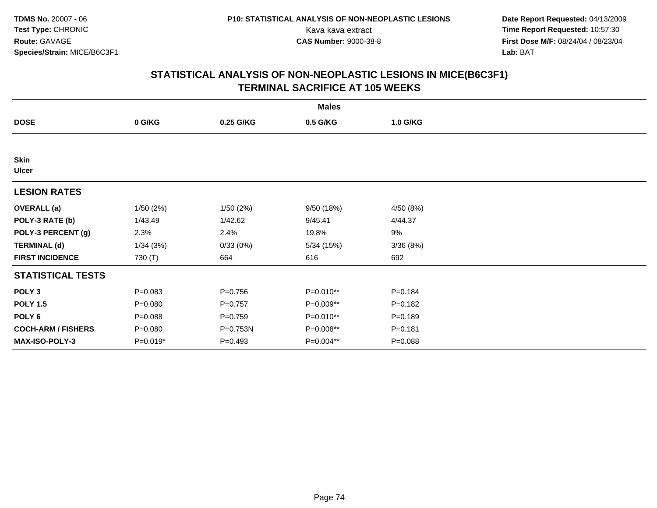**Date Report Requested:** 04/13/2009 Kava kava extract **Time Report Requested:** 10:57:30<br>**CAS Number:** 9000-38-8 **Time Report Requested:** 10:57:30 **First Dose M/F:** 08/24/04 / 08/23/04<br>Lab: BAT **Lab:** BAT

|                             |             |             | <b>Males</b> |             |  |
|-----------------------------|-------------|-------------|--------------|-------------|--|
| <b>DOSE</b>                 | 0 G/KG      | 0.25 G/KG   | 0.5 G/KG     | 1.0 G/KG    |  |
|                             |             |             |              |             |  |
| <b>Skin</b><br><b>Ulcer</b> |             |             |              |             |  |
| <b>LESION RATES</b>         |             |             |              |             |  |
| <b>OVERALL</b> (a)          | 1/50(2%)    | 1/50(2%)    | 9/50 (18%)   | 4/50 (8%)   |  |
| POLY-3 RATE (b)             | 1/43.49     | 1/42.62     | 9/45.41      | 4/44.37     |  |
| POLY-3 PERCENT (g)          | 2.3%        | 2.4%        | 19.8%        | 9%          |  |
| <b>TERMINAL (d)</b>         | 1/34(3%)    | 0/33(0%)    | 5/34 (15%)   | 3/36(8%)    |  |
| <b>FIRST INCIDENCE</b>      | 730 (T)     | 664         | 616          | 692         |  |
| <b>STATISTICAL TESTS</b>    |             |             |              |             |  |
| POLY <sub>3</sub>           | $P = 0.083$ | $P = 0.756$ | P=0.010**    | $P = 0.184$ |  |
| <b>POLY 1.5</b>             | $P = 0.080$ | $P=0.757$   | P=0.009**    | $P = 0.182$ |  |
| POLY 6                      | $P = 0.088$ | $P = 0.759$ | P=0.010**    | $P = 0.189$ |  |
| <b>COCH-ARM / FISHERS</b>   | $P = 0.080$ | P=0.753N    | P=0.008**    | $P = 0.181$ |  |
| MAX-ISO-POLY-3              | $P=0.019*$  | $P=0.493$   | P=0.004**    | $P = 0.088$ |  |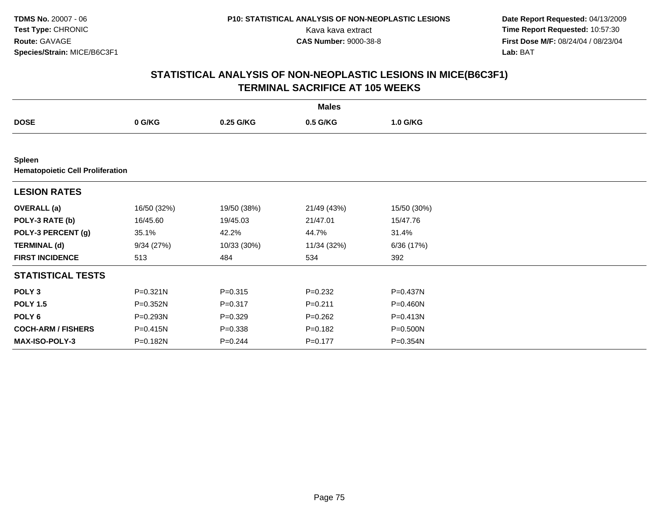**Date Report Requested:** 04/13/2009 Kava kava extract **Time Report Requested:** 10:57:30<br>**CAS Number:** 9000-38-8 **Time Report Requested:** 10:57:30 **First Dose M/F:** 08/24/04 / 08/23/04<br>Lab: BAT **Lab:** BAT

|                                                          |              |             | <b>Males</b> |              |  |
|----------------------------------------------------------|--------------|-------------|--------------|--------------|--|
| <b>DOSE</b>                                              | 0 G/KG       | 0.25 G/KG   | 0.5 G/KG     | 1.0 G/KG     |  |
|                                                          |              |             |              |              |  |
| <b>Spleen</b><br><b>Hematopoietic Cell Proliferation</b> |              |             |              |              |  |
| <b>LESION RATES</b>                                      |              |             |              |              |  |
| <b>OVERALL</b> (a)                                       | 16/50 (32%)  | 19/50 (38%) | 21/49 (43%)  | 15/50 (30%)  |  |
| POLY-3 RATE (b)                                          | 16/45.60     | 19/45.03    | 21/47.01     | 15/47.76     |  |
| POLY-3 PERCENT (g)                                       | 35.1%        | 42.2%       | 44.7%        | 31.4%        |  |
| <b>TERMINAL (d)</b>                                      | 9/34(27%)    | 10/33 (30%) | 11/34 (32%)  | 6/36 (17%)   |  |
| <b>FIRST INCIDENCE</b>                                   | 513          | 484         | 534          | 392          |  |
| <b>STATISTICAL TESTS</b>                                 |              |             |              |              |  |
| POLY <sub>3</sub>                                        | $P = 0.321N$ | $P = 0.315$ | $P=0.232$    | P=0.437N     |  |
| <b>POLY 1.5</b>                                          | P=0.352N     | $P = 0.317$ | $P = 0.211$  | P=0.460N     |  |
| POLY 6                                                   | P=0.293N     | $P = 0.329$ | $P = 0.262$  | P=0.413N     |  |
| <b>COCH-ARM / FISHERS</b>                                | P=0.415N     | $P = 0.338$ | $P = 0.182$  | $P = 0.500N$ |  |
| <b>MAX-ISO-POLY-3</b>                                    | P=0.182N     | $P=0.244$   | $P = 0.177$  | $P = 0.354N$ |  |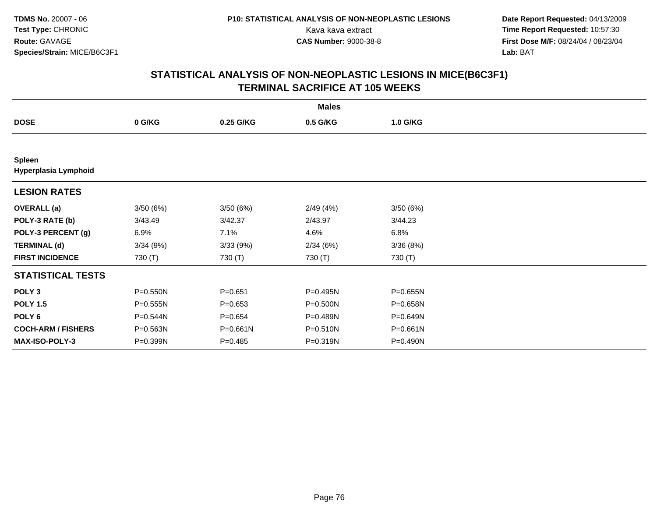**Date Report Requested:** 04/13/2009 Kava kava extract **Time Report Requested:** 10:57:30<br>**CAS Number:** 9000-38-8 **Time Report Requested:** 10:57:30 **First Dose M/F:** 08/24/04 / 08/23/04<br>Lab: BAT **Lab:** BAT

|                                |              |             | <b>Males</b> |              |  |
|--------------------------------|--------------|-------------|--------------|--------------|--|
| <b>DOSE</b>                    | 0 G/KG       | 0.25 G/KG   | 0.5 G/KG     | 1.0 G/KG     |  |
|                                |              |             |              |              |  |
| Spleen<br>Hyperplasia Lymphoid |              |             |              |              |  |
| <b>LESION RATES</b>            |              |             |              |              |  |
| <b>OVERALL</b> (a)             | 3/50(6%)     | 3/50(6%)    | 2/49(4%)     | 3/50(6%)     |  |
| POLY-3 RATE (b)                | 3/43.49      | 3/42.37     | 2/43.97      | 3/44.23      |  |
| POLY-3 PERCENT (g)             | 6.9%         | 7.1%        | 4.6%         | 6.8%         |  |
| <b>TERMINAL (d)</b>            | 3/34(9%)     | 3/33(9%)    | 2/34(6%)     | 3/36(8%)     |  |
| <b>FIRST INCIDENCE</b>         | 730 (T)      | 730 (T)     | 730 (T)      | 730 (T)      |  |
| <b>STATISTICAL TESTS</b>       |              |             |              |              |  |
| POLY <sub>3</sub>              | P=0.550N     | $P = 0.651$ | P=0.495N     | $P = 0.655N$ |  |
| <b>POLY 1.5</b>                | $P = 0.555N$ | $P = 0.653$ | P=0.500N     | P=0.658N     |  |
| POLY <sub>6</sub>              | P=0.544N     | $P = 0.654$ | P=0.489N     | P=0.649N     |  |
| <b>COCH-ARM / FISHERS</b>      | P=0.563N     | P=0.661N    | P=0.510N     | $P = 0.661N$ |  |
| <b>MAX-ISO-POLY-3</b>          | P=0.399N     | $P = 0.485$ | P=0.319N     | P=0.490N     |  |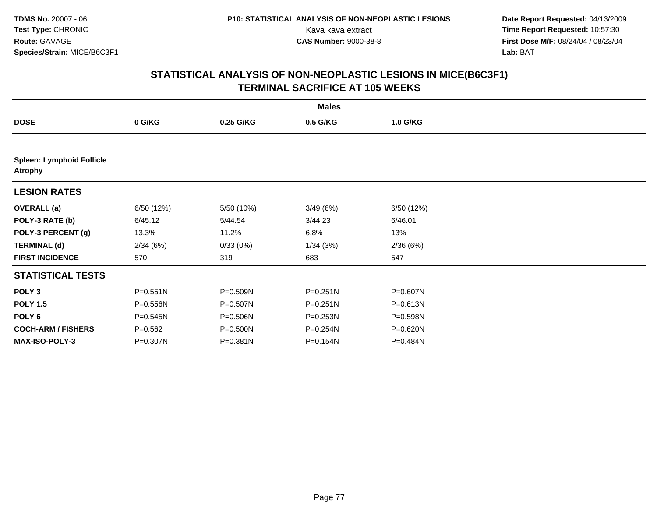**Date Report Requested:** 04/13/2009 Kava kava extract **Time Report Requested:** 10:57:30<br>**CAS Number:** 9000-38-8 **Time Report Requested:** 10:57:30 **First Dose M/F:** 08/24/04 / 08/23/04<br>Lab: BAT **Lab:** BAT

|                                                    |             |            | <b>Males</b> |            |  |
|----------------------------------------------------|-------------|------------|--------------|------------|--|
| <b>DOSE</b>                                        | 0 G/KG      | 0.25 G/KG  | 0.5 G/KG     | 1.0 G/KG   |  |
|                                                    |             |            |              |            |  |
| <b>Spleen: Lymphoid Follicle</b><br><b>Atrophy</b> |             |            |              |            |  |
| <b>LESION RATES</b>                                |             |            |              |            |  |
| <b>OVERALL</b> (a)                                 | 6/50 (12%)  | 5/50 (10%) | 3/49(6%)     | 6/50 (12%) |  |
| POLY-3 RATE (b)                                    | 6/45.12     | 5/44.54    | 3/44.23      | 6/46.01    |  |
| POLY-3 PERCENT (g)                                 | 13.3%       | 11.2%      | 6.8%         | 13%        |  |
| <b>TERMINAL (d)</b>                                | 2/34(6%)    | 0/33(0%)   | 1/34(3%)     | 2/36(6%)   |  |
| <b>FIRST INCIDENCE</b>                             | 570         | 319        | 683          | 547        |  |
| <b>STATISTICAL TESTS</b>                           |             |            |              |            |  |
| POLY <sub>3</sub>                                  | P=0.551N    | P=0.509N   | $P = 0.251N$ | P=0.607N   |  |
| <b>POLY 1.5</b>                                    | P=0.556N    | P=0.507N   | P=0.251N     | P=0.613N   |  |
| POLY <sub>6</sub>                                  | P=0.545N    | P=0.506N   | $P = 0.253N$ | P=0.598N   |  |
| <b>COCH-ARM / FISHERS</b>                          | $P = 0.562$ | P=0.500N   | P=0.254N     | P=0.620N   |  |
| <b>MAX-ISO-POLY-3</b>                              | P=0.307N    | P=0.381N   | P=0.154N     | P=0.484N   |  |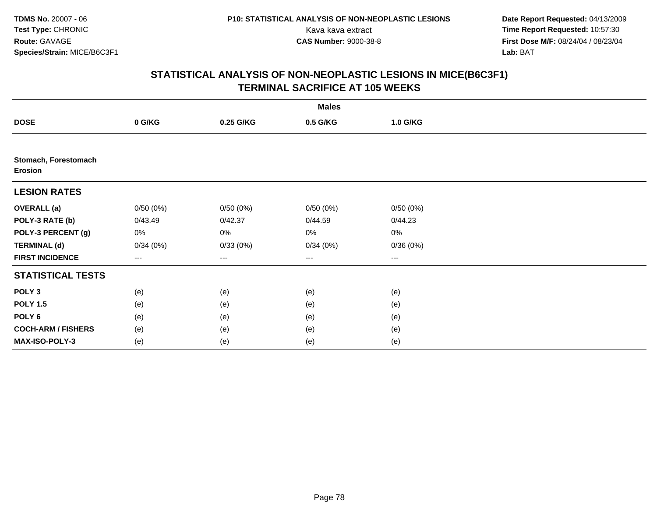**Date Report Requested:** 04/13/2009 Kava kava extract **Time Report Requested:** 10:57:30<br>**CAS Number:** 9000-38-8 **Time Report Requested:** 10:57:30 **First Dose M/F:** 08/24/04 / 08/23/04<br>Lab: BAT **Lab:** BAT

|                                 |          |           | <b>Males</b>           |                        |  |
|---------------------------------|----------|-----------|------------------------|------------------------|--|
| <b>DOSE</b>                     | 0 G/KG   | 0.25 G/KG | 0.5 G/KG               | 1.0 G/KG               |  |
|                                 |          |           |                        |                        |  |
| Stomach, Forestomach<br>Erosion |          |           |                        |                        |  |
| <b>LESION RATES</b>             |          |           |                        |                        |  |
| <b>OVERALL</b> (a)              | 0/50(0%) | 0/50(0%)  | 0/50(0%)               | 0/50(0%)               |  |
| POLY-3 RATE (b)                 | 0/43.49  | 0/42.37   | 0/44.59                | 0/44.23                |  |
| POLY-3 PERCENT (g)              | 0%       | 0%        | 0%                     | $0\%$                  |  |
| <b>TERMINAL (d)</b>             | 0/34(0%) | 0/33(0%)  | 0/34(0%)               | 0/36(0%)               |  |
| <b>FIRST INCIDENCE</b>          | $--$     | $--$      | $\qquad \qquad \cdots$ | $\qquad \qquad \cdots$ |  |
| <b>STATISTICAL TESTS</b>        |          |           |                        |                        |  |
| POLY <sub>3</sub>               | (e)      | (e)       | (e)                    | (e)                    |  |
| <b>POLY 1.5</b>                 | (e)      | (e)       | (e)                    | (e)                    |  |
| POLY <sub>6</sub>               | (e)      | (e)       | (e)                    | (e)                    |  |
| <b>COCH-ARM / FISHERS</b>       | (e)      | (e)       | (e)                    | (e)                    |  |
| MAX-ISO-POLY-3                  | (e)      | (e)       | (e)                    | (e)                    |  |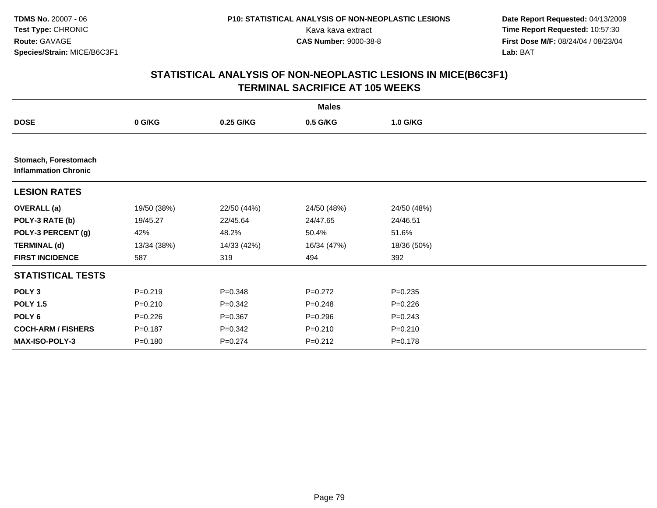**Date Report Requested:** 04/13/2009 Kava kava extract **Time Report Requested:** 10:57:30<br>**CAS Number:** 9000-38-8 **Time Report Requested:** 10:57:30 **First Dose M/F:** 08/24/04 / 08/23/04<br>Lab: BAT **Lab:** BAT

|                                                     |             |             | <b>Males</b> |             |  |
|-----------------------------------------------------|-------------|-------------|--------------|-------------|--|
| <b>DOSE</b>                                         | 0 G/KG      | 0.25 G/KG   | 0.5 G/KG     | 1.0 G/KG    |  |
|                                                     |             |             |              |             |  |
| Stomach, Forestomach<br><b>Inflammation Chronic</b> |             |             |              |             |  |
| <b>LESION RATES</b>                                 |             |             |              |             |  |
| <b>OVERALL (a)</b>                                  | 19/50 (38%) | 22/50 (44%) | 24/50 (48%)  | 24/50 (48%) |  |
| POLY-3 RATE (b)                                     | 19/45.27    | 22/45.64    | 24/47.65     | 24/46.51    |  |
| POLY-3 PERCENT (g)                                  | 42%         | 48.2%       | 50.4%        | 51.6%       |  |
| <b>TERMINAL (d)</b>                                 | 13/34 (38%) | 14/33 (42%) | 16/34 (47%)  | 18/36 (50%) |  |
| <b>FIRST INCIDENCE</b>                              | 587         | 319         | 494          | 392         |  |
| <b>STATISTICAL TESTS</b>                            |             |             |              |             |  |
| POLY <sub>3</sub>                                   | $P = 0.219$ | $P = 0.348$ | $P=0.272$    | $P = 0.235$ |  |
| <b>POLY 1.5</b>                                     | $P = 0.210$ | $P = 0.342$ | $P = 0.248$  | $P = 0.226$ |  |
| POLY 6                                              | $P = 0.226$ | $P = 0.367$ | $P = 0.296$  | $P = 0.243$ |  |
| <b>COCH-ARM / FISHERS</b>                           | $P = 0.187$ | $P = 0.342$ | $P = 0.210$  | $P = 0.210$ |  |
| MAX-ISO-POLY-3                                      | $P = 0.180$ | $P=0.274$   | $P=0.212$    | $P = 0.178$ |  |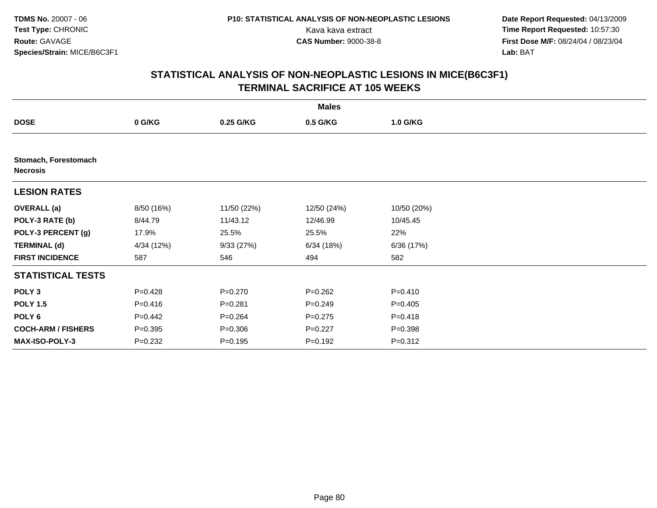**Date Report Requested:** 04/13/2009 Kava kava extract **Time Report Requested:** 10:57:30<br>**CAS Number:** 9000-38-8 **Time Report Requested:** 10:57:30 **First Dose M/F:** 08/24/04 / 08/23/04<br>Lab: BAT **Lab:** BAT

|                                         |             |             | <b>Males</b> |             |  |
|-----------------------------------------|-------------|-------------|--------------|-------------|--|
| <b>DOSE</b>                             | 0 G/KG      | 0.25 G/KG   | 0.5 G/KG     | 1.0 G/KG    |  |
|                                         |             |             |              |             |  |
| Stomach, Forestomach<br><b>Necrosis</b> |             |             |              |             |  |
| <b>LESION RATES</b>                     |             |             |              |             |  |
| <b>OVERALL (a)</b>                      | 8/50 (16%)  | 11/50 (22%) | 12/50 (24%)  | 10/50 (20%) |  |
| POLY-3 RATE (b)                         | 8/44.79     | 11/43.12    | 12/46.99     | 10/45.45    |  |
| POLY-3 PERCENT (g)                      | 17.9%       | 25.5%       | 25.5%        | 22%         |  |
| <b>TERMINAL (d)</b>                     | 4/34 (12%)  | 9/33(27%)   | 6/34(18%)    | 6/36 (17%)  |  |
| <b>FIRST INCIDENCE</b>                  | 587         | 546         | 494          | 582         |  |
| <b>STATISTICAL TESTS</b>                |             |             |              |             |  |
| POLY <sub>3</sub>                       | $P=0.428$   | $P = 0.270$ | $P = 0.262$  | $P = 0.410$ |  |
| <b>POLY 1.5</b>                         | $P = 0.416$ | $P = 0.281$ | $P = 0.249$  | $P=0.405$   |  |
| POLY 6                                  | $P=0.442$   | $P = 0.264$ | $P=0.275$    | $P = 0.418$ |  |
| <b>COCH-ARM / FISHERS</b>               | $P = 0.395$ | $P = 0.306$ | $P=0.227$    | $P = 0.398$ |  |
| MAX-ISO-POLY-3                          | $P = 0.232$ | $P = 0.195$ | $P = 0.192$  | $P = 0.312$ |  |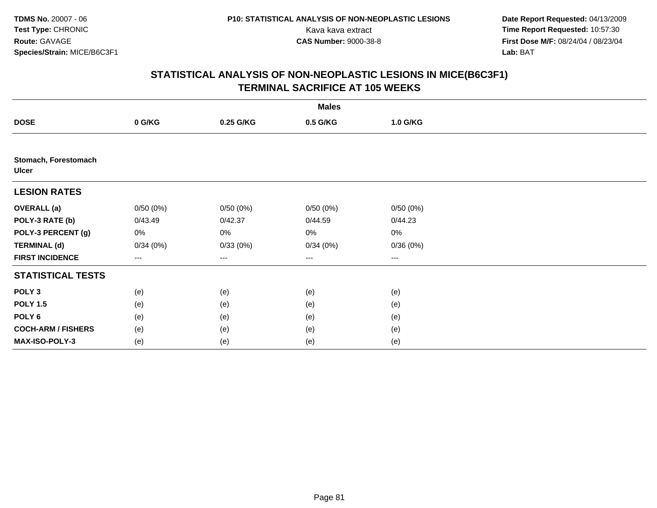**Date Report Requested:** 04/13/2009 Kava kava extract **Time Report Requested:** 10:57:30<br>**CAS Number:** 9000-38-8 **Time Report Requested:** 10:57:30 **First Dose M/F:** 08/24/04 / 08/23/04<br>Lab: BAT **Lab:** BAT

|                                      |          |           | <b>Males</b> |          |  |
|--------------------------------------|----------|-----------|--------------|----------|--|
| <b>DOSE</b>                          | 0 G/KG   | 0.25 G/KG | 0.5 G/KG     | 1.0 G/KG |  |
|                                      |          |           |              |          |  |
| Stomach, Forestomach<br><b>Ulcer</b> |          |           |              |          |  |
| <b>LESION RATES</b>                  |          |           |              |          |  |
| <b>OVERALL (a)</b>                   | 0/50(0%) | 0/50(0%)  | 0/50(0%)     | 0/50(0%) |  |
| POLY-3 RATE (b)                      | 0/43.49  | 0/42.37   | 0/44.59      | 0/44.23  |  |
| POLY-3 PERCENT (g)                   | 0%       | 0%        | 0%           | 0%       |  |
| <b>TERMINAL (d)</b>                  | 0/34(0%) | 0/33(0%)  | 0/34(0%)     | 0/36(0%) |  |
| <b>FIRST INCIDENCE</b>               | $--$     | $--$      | $--$         | $--$     |  |
| <b>STATISTICAL TESTS</b>             |          |           |              |          |  |
| POLY <sub>3</sub>                    | (e)      | (e)       | (e)          | (e)      |  |
| <b>POLY 1.5</b>                      | (e)      | (e)       | (e)          | (e)      |  |
| POLY <sub>6</sub>                    | (e)      | (e)       | (e)          | (e)      |  |
| <b>COCH-ARM / FISHERS</b>            | (e)      | (e)       | (e)          | (e)      |  |
| MAX-ISO-POLY-3                       | (e)      | (e)       | (e)          | (e)      |  |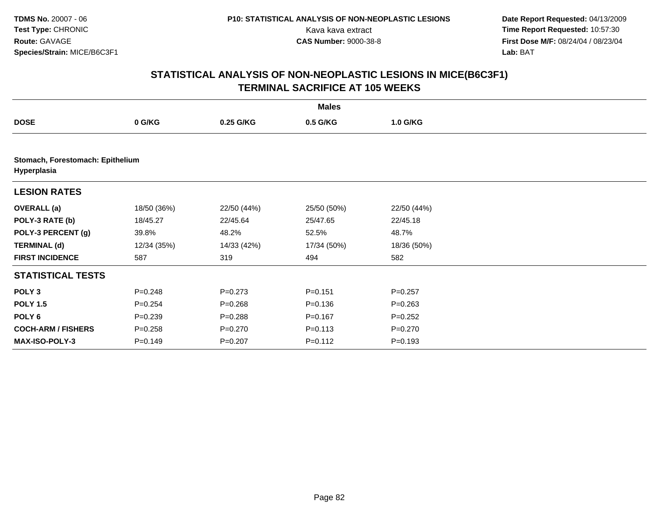**Date Report Requested:** 04/13/2009 Kava kava extract **Time Report Requested:** 10:57:30<br>**CAS Number:** 9000-38-8 **Time Report Requested:** 10:57:30 **First Dose M/F:** 08/24/04 / 08/23/04<br>Lab: BAT **Lab:** BAT

|                                                 |             |             | <b>Males</b> |             |  |
|-------------------------------------------------|-------------|-------------|--------------|-------------|--|
| <b>DOSE</b>                                     | 0 G/KG      | 0.25 G/KG   | 0.5 G/KG     | 1.0 G/KG    |  |
|                                                 |             |             |              |             |  |
| Stomach, Forestomach: Epithelium<br>Hyperplasia |             |             |              |             |  |
| <b>LESION RATES</b>                             |             |             |              |             |  |
| <b>OVERALL</b> (a)                              | 18/50 (36%) | 22/50 (44%) | 25/50 (50%)  | 22/50 (44%) |  |
| POLY-3 RATE (b)                                 | 18/45.27    | 22/45.64    | 25/47.65     | 22/45.18    |  |
| POLY-3 PERCENT (g)                              | 39.8%       | 48.2%       | 52.5%        | 48.7%       |  |
| <b>TERMINAL (d)</b>                             | 12/34 (35%) | 14/33 (42%) | 17/34 (50%)  | 18/36 (50%) |  |
| <b>FIRST INCIDENCE</b>                          | 587         | 319         | 494          | 582         |  |
| <b>STATISTICAL TESTS</b>                        |             |             |              |             |  |
| POLY <sub>3</sub>                               | $P = 0.248$ | $P=0.273$   | $P = 0.151$  | $P=0.257$   |  |
| <b>POLY 1.5</b>                                 | $P = 0.254$ | $P = 0.268$ | $P = 0.136$  | $P = 0.263$ |  |
| POLY <sub>6</sub>                               | $P = 0.239$ | $P = 0.288$ | $P = 0.167$  | $P=0.252$   |  |
| <b>COCH-ARM / FISHERS</b>                       | $P = 0.258$ | $P = 0.270$ | $P = 0.113$  | $P = 0.270$ |  |
| MAX-ISO-POLY-3                                  | $P = 0.149$ | $P = 0.207$ | $P = 0.112$  | $P = 0.193$ |  |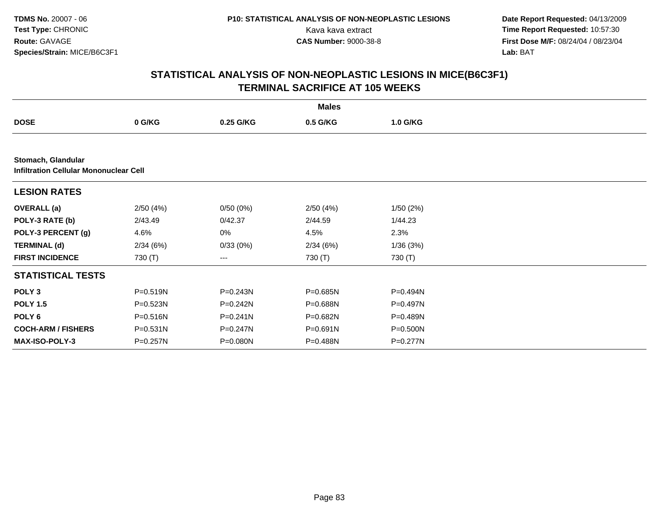**Date Report Requested:** 04/13/2009 Kava kava extract **Time Report Requested:** 10:57:30<br>**CAS Number:** 9000-38-8 **Time Report Requested:** 10:57:30 **First Dose M/F:** 08/24/04 / 08/23/04<br>Lab: BAT **Lab:** BAT

|                                                              |          |              | <b>Males</b> |              |  |  |  |  |  |
|--------------------------------------------------------------|----------|--------------|--------------|--------------|--|--|--|--|--|
| <b>DOSE</b>                                                  | 0 G/KG   | 0.25 G/KG    | 0.5 G/KG     | 1.0 G/KG     |  |  |  |  |  |
|                                                              |          |              |              |              |  |  |  |  |  |
| Stomach, Glandular<br>Infiltration Cellular Mononuclear Cell |          |              |              |              |  |  |  |  |  |
| <b>LESION RATES</b>                                          |          |              |              |              |  |  |  |  |  |
| <b>OVERALL (a)</b>                                           | 2/50(4%) | 0/50(0%)     | 2/50(4%)     | 1/50 (2%)    |  |  |  |  |  |
| POLY-3 RATE (b)                                              | 2/43.49  | 0/42.37      | 2/44.59      | 1/44.23      |  |  |  |  |  |
| POLY-3 PERCENT (g)                                           | 4.6%     | 0%           | 4.5%         | 2.3%         |  |  |  |  |  |
| <b>TERMINAL (d)</b>                                          | 2/34(6%) | 0/33(0%)     | 2/34(6%)     | 1/36(3%)     |  |  |  |  |  |
| <b>FIRST INCIDENCE</b>                                       | 730 (T)  | ---          | 730 (T)      | 730 (T)      |  |  |  |  |  |
| <b>STATISTICAL TESTS</b>                                     |          |              |              |              |  |  |  |  |  |
| POLY <sub>3</sub>                                            | P=0.519N | $P = 0.243N$ | P=0.685N     | P=0.494N     |  |  |  |  |  |
| <b>POLY 1.5</b>                                              | P=0.523N | $P = 0.242N$ | P=0.688N     | $P = 0.497N$ |  |  |  |  |  |
| POLY 6                                                       | P=0.516N | $P = 0.241N$ | P=0.682N     | P=0.489N     |  |  |  |  |  |
| <b>COCH-ARM / FISHERS</b>                                    | P=0.531N | P=0.247N     | P=0.691N     | P=0.500N     |  |  |  |  |  |
| <b>MAX-ISO-POLY-3</b>                                        | P=0.257N | P=0.080N     | P=0.488N     | P=0.277N     |  |  |  |  |  |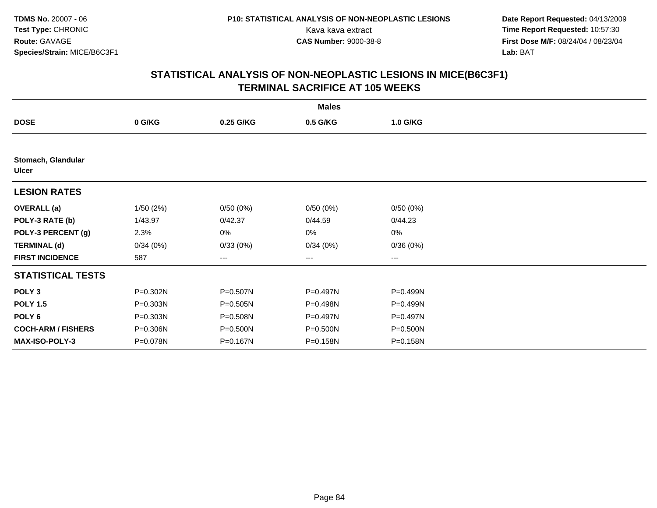**Date Report Requested:** 04/13/2009 Kava kava extract **Time Report Requested:** 10:57:30<br>**CAS Number:** 9000-38-8 **Time Report Requested:** 10:57:30 **First Dose M/F:** 08/24/04 / 08/23/04<br>Lab: BAT **Lab:** BAT

|                                    |              |           | <b>Males</b> |          |  |
|------------------------------------|--------------|-----------|--------------|----------|--|
| <b>DOSE</b>                        | 0 G/KG       | 0.25 G/KG | 0.5 G/KG     | 1.0 G/KG |  |
|                                    |              |           |              |          |  |
| Stomach, Glandular<br><b>Ulcer</b> |              |           |              |          |  |
| <b>LESION RATES</b>                |              |           |              |          |  |
| <b>OVERALL</b> (a)                 | 1/50(2%)     | 0/50(0%)  | 0/50(0%)     | 0/50(0%) |  |
| POLY-3 RATE (b)                    | 1/43.97      | 0/42.37   | 0/44.59      | 0/44.23  |  |
| POLY-3 PERCENT (g)                 | 2.3%         | 0%        | 0%           | 0%       |  |
| <b>TERMINAL (d)</b>                | 0/34(0%)     | 0/33(0%)  | 0/34(0%)     | 0/36(0%) |  |
| <b>FIRST INCIDENCE</b>             | 587          | ---       | ---          | ---      |  |
| <b>STATISTICAL TESTS</b>           |              |           |              |          |  |
| POLY <sub>3</sub>                  | P=0.302N     | P=0.507N  | P=0.497N     | P=0.499N |  |
| <b>POLY 1.5</b>                    | P=0.303N     | P=0.505N  | P=0.498N     | P=0.499N |  |
| POLY <sub>6</sub>                  | $P = 0.303N$ | P=0.508N  | P=0.497N     | P=0.497N |  |
| <b>COCH-ARM / FISHERS</b>          | P=0.306N     | P=0.500N  | P=0.500N     | P=0.500N |  |
| <b>MAX-ISO-POLY-3</b>              | P=0.078N     | P=0.167N  | P=0.158N     | P=0.158N |  |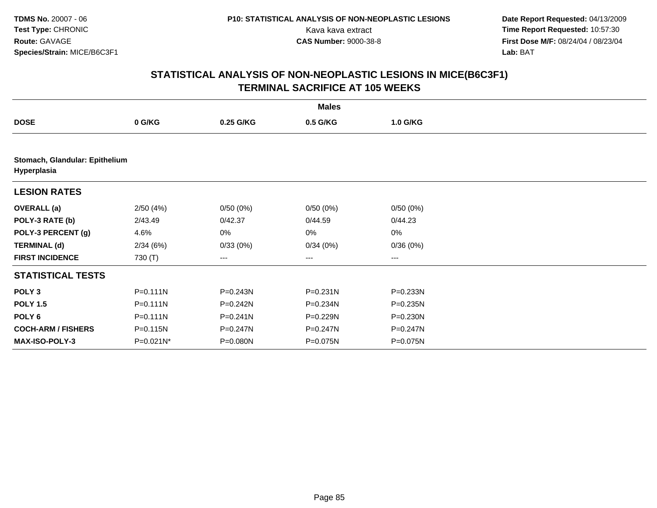**Date Report Requested:** 04/13/2009 Kava kava extract **Time Report Requested:** 10:57:30<br>**CAS Number:** 9000-38-8 **Time Report Requested:** 10:57:30 **First Dose M/F:** 08/24/04 / 08/23/04<br>Lab: BAT **Lab:** BAT

|                           | <b>Males</b>                   |              |                   |          |  |  |  |  |
|---------------------------|--------------------------------|--------------|-------------------|----------|--|--|--|--|
| <b>DOSE</b>               | 0 G/KG                         | 0.25 G/KG    | 0.5 G/KG          | 1.0 G/KG |  |  |  |  |
|                           |                                |              |                   |          |  |  |  |  |
| Hyperplasia               | Stomach, Glandular: Epithelium |              |                   |          |  |  |  |  |
| <b>LESION RATES</b>       |                                |              |                   |          |  |  |  |  |
| <b>OVERALL</b> (a)        | 2/50(4%)                       | 0/50(0%)     | 0/50(0%)          | 0/50(0%) |  |  |  |  |
| POLY-3 RATE (b)           | 2/43.49                        | 0/42.37      | 0/44.59           | 0/44.23  |  |  |  |  |
| POLY-3 PERCENT (g)        | 4.6%                           | 0%           | 0%                | $0\%$    |  |  |  |  |
| <b>TERMINAL (d)</b>       | 2/34(6%)                       | 0/33(0%)     | 0/34(0%)          | 0/36(0%) |  |  |  |  |
| <b>FIRST INCIDENCE</b>    | 730 (T)                        | ---          | $\qquad \qquad -$ | $---$    |  |  |  |  |
| <b>STATISTICAL TESTS</b>  |                                |              |                   |          |  |  |  |  |
| POLY <sub>3</sub>         | $P = 0.111N$                   | P=0.243N     | $P = 0.231N$      | P=0.233N |  |  |  |  |
| <b>POLY 1.5</b>           | $P = 0.111N$                   | P=0.242N     | P=0.234N          | P=0.235N |  |  |  |  |
| POLY <sub>6</sub>         | $P = 0.111N$                   | $P = 0.241N$ | P=0.229N          | P=0.230N |  |  |  |  |
| <b>COCH-ARM / FISHERS</b> | P=0.115N                       | P=0.247N     | $P = 0.247N$      | P=0.247N |  |  |  |  |
| <b>MAX-ISO-POLY-3</b>     | $P=0.021N^*$                   | P=0.080N     | P=0.075N          | P=0.075N |  |  |  |  |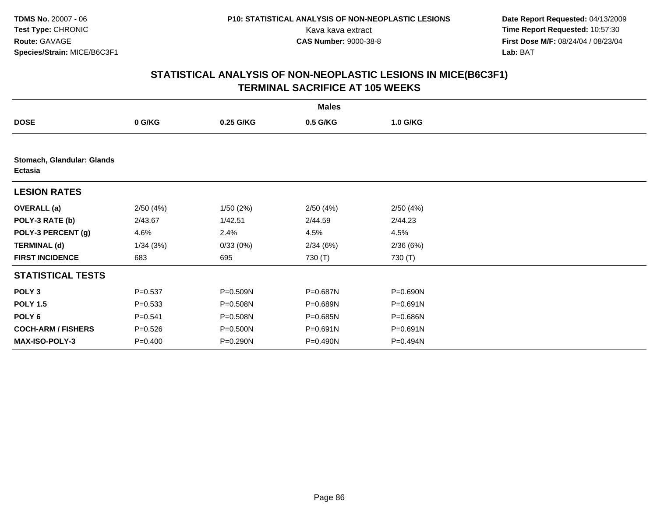**Date Report Requested:** 04/13/2009 Kava kava extract **Time Report Requested:** 10:57:30<br>**CAS Number:** 9000-38-8 **Time Report Requested:** 10:57:30 **First Dose M/F:** 08/24/04 / 08/23/04<br>Lab: BAT **Lab:** BAT

| <b>Males</b>                                 |             |           |              |          |  |  |  |
|----------------------------------------------|-------------|-----------|--------------|----------|--|--|--|
| <b>DOSE</b>                                  | 0 G/KG      | 0.25 G/KG | 0.5 G/KG     | 1.0 G/KG |  |  |  |
|                                              |             |           |              |          |  |  |  |
| Stomach, Glandular: Glands<br><b>Ectasia</b> |             |           |              |          |  |  |  |
| <b>LESION RATES</b>                          |             |           |              |          |  |  |  |
| <b>OVERALL</b> (a)                           | 2/50(4%)    | 1/50(2%)  | 2/50(4%)     | 2/50(4%) |  |  |  |
| POLY-3 RATE (b)                              | 2/43.67     | 1/42.51   | 2/44.59      | 2/44.23  |  |  |  |
| POLY-3 PERCENT (g)                           | 4.6%        | 2.4%      | 4.5%         | 4.5%     |  |  |  |
| <b>TERMINAL (d)</b>                          | 1/34(3%)    | 0/33(0%)  | 2/34(6%)     | 2/36(6%) |  |  |  |
| <b>FIRST INCIDENCE</b>                       | 683         | 695       | 730 (T)      | 730 (T)  |  |  |  |
| <b>STATISTICAL TESTS</b>                     |             |           |              |          |  |  |  |
| POLY <sub>3</sub>                            | $P = 0.537$ | P=0.509N  | P=0.687N     | P=0.690N |  |  |  |
| <b>POLY 1.5</b>                              | $P = 0.533$ | P=0.508N  | P=0.689N     | P=0.691N |  |  |  |
| POLY 6                                       | $P = 0.541$ | P=0.508N  | P=0.685N     | P=0.686N |  |  |  |
| <b>COCH-ARM / FISHERS</b>                    | $P = 0.526$ | P=0.500N  | $P = 0.691N$ | P=0.691N |  |  |  |
| <b>MAX-ISO-POLY-3</b>                        | $P = 0.400$ | P=0.290N  | $P = 0.490N$ | P=0.494N |  |  |  |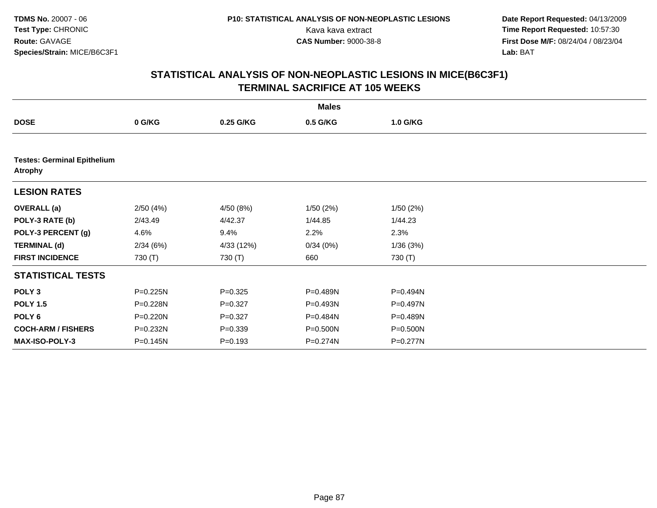**Date Report Requested:** 04/13/2009 Kava kava extract **Time Report Requested:** 10:57:30<br>**CAS Number:** 9000-38-8 **Time Report Requested:** 10:57:30 **First Dose M/F:** 08/24/04 / 08/23/04<br>Lab: BAT **Lab:** BAT

|                                                      | <b>Males</b> |             |          |          |  |  |  |  |
|------------------------------------------------------|--------------|-------------|----------|----------|--|--|--|--|
| <b>DOSE</b>                                          | 0 G/KG       | 0.25 G/KG   | 0.5 G/KG | 1.0 G/KG |  |  |  |  |
|                                                      |              |             |          |          |  |  |  |  |
| <b>Testes: Germinal Epithelium</b><br><b>Atrophy</b> |              |             |          |          |  |  |  |  |
| <b>LESION RATES</b>                                  |              |             |          |          |  |  |  |  |
| <b>OVERALL</b> (a)                                   | 2/50(4%)     | 4/50 (8%)   | 1/50(2%) | 1/50(2%) |  |  |  |  |
| POLY-3 RATE (b)                                      | 2/43.49      | 4/42.37     | 1/44.85  | 1/44.23  |  |  |  |  |
| POLY-3 PERCENT (g)                                   | 4.6%         | 9.4%        | 2.2%     | 2.3%     |  |  |  |  |
| <b>TERMINAL (d)</b>                                  | 2/34(6%)     | 4/33 (12%)  | 0/34(0%) | 1/36(3%) |  |  |  |  |
| <b>FIRST INCIDENCE</b>                               | 730 (T)      | 730 (T)     | 660      | 730 (T)  |  |  |  |  |
| <b>STATISTICAL TESTS</b>                             |              |             |          |          |  |  |  |  |
| POLY <sub>3</sub>                                    | P=0.225N     | $P = 0.325$ | P=0.489N | P=0.494N |  |  |  |  |
| <b>POLY 1.5</b>                                      | P=0.228N     | $P = 0.327$ | P=0.493N | P=0.497N |  |  |  |  |
| POLY 6                                               | P=0.220N     | $P = 0.327$ | P=0.484N | P=0.489N |  |  |  |  |
| <b>COCH-ARM / FISHERS</b>                            | P=0.232N     | $P = 0.339$ | P=0.500N | P=0.500N |  |  |  |  |
| <b>MAX-ISO-POLY-3</b>                                | P=0.145N     | $P = 0.193$ | P=0.274N | P=0.277N |  |  |  |  |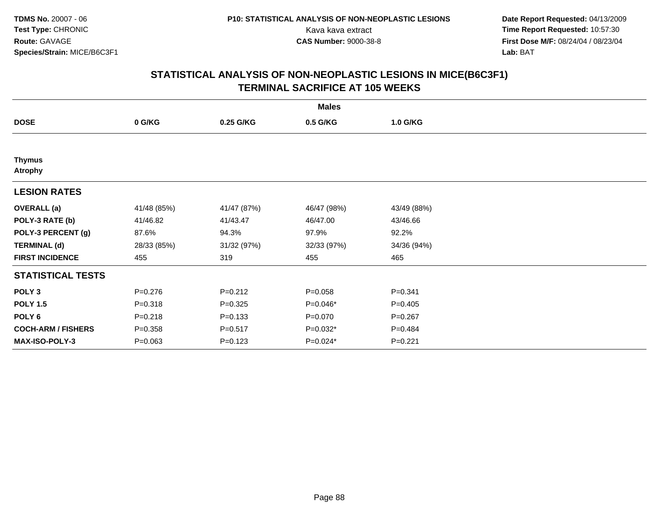**Date Report Requested:** 04/13/2009 Kava kava extract **Time Report Requested:** 10:57:30<br>**CAS Number:** 9000-38-8 **Time Report Requested:** 10:57:30 **First Dose M/F:** 08/24/04 / 08/23/04<br>Lab: BAT **Lab:** BAT

| <b>Males</b>                    |             |             |             |             |  |  |  |
|---------------------------------|-------------|-------------|-------------|-------------|--|--|--|
| <b>DOSE</b>                     | 0 G/KG      | 0.25 G/KG   | 0.5 G/KG    | 1.0 G/KG    |  |  |  |
|                                 |             |             |             |             |  |  |  |
| <b>Thymus</b><br><b>Atrophy</b> |             |             |             |             |  |  |  |
| <b>LESION RATES</b>             |             |             |             |             |  |  |  |
| <b>OVERALL</b> (a)              | 41/48 (85%) | 41/47 (87%) | 46/47 (98%) | 43/49 (88%) |  |  |  |
| POLY-3 RATE (b)                 | 41/46.82    | 41/43.47    | 46/47.00    | 43/46.66    |  |  |  |
| POLY-3 PERCENT (g)              | 87.6%       | 94.3%       | 97.9%       | 92.2%       |  |  |  |
| <b>TERMINAL (d)</b>             | 28/33 (85%) | 31/32 (97%) | 32/33 (97%) | 34/36 (94%) |  |  |  |
| <b>FIRST INCIDENCE</b>          | 455         | 319         | 455         | 465         |  |  |  |
| <b>STATISTICAL TESTS</b>        |             |             |             |             |  |  |  |
| POLY <sub>3</sub>               | $P = 0.276$ | $P = 0.212$ | $P = 0.058$ | $P = 0.341$ |  |  |  |
| <b>POLY 1.5</b>                 | $P = 0.318$ | $P = 0.325$ | P=0.046*    | $P=0.405$   |  |  |  |
| POLY 6                          | $P = 0.218$ | $P = 0.133$ | $P = 0.070$ | $P = 0.267$ |  |  |  |
| <b>COCH-ARM / FISHERS</b>       | $P = 0.358$ | $P = 0.517$ | $P=0.032*$  | $P=0.484$   |  |  |  |
| MAX-ISO-POLY-3                  | $P = 0.063$ | $P = 0.123$ | $P=0.024*$  | $P=0.221$   |  |  |  |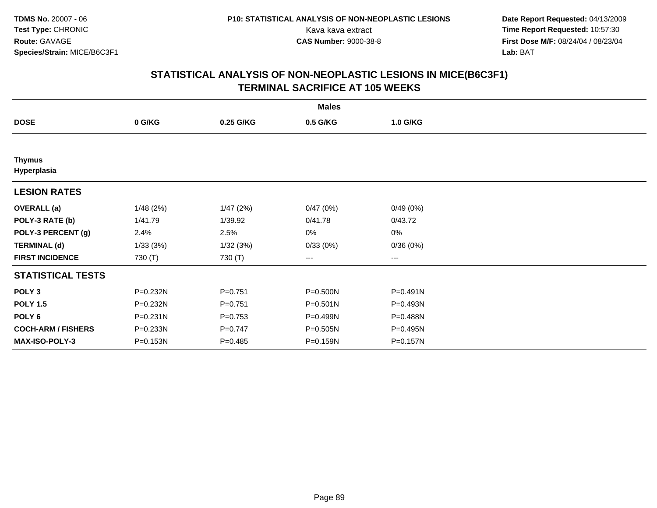**Date Report Requested:** 04/13/2009 Kava kava extract **Time Report Requested:** 10:57:30<br>**CAS Number:** 9000-38-8 **Time Report Requested:** 10:57:30 **First Dose M/F:** 08/24/04 / 08/23/04<br>Lab: BAT **Lab:** BAT

|                              | <b>Males</b> |             |              |                   |  |  |  |  |
|------------------------------|--------------|-------------|--------------|-------------------|--|--|--|--|
| <b>DOSE</b>                  | 0 G/KG       | 0.25 G/KG   | 0.5 G/KG     | 1.0 G/KG          |  |  |  |  |
|                              |              |             |              |                   |  |  |  |  |
| <b>Thymus</b><br>Hyperplasia |              |             |              |                   |  |  |  |  |
| <b>LESION RATES</b>          |              |             |              |                   |  |  |  |  |
| <b>OVERALL</b> (a)           | 1/48(2%)     | 1/47(2%)    | 0/47(0%)     | 0/49(0%)          |  |  |  |  |
| POLY-3 RATE (b)              | 1/41.79      | 1/39.92     | 0/41.78      | 0/43.72           |  |  |  |  |
| POLY-3 PERCENT (g)           | 2.4%         | 2.5%        | 0%           | 0%                |  |  |  |  |
| <b>TERMINAL (d)</b>          | 1/33(3%)     | 1/32(3%)    | 0/33(0%)     | 0/36(0%)          |  |  |  |  |
| <b>FIRST INCIDENCE</b>       | 730 (T)      | 730 (T)     | ---          | $\qquad \qquad -$ |  |  |  |  |
| <b>STATISTICAL TESTS</b>     |              |             |              |                   |  |  |  |  |
| POLY <sub>3</sub>            | P=0.232N     | $P = 0.751$ | P=0.500N     | P=0.491N          |  |  |  |  |
| <b>POLY 1.5</b>              | P=0.232N     | $P = 0.751$ | $P = 0.501N$ | P=0.493N          |  |  |  |  |
| POLY <sub>6</sub>            | P=0.231N     | $P = 0.753$ | P=0.499N     | P=0.488N          |  |  |  |  |
| <b>COCH-ARM / FISHERS</b>    | P=0.233N     | $P = 0.747$ | P=0.505N     | P=0.495N          |  |  |  |  |
| <b>MAX-ISO-POLY-3</b>        | P=0.153N     | $P = 0.485$ | P=0.159N     | P=0.157N          |  |  |  |  |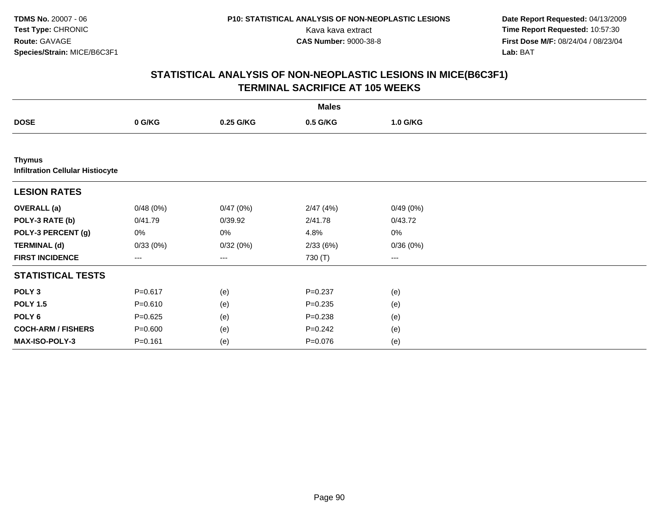**Date Report Requested:** 04/13/2009 Kava kava extract **Time Report Requested:** 10:57:30<br>**CAS Number:** 9000-38-8 **Time Report Requested:** 10:57:30 **First Dose M/F:** 08/24/04 / 08/23/04<br>Lab: BAT **Lab:** BAT

|                                                          | <b>Males</b> |           |             |          |  |  |  |  |
|----------------------------------------------------------|--------------|-----------|-------------|----------|--|--|--|--|
| <b>DOSE</b>                                              | 0 G/KG       | 0.25 G/KG | 0.5 G/KG    | 1.0 G/KG |  |  |  |  |
|                                                          |              |           |             |          |  |  |  |  |
| <b>Thymus</b><br><b>Infiltration Cellular Histiocyte</b> |              |           |             |          |  |  |  |  |
| <b>LESION RATES</b>                                      |              |           |             |          |  |  |  |  |
| <b>OVERALL</b> (a)                                       | 0/48(0%)     | 0/47(0%)  | 2/47(4%)    | 0/49(0%) |  |  |  |  |
| POLY-3 RATE (b)                                          | 0/41.79      | 0/39.92   | 2/41.78     | 0/43.72  |  |  |  |  |
| POLY-3 PERCENT (g)                                       | 0%           | 0%        | 4.8%        | $0\%$    |  |  |  |  |
| <b>TERMINAL (d)</b>                                      | 0/33(0%)     | 0/32(0%)  | 2/33(6%)    | 0/36(0%) |  |  |  |  |
| <b>FIRST INCIDENCE</b>                                   | ---          | ---       | 730 (T)     | ---      |  |  |  |  |
| <b>STATISTICAL TESTS</b>                                 |              |           |             |          |  |  |  |  |
| POLY <sub>3</sub>                                        | $P = 0.617$  | (e)       | $P = 0.237$ | (e)      |  |  |  |  |
| <b>POLY 1.5</b>                                          | $P = 0.610$  | (e)       | $P = 0.235$ | (e)      |  |  |  |  |
| POLY <sub>6</sub>                                        | $P = 0.625$  | (e)       | $P = 0.238$ | (e)      |  |  |  |  |
| <b>COCH-ARM / FISHERS</b>                                | $P = 0.600$  | (e)       | $P = 0.242$ | (e)      |  |  |  |  |
| MAX-ISO-POLY-3                                           | $P = 0.161$  | (e)       | $P = 0.076$ | (e)      |  |  |  |  |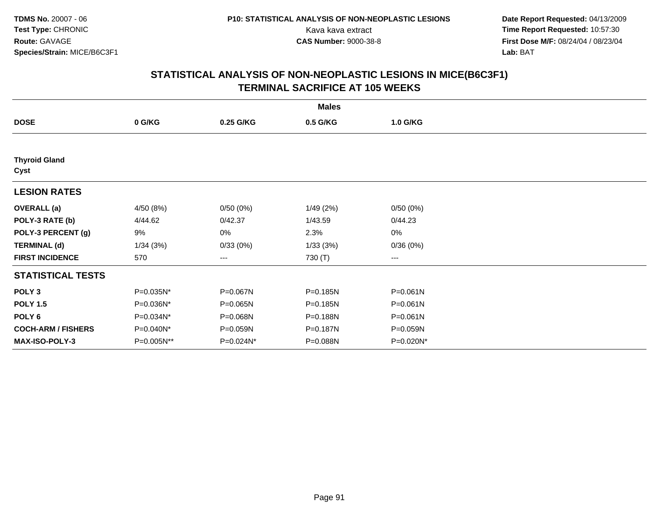**Date Report Requested:** 04/13/2009 Kava kava extract **Time Report Requested:** 10:57:30<br>**CAS Number:** 9000-38-8 **Time Report Requested:** 10:57:30 **First Dose M/F:** 08/24/04 / 08/23/04<br>Lab: BAT **Lab:** BAT

|                              | <b>Males</b> |           |          |           |  |  |  |  |
|------------------------------|--------------|-----------|----------|-----------|--|--|--|--|
| <b>DOSE</b>                  | 0 G/KG       | 0.25 G/KG | 0.5 G/KG | 1.0 G/KG  |  |  |  |  |
|                              |              |           |          |           |  |  |  |  |
| <b>Thyroid Gland</b><br>Cyst |              |           |          |           |  |  |  |  |
| <b>LESION RATES</b>          |              |           |          |           |  |  |  |  |
| <b>OVERALL</b> (a)           | 4/50 (8%)    | 0/50(0%)  | 1/49(2%) | 0/50(0%)  |  |  |  |  |
| POLY-3 RATE (b)              | 4/44.62      | 0/42.37   | 1/43.59  | 0/44.23   |  |  |  |  |
| POLY-3 PERCENT (g)           | 9%           | 0%        | 2.3%     | 0%        |  |  |  |  |
| <b>TERMINAL (d)</b>          | 1/34(3%)     | 0/33(0%)  | 1/33(3%) | 0/36(0%)  |  |  |  |  |
| <b>FIRST INCIDENCE</b>       | 570          | ---       | 730 (T)  | ---       |  |  |  |  |
| <b>STATISTICAL TESTS</b>     |              |           |          |           |  |  |  |  |
| POLY <sub>3</sub>            | P=0.035N*    | P=0.067N  | P=0.185N | P=0.061N  |  |  |  |  |
| <b>POLY 1.5</b>              | P=0.036N*    | P=0.065N  | P=0.185N | P=0.061N  |  |  |  |  |
| POLY <sub>6</sub>            | P=0.034N*    | P=0.068N  | P=0.188N | P=0.061N  |  |  |  |  |
| <b>COCH-ARM / FISHERS</b>    | P=0.040N*    | P=0.059N  | P=0.187N | P=0.059N  |  |  |  |  |
| MAX-ISO-POLY-3               | P=0.005N**   | P=0.024N* | P=0.088N | P=0.020N* |  |  |  |  |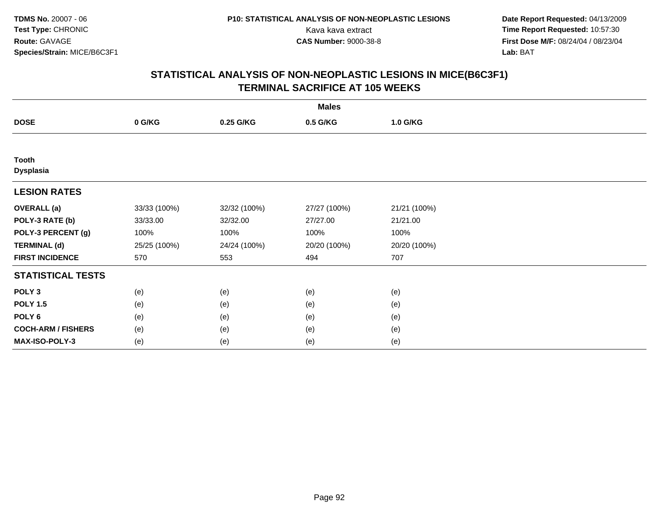**Date Report Requested:** 04/13/2009 Kava kava extract **Time Report Requested:** 10:57:30<br>**CAS Number:** 9000-38-8 **Time Report Requested:** 10:57:30 **First Dose M/F:** 08/24/04 / 08/23/04<br>Lab: BAT **Lab:** BAT

|                                  | <b>Males</b> |              |              |              |  |  |  |  |
|----------------------------------|--------------|--------------|--------------|--------------|--|--|--|--|
| <b>DOSE</b>                      | 0 G/KG       | 0.25 G/KG    | 0.5 G/KG     | 1.0 G/KG     |  |  |  |  |
|                                  |              |              |              |              |  |  |  |  |
| <b>Tooth</b><br><b>Dysplasia</b> |              |              |              |              |  |  |  |  |
| <b>LESION RATES</b>              |              |              |              |              |  |  |  |  |
| <b>OVERALL</b> (a)               | 33/33 (100%) | 32/32 (100%) | 27/27 (100%) | 21/21 (100%) |  |  |  |  |
| POLY-3 RATE (b)                  | 33/33.00     | 32/32.00     | 27/27.00     | 21/21.00     |  |  |  |  |
| POLY-3 PERCENT (g)               | 100%         | 100%         | 100%         | 100%         |  |  |  |  |
| <b>TERMINAL (d)</b>              | 25/25 (100%) | 24/24 (100%) | 20/20 (100%) | 20/20 (100%) |  |  |  |  |
| <b>FIRST INCIDENCE</b>           | 570          | 553          | 494          | 707          |  |  |  |  |
| <b>STATISTICAL TESTS</b>         |              |              |              |              |  |  |  |  |
| POLY <sub>3</sub>                | (e)          | (e)          | (e)          | (e)          |  |  |  |  |
| <b>POLY 1.5</b>                  | (e)          | (e)          | (e)          | (e)          |  |  |  |  |
| POLY <sub>6</sub>                | (e)          | (e)          | (e)          | (e)          |  |  |  |  |
| <b>COCH-ARM / FISHERS</b>        | (e)          | (e)          | (e)          | (e)          |  |  |  |  |
| MAX-ISO-POLY-3                   | (e)          | (e)          | (e)          | (e)          |  |  |  |  |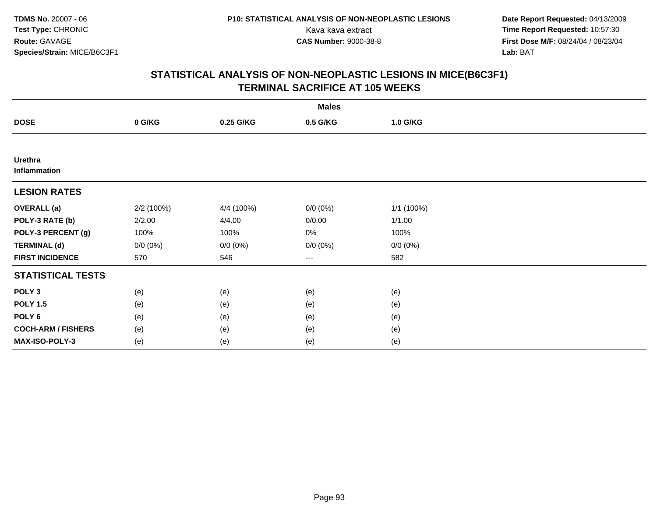**Date Report Requested:** 04/13/2009 Kava kava extract **Time Report Requested:** 10:57:30<br>**CAS Number:** 9000-38-8 **Time Report Requested:** 10:57:30 **First Dose M/F:** 08/24/04 / 08/23/04<br>Lab: BAT **Lab:** BAT

|                                | <b>Males</b> |             |             |             |  |  |  |  |
|--------------------------------|--------------|-------------|-------------|-------------|--|--|--|--|
| <b>DOSE</b>                    | 0 G/KG       | 0.25 G/KG   | 0.5 G/KG    | 1.0 G/KG    |  |  |  |  |
|                                |              |             |             |             |  |  |  |  |
| <b>Urethra</b><br>Inflammation |              |             |             |             |  |  |  |  |
| <b>LESION RATES</b>            |              |             |             |             |  |  |  |  |
| <b>OVERALL</b> (a)             | 2/2 (100%)   | 4/4 (100%)  | $0/0 (0\%)$ | 1/1 (100%)  |  |  |  |  |
| POLY-3 RATE (b)                | 2/2.00       | 4/4.00      | 0/0.00      | 1/1.00      |  |  |  |  |
| POLY-3 PERCENT (g)             | 100%         | 100%        | 0%          | 100%        |  |  |  |  |
| <b>TERMINAL (d)</b>            | $0/0 (0\%)$  | $0/0 (0\%)$ | $0/0 (0\%)$ | $0/0 (0\%)$ |  |  |  |  |
| <b>FIRST INCIDENCE</b>         | 570          | 546         | ---         | 582         |  |  |  |  |
| <b>STATISTICAL TESTS</b>       |              |             |             |             |  |  |  |  |
| POLY <sub>3</sub>              | (e)          | (e)         | (e)         | (e)         |  |  |  |  |
| <b>POLY 1.5</b>                | (e)          | (e)         | (e)         | (e)         |  |  |  |  |
| POLY <sub>6</sub>              | (e)          | (e)         | (e)         | (e)         |  |  |  |  |
| <b>COCH-ARM / FISHERS</b>      | (e)          | (e)         | (e)         | (e)         |  |  |  |  |
| MAX-ISO-POLY-3                 | (e)          | (e)         | (e)         | (e)         |  |  |  |  |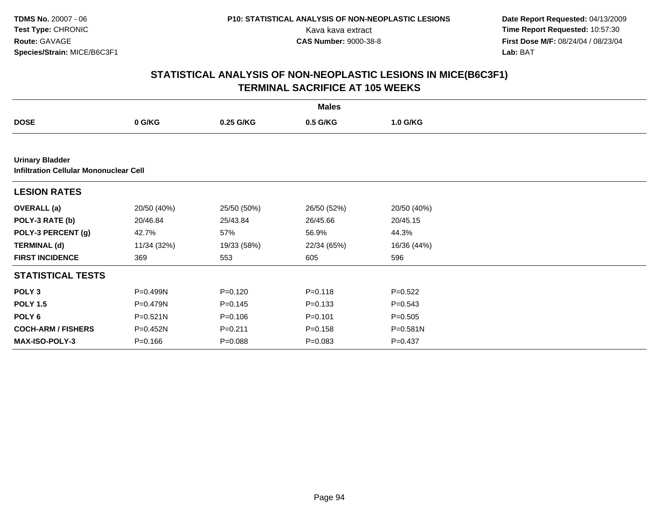**Date Report Requested:** 04/13/2009 Kava kava extract **Time Report Requested:** 10:57:30<br>**CAS Number:** 9000-38-8 **Time Report Requested:** 10:57:30 **First Dose M/F:** 08/24/04 / 08/23/04<br>Lab: BAT **Lab:** BAT

|                                                                         | <b>Males</b> |             |             |             |  |  |  |  |
|-------------------------------------------------------------------------|--------------|-------------|-------------|-------------|--|--|--|--|
| <b>DOSE</b>                                                             | 0 G/KG       | 0.25 G/KG   | 0.5 G/KG    | 1.0 G/KG    |  |  |  |  |
|                                                                         |              |             |             |             |  |  |  |  |
| <b>Urinary Bladder</b><br><b>Infiltration Cellular Mononuclear Cell</b> |              |             |             |             |  |  |  |  |
| <b>LESION RATES</b>                                                     |              |             |             |             |  |  |  |  |
| <b>OVERALL</b> (a)                                                      | 20/50 (40%)  | 25/50 (50%) | 26/50 (52%) | 20/50 (40%) |  |  |  |  |
| POLY-3 RATE (b)                                                         | 20/46.84     | 25/43.84    | 26/45.66    | 20/45.15    |  |  |  |  |
| POLY-3 PERCENT (g)                                                      | 42.7%        | 57%         | 56.9%       | 44.3%       |  |  |  |  |
| <b>TERMINAL (d)</b>                                                     | 11/34 (32%)  | 19/33 (58%) | 22/34 (65%) | 16/36 (44%) |  |  |  |  |
| <b>FIRST INCIDENCE</b>                                                  | 369          | 553         | 605         | 596         |  |  |  |  |
| <b>STATISTICAL TESTS</b>                                                |              |             |             |             |  |  |  |  |
| POLY <sub>3</sub>                                                       | P=0.499N     | $P = 0.120$ | $P = 0.118$ | $P=0.522$   |  |  |  |  |
| <b>POLY 1.5</b>                                                         | P=0.479N     | $P = 0.145$ | $P = 0.133$ | $P = 0.543$ |  |  |  |  |
| POLY <sub>6</sub>                                                       | $P = 0.521N$ | $P = 0.106$ | $P = 0.101$ | $P = 0.505$ |  |  |  |  |
| <b>COCH-ARM / FISHERS</b>                                               | P=0.452N     | $P = 0.211$ | $P = 0.158$ | P=0.581N    |  |  |  |  |
| <b>MAX-ISO-POLY-3</b>                                                   | $P = 0.166$  | $P = 0.088$ | $P = 0.083$ | $P = 0.437$ |  |  |  |  |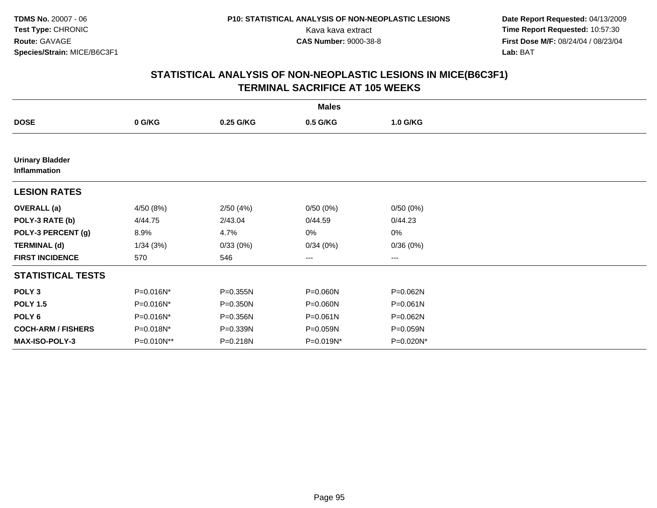**Date Report Requested:** 04/13/2009 Kava kava extract **Time Report Requested:** 10:57:30<br>**CAS Number:** 9000-38-8 **Time Report Requested:** 10:57:30 **First Dose M/F:** 08/24/04 / 08/23/04<br>Lab: BAT **Lab:** BAT

| <b>Males</b>                           |            |           |           |              |  |  |  |
|----------------------------------------|------------|-----------|-----------|--------------|--|--|--|
| <b>DOSE</b>                            | 0 G/KG     | 0.25 G/KG | 0.5 G/KG  | 1.0 G/KG     |  |  |  |
|                                        |            |           |           |              |  |  |  |
| <b>Urinary Bladder</b><br>Inflammation |            |           |           |              |  |  |  |
| <b>LESION RATES</b>                    |            |           |           |              |  |  |  |
| <b>OVERALL</b> (a)                     | 4/50 (8%)  | 2/50(4%)  | 0/50(0%)  | 0/50(0%)     |  |  |  |
| POLY-3 RATE (b)                        | 4/44.75    | 2/43.04   | 0/44.59   | 0/44.23      |  |  |  |
| POLY-3 PERCENT (g)                     | 8.9%       | 4.7%      | 0%        | 0%           |  |  |  |
| <b>TERMINAL (d)</b>                    | 1/34(3%)   | 0/33(0%)  | 0/34(0%)  | 0/36(0%)     |  |  |  |
| <b>FIRST INCIDENCE</b>                 | 570        | 546       | ---       | $--$         |  |  |  |
| <b>STATISTICAL TESTS</b>               |            |           |           |              |  |  |  |
| POLY <sub>3</sub>                      | P=0.016N*  | P=0.355N  | P=0.060N  | P=0.062N     |  |  |  |
| <b>POLY 1.5</b>                        | P=0.016N*  | P=0.350N  | P=0.060N  | $P = 0.061N$ |  |  |  |
| POLY <sub>6</sub>                      | P=0.016N*  | P=0.356N  | P=0.061N  | P=0.062N     |  |  |  |
| <b>COCH-ARM / FISHERS</b>              | P=0.018N*  | P=0.339N  | P=0.059N  | P=0.059N     |  |  |  |
| MAX-ISO-POLY-3                         | P=0.010N** | P=0.218N  | P=0.019N* | P=0.020N*    |  |  |  |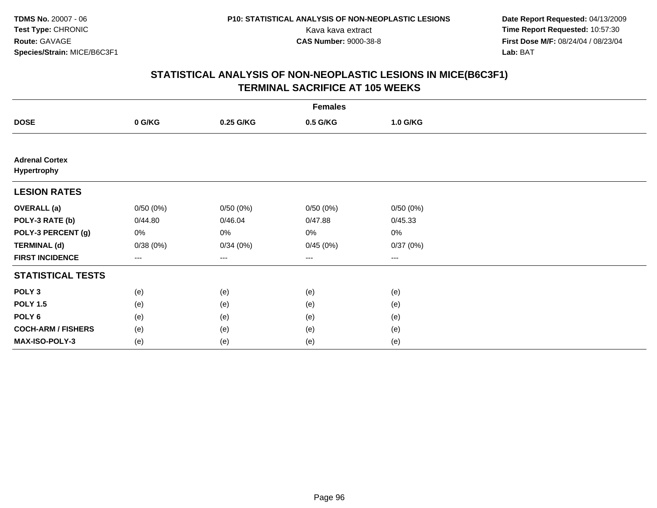**Date Report Requested:** 04/13/2009 Kava kava extract **Time Report Requested:** 10:57:30<br>**CAS Number:** 9000-38-8 **Time Report Requested:** 10:57:30 **First Dose M/F:** 08/24/04 / 08/23/04<br>Lab: BAT **Lab:** BAT

|                                             | <b>Females</b> |           |          |                                          |  |  |  |  |
|---------------------------------------------|----------------|-----------|----------|------------------------------------------|--|--|--|--|
| <b>DOSE</b>                                 | 0 G/KG         | 0.25 G/KG | 0.5 G/KG | 1.0 G/KG                                 |  |  |  |  |
|                                             |                |           |          |                                          |  |  |  |  |
| <b>Adrenal Cortex</b><br><b>Hypertrophy</b> |                |           |          |                                          |  |  |  |  |
| <b>LESION RATES</b>                         |                |           |          |                                          |  |  |  |  |
| <b>OVERALL</b> (a)                          | 0/50(0%)       | 0/50(0%)  | 0/50(0%) | 0/50(0%)                                 |  |  |  |  |
| POLY-3 RATE (b)                             | 0/44.80        | 0/46.04   | 0/47.88  | 0/45.33                                  |  |  |  |  |
| POLY-3 PERCENT (g)                          | 0%             | 0%        | 0%       | $0\%$                                    |  |  |  |  |
| <b>TERMINAL (d)</b>                         | 0/38(0%)       | 0/34(0%)  | 0/45(0%) | 0/37(0%)                                 |  |  |  |  |
| <b>FIRST INCIDENCE</b>                      | $\cdots$       | $\cdots$  | $\cdots$ | $\hspace{0.05cm} \ldots \hspace{0.05cm}$ |  |  |  |  |
| <b>STATISTICAL TESTS</b>                    |                |           |          |                                          |  |  |  |  |
| POLY <sub>3</sub>                           | (e)            | (e)       | (e)      | (e)                                      |  |  |  |  |
| <b>POLY 1.5</b>                             | (e)            | (e)       | (e)      | (e)                                      |  |  |  |  |
| POLY <sub>6</sub>                           | (e)            | (e)       | (e)      | (e)                                      |  |  |  |  |
| <b>COCH-ARM / FISHERS</b>                   | (e)            | (e)       | (e)      | (e)                                      |  |  |  |  |
| MAX-ISO-POLY-3                              | (e)            | (e)       | (e)      | (e)                                      |  |  |  |  |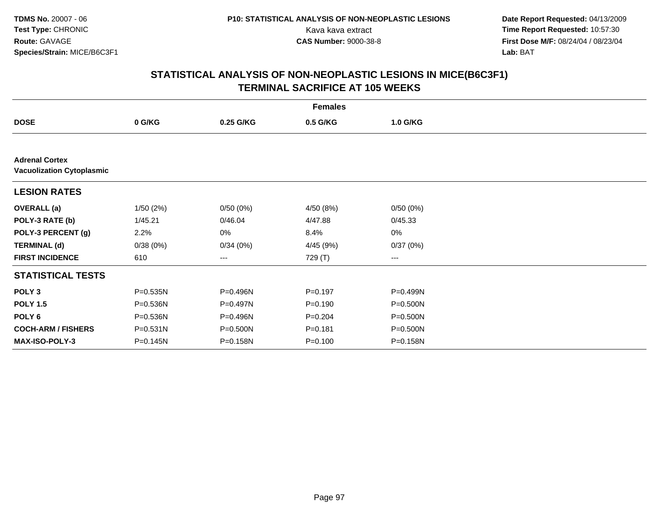**Date Report Requested:** 04/13/2009 Kava kava extract **Time Report Requested:** 10:57:30<br>**CAS Number:** 9000-38-8 **Time Report Requested:** 10:57:30 **First Dose M/F:** 08/24/04 / 08/23/04<br>Lab: BAT **Lab:** BAT

|                                                           | <b>Females</b> |           |             |          |  |  |  |  |
|-----------------------------------------------------------|----------------|-----------|-------------|----------|--|--|--|--|
| <b>DOSE</b>                                               | 0 G/KG         | 0.25 G/KG | 0.5 G/KG    | 1.0 G/KG |  |  |  |  |
|                                                           |                |           |             |          |  |  |  |  |
| <b>Adrenal Cortex</b><br><b>Vacuolization Cytoplasmic</b> |                |           |             |          |  |  |  |  |
| <b>LESION RATES</b>                                       |                |           |             |          |  |  |  |  |
| <b>OVERALL</b> (a)                                        | 1/50(2%)       | 0/50(0%)  | 4/50 (8%)   | 0/50(0%) |  |  |  |  |
| POLY-3 RATE (b)                                           | 1/45.21        | 0/46.04   | 4/47.88     | 0/45.33  |  |  |  |  |
| POLY-3 PERCENT (g)                                        | 2.2%           | 0%        | 8.4%        | 0%       |  |  |  |  |
| <b>TERMINAL (d)</b>                                       | 0/38(0%)       | 0/34(0%)  | 4/45 (9%)   | 0/37(0%) |  |  |  |  |
| <b>FIRST INCIDENCE</b>                                    | 610            | $--$      | 729 (T)     | ---      |  |  |  |  |
| <b>STATISTICAL TESTS</b>                                  |                |           |             |          |  |  |  |  |
| POLY <sub>3</sub>                                         | P=0.535N       | P=0.496N  | $P = 0.197$ | P=0.499N |  |  |  |  |
| <b>POLY 1.5</b>                                           | P=0.536N       | P=0.497N  | $P = 0.190$ | P=0.500N |  |  |  |  |
| POLY 6                                                    | P=0.536N       | P=0.496N  | $P=0.204$   | P=0.500N |  |  |  |  |
| <b>COCH-ARM / FISHERS</b>                                 | $P = 0.531N$   | P=0.500N  | $P = 0.181$ | P=0.500N |  |  |  |  |
| <b>MAX-ISO-POLY-3</b>                                     | P=0.145N       | P=0.158N  | $P = 0.100$ | P=0.158N |  |  |  |  |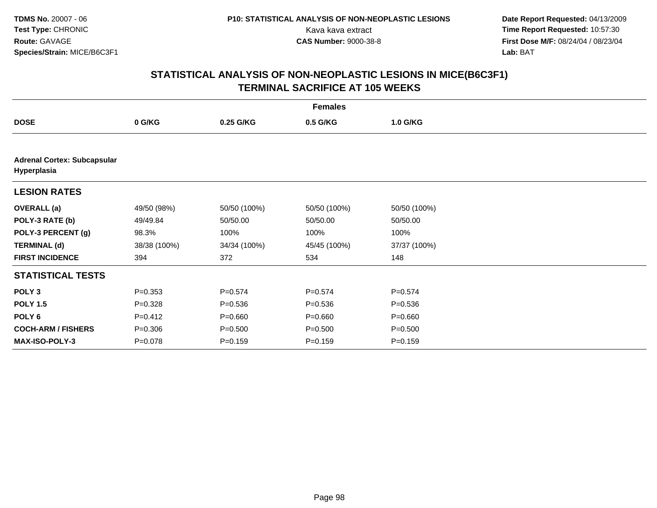**Date Report Requested:** 04/13/2009 Kava kava extract **Time Report Requested:** 10:57:30<br>**CAS Number:** 9000-38-8 **Time Report Requested:** 10:57:30 **First Dose M/F:** 08/24/04 / 08/23/04<br>Lab: BAT **Lab:** BAT

|                                                   | <b>Females</b> |              |              |              |  |  |  |  |
|---------------------------------------------------|----------------|--------------|--------------|--------------|--|--|--|--|
| <b>DOSE</b>                                       | 0 G/KG         | 0.25 G/KG    | 0.5 G/KG     | 1.0 G/KG     |  |  |  |  |
|                                                   |                |              |              |              |  |  |  |  |
| <b>Adrenal Cortex: Subcapsular</b><br>Hyperplasia |                |              |              |              |  |  |  |  |
| <b>LESION RATES</b>                               |                |              |              |              |  |  |  |  |
| <b>OVERALL</b> (a)                                | 49/50 (98%)    | 50/50 (100%) | 50/50 (100%) | 50/50 (100%) |  |  |  |  |
| POLY-3 RATE (b)                                   | 49/49.84       | 50/50.00     | 50/50.00     | 50/50.00     |  |  |  |  |
| POLY-3 PERCENT (g)                                | 98.3%          | 100%         | 100%         | 100%         |  |  |  |  |
| <b>TERMINAL (d)</b>                               | 38/38 (100%)   | 34/34 (100%) | 45/45 (100%) | 37/37 (100%) |  |  |  |  |
| <b>FIRST INCIDENCE</b>                            | 394            | 372          | 534          | 148          |  |  |  |  |
| <b>STATISTICAL TESTS</b>                          |                |              |              |              |  |  |  |  |
| POLY <sub>3</sub>                                 | $P = 0.353$    | $P = 0.574$  | $P = 0.574$  | $P = 0.574$  |  |  |  |  |
| <b>POLY 1.5</b>                                   | $P = 0.328$    | $P = 0.536$  | $P = 0.536$  | $P = 0.536$  |  |  |  |  |
| POLY <sub>6</sub>                                 | $P=0.412$      | $P = 0.660$  | $P = 0.660$  | $P = 0.660$  |  |  |  |  |
| <b>COCH-ARM / FISHERS</b>                         | $P = 0.306$    | $P = 0.500$  | $P = 0.500$  | $P = 0.500$  |  |  |  |  |
| <b>MAX-ISO-POLY-3</b>                             | $P = 0.078$    | $P = 0.159$  | $P = 0.159$  | $P = 0.159$  |  |  |  |  |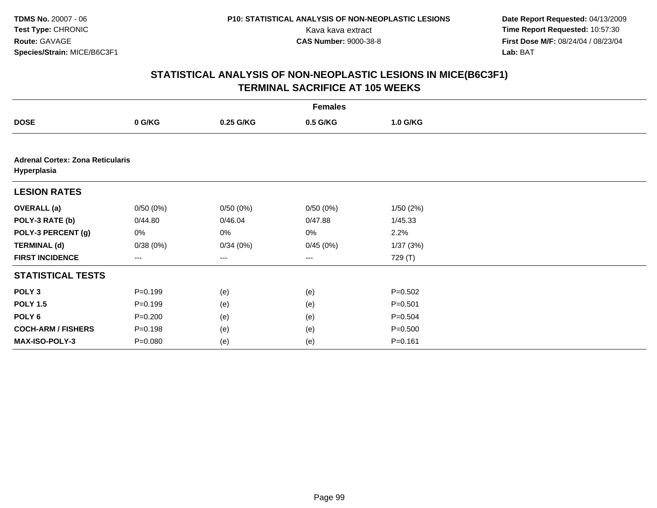**Date Report Requested:** 04/13/2009 Kava kava extract **Time Report Requested:** 10:57:30<br>**CAS Number:** 9000-38-8 **Time Report Requested:** 10:57:30 **First Dose M/F:** 08/24/04 / 08/23/04<br>Lab: BAT **Lab:** BAT

|                                                        | <b>Females</b> |           |                                          |             |  |  |  |  |
|--------------------------------------------------------|----------------|-----------|------------------------------------------|-------------|--|--|--|--|
| <b>DOSE</b>                                            | 0 G/KG         | 0.25 G/KG | 0.5 G/KG                                 | 1.0 G/KG    |  |  |  |  |
|                                                        |                |           |                                          |             |  |  |  |  |
| <b>Adrenal Cortex: Zona Reticularis</b><br>Hyperplasia |                |           |                                          |             |  |  |  |  |
| <b>LESION RATES</b>                                    |                |           |                                          |             |  |  |  |  |
| <b>OVERALL (a)</b>                                     | 0/50(0%)       | 0/50(0%)  | 0/50(0%)                                 | 1/50(2%)    |  |  |  |  |
| POLY-3 RATE (b)                                        | 0/44.80        | 0/46.04   | 0/47.88                                  | 1/45.33     |  |  |  |  |
| POLY-3 PERCENT (g)                                     | 0%             | 0%        | 0%                                       | 2.2%        |  |  |  |  |
| <b>TERMINAL (d)</b>                                    | 0/38(0%)       | 0/34(0%)  | 0/45(0%)                                 | 1/37(3%)    |  |  |  |  |
| <b>FIRST INCIDENCE</b>                                 | ---            | ---       | $\hspace{0.05cm} \ldots \hspace{0.05cm}$ | 729 (T)     |  |  |  |  |
| <b>STATISTICAL TESTS</b>                               |                |           |                                          |             |  |  |  |  |
| POLY <sub>3</sub>                                      | $P = 0.199$    | (e)       | (e)                                      | $P = 0.502$ |  |  |  |  |
| <b>POLY 1.5</b>                                        | $P = 0.199$    | (e)       | (e)                                      | $P = 0.501$ |  |  |  |  |
| POLY 6                                                 | $P = 0.200$    | (e)       | (e)                                      | $P = 0.504$ |  |  |  |  |
| <b>COCH-ARM / FISHERS</b>                              | $P = 0.198$    | (e)       | (e)                                      | $P = 0.500$ |  |  |  |  |
| MAX-ISO-POLY-3                                         | $P = 0.080$    | (e)       | (e)                                      | $P = 0.161$ |  |  |  |  |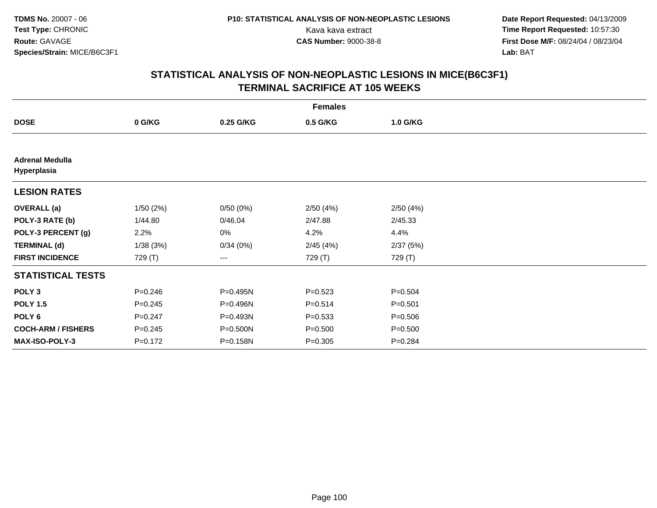**Date Report Requested:** 04/13/2009 Kava kava extract **Time Report Requested:** 10:57:30<br>**CAS Number:** 9000-38-8 **Time Report Requested:** 10:57:30 **First Dose M/F:** 08/24/04 / 08/23/04<br>Lab: BAT **Lab:** BAT

|                                       | <b>Females</b> |           |             |             |  |  |  |  |
|---------------------------------------|----------------|-----------|-------------|-------------|--|--|--|--|
| <b>DOSE</b>                           | 0 G/KG         | 0.25 G/KG | 0.5 G/KG    | 1.0 G/KG    |  |  |  |  |
|                                       |                |           |             |             |  |  |  |  |
| <b>Adrenal Medulla</b><br>Hyperplasia |                |           |             |             |  |  |  |  |
| <b>LESION RATES</b>                   |                |           |             |             |  |  |  |  |
| <b>OVERALL</b> (a)                    | 1/50(2%)       | 0/50(0%)  | 2/50(4%)    | 2/50(4%)    |  |  |  |  |
| POLY-3 RATE (b)                       | 1/44.80        | 0/46.04   | 2/47.88     | 2/45.33     |  |  |  |  |
| POLY-3 PERCENT (g)                    | 2.2%           | 0%        | 4.2%        | 4.4%        |  |  |  |  |
| <b>TERMINAL (d)</b>                   | 1/38(3%)       | 0/34(0%)  | 2/45(4%)    | 2/37(5%)    |  |  |  |  |
| <b>FIRST INCIDENCE</b>                | 729 (T)        | ---       | 729 (T)     | 729 (T)     |  |  |  |  |
| <b>STATISTICAL TESTS</b>              |                |           |             |             |  |  |  |  |
| POLY <sub>3</sub>                     | $P = 0.246$    | P=0.495N  | $P = 0.523$ | $P = 0.504$ |  |  |  |  |
| <b>POLY 1.5</b>                       | $P = 0.245$    | P=0.496N  | $P = 0.514$ | $P = 0.501$ |  |  |  |  |
| POLY <sub>6</sub>                     | $P = 0.247$    | P=0.493N  | $P = 0.533$ | $P = 0.506$ |  |  |  |  |
| <b>COCH-ARM / FISHERS</b>             | $P = 0.245$    | P=0.500N  | $P = 0.500$ | $P = 0.500$ |  |  |  |  |
| MAX-ISO-POLY-3                        | $P = 0.172$    | P=0.158N  | $P = 0.305$ | $P = 0.284$ |  |  |  |  |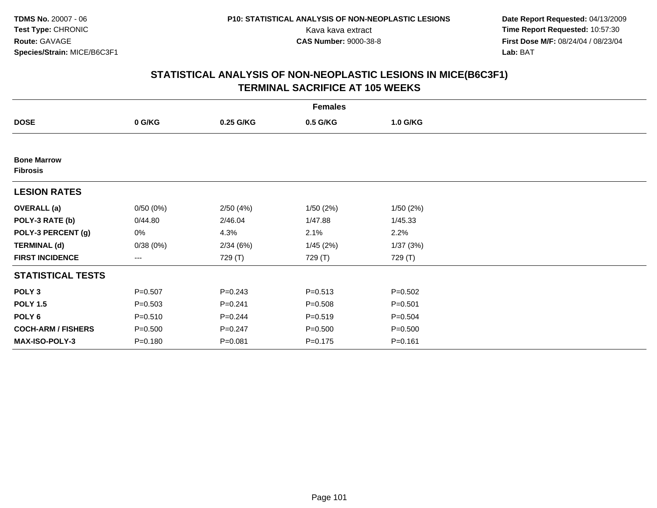**Date Report Requested:** 04/13/2009 Kava kava extract **Time Report Requested:** 10:57:30<br>**CAS Number:** 9000-38-8 **Time Report Requested:** 10:57:30 **First Dose M/F:** 08/24/04 / 08/23/04<br>Lab: BAT **Lab:** BAT

| <b>Females</b>                        |             |             |             |             |  |  |  |
|---------------------------------------|-------------|-------------|-------------|-------------|--|--|--|
| <b>DOSE</b>                           | 0 G/KG      | 0.25 G/KG   | 0.5 G/KG    | 1.0 G/KG    |  |  |  |
|                                       |             |             |             |             |  |  |  |
| <b>Bone Marrow</b><br><b>Fibrosis</b> |             |             |             |             |  |  |  |
| <b>LESION RATES</b>                   |             |             |             |             |  |  |  |
| <b>OVERALL</b> (a)                    | 0/50(0%)    | 2/50(4%)    | 1/50(2%)    | 1/50(2%)    |  |  |  |
| POLY-3 RATE (b)                       | 0/44.80     | 2/46.04     | 1/47.88     | 1/45.33     |  |  |  |
| POLY-3 PERCENT (g)                    | 0%          | 4.3%        | 2.1%        | 2.2%        |  |  |  |
| <b>TERMINAL (d)</b>                   | 0/38(0%)    | 2/34(6%)    | 1/45(2%)    | 1/37(3%)    |  |  |  |
| <b>FIRST INCIDENCE</b>                | $--$        | 729 (T)     | 729 (T)     | 729 (T)     |  |  |  |
| <b>STATISTICAL TESTS</b>              |             |             |             |             |  |  |  |
| POLY <sub>3</sub>                     | $P = 0.507$ | $P = 0.243$ | $P = 0.513$ | $P = 0.502$ |  |  |  |
| <b>POLY 1.5</b>                       | $P = 0.503$ | $P = 0.241$ | $P = 0.508$ | $P = 0.501$ |  |  |  |
| POLY <sub>6</sub>                     | $P = 0.510$ | $P = 0.244$ | $P = 0.519$ | $P = 0.504$ |  |  |  |
| <b>COCH-ARM / FISHERS</b>             | $P = 0.500$ | $P = 0.247$ | $P = 0.500$ | $P = 0.500$ |  |  |  |
| MAX-ISO-POLY-3                        | $P = 0.180$ | $P = 0.081$ | $P = 0.175$ | $P = 0.161$ |  |  |  |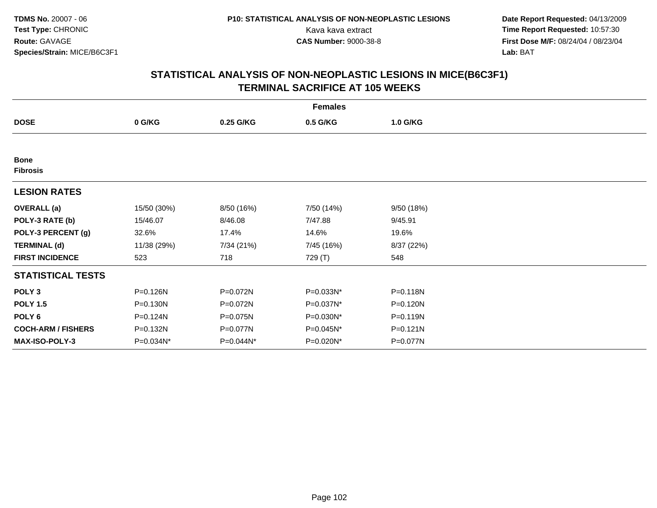**Date Report Requested:** 04/13/2009 Kava kava extract **Time Report Requested:** 10:57:30<br>**CAS Number:** 9000-38-8 **Time Report Requested:** 10:57:30 **First Dose M/F:** 08/24/04 / 08/23/04<br>Lab: BAT **Lab:** BAT

|                                | <b>Females</b> |            |            |              |  |  |  |  |
|--------------------------------|----------------|------------|------------|--------------|--|--|--|--|
| <b>DOSE</b>                    | 0 G/KG         | 0.25 G/KG  | 0.5 G/KG   | 1.0 G/KG     |  |  |  |  |
|                                |                |            |            |              |  |  |  |  |
| <b>Bone</b><br><b>Fibrosis</b> |                |            |            |              |  |  |  |  |
| <b>LESION RATES</b>            |                |            |            |              |  |  |  |  |
| <b>OVERALL</b> (a)             | 15/50 (30%)    | 8/50 (16%) | 7/50 (14%) | 9/50 (18%)   |  |  |  |  |
| POLY-3 RATE (b)                | 15/46.07       | 8/46.08    | 7/47.88    | 9/45.91      |  |  |  |  |
| POLY-3 PERCENT (g)             | 32.6%          | 17.4%      | 14.6%      | 19.6%        |  |  |  |  |
| <b>TERMINAL (d)</b>            | 11/38 (29%)    | 7/34 (21%) | 7/45 (16%) | 8/37 (22%)   |  |  |  |  |
| <b>FIRST INCIDENCE</b>         | 523            | 718        | 729 (T)    | 548          |  |  |  |  |
| <b>STATISTICAL TESTS</b>       |                |            |            |              |  |  |  |  |
| POLY <sub>3</sub>              | P=0.126N       | P=0.072N   | P=0.033N*  | $P = 0.118N$ |  |  |  |  |
| <b>POLY 1.5</b>                | $P = 0.130N$   | P=0.072N   | P=0.037N*  | P=0.120N     |  |  |  |  |
| POLY <sub>6</sub>              | P=0.124N       | P=0.075N   | P=0.030N*  | P=0.119N     |  |  |  |  |
| <b>COCH-ARM / FISHERS</b>      | P=0.132N       | P=0.077N   | P=0.045N*  | $P = 0.121N$ |  |  |  |  |
| <b>MAX-ISO-POLY-3</b>          | P=0.034N*      | P=0.044N*  | P=0.020N*  | P=0.077N     |  |  |  |  |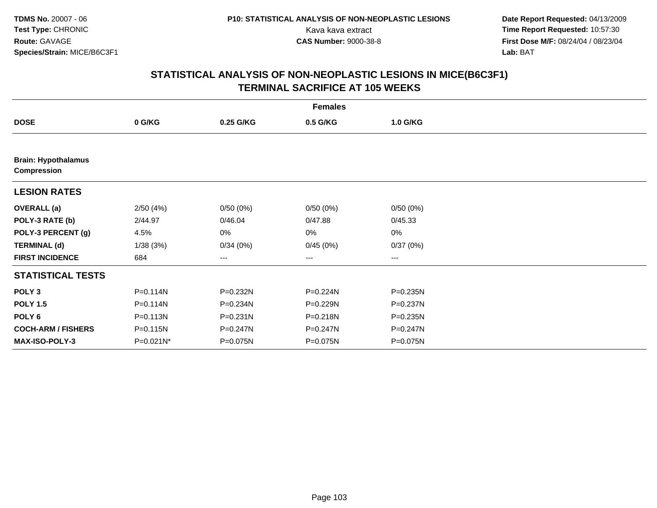**Date Report Requested:** 04/13/2009 Kava kava extract **Time Report Requested:** 10:57:30<br>**CAS Number:** 9000-38-8 **Time Report Requested:** 10:57:30 **First Dose M/F:** 08/24/04 / 08/23/04<br>Lab: BAT **Lab:** BAT

| <b>Females</b>                                   |              |              |              |          |  |  |  |
|--------------------------------------------------|--------------|--------------|--------------|----------|--|--|--|
| <b>DOSE</b>                                      | 0 G/KG       | 0.25 G/KG    | 0.5 G/KG     | 1.0 G/KG |  |  |  |
|                                                  |              |              |              |          |  |  |  |
| <b>Brain: Hypothalamus</b><br><b>Compression</b> |              |              |              |          |  |  |  |
| <b>LESION RATES</b>                              |              |              |              |          |  |  |  |
| <b>OVERALL</b> (a)                               | 2/50(4%)     | 0/50(0%)     | 0/50(0%)     | 0/50(0%) |  |  |  |
| POLY-3 RATE (b)                                  | 2/44.97      | 0/46.04      | 0/47.88      | 0/45.33  |  |  |  |
| POLY-3 PERCENT (g)                               | 4.5%         | 0%           | 0%           | 0%       |  |  |  |
| <b>TERMINAL (d)</b>                              | 1/38(3%)     | 0/34(0%)     | 0/45(0%)     | 0/37(0%) |  |  |  |
| <b>FIRST INCIDENCE</b>                           | 684          | ---          | ---          | ---      |  |  |  |
| <b>STATISTICAL TESTS</b>                         |              |              |              |          |  |  |  |
| POLY <sub>3</sub>                                | $P = 0.114N$ | P=0.232N     | P=0.224N     | P=0.235N |  |  |  |
| <b>POLY 1.5</b>                                  | $P = 0.114N$ | P=0.234N     | P=0.229N     | P=0.237N |  |  |  |
| POLY 6                                           | $P = 0.113N$ | $P = 0.231N$ | P=0.218N     | P=0.235N |  |  |  |
| <b>COCH-ARM / FISHERS</b>                        | $P = 0.115N$ | $P = 0.247N$ | $P = 0.247N$ | P=0.247N |  |  |  |
| MAX-ISO-POLY-3                                   | P=0.021N*    | P=0.075N     | P=0.075N     | P=0.075N |  |  |  |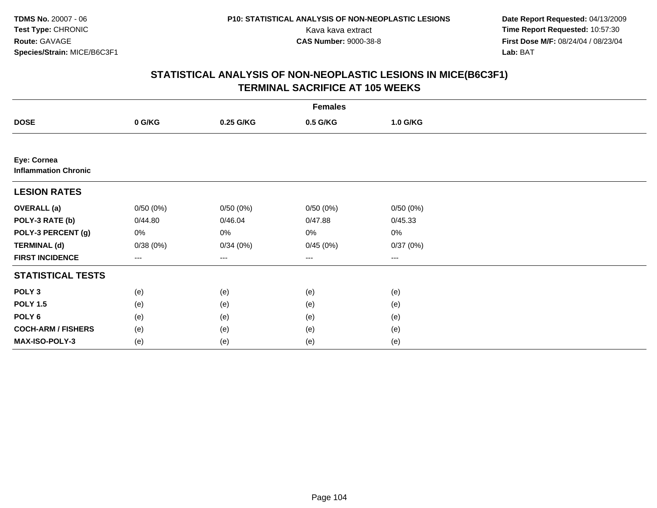**Date Report Requested:** 04/13/2009 Kava kava extract **Time Report Requested:** 10:57:30<br>**CAS Number:** 9000-38-8 **Time Report Requested:** 10:57:30 **First Dose M/F:** 08/24/04 / 08/23/04<br>Lab: BAT **Lab:** BAT

|                                            | <b>Females</b>    |           |                   |                   |  |  |  |  |
|--------------------------------------------|-------------------|-----------|-------------------|-------------------|--|--|--|--|
| <b>DOSE</b>                                | 0 G/KG            | 0.25 G/KG | 0.5 G/KG          | 1.0 G/KG          |  |  |  |  |
|                                            |                   |           |                   |                   |  |  |  |  |
| Eye: Cornea<br><b>Inflammation Chronic</b> |                   |           |                   |                   |  |  |  |  |
| <b>LESION RATES</b>                        |                   |           |                   |                   |  |  |  |  |
| <b>OVERALL</b> (a)                         | 0/50(0%)          | 0/50(0%)  | 0/50(0%)          | 0/50(0%)          |  |  |  |  |
| POLY-3 RATE (b)                            | 0/44.80           | 0/46.04   | 0/47.88           | 0/45.33           |  |  |  |  |
| POLY-3 PERCENT (g)                         | 0%                | 0%        | 0%                | $0\%$             |  |  |  |  |
| <b>TERMINAL (d)</b>                        | 0/38(0%)          | 0/34(0%)  | 0/45(0%)          | 0/37(0%)          |  |  |  |  |
| <b>FIRST INCIDENCE</b>                     | $\qquad \qquad -$ | $---$     | $\qquad \qquad -$ | $\qquad \qquad -$ |  |  |  |  |
| <b>STATISTICAL TESTS</b>                   |                   |           |                   |                   |  |  |  |  |
| POLY <sub>3</sub>                          | (e)               | (e)       | (e)               | (e)               |  |  |  |  |
| <b>POLY 1.5</b>                            | (e)               | (e)       | (e)               | (e)               |  |  |  |  |
| POLY <sub>6</sub>                          | (e)               | (e)       | (e)               | (e)               |  |  |  |  |
| <b>COCH-ARM / FISHERS</b>                  | (e)               | (e)       | (e)               | (e)               |  |  |  |  |
| MAX-ISO-POLY-3                             | (e)               | (e)       | (e)               | (e)               |  |  |  |  |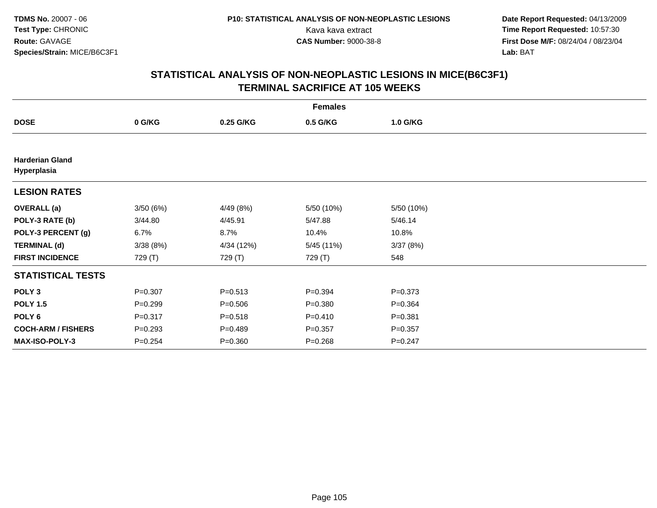**Date Report Requested:** 04/13/2009 Kava kava extract **Time Report Requested:** 10:57:30<br>**CAS Number:** 9000-38-8 **Time Report Requested:** 10:57:30 **First Dose M/F:** 08/24/04 / 08/23/04<br>Lab: BAT **Lab:** BAT

| <b>Females</b>                        |             |             |             |             |  |  |  |
|---------------------------------------|-------------|-------------|-------------|-------------|--|--|--|
| <b>DOSE</b>                           | 0 G/KG      | 0.25 G/KG   | 0.5 G/KG    | 1.0 G/KG    |  |  |  |
|                                       |             |             |             |             |  |  |  |
| <b>Harderian Gland</b><br>Hyperplasia |             |             |             |             |  |  |  |
| <b>LESION RATES</b>                   |             |             |             |             |  |  |  |
| <b>OVERALL</b> (a)                    | 3/50(6%)    | 4/49 (8%)   | 5/50 (10%)  | 5/50 (10%)  |  |  |  |
| POLY-3 RATE (b)                       | 3/44.80     | 4/45.91     | 5/47.88     | 5/46.14     |  |  |  |
| POLY-3 PERCENT (g)                    | 6.7%        | 8.7%        | 10.4%       | 10.8%       |  |  |  |
| <b>TERMINAL (d)</b>                   | 3/38(8%)    | 4/34 (12%)  | 5/45 (11%)  | 3/37(8%)    |  |  |  |
| <b>FIRST INCIDENCE</b>                | 729 (T)     | 729 (T)     | 729 (T)     | 548         |  |  |  |
| <b>STATISTICAL TESTS</b>              |             |             |             |             |  |  |  |
| POLY <sub>3</sub>                     | $P = 0.307$ | $P = 0.513$ | $P = 0.394$ | $P = 0.373$ |  |  |  |
| <b>POLY 1.5</b>                       | $P = 0.299$ | $P = 0.506$ | $P = 0.380$ | $P = 0.364$ |  |  |  |
| POLY <sub>6</sub>                     | $P = 0.317$ | $P = 0.518$ | $P = 0.410$ | $P = 0.381$ |  |  |  |
| <b>COCH-ARM / FISHERS</b>             | $P = 0.293$ | $P = 0.489$ | $P = 0.357$ | $P = 0.357$ |  |  |  |
| <b>MAX-ISO-POLY-3</b>                 | $P = 0.254$ | $P = 0.360$ | $P = 0.268$ | $P = 0.247$ |  |  |  |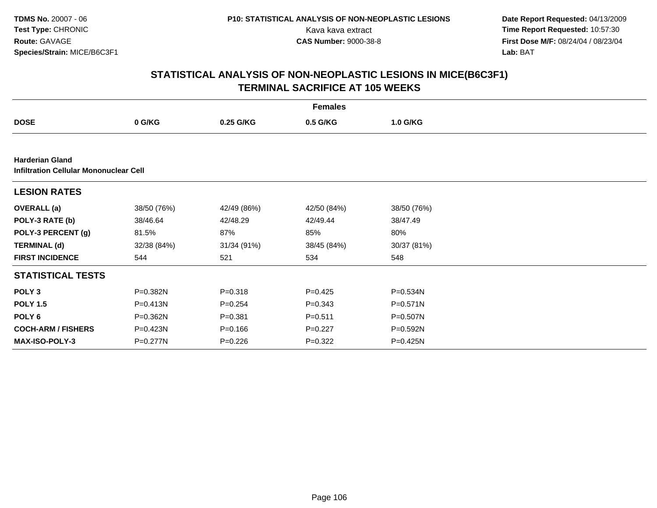**Date Report Requested:** 04/13/2009 Kava kava extract **Time Report Requested:** 10:57:30<br>**CAS Number:** 9000-38-8 **Time Report Requested:** 10:57:30 **First Dose M/F:** 08/24/04 / 08/23/04<br>Lab: BAT **Lab:** BAT

|                                                                  | <b>Females</b> |             |             |             |  |  |  |  |
|------------------------------------------------------------------|----------------|-------------|-------------|-------------|--|--|--|--|
| <b>DOSE</b>                                                      | 0 G/KG         | 0.25 G/KG   | 0.5 G/KG    | 1.0 G/KG    |  |  |  |  |
|                                                                  |                |             |             |             |  |  |  |  |
| <b>Harderian Gland</b><br>Infiltration Cellular Mononuclear Cell |                |             |             |             |  |  |  |  |
| <b>LESION RATES</b>                                              |                |             |             |             |  |  |  |  |
| <b>OVERALL (a)</b>                                               | 38/50 (76%)    | 42/49 (86%) | 42/50 (84%) | 38/50 (76%) |  |  |  |  |
| POLY-3 RATE (b)                                                  | 38/46.64       | 42/48.29    | 42/49.44    | 38/47.49    |  |  |  |  |
| POLY-3 PERCENT (g)                                               | 81.5%          | 87%         | 85%         | 80%         |  |  |  |  |
| <b>TERMINAL (d)</b>                                              | 32/38 (84%)    | 31/34 (91%) | 38/45 (84%) | 30/37 (81%) |  |  |  |  |
| <b>FIRST INCIDENCE</b>                                           | 544            | 521         | 534         | 548         |  |  |  |  |
| <b>STATISTICAL TESTS</b>                                         |                |             |             |             |  |  |  |  |
| POLY <sub>3</sub>                                                | P=0.382N       | $P = 0.318$ | $P=0.425$   | P=0.534N    |  |  |  |  |
| <b>POLY 1.5</b>                                                  | $P = 0.413N$   | $P = 0.254$ | $P = 0.343$ | P=0.571N    |  |  |  |  |
| POLY 6                                                           | P=0.362N       | $P = 0.381$ | $P = 0.511$ | P=0.507N    |  |  |  |  |
| <b>COCH-ARM / FISHERS</b>                                        | P=0.423N       | $P = 0.166$ | $P=0.227$   | P=0.592N    |  |  |  |  |
| <b>MAX-ISO-POLY-3</b>                                            | P=0.277N       | $P = 0.226$ | $P=0.322$   | P=0.425N    |  |  |  |  |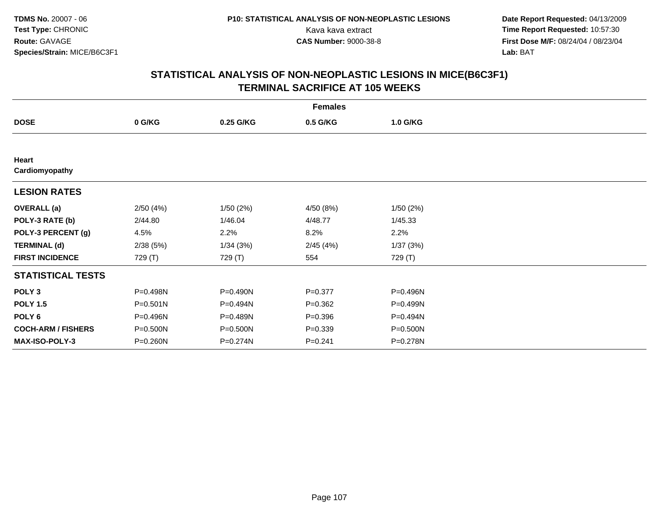**Date Report Requested:** 04/13/2009 Kava kava extract **Time Report Requested:** 10:57:30<br>**CAS Number:** 9000-38-8 **Time Report Requested:** 10:57:30 **First Dose M/F:** 08/24/04 / 08/23/04<br>Lab: BAT **Lab:** BAT

| <b>Females</b>            |              |           |             |          |  |  |  |
|---------------------------|--------------|-----------|-------------|----------|--|--|--|
| <b>DOSE</b>               | 0 G/KG       | 0.25 G/KG | 0.5 G/KG    | 1.0 G/KG |  |  |  |
|                           |              |           |             |          |  |  |  |
| Heart<br>Cardiomyopathy   |              |           |             |          |  |  |  |
|                           |              |           |             |          |  |  |  |
| <b>LESION RATES</b>       |              |           |             |          |  |  |  |
| <b>OVERALL</b> (a)        | 2/50(4%)     | 1/50(2%)  | 4/50 (8%)   | 1/50(2%) |  |  |  |
| POLY-3 RATE (b)           | 2/44.80      | 1/46.04   | 4/48.77     | 1/45.33  |  |  |  |
| POLY-3 PERCENT (g)        | 4.5%         | 2.2%      | 8.2%        | 2.2%     |  |  |  |
| <b>TERMINAL (d)</b>       | 2/38(5%)     | 1/34(3%)  | 2/45(4%)    | 1/37(3%) |  |  |  |
| <b>FIRST INCIDENCE</b>    | 729 (T)      | 729 (T)   | 554         | 729 (T)  |  |  |  |
| <b>STATISTICAL TESTS</b>  |              |           |             |          |  |  |  |
| POLY <sub>3</sub>         | P=0.498N     | P=0.490N  | $P = 0.377$ | P=0.496N |  |  |  |
| <b>POLY 1.5</b>           | $P = 0.501N$ | P=0.494N  | $P = 0.362$ | P=0.499N |  |  |  |
| POLY <sub>6</sub>         | P=0.496N     | P=0.489N  | $P = 0.396$ | P=0.494N |  |  |  |
| <b>COCH-ARM / FISHERS</b> | $P = 0.500N$ | P=0.500N  | $P = 0.339$ | P=0.500N |  |  |  |
| MAX-ISO-POLY-3            | P=0.260N     | P=0.274N  | $P = 0.241$ | P=0.278N |  |  |  |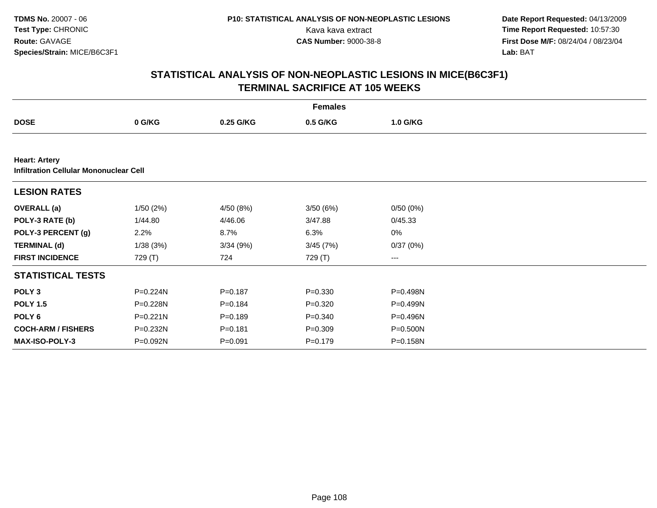**Date Report Requested:** 04/13/2009 Kava kava extract **Time Report Requested:** 10:57:30<br>**CAS Number:** 9000-38-8 **Time Report Requested:** 10:57:30 **First Dose M/F:** 08/24/04 / 08/23/04<br>Lab: BAT **Lab:** BAT

|                                                                       | <b>Females</b> |             |             |          |  |  |  |  |
|-----------------------------------------------------------------------|----------------|-------------|-------------|----------|--|--|--|--|
| <b>DOSE</b>                                                           | 0 G/KG         | 0.25 G/KG   | 0.5 G/KG    | 1.0 G/KG |  |  |  |  |
|                                                                       |                |             |             |          |  |  |  |  |
| <b>Heart: Artery</b><br><b>Infiltration Cellular Mononuclear Cell</b> |                |             |             |          |  |  |  |  |
| <b>LESION RATES</b>                                                   |                |             |             |          |  |  |  |  |
| <b>OVERALL</b> (a)                                                    | 1/50(2%)       | 4/50 (8%)   | 3/50(6%)    | 0/50(0%) |  |  |  |  |
| POLY-3 RATE (b)                                                       | 1/44.80        | 4/46.06     | 3/47.88     | 0/45.33  |  |  |  |  |
| POLY-3 PERCENT (g)                                                    | 2.2%           | 8.7%        | 6.3%        | 0%       |  |  |  |  |
| <b>TERMINAL (d)</b>                                                   | 1/38(3%)       | 3/34(9%)    | 3/45(7%)    | 0/37(0%) |  |  |  |  |
| <b>FIRST INCIDENCE</b>                                                | 729 (T)        | 724         | 729 (T)     | ---      |  |  |  |  |
| <b>STATISTICAL TESTS</b>                                              |                |             |             |          |  |  |  |  |
| POLY <sub>3</sub>                                                     | P=0.224N       | $P = 0.187$ | $P = 0.330$ | P=0.498N |  |  |  |  |
| <b>POLY 1.5</b>                                                       | P=0.228N       | $P = 0.184$ | $P = 0.320$ | P=0.499N |  |  |  |  |
| POLY <sub>6</sub>                                                     | $P = 0.221N$   | $P = 0.189$ | $P = 0.340$ | P=0.496N |  |  |  |  |
| <b>COCH-ARM / FISHERS</b>                                             | P=0.232N       | $P = 0.181$ | $P = 0.309$ | P=0.500N |  |  |  |  |
| <b>MAX-ISO-POLY-3</b>                                                 | P=0.092N       | $P = 0.091$ | $P = 0.179$ | P=0.158N |  |  |  |  |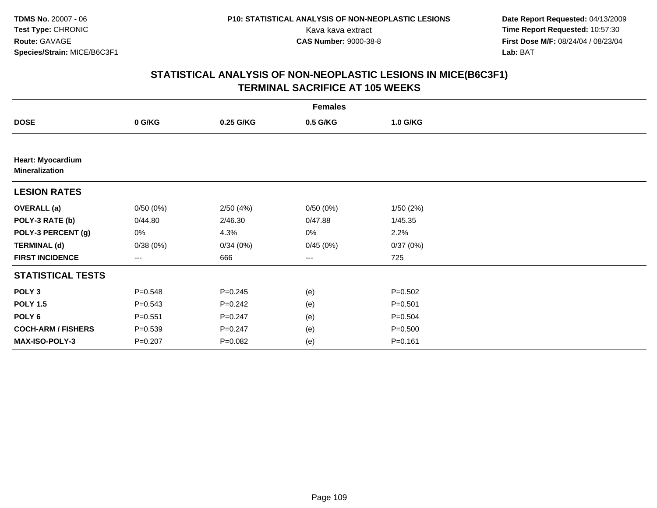**Date Report Requested:** 04/13/2009 Kava kava extract **Time Report Requested:** 10:57:30<br>**CAS Number:** 9000-38-8 **Time Report Requested:** 10:57:30 **First Dose M/F:** 08/24/04 / 08/23/04<br>Lab: BAT **Lab:** BAT

| <b>Females</b>                                    |             |             |                   |             |  |  |  |
|---------------------------------------------------|-------------|-------------|-------------------|-------------|--|--|--|
| <b>DOSE</b>                                       | 0 G/KG      | 0.25 G/KG   | 0.5 G/KG          | 1.0 G/KG    |  |  |  |
|                                                   |             |             |                   |             |  |  |  |
| <b>Heart: Myocardium</b><br><b>Mineralization</b> |             |             |                   |             |  |  |  |
| <b>LESION RATES</b>                               |             |             |                   |             |  |  |  |
| <b>OVERALL</b> (a)                                | 0/50(0%)    | 2/50(4%)    | 0/50(0%)          | 1/50(2%)    |  |  |  |
| POLY-3 RATE (b)                                   | 0/44.80     | 2/46.30     | 0/47.88           | 1/45.35     |  |  |  |
| POLY-3 PERCENT (g)                                | 0%          | 4.3%        | 0%                | 2.2%        |  |  |  |
| <b>TERMINAL (d)</b>                               | 0/38(0%)    | 0/34(0%)    | 0/45(0%)          | 0/37(0%)    |  |  |  |
| <b>FIRST INCIDENCE</b>                            | $---$       | 666         | $\qquad \qquad -$ | 725         |  |  |  |
| <b>STATISTICAL TESTS</b>                          |             |             |                   |             |  |  |  |
| POLY <sub>3</sub>                                 | $P = 0.548$ | $P = 0.245$ | (e)               | $P = 0.502$ |  |  |  |
| <b>POLY 1.5</b>                                   | $P = 0.543$ | $P=0.242$   | (e)               | $P = 0.501$ |  |  |  |
| POLY 6                                            | $P = 0.551$ | $P = 0.247$ | (e)               | $P = 0.504$ |  |  |  |
| <b>COCH-ARM / FISHERS</b>                         | $P = 0.539$ | $P = 0.247$ | (e)               | $P = 0.500$ |  |  |  |
| MAX-ISO-POLY-3                                    | $P = 0.207$ | $P = 0.082$ | (e)               | $P = 0.161$ |  |  |  |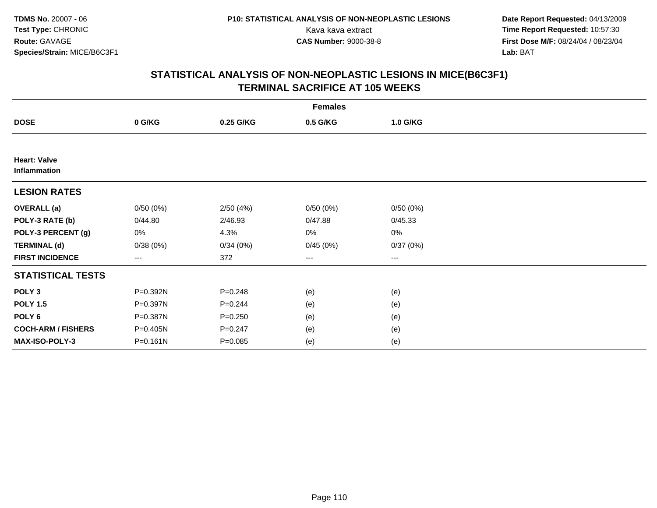**Date Report Requested:** 04/13/2009 Kava kava extract **Time Report Requested:** 10:57:30<br>**CAS Number:** 9000-38-8 **Time Report Requested:** 10:57:30 **First Dose M/F:** 08/24/04 / 08/23/04<br>Lab: BAT **Lab:** BAT

|                                     | <b>Females</b> |             |          |          |  |  |  |  |
|-------------------------------------|----------------|-------------|----------|----------|--|--|--|--|
| <b>DOSE</b>                         | 0 G/KG         | 0.25 G/KG   | 0.5 G/KG | 1.0 G/KG |  |  |  |  |
|                                     |                |             |          |          |  |  |  |  |
| <b>Heart: Valve</b><br>Inflammation |                |             |          |          |  |  |  |  |
| <b>LESION RATES</b>                 |                |             |          |          |  |  |  |  |
| <b>OVERALL</b> (a)                  | 0/50(0%)       | 2/50(4%)    | 0/50(0%) | 0/50(0%) |  |  |  |  |
| POLY-3 RATE (b)                     | 0/44.80        | 2/46.93     | 0/47.88  | 0/45.33  |  |  |  |  |
| POLY-3 PERCENT (g)                  | 0%             | 4.3%        | 0%       | 0%       |  |  |  |  |
| <b>TERMINAL (d)</b>                 | 0/38(0%)       | 0/34(0%)    | 0/45(0%) | 0/37(0%) |  |  |  |  |
| <b>FIRST INCIDENCE</b>              | $---$          | 372         | ---      | $--$     |  |  |  |  |
| <b>STATISTICAL TESTS</b>            |                |             |          |          |  |  |  |  |
| POLY <sub>3</sub>                   | P=0.392N       | $P = 0.248$ | (e)      | (e)      |  |  |  |  |
| <b>POLY 1.5</b>                     | P=0.397N       | $P = 0.244$ | (e)      | (e)      |  |  |  |  |
| POLY <sub>6</sub>                   | P=0.387N       | $P = 0.250$ | (e)      | (e)      |  |  |  |  |
| <b>COCH-ARM / FISHERS</b>           | P=0.405N       | $P = 0.247$ | (e)      | (e)      |  |  |  |  |
| MAX-ISO-POLY-3                      | $P = 0.161N$   | $P = 0.085$ | (e)      | (e)      |  |  |  |  |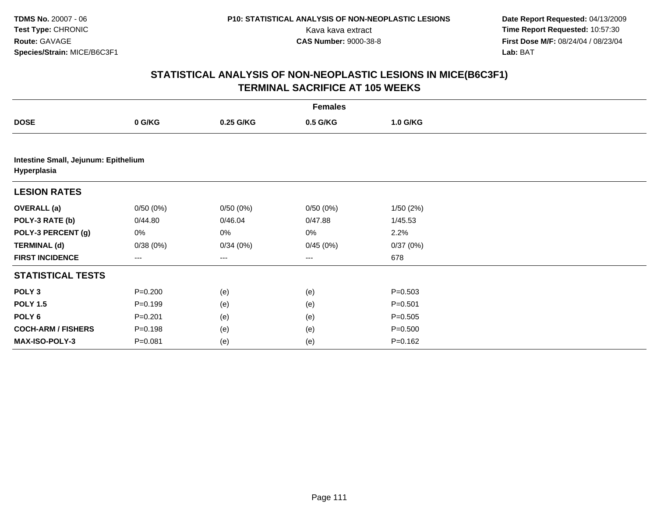**Date Report Requested:** 04/13/2009 Kava kava extract **Time Report Requested:** 10:57:30<br>**CAS Number:** 9000-38-8 **Time Report Requested:** 10:57:30 **First Dose M/F:** 08/24/04 / 08/23/04<br>Lab: BAT **Lab:** BAT

|                                                     |             |           | <b>Females</b> |             |  |
|-----------------------------------------------------|-------------|-----------|----------------|-------------|--|
| <b>DOSE</b>                                         | 0 G/KG      | 0.25 G/KG | 0.5 G/KG       | 1.0 G/KG    |  |
|                                                     |             |           |                |             |  |
| Intestine Small, Jejunum: Epithelium<br>Hyperplasia |             |           |                |             |  |
| <b>LESION RATES</b>                                 |             |           |                |             |  |
| <b>OVERALL (a)</b>                                  | 0/50(0%)    | 0/50(0%)  | 0/50(0%)       | 1/50(2%)    |  |
| POLY-3 RATE (b)                                     | 0/44.80     | 0/46.04   | 0/47.88        | 1/45.53     |  |
| POLY-3 PERCENT (g)                                  | 0%          | 0%        | 0%             | 2.2%        |  |
| <b>TERMINAL (d)</b>                                 | 0/38(0%)    | 0/34(0%)  | 0/45(0%)       | 0/37(0%)    |  |
| <b>FIRST INCIDENCE</b>                              | ---         | ---       | $---$          | 678         |  |
| <b>STATISTICAL TESTS</b>                            |             |           |                |             |  |
| POLY <sub>3</sub>                                   | $P = 0.200$ | (e)       | (e)            | $P = 0.503$ |  |
| <b>POLY 1.5</b>                                     | $P = 0.199$ | (e)       | (e)            | $P = 0.501$ |  |
| POLY <sub>6</sub>                                   | $P = 0.201$ | (e)       | (e)            | $P = 0.505$ |  |
| <b>COCH-ARM / FISHERS</b>                           | $P = 0.198$ | (e)       | (e)            | $P = 0.500$ |  |
| MAX-ISO-POLY-3                                      | $P = 0.081$ | (e)       | (e)            | $P = 0.162$ |  |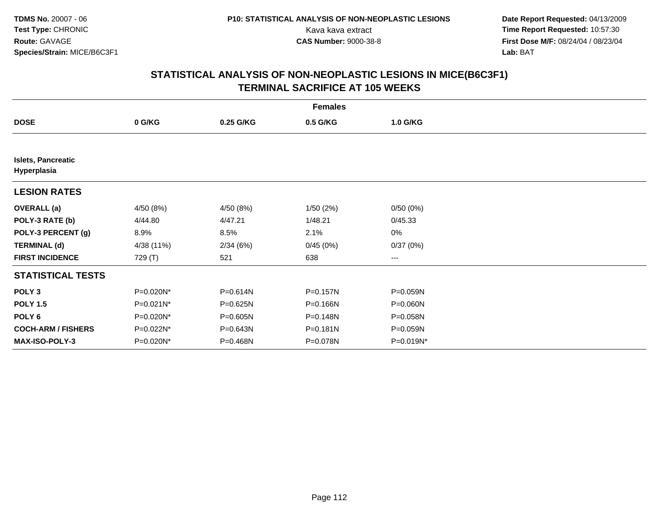**Date Report Requested:** 04/13/2009 Kava kava extract **Time Report Requested:** 10:57:30<br>**CAS Number:** 9000-38-8 **Time Report Requested:** 10:57:30 **First Dose M/F:** 08/24/04 / 08/23/04<br>Lab: BAT **Lab:** BAT

|                                          | <b>Females</b> |              |          |           |  |  |  |  |
|------------------------------------------|----------------|--------------|----------|-----------|--|--|--|--|
| <b>DOSE</b>                              | 0 G/KG         | 0.25 G/KG    | 0.5 G/KG | 1.0 G/KG  |  |  |  |  |
|                                          |                |              |          |           |  |  |  |  |
| <b>Islets, Pancreatic</b><br>Hyperplasia |                |              |          |           |  |  |  |  |
| <b>LESION RATES</b>                      |                |              |          |           |  |  |  |  |
| <b>OVERALL</b> (a)                       | 4/50 (8%)      | 4/50 (8%)    | 1/50(2%) | 0/50(0%)  |  |  |  |  |
| POLY-3 RATE (b)                          | 4/44.80        | 4/47.21      | 1/48.21  | 0/45.33   |  |  |  |  |
| POLY-3 PERCENT (g)                       | 8.9%           | 8.5%         | 2.1%     | 0%        |  |  |  |  |
| <b>TERMINAL (d)</b>                      | 4/38 (11%)     | 2/34(6%)     | 0/45(0%) | 0/37(0%)  |  |  |  |  |
| <b>FIRST INCIDENCE</b>                   | 729 (T)        | 521          | 638      | ---       |  |  |  |  |
| <b>STATISTICAL TESTS</b>                 |                |              |          |           |  |  |  |  |
| POLY <sub>3</sub>                        | P=0.020N*      | P=0.614N     | P=0.157N | P=0.059N  |  |  |  |  |
| <b>POLY 1.5</b>                          | P=0.021N*      | P=0.625N     | P=0.166N | P=0.060N  |  |  |  |  |
| POLY 6                                   | P=0.020N*      | $P = 0.605N$ | P=0.148N | P=0.058N  |  |  |  |  |
| <b>COCH-ARM / FISHERS</b>                | P=0.022N*      | P=0.643N     | P=0.181N | P=0.059N  |  |  |  |  |
| <b>MAX-ISO-POLY-3</b>                    | P=0.020N*      | P=0.468N     | P=0.078N | P=0.019N* |  |  |  |  |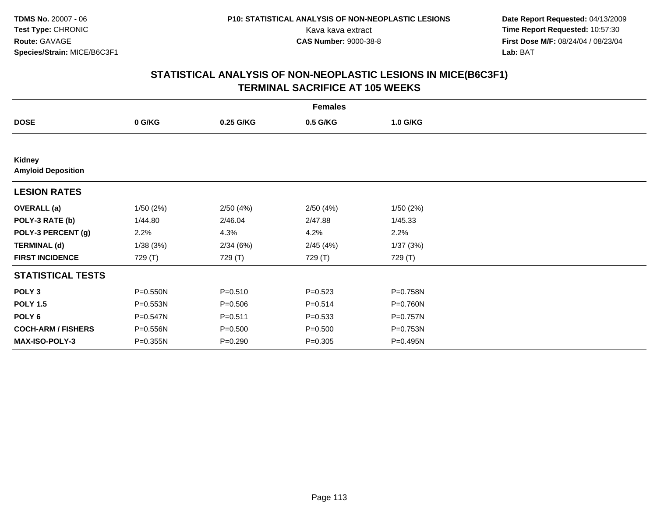**Date Report Requested:** 04/13/2009 Kava kava extract **Time Report Requested:** 10:57:30<br>**CAS Number:** 9000-38-8 **Time Report Requested:** 10:57:30 **First Dose M/F:** 08/24/04 / 08/23/04<br>Lab: BAT **Lab:** BAT

| <b>Females</b>                      |              |             |             |              |  |  |  |
|-------------------------------------|--------------|-------------|-------------|--------------|--|--|--|
| <b>DOSE</b>                         | 0 G/KG       | 0.25 G/KG   | 0.5 G/KG    | 1.0 G/KG     |  |  |  |
|                                     |              |             |             |              |  |  |  |
| Kidney<br><b>Amyloid Deposition</b> |              |             |             |              |  |  |  |
| <b>LESION RATES</b>                 |              |             |             |              |  |  |  |
| <b>OVERALL</b> (a)                  | 1/50(2%)     | 2/50(4%)    | 2/50(4%)    | 1/50(2%)     |  |  |  |
| POLY-3 RATE (b)                     | 1/44.80      | 2/46.04     | 2/47.88     | 1/45.33      |  |  |  |
| POLY-3 PERCENT (g)                  | 2.2%         | 4.3%        | 4.2%        | 2.2%         |  |  |  |
| <b>TERMINAL (d)</b>                 | 1/38(3%)     | 2/34(6%)    | 2/45(4%)    | 1/37(3%)     |  |  |  |
| <b>FIRST INCIDENCE</b>              | 729 (T)      | 729 (T)     | 729 (T)     | 729 (T)      |  |  |  |
| <b>STATISTICAL TESTS</b>            |              |             |             |              |  |  |  |
| POLY <sub>3</sub>                   | P=0.550N     | $P = 0.510$ | $P = 0.523$ | P=0.758N     |  |  |  |
| <b>POLY 1.5</b>                     | P=0.553N     | $P = 0.506$ | $P = 0.514$ | P=0.760N     |  |  |  |
| POLY <sub>6</sub>                   | $P = 0.547N$ | $P = 0.511$ | $P = 0.533$ | $P = 0.757N$ |  |  |  |
| <b>COCH-ARM / FISHERS</b>           | P=0.556N     | $P = 0.500$ | $P = 0.500$ | P=0.753N     |  |  |  |
| MAX-ISO-POLY-3                      | P=0.355N     | $P = 0.290$ | $P = 0.305$ | P=0.495N     |  |  |  |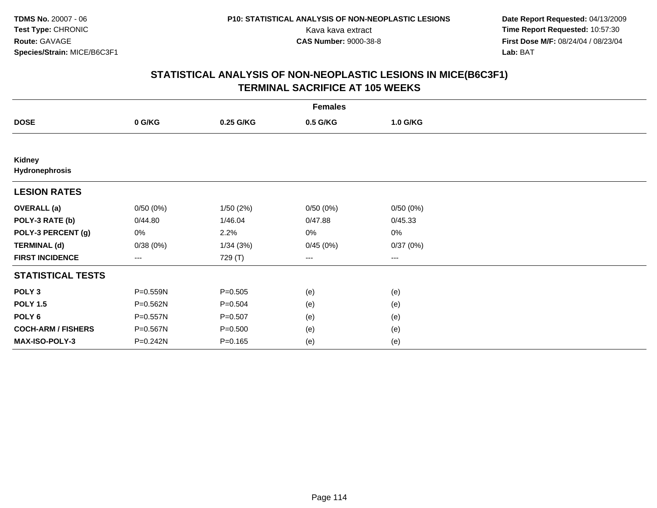**Date Report Requested:** 04/13/2009 Kava kava extract **Time Report Requested:** 10:57:30<br>**CAS Number:** 9000-38-8 **Time Report Requested:** 10:57:30 **First Dose M/F:** 08/24/04 / 08/23/04<br>Lab: BAT **Lab:** BAT

| <b>Females</b>                  |              |             |          |          |  |  |  |
|---------------------------------|--------------|-------------|----------|----------|--|--|--|
| <b>DOSE</b>                     | 0 G/KG       | 0.25 G/KG   | 0.5 G/KG | 1.0 G/KG |  |  |  |
|                                 |              |             |          |          |  |  |  |
| <b>Kidney</b><br>Hydronephrosis |              |             |          |          |  |  |  |
| <b>LESION RATES</b>             |              |             |          |          |  |  |  |
| <b>OVERALL</b> (a)              | 0/50(0%)     | 1/50(2%)    | 0/50(0%) | 0/50(0%) |  |  |  |
| POLY-3 RATE (b)                 | 0/44.80      | 1/46.04     | 0/47.88  | 0/45.33  |  |  |  |
| POLY-3 PERCENT (g)              | 0%           | 2.2%        | 0%       | 0%       |  |  |  |
| <b>TERMINAL (d)</b>             | 0/38(0%)     | 1/34(3%)    | 0/45(0%) | 0/37(0%) |  |  |  |
| <b>FIRST INCIDENCE</b>          | $---$        | 729 (T)     | ---      | $--$     |  |  |  |
| <b>STATISTICAL TESTS</b>        |              |             |          |          |  |  |  |
| POLY <sub>3</sub>               | P=0.559N     | $P = 0.505$ | (e)      | (e)      |  |  |  |
| <b>POLY 1.5</b>                 | P=0.562N     | $P = 0.504$ | (e)      | (e)      |  |  |  |
| POLY <sub>6</sub>               | P=0.557N     | $P = 0.507$ | (e)      | (e)      |  |  |  |
| <b>COCH-ARM / FISHERS</b>       | P=0.567N     | $P = 0.500$ | (e)      | (e)      |  |  |  |
| MAX-ISO-POLY-3                  | $P = 0.242N$ | $P = 0.165$ | (e)      | (e)      |  |  |  |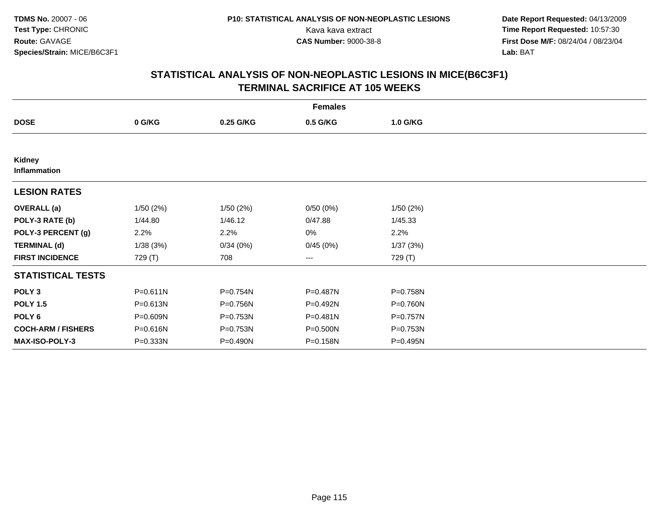**Date Report Requested:** 04/13/2009 Kava kava extract **Time Report Requested:** 10:57:30<br>**CAS Number:** 9000-38-8 **Time Report Requested:** 10:57:30 **First Dose M/F:** 08/24/04 / 08/23/04<br>Lab: BAT **Lab:** BAT

|                           | <b>Females</b> |           |              |          |  |  |  |  |
|---------------------------|----------------|-----------|--------------|----------|--|--|--|--|
| <b>DOSE</b>               | 0 G/KG         | 0.25 G/KG | 0.5 G/KG     | 1.0 G/KG |  |  |  |  |
|                           |                |           |              |          |  |  |  |  |
| Kidney<br>Inflammation    |                |           |              |          |  |  |  |  |
| <b>LESION RATES</b>       |                |           |              |          |  |  |  |  |
| <b>OVERALL</b> (a)        | 1/50(2%)       | 1/50(2%)  | 0/50(0%)     | 1/50(2%) |  |  |  |  |
| POLY-3 RATE (b)           | 1/44.80        | 1/46.12   | 0/47.88      | 1/45.33  |  |  |  |  |
| POLY-3 PERCENT (g)        | 2.2%           | 2.2%      | 0%           | 2.2%     |  |  |  |  |
| <b>TERMINAL (d)</b>       | 1/38(3%)       | 0/34(0%)  | 0/45(0%)     | 1/37(3%) |  |  |  |  |
| <b>FIRST INCIDENCE</b>    | 729 (T)        | 708       | ---          | 729 (T)  |  |  |  |  |
| <b>STATISTICAL TESTS</b>  |                |           |              |          |  |  |  |  |
| POLY <sub>3</sub>         | $P = 0.611N$   | P=0.754N  | P=0.487N     | P=0.758N |  |  |  |  |
| <b>POLY 1.5</b>           | P=0.613N       | P=0.756N  | $P = 0.492N$ | P=0.760N |  |  |  |  |
| POLY <sub>6</sub>         | P=0.609N       | P=0.753N  | P=0.481N     | P=0.757N |  |  |  |  |
| <b>COCH-ARM / FISHERS</b> | P=0.616N       | P=0.753N  | P=0.500N     | P=0.753N |  |  |  |  |
| <b>MAX-ISO-POLY-3</b>     | $P = 0.333N$   | P=0.490N  | P=0.158N     | P=0.495N |  |  |  |  |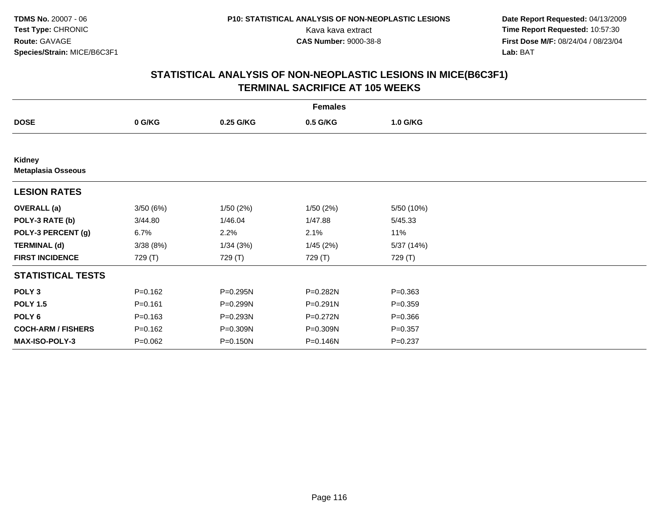**Date Report Requested:** 04/13/2009 Kava kava extract **Time Report Requested:** 10:57:30<br>**CAS Number:** 9000-38-8 **Time Report Requested:** 10:57:30 **First Dose M/F:** 08/24/04 / 08/23/04<br>Lab: BAT **Lab:** BAT

| <b>Females</b>                      |             |           |              |             |  |  |  |
|-------------------------------------|-------------|-----------|--------------|-------------|--|--|--|
| <b>DOSE</b>                         | 0 G/KG      | 0.25 G/KG | 0.5 G/KG     | 1.0 G/KG    |  |  |  |
|                                     |             |           |              |             |  |  |  |
| Kidney<br><b>Metaplasia Osseous</b> |             |           |              |             |  |  |  |
| <b>LESION RATES</b>                 |             |           |              |             |  |  |  |
| <b>OVERALL</b> (a)                  | 3/50(6%)    | 1/50(2%)  | 1/50(2%)     | 5/50 (10%)  |  |  |  |
| POLY-3 RATE (b)                     | 3/44.80     | 1/46.04   | 1/47.88      | 5/45.33     |  |  |  |
| POLY-3 PERCENT (g)                  | 6.7%        | 2.2%      | 2.1%         | 11%         |  |  |  |
| <b>TERMINAL (d)</b>                 | 3/38(8%)    | 1/34(3%)  | 1/45(2%)     | 5/37 (14%)  |  |  |  |
| <b>FIRST INCIDENCE</b>              | 729 (T)     | 729 (T)   | 729 (T)      | 729 (T)     |  |  |  |
| <b>STATISTICAL TESTS</b>            |             |           |              |             |  |  |  |
| POLY <sub>3</sub>                   | $P = 0.162$ | P=0.295N  | P=0.282N     | $P = 0.363$ |  |  |  |
| <b>POLY 1.5</b>                     | $P = 0.161$ | P=0.299N  | $P = 0.291N$ | $P = 0.359$ |  |  |  |
| POLY <sub>6</sub>                   | $P = 0.163$ | P=0.293N  | P=0.272N     | $P = 0.366$ |  |  |  |
| <b>COCH-ARM / FISHERS</b>           | $P = 0.162$ | P=0.309N  | P=0.309N     | $P = 0.357$ |  |  |  |
| MAX-ISO-POLY-3                      | $P = 0.062$ | P=0.150N  | P=0.146N     | $P = 0.237$ |  |  |  |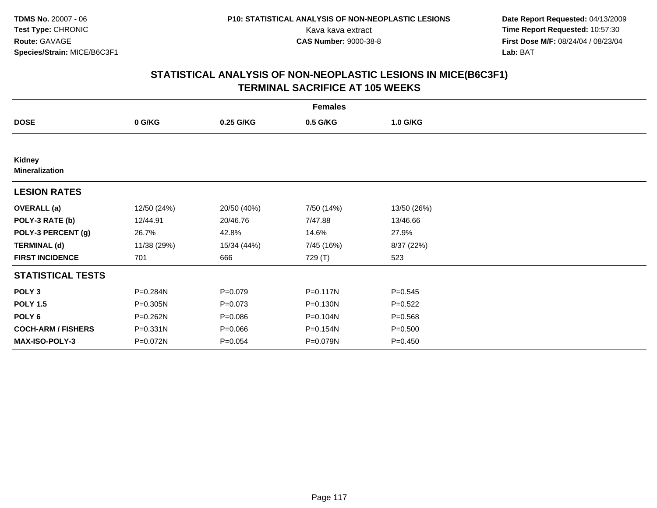**Date Report Requested:** 04/13/2009 Kava kava extract **Time Report Requested:** 10:57:30<br>**CAS Number:** 9000-38-8 **Time Report Requested:** 10:57:30 **First Dose M/F:** 08/24/04 / 08/23/04<br>Lab: BAT **Lab:** BAT

| <b>Females</b>                  |             |             |            |             |  |  |  |
|---------------------------------|-------------|-------------|------------|-------------|--|--|--|
| <b>DOSE</b>                     | 0 G/KG      | 0.25 G/KG   | 0.5 G/KG   | 1.0 G/KG    |  |  |  |
|                                 |             |             |            |             |  |  |  |
| Kidney<br><b>Mineralization</b> |             |             |            |             |  |  |  |
| <b>LESION RATES</b>             |             |             |            |             |  |  |  |
| <b>OVERALL</b> (a)              | 12/50 (24%) | 20/50 (40%) | 7/50 (14%) | 13/50 (26%) |  |  |  |
| POLY-3 RATE (b)                 | 12/44.91    | 20/46.76    | 7/47.88    | 13/46.66    |  |  |  |
| POLY-3 PERCENT (g)              | 26.7%       | 42.8%       | 14.6%      | 27.9%       |  |  |  |
| <b>TERMINAL (d)</b>             | 11/38 (29%) | 15/34 (44%) | 7/45 (16%) | 8/37 (22%)  |  |  |  |
| <b>FIRST INCIDENCE</b>          | 701         | 666         | 729 (T)    | 523         |  |  |  |
| <b>STATISTICAL TESTS</b>        |             |             |            |             |  |  |  |
| POLY <sub>3</sub>               | P=0.284N    | $P = 0.079$ | P=0.117N   | $P = 0.545$ |  |  |  |
| <b>POLY 1.5</b>                 | P=0.305N    | $P = 0.073$ | P=0.130N   | $P=0.522$   |  |  |  |
| POLY 6                          | P=0.262N    | $P = 0.086$ | P=0.104N   | $P = 0.568$ |  |  |  |
| <b>COCH-ARM / FISHERS</b>       | P=0.331N    | $P = 0.066$ | P=0.154N   | $P = 0.500$ |  |  |  |
| <b>MAX-ISO-POLY-3</b>           | P=0.072N    | $P = 0.054$ | P=0.079N   | $P=0.450$   |  |  |  |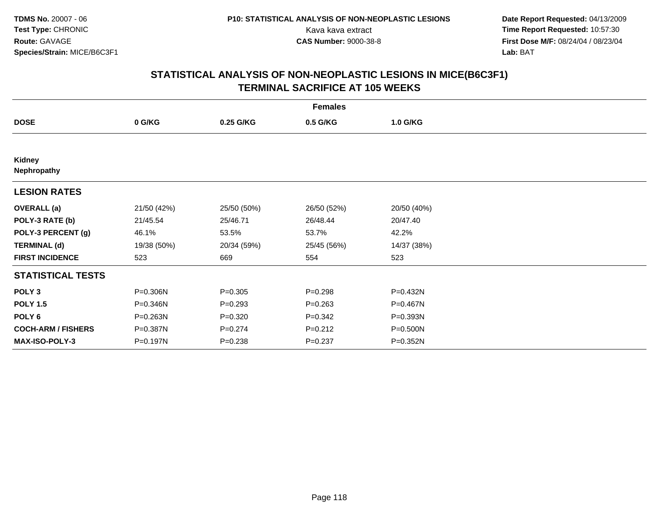**Date Report Requested:** 04/13/2009 Kava kava extract **Time Report Requested:** 10:57:30<br>**CAS Number:** 9000-38-8 **Time Report Requested:** 10:57:30 **First Dose M/F:** 08/24/04 / 08/23/04<br>Lab: BAT **Lab:** BAT

| <b>Females</b>            |             |             |             |              |  |  |  |
|---------------------------|-------------|-------------|-------------|--------------|--|--|--|
| <b>DOSE</b>               | 0 G/KG      | 0.25 G/KG   | 0.5 G/KG    | 1.0 G/KG     |  |  |  |
|                           |             |             |             |              |  |  |  |
| Kidney<br>Nephropathy     |             |             |             |              |  |  |  |
| <b>LESION RATES</b>       |             |             |             |              |  |  |  |
| <b>OVERALL</b> (a)        | 21/50 (42%) | 25/50 (50%) | 26/50 (52%) | 20/50 (40%)  |  |  |  |
| POLY-3 RATE (b)           | 21/45.54    | 25/46.71    | 26/48.44    | 20/47.40     |  |  |  |
| POLY-3 PERCENT (g)        | 46.1%       | 53.5%       | 53.7%       | 42.2%        |  |  |  |
| <b>TERMINAL (d)</b>       | 19/38 (50%) | 20/34 (59%) | 25/45 (56%) | 14/37 (38%)  |  |  |  |
| <b>FIRST INCIDENCE</b>    | 523         | 669         | 554         | 523          |  |  |  |
| <b>STATISTICAL TESTS</b>  |             |             |             |              |  |  |  |
| POLY <sub>3</sub>         | P=0.306N    | $P=0.305$   | $P = 0.298$ | P=0.432N     |  |  |  |
| <b>POLY 1.5</b>           | P=0.346N    | $P = 0.293$ | $P = 0.263$ | P=0.467N     |  |  |  |
| POLY <sub>6</sub>         | P=0.263N    | $P = 0.320$ | $P = 0.342$ | P=0.393N     |  |  |  |
| <b>COCH-ARM / FISHERS</b> | P=0.387N    | $P = 0.274$ | $P = 0.212$ | P=0.500N     |  |  |  |
| <b>MAX-ISO-POLY-3</b>     | P=0.197N    | $P = 0.238$ | $P=0.237$   | $P = 0.352N$ |  |  |  |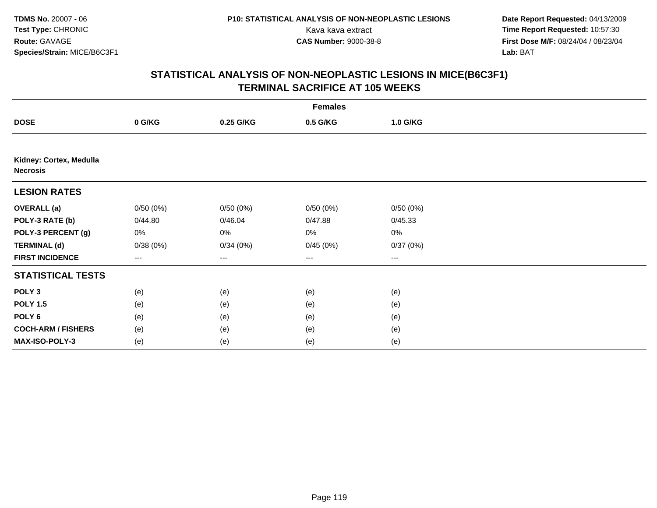**Date Report Requested:** 04/13/2009 Kava kava extract **Time Report Requested:** 10:57:30<br>**CAS Number:** 9000-38-8 **Time Report Requested:** 10:57:30 **First Dose M/F:** 08/24/04 / 08/23/04<br>Lab: BAT **Lab:** BAT

|                                            | <b>Females</b> |           |          |          |  |  |  |  |
|--------------------------------------------|----------------|-----------|----------|----------|--|--|--|--|
| <b>DOSE</b>                                | 0 G/KG         | 0.25 G/KG | 0.5 G/KG | 1.0 G/KG |  |  |  |  |
|                                            |                |           |          |          |  |  |  |  |
| Kidney: Cortex, Medulla<br><b>Necrosis</b> |                |           |          |          |  |  |  |  |
| <b>LESION RATES</b>                        |                |           |          |          |  |  |  |  |
| <b>OVERALL</b> (a)                         | 0/50(0%)       | 0/50(0%)  | 0/50(0%) | 0/50(0%) |  |  |  |  |
| POLY-3 RATE (b)                            | 0/44.80        | 0/46.04   | 0/47.88  | 0/45.33  |  |  |  |  |
| POLY-3 PERCENT (g)                         | 0%             | 0%        | 0%       | 0%       |  |  |  |  |
| <b>TERMINAL (d)</b>                        | 0/38(0%)       | 0/34(0%)  | 0/45(0%) | 0/37(0%) |  |  |  |  |
| <b>FIRST INCIDENCE</b>                     | $---$          | ---       | $--$     | ---      |  |  |  |  |
| <b>STATISTICAL TESTS</b>                   |                |           |          |          |  |  |  |  |
| POLY <sub>3</sub>                          | (e)            | (e)       | (e)      | (e)      |  |  |  |  |
| <b>POLY 1.5</b>                            | (e)            | (e)       | (e)      | (e)      |  |  |  |  |
| POLY <sub>6</sub>                          | (e)            | (e)       | (e)      | (e)      |  |  |  |  |
| <b>COCH-ARM / FISHERS</b>                  | (e)            | (e)       | (e)      | (e)      |  |  |  |  |
| MAX-ISO-POLY-3                             | (e)            | (e)       | (e)      | (e)      |  |  |  |  |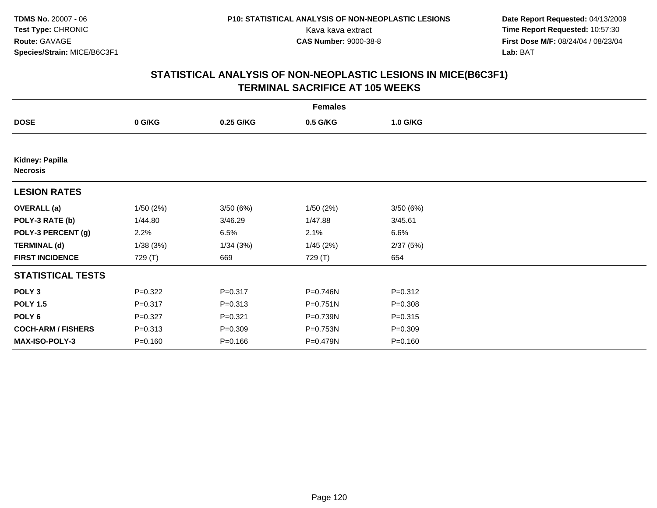**Date Report Requested:** 04/13/2009 Kava kava extract **Time Report Requested:** 10:57:30<br>**CAS Number:** 9000-38-8 **Time Report Requested:** 10:57:30 **First Dose M/F:** 08/24/04 / 08/23/04<br>Lab: BAT **Lab:** BAT

| <b>Females</b>                     |             |             |          |             |  |  |  |
|------------------------------------|-------------|-------------|----------|-------------|--|--|--|
| <b>DOSE</b>                        | 0 G/KG      | 0.25 G/KG   | 0.5 G/KG | 1.0 G/KG    |  |  |  |
|                                    |             |             |          |             |  |  |  |
| Kidney: Papilla<br><b>Necrosis</b> |             |             |          |             |  |  |  |
| <b>LESION RATES</b>                |             |             |          |             |  |  |  |
| <b>OVERALL</b> (a)                 | 1/50(2%)    | 3/50(6%)    | 1/50(2%) | 3/50(6%)    |  |  |  |
| POLY-3 RATE (b)                    | 1/44.80     | 3/46.29     | 1/47.88  | 3/45.61     |  |  |  |
| POLY-3 PERCENT (g)                 | 2.2%        | 6.5%        | 2.1%     | 6.6%        |  |  |  |
| <b>TERMINAL (d)</b>                | 1/38(3%)    | 1/34(3%)    | 1/45(2%) | 2/37(5%)    |  |  |  |
| <b>FIRST INCIDENCE</b>             | 729 (T)     | 669         | 729 (T)  | 654         |  |  |  |
| <b>STATISTICAL TESTS</b>           |             |             |          |             |  |  |  |
| POLY <sub>3</sub>                  | $P=0.322$   | $P = 0.317$ | P=0.746N | $P = 0.312$ |  |  |  |
| <b>POLY 1.5</b>                    | $P = 0.317$ | $P = 0.313$ | P=0.751N | $P = 0.308$ |  |  |  |
| POLY <sub>6</sub>                  | $P = 0.327$ | $P = 0.321$ | P=0.739N | $P = 0.315$ |  |  |  |
| <b>COCH-ARM / FISHERS</b>          | $P = 0.313$ | $P = 0.309$ | P=0.753N | $P = 0.309$ |  |  |  |
| <b>MAX-ISO-POLY-3</b>              | $P = 0.160$ | $P = 0.166$ | P=0.479N | $P = 0.160$ |  |  |  |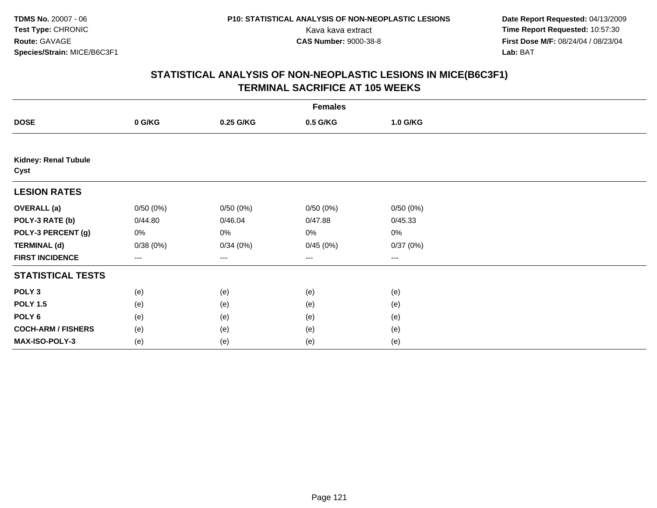**Date Report Requested:** 04/13/2009 Kava kava extract **Time Report Requested:** 10:57:30<br>**CAS Number:** 9000-38-8 **Time Report Requested:** 10:57:30 **First Dose M/F:** 08/24/04 / 08/23/04<br>Lab: BAT **Lab:** BAT

|                              |          |           | <b>Females</b> |          |  |
|------------------------------|----------|-----------|----------------|----------|--|
| <b>DOSE</b>                  | 0 G/KG   | 0.25 G/KG | 0.5 G/KG       | 1.0 G/KG |  |
|                              |          |           |                |          |  |
| Kidney: Renal Tubule<br>Cyst |          |           |                |          |  |
| <b>LESION RATES</b>          |          |           |                |          |  |
| <b>OVERALL</b> (a)           | 0/50(0%) | 0/50(0%)  | 0/50(0%)       | 0/50(0%) |  |
| POLY-3 RATE (b)              | 0/44.80  | 0/46.04   | 0/47.88        | 0/45.33  |  |
| POLY-3 PERCENT (g)           | 0%       | 0%        | 0%             | 0%       |  |
| <b>TERMINAL (d)</b>          | 0/38(0%) | 0/34(0%)  | 0/45(0%)       | 0/37(0%) |  |
| <b>FIRST INCIDENCE</b>       | $---$    | ---       | ---            | $--$     |  |
| <b>STATISTICAL TESTS</b>     |          |           |                |          |  |
| POLY <sub>3</sub>            | (e)      | (e)       | (e)            | (e)      |  |
| <b>POLY 1.5</b>              | (e)      | (e)       | (e)            | (e)      |  |
| POLY <sub>6</sub>            | (e)      | (e)       | (e)            | (e)      |  |
| <b>COCH-ARM / FISHERS</b>    | (e)      | (e)       | (e)            | (e)      |  |
| MAX-ISO-POLY-3               | (e)      | (e)       | (e)            | (e)      |  |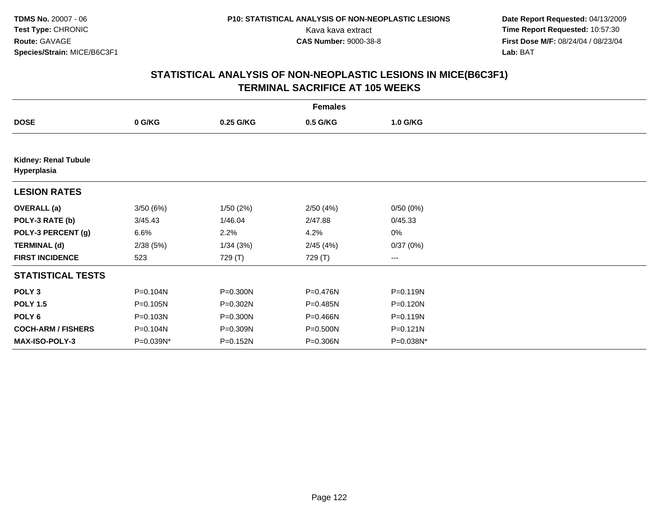**Date Report Requested:** 04/13/2009 Kava kava extract **Time Report Requested:** 10:57:30<br>**CAS Number:** 9000-38-8 **Time Report Requested:** 10:57:30 **First Dose M/F:** 08/24/04 / 08/23/04<br>Lab: BAT **Lab:** BAT

|                                            |           |              | <b>Females</b> |           |  |
|--------------------------------------------|-----------|--------------|----------------|-----------|--|
| <b>DOSE</b>                                | 0 G/KG    | 0.25 G/KG    | 0.5 G/KG       | 1.0 G/KG  |  |
|                                            |           |              |                |           |  |
| <b>Kidney: Renal Tubule</b><br>Hyperplasia |           |              |                |           |  |
| <b>LESION RATES</b>                        |           |              |                |           |  |
| <b>OVERALL</b> (a)                         | 3/50(6%)  | 1/50(2%)     | 2/50(4%)       | 0/50(0%)  |  |
| POLY-3 RATE (b)                            | 3/45.43   | 1/46.04      | 2/47.88        | 0/45.33   |  |
| POLY-3 PERCENT (g)                         | 6.6%      | 2.2%         | 4.2%           | 0%        |  |
| <b>TERMINAL (d)</b>                        | 2/38(5%)  | 1/34(3%)     | 2/45(4%)       | 0/37(0%)  |  |
| <b>FIRST INCIDENCE</b>                     | 523       | 729 (T)      | 729 (T)        | ---       |  |
| <b>STATISTICAL TESTS</b>                   |           |              |                |           |  |
| POLY <sub>3</sub>                          | P=0.104N  | P=0.300N     | P=0.476N       | P=0.119N  |  |
| <b>POLY 1.5</b>                            | P=0.105N  | P=0.302N     | P=0.485N       | P=0.120N  |  |
| POLY 6                                     | P=0.103N  | $P = 0.300N$ | P=0.466N       | P=0.119N  |  |
| <b>COCH-ARM / FISHERS</b>                  | P=0.104N  | P=0.309N     | P=0.500N       | P=0.121N  |  |
| <b>MAX-ISO-POLY-3</b>                      | P=0.039N* | P=0.152N     | P=0.306N       | P=0.038N* |  |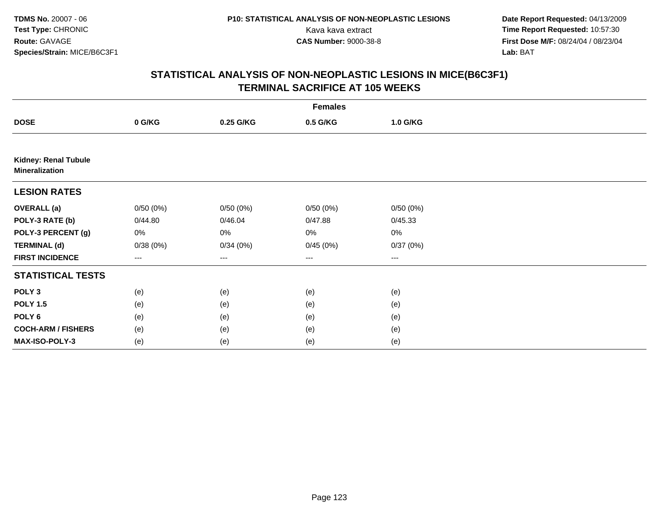**Date Report Requested:** 04/13/2009 Kava kava extract **Time Report Requested:** 10:57:30<br>**CAS Number:** 9000-38-8 **Time Report Requested:** 10:57:30 **First Dose M/F:** 08/24/04 / 08/23/04<br>Lab: BAT **Lab:** BAT

|                                                      |          |           | <b>Females</b>         |          |  |
|------------------------------------------------------|----------|-----------|------------------------|----------|--|
| <b>DOSE</b>                                          | 0 G/KG   | 0.25 G/KG | 0.5 G/KG               | 1.0 G/KG |  |
|                                                      |          |           |                        |          |  |
| <b>Kidney: Renal Tubule</b><br><b>Mineralization</b> |          |           |                        |          |  |
| <b>LESION RATES</b>                                  |          |           |                        |          |  |
| <b>OVERALL</b> (a)                                   | 0/50(0%) | 0/50(0%)  | 0/50(0%)               | 0/50(0%) |  |
| POLY-3 RATE (b)                                      | 0/44.80  | 0/46.04   | 0/47.88                | 0/45.33  |  |
| POLY-3 PERCENT (g)                                   | 0%       | 0%        | 0%                     | $0\%$    |  |
| <b>TERMINAL (d)</b>                                  | 0/38(0%) | 0/34(0%)  | 0/45(0%)               | 0/37(0%) |  |
| <b>FIRST INCIDENCE</b>                               | ---      | $--$      | $\qquad \qquad \cdots$ | $---$    |  |
| <b>STATISTICAL TESTS</b>                             |          |           |                        |          |  |
| POLY <sub>3</sub>                                    | (e)      | (e)       | (e)                    | (e)      |  |
| <b>POLY 1.5</b>                                      | (e)      | (e)       | (e)                    | (e)      |  |
| POLY <sub>6</sub>                                    | (e)      | (e)       | (e)                    | (e)      |  |
| <b>COCH-ARM / FISHERS</b>                            | (e)      | (e)       | (e)                    | (e)      |  |
| MAX-ISO-POLY-3                                       | (e)      | (e)       | (e)                    | (e)      |  |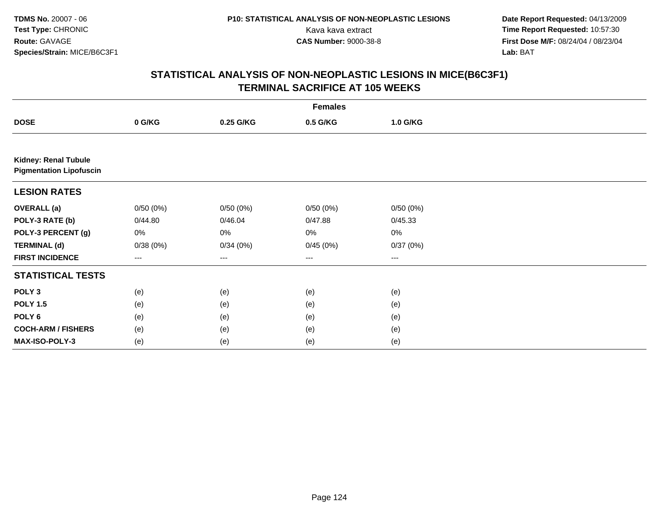**Date Report Requested:** 04/13/2009 Kava kava extract **Time Report Requested:** 10:57:30<br>**CAS Number:** 9000-38-8 **Time Report Requested:** 10:57:30 **First Dose M/F:** 08/24/04 / 08/23/04<br>Lab: BAT **Lab:** BAT

|                                                        |          |           | <b>Females</b>         |          |  |
|--------------------------------------------------------|----------|-----------|------------------------|----------|--|
| <b>DOSE</b>                                            | 0 G/KG   | 0.25 G/KG | 0.5 G/KG               | 1.0 G/KG |  |
|                                                        |          |           |                        |          |  |
| Kidney: Renal Tubule<br><b>Pigmentation Lipofuscin</b> |          |           |                        |          |  |
| <b>LESION RATES</b>                                    |          |           |                        |          |  |
| <b>OVERALL</b> (a)                                     | 0/50(0%) | 0/50(0%)  | 0/50(0%)               | 0/50(0%) |  |
| POLY-3 RATE (b)                                        | 0/44.80  | 0/46.04   | 0/47.88                | 0/45.33  |  |
| POLY-3 PERCENT (g)                                     | 0%       | 0%        | 0%                     | 0%       |  |
| <b>TERMINAL (d)</b>                                    | 0/38(0%) | 0/34(0%)  | 0/45(0%)               | 0/37(0%) |  |
| <b>FIRST INCIDENCE</b>                                 | ---      | ---       | $\qquad \qquad \cdots$ | ---      |  |
| <b>STATISTICAL TESTS</b>                               |          |           |                        |          |  |
| POLY <sub>3</sub>                                      | (e)      | (e)       | (e)                    | (e)      |  |
| <b>POLY 1.5</b>                                        | (e)      | (e)       | (e)                    | (e)      |  |
| POLY <sub>6</sub>                                      | (e)      | (e)       | (e)                    | (e)      |  |
| <b>COCH-ARM / FISHERS</b>                              | (e)      | (e)       | (e)                    | (e)      |  |
| MAX-ISO-POLY-3                                         | (e)      | (e)       | (e)                    | (e)      |  |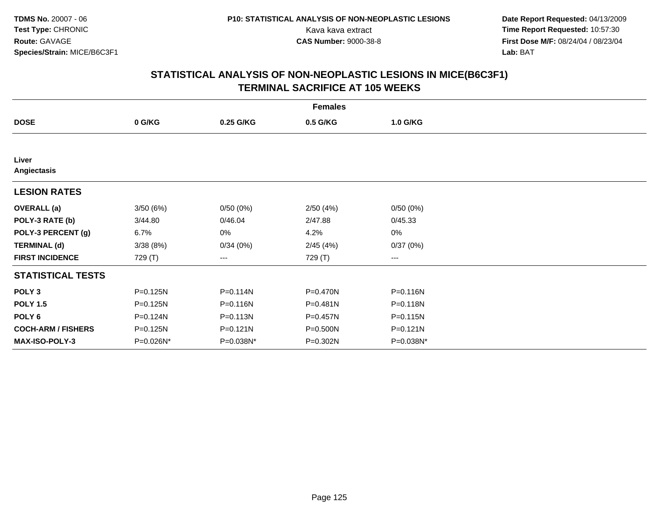**Date Report Requested:** 04/13/2009 Kava kava extract **Time Report Requested:** 10:57:30<br>**CAS Number:** 9000-38-8 **Time Report Requested:** 10:57:30 **First Dose M/F:** 08/24/04 / 08/23/04<br>Lab: BAT **Lab:** BAT

|                           |           |              | <b>Females</b> |              |  |
|---------------------------|-----------|--------------|----------------|--------------|--|
| <b>DOSE</b>               | 0 G/KG    | 0.25 G/KG    | 0.5 G/KG       | 1.0 G/KG     |  |
|                           |           |              |                |              |  |
| Liver<br>Angiectasis      |           |              |                |              |  |
| <b>LESION RATES</b>       |           |              |                |              |  |
| <b>OVERALL</b> (a)        | 3/50(6%)  | 0/50(0%)     | 2/50(4%)       | 0/50(0%)     |  |
| POLY-3 RATE (b)           | 3/44.80   | 0/46.04      | 2/47.88        | 0/45.33      |  |
| POLY-3 PERCENT (g)        | 6.7%      | 0%           | 4.2%           | 0%           |  |
| <b>TERMINAL (d)</b>       | 3/38(8%)  | 0/34(0%)     | 2/45(4%)       | 0/37(0%)     |  |
| <b>FIRST INCIDENCE</b>    | 729 (T)   | ---          | 729 (T)        | $--$         |  |
| <b>STATISTICAL TESTS</b>  |           |              |                |              |  |
| POLY <sub>3</sub>         | P=0.125N  | $P = 0.114N$ | P=0.470N       | P=0.116N     |  |
| <b>POLY 1.5</b>           | P=0.125N  | P=0.116N     | $P = 0.481N$   | P=0.118N     |  |
| POLY 6                    | P=0.124N  | $P = 0.113N$ | $P = 0.457N$   | $P = 0.115N$ |  |
| <b>COCH-ARM / FISHERS</b> | P=0.125N  | $P = 0.121N$ | P=0.500N       | $P = 0.121N$ |  |
| MAX-ISO-POLY-3            | P=0.026N* | P=0.038N*    | P=0.302N       | P=0.038N*    |  |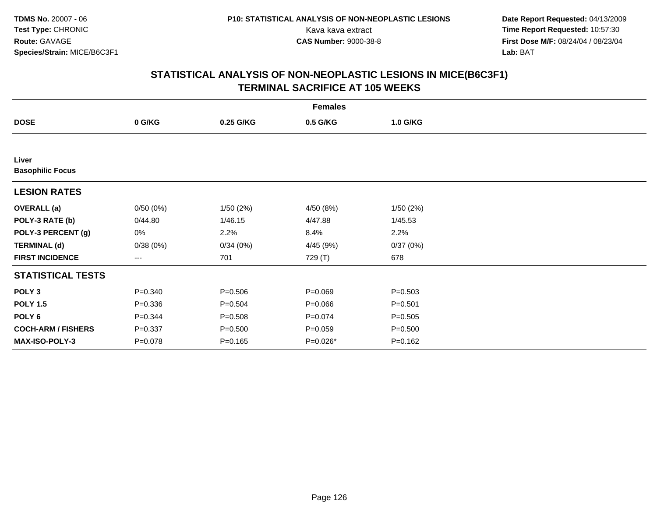**Date Report Requested:** 04/13/2009 Kava kava extract **Time Report Requested:** 10:57:30<br>**CAS Number:** 9000-38-8 **Time Report Requested:** 10:57:30 **First Dose M/F:** 08/24/04 / 08/23/04<br>Lab: BAT **Lab:** BAT

|                                  |             |             | <b>Females</b> |             |  |
|----------------------------------|-------------|-------------|----------------|-------------|--|
| <b>DOSE</b>                      | 0 G/KG      | 0.25 G/KG   | 0.5 G/KG       | 1.0 G/KG    |  |
|                                  |             |             |                |             |  |
| Liver<br><b>Basophilic Focus</b> |             |             |                |             |  |
| <b>LESION RATES</b>              |             |             |                |             |  |
| <b>OVERALL</b> (a)               | 0/50(0%)    | 1/50(2%)    | 4/50 (8%)      | 1/50(2%)    |  |
| POLY-3 RATE (b)                  | 0/44.80     | 1/46.15     | 4/47.88        | 1/45.53     |  |
| POLY-3 PERCENT (g)               | 0%          | 2.2%        | 8.4%           | 2.2%        |  |
| <b>TERMINAL (d)</b>              | 0/38(0%)    | 0/34(0%)    | 4/45 (9%)      | 0/37(0%)    |  |
| <b>FIRST INCIDENCE</b>           | ---         | 701         | 729 (T)        | 678         |  |
| <b>STATISTICAL TESTS</b>         |             |             |                |             |  |
| POLY <sub>3</sub>                | $P = 0.340$ | $P = 0.506$ | $P = 0.069$    | $P = 0.503$ |  |
| <b>POLY 1.5</b>                  | $P = 0.336$ | $P = 0.504$ | $P = 0.066$    | $P = 0.501$ |  |
| POLY <sub>6</sub>                | $P = 0.344$ | $P = 0.508$ | $P=0.074$      | $P = 0.505$ |  |
| <b>COCH-ARM / FISHERS</b>        | $P = 0.337$ | $P = 0.500$ | $P = 0.059$    | $P = 0.500$ |  |
| MAX-ISO-POLY-3                   | $P = 0.078$ | $P = 0.165$ | P=0.026*       | $P = 0.162$ |  |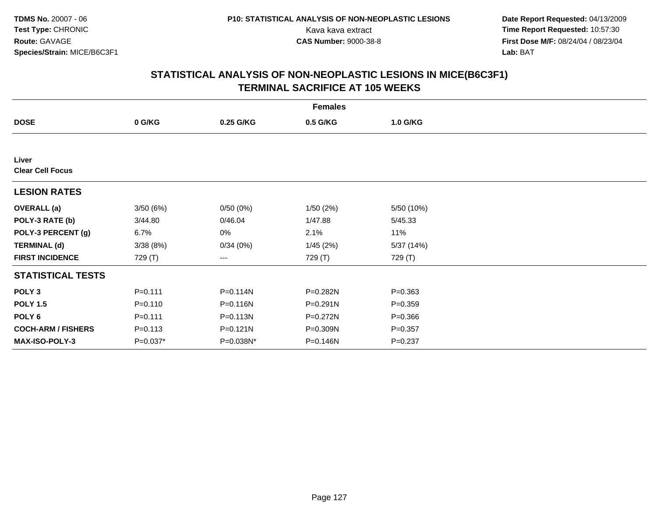**Date Report Requested:** 04/13/2009 Kava kava extract **Time Report Requested:** 10:57:30<br>**CAS Number:** 9000-38-8 **Time Report Requested:** 10:57:30 **First Dose M/F:** 08/24/04 / 08/23/04<br>Lab: BAT **Lab:** BAT

|                                  |             |           | <b>Females</b> |             |  |
|----------------------------------|-------------|-----------|----------------|-------------|--|
| <b>DOSE</b>                      | 0 G/KG      | 0.25 G/KG | 0.5 G/KG       | 1.0 G/KG    |  |
|                                  |             |           |                |             |  |
| Liver<br><b>Clear Cell Focus</b> |             |           |                |             |  |
| <b>LESION RATES</b>              |             |           |                |             |  |
| <b>OVERALL (a)</b>               | 3/50(6%)    | 0/50(0%)  | 1/50(2%)       | 5/50 (10%)  |  |
| POLY-3 RATE (b)                  | 3/44.80     | 0/46.04   | 1/47.88        | 5/45.33     |  |
| POLY-3 PERCENT (g)               | 6.7%        | 0%        | 2.1%           | 11%         |  |
| <b>TERMINAL (d)</b>              | 3/38(8%)    | 0/34(0%)  | 1/45(2%)       | 5/37 (14%)  |  |
| <b>FIRST INCIDENCE</b>           | 729 (T)     | ---       | 729 (T)        | 729 (T)     |  |
| <b>STATISTICAL TESTS</b>         |             |           |                |             |  |
| POLY <sub>3</sub>                | $P = 0.111$ | P=0.114N  | P=0.282N       | $P = 0.363$ |  |
| <b>POLY 1.5</b>                  | $P = 0.110$ | P=0.116N  | P=0.291N       | $P = 0.359$ |  |
| POLY 6                           | $P = 0.111$ | P=0.113N  | P=0.272N       | $P = 0.366$ |  |
| <b>COCH-ARM / FISHERS</b>        | $P = 0.113$ | P=0.121N  | P=0.309N       | $P = 0.357$ |  |
| <b>MAX-ISO-POLY-3</b>            | $P=0.037*$  | P=0.038N* | P=0.146N       | $P = 0.237$ |  |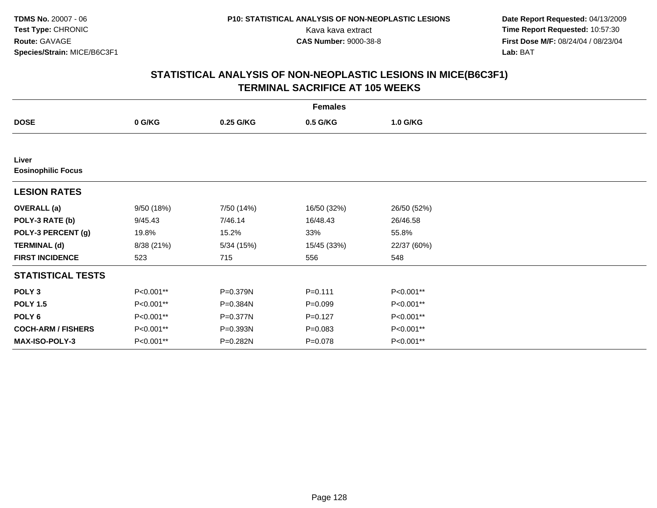**Date Report Requested:** 04/13/2009 Kava kava extract **Time Report Requested:** 10:57:30<br>**CAS Number:** 9000-38-8 **Time Report Requested:** 10:57:30 **First Dose M/F:** 08/24/04 / 08/23/04<br>Lab: BAT **Lab:** BAT

|                                    |            |            | <b>Females</b> |             |  |
|------------------------------------|------------|------------|----------------|-------------|--|
| <b>DOSE</b>                        | 0 G/KG     | 0.25 G/KG  | 0.5 G/KG       | 1.0 G/KG    |  |
|                                    |            |            |                |             |  |
| Liver<br><b>Eosinophilic Focus</b> |            |            |                |             |  |
| <b>LESION RATES</b>                |            |            |                |             |  |
| <b>OVERALL</b> (a)                 | 9/50 (18%) | 7/50 (14%) | 16/50 (32%)    | 26/50 (52%) |  |
| POLY-3 RATE (b)                    | 9/45.43    | 7/46.14    | 16/48.43       | 26/46.58    |  |
| POLY-3 PERCENT (g)                 | 19.8%      | 15.2%      | 33%            | 55.8%       |  |
| <b>TERMINAL (d)</b>                | 8/38 (21%) | 5/34(15%)  | 15/45 (33%)    | 22/37 (60%) |  |
| <b>FIRST INCIDENCE</b>             | 523        | 715        | 556            | 548         |  |
| <b>STATISTICAL TESTS</b>           |            |            |                |             |  |
| POLY <sub>3</sub>                  | P<0.001**  | P=0.379N   | $P = 0.111$    | P<0.001**   |  |
| <b>POLY 1.5</b>                    | P<0.001**  | P=0.384N   | $P = 0.099$    | P<0.001**   |  |
| POLY <sub>6</sub>                  | P<0.001**  | P=0.377N   | $P=0.127$      | P<0.001**   |  |
| <b>COCH-ARM / FISHERS</b>          | P<0.001**  | P=0.393N   | $P = 0.083$    | P<0.001**   |  |
| MAX-ISO-POLY-3                     | P<0.001**  | P=0.282N   | $P = 0.078$    | P<0.001**   |  |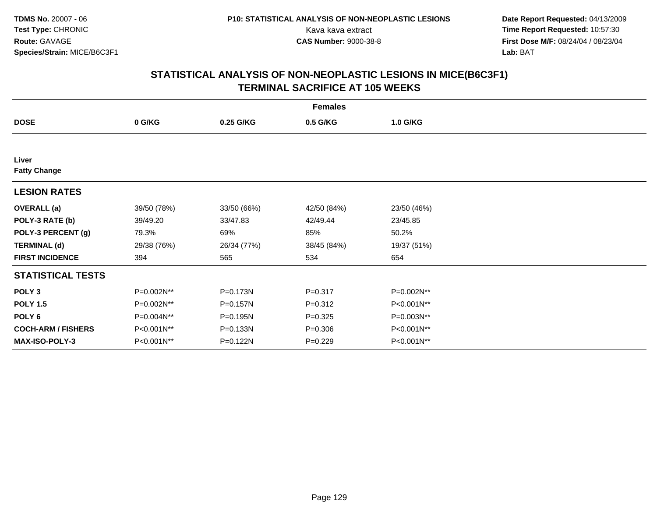**Date Report Requested:** 04/13/2009 Kava kava extract **Time Report Requested:** 10:57:30<br>**CAS Number:** 9000-38-8 **Time Report Requested:** 10:57:30 **First Dose M/F:** 08/24/04 / 08/23/04<br>Lab: BAT **Lab:** BAT

|                              |             |              | <b>Females</b> |             |  |
|------------------------------|-------------|--------------|----------------|-------------|--|
| <b>DOSE</b>                  | 0 G/KG      | 0.25 G/KG    | 0.5 G/KG       | 1.0 G/KG    |  |
|                              |             |              |                |             |  |
| Liver<br><b>Fatty Change</b> |             |              |                |             |  |
| <b>LESION RATES</b>          |             |              |                |             |  |
| <b>OVERALL</b> (a)           | 39/50 (78%) | 33/50 (66%)  | 42/50 (84%)    | 23/50 (46%) |  |
| POLY-3 RATE (b)              | 39/49.20    | 33/47.83     | 42/49.44       | 23/45.85    |  |
| POLY-3 PERCENT (g)           | 79.3%       | 69%          | 85%            | 50.2%       |  |
| <b>TERMINAL (d)</b>          | 29/38 (76%) | 26/34 (77%)  | 38/45 (84%)    | 19/37 (51%) |  |
| <b>FIRST INCIDENCE</b>       | 394         | 565          | 534            | 654         |  |
| <b>STATISTICAL TESTS</b>     |             |              |                |             |  |
| POLY <sub>3</sub>            | P=0.002N**  | P=0.173N     | $P = 0.317$    | P=0.002N**  |  |
| <b>POLY 1.5</b>              | P=0.002N**  | P=0.157N     | $P = 0.312$    | P<0.001N**  |  |
| POLY 6                       | P=0.004N**  | P=0.195N     | $P = 0.325$    | P=0.003N**  |  |
| <b>COCH-ARM / FISHERS</b>    | P<0.001N**  | $P = 0.133N$ | $P = 0.306$    | P<0.001N**  |  |
| MAX-ISO-POLY-3               | P<0.001N**  | P=0.122N     | $P=0.229$      | P<0.001N**  |  |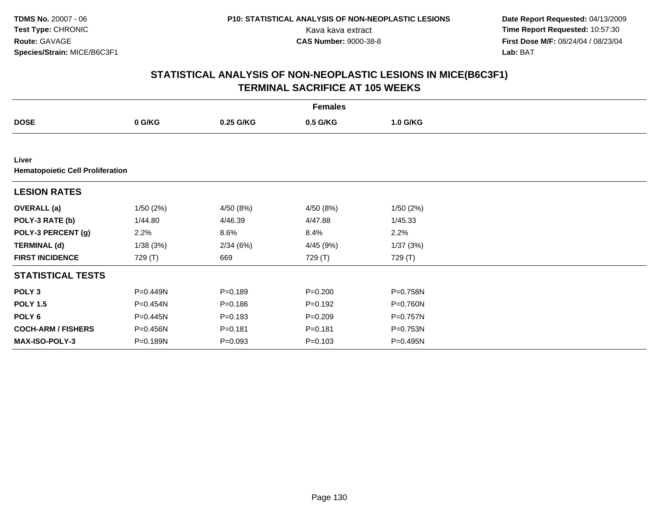**Date Report Requested:** 04/13/2009 Kava kava extract **Time Report Requested:** 10:57:30<br>**CAS Number:** 9000-38-8 **Time Report Requested:** 10:57:30 **First Dose M/F:** 08/24/04 / 08/23/04<br>Lab: BAT **Lab:** BAT

|                                                  |          |             | <b>Females</b> |          |  |
|--------------------------------------------------|----------|-------------|----------------|----------|--|
| <b>DOSE</b>                                      | 0 G/KG   | 0.25 G/KG   | 0.5 G/KG       | 1.0 G/KG |  |
|                                                  |          |             |                |          |  |
| Liver<br><b>Hematopoietic Cell Proliferation</b> |          |             |                |          |  |
| <b>LESION RATES</b>                              |          |             |                |          |  |
| <b>OVERALL (a)</b>                               | 1/50(2%) | 4/50 (8%)   | 4/50 (8%)      | 1/50(2%) |  |
| POLY-3 RATE (b)                                  | 1/44.80  | 4/46.39     | 4/47.88        | 1/45.33  |  |
| POLY-3 PERCENT (g)                               | 2.2%     | 8.6%        | 8.4%           | 2.2%     |  |
| <b>TERMINAL (d)</b>                              | 1/38(3%) | 2/34(6%)    | 4/45 (9%)      | 1/37(3%) |  |
| <b>FIRST INCIDENCE</b>                           | 729 (T)  | 669         | 729 (T)        | 729 (T)  |  |
| <b>STATISTICAL TESTS</b>                         |          |             |                |          |  |
| POLY <sub>3</sub>                                | P=0.449N | $P = 0.189$ | $P = 0.200$    | P=0.758N |  |
| <b>POLY 1.5</b>                                  | P=0.454N | $P = 0.186$ | $P = 0.192$    | P=0.760N |  |
| POLY <sub>6</sub>                                | P=0.445N | $P = 0.193$ | $P = 0.209$    | P=0.757N |  |
| <b>COCH-ARM / FISHERS</b>                        | P=0.456N | $P = 0.181$ | $P = 0.181$    | P=0.753N |  |
| MAX-ISO-POLY-3                                   | P=0.189N | $P = 0.093$ | $P = 0.103$    | P=0.495N |  |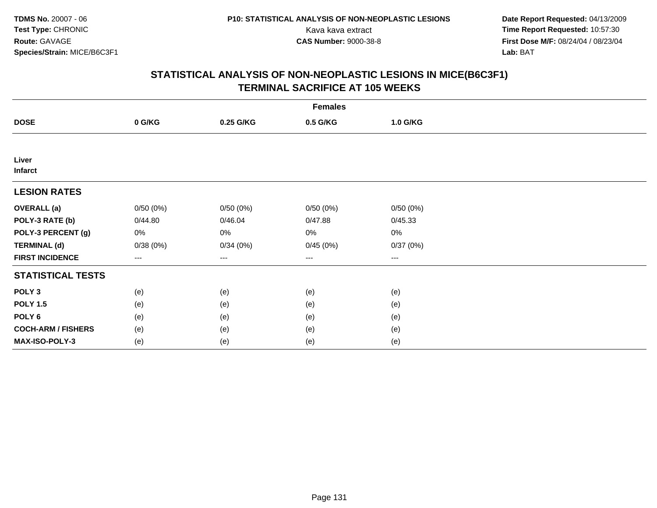**Date Report Requested:** 04/13/2009 Kava kava extract **Time Report Requested:** 10:57:30<br>**CAS Number:** 9000-38-8 **Time Report Requested:** 10:57:30 **First Dose M/F:** 08/24/04 / 08/23/04<br>Lab: BAT **Lab:** BAT

|                           |          |           | <b>Females</b> |          |  |
|---------------------------|----------|-----------|----------------|----------|--|
| <b>DOSE</b>               | 0 G/KG   | 0.25 G/KG | 0.5 G/KG       | 1.0 G/KG |  |
|                           |          |           |                |          |  |
| Liver<br><b>Infarct</b>   |          |           |                |          |  |
| <b>LESION RATES</b>       |          |           |                |          |  |
| <b>OVERALL</b> (a)        | 0/50(0%) | 0/50(0%)  | 0/50(0%)       | 0/50(0%) |  |
| POLY-3 RATE (b)           | 0/44.80  | 0/46.04   | 0/47.88        | 0/45.33  |  |
| POLY-3 PERCENT (g)        | 0%       | 0%        | 0%             | 0%       |  |
| <b>TERMINAL (d)</b>       | 0/38(0%) | 0/34(0%)  | 0/45(0%)       | 0/37(0%) |  |
| <b>FIRST INCIDENCE</b>    | $---$    | ---       | ---            | $--$     |  |
| <b>STATISTICAL TESTS</b>  |          |           |                |          |  |
| POLY <sub>3</sub>         | (e)      | (e)       | (e)            | (e)      |  |
| <b>POLY 1.5</b>           | (e)      | (e)       | (e)            | (e)      |  |
| POLY <sub>6</sub>         | (e)      | (e)       | (e)            | (e)      |  |
| <b>COCH-ARM / FISHERS</b> | (e)      | (e)       | (e)            | (e)      |  |
| MAX-ISO-POLY-3            | (e)      | (e)       | (e)            | (e)      |  |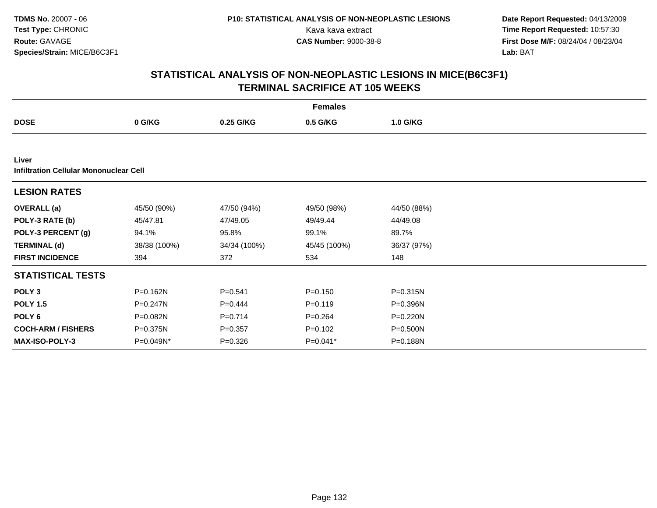**Date Report Requested:** 04/13/2009 Kava kava extract **Time Report Requested:** 10:57:30<br>**CAS Number:** 9000-38-8 **Time Report Requested:** 10:57:30 **First Dose M/F:** 08/24/04 / 08/23/04<br>Lab: BAT **Lab:** BAT

|                                        |              |              | <b>Females</b> |             |  |
|----------------------------------------|--------------|--------------|----------------|-------------|--|
| <b>DOSE</b>                            | 0 G/KG       | 0.25 G/KG    | 0.5 G/KG       | 1.0 G/KG    |  |
|                                        |              |              |                |             |  |
| Liver                                  |              |              |                |             |  |
| Infiltration Cellular Mononuclear Cell |              |              |                |             |  |
| <b>LESION RATES</b>                    |              |              |                |             |  |
| <b>OVERALL</b> (a)                     | 45/50 (90%)  | 47/50 (94%)  | 49/50 (98%)    | 44/50 (88%) |  |
| POLY-3 RATE (b)                        | 45/47.81     | 47/49.05     | 49/49.44       | 44/49.08    |  |
| POLY-3 PERCENT (g)                     | 94.1%        | 95.8%        | 99.1%          | 89.7%       |  |
| <b>TERMINAL (d)</b>                    | 38/38 (100%) | 34/34 (100%) | 45/45 (100%)   | 36/37 (97%) |  |
| <b>FIRST INCIDENCE</b>                 | 394          | 372          | 534            | 148         |  |
| <b>STATISTICAL TESTS</b>               |              |              |                |             |  |
| POLY <sub>3</sub>                      | P=0.162N     | $P = 0.541$  | $P = 0.150$    | P=0.315N    |  |
| <b>POLY 1.5</b>                        | P=0.247N     | $P=0.444$    | $P = 0.119$    | P=0.396N    |  |
| POLY <sub>6</sub>                      | P=0.082N     | $P = 0.714$  | $P = 0.264$    | P=0.220N    |  |
| <b>COCH-ARM / FISHERS</b>              | P=0.375N     | $P = 0.357$  | $P = 0.102$    | P=0.500N    |  |
| <b>MAX-ISO-POLY-3</b>                  | P=0.049N*    | $P = 0.326$  | $P=0.041*$     | P=0.188N    |  |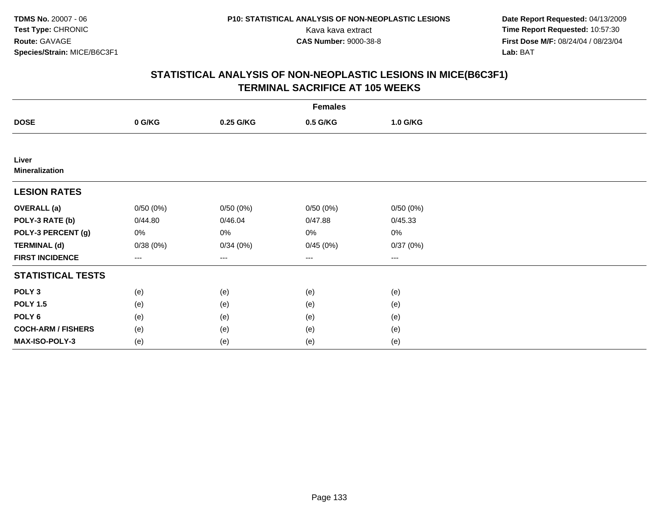**Date Report Requested:** 04/13/2009 Kava kava extract **Time Report Requested:** 10:57:30<br>**CAS Number:** 9000-38-8 **Time Report Requested:** 10:57:30 **First Dose M/F:** 08/24/04 / 08/23/04<br>Lab: BAT **Lab:** BAT

|                                | <b>Females</b> |           |          |          |  |  |  |
|--------------------------------|----------------|-----------|----------|----------|--|--|--|
| <b>DOSE</b>                    | 0 G/KG         | 0.25 G/KG | 0.5 G/KG | 1.0 G/KG |  |  |  |
|                                |                |           |          |          |  |  |  |
| Liver<br><b>Mineralization</b> |                |           |          |          |  |  |  |
| <b>LESION RATES</b>            |                |           |          |          |  |  |  |
| <b>OVERALL</b> (a)             | 0/50(0%)       | 0/50(0%)  | 0/50(0%) | 0/50(0%) |  |  |  |
| POLY-3 RATE (b)                | 0/44.80        | 0/46.04   | 0/47.88  | 0/45.33  |  |  |  |
| POLY-3 PERCENT (g)             | 0%             | 0%        | 0%       | 0%       |  |  |  |
| <b>TERMINAL (d)</b>            | 0/38(0%)       | 0/34(0%)  | 0/45(0%) | 0/37(0%) |  |  |  |
| <b>FIRST INCIDENCE</b>         | $--$           | ---       | $--$     | $--$     |  |  |  |
| <b>STATISTICAL TESTS</b>       |                |           |          |          |  |  |  |
| POLY <sub>3</sub>              | (e)            | (e)       | (e)      | (e)      |  |  |  |
| <b>POLY 1.5</b>                | (e)            | (e)       | (e)      | (e)      |  |  |  |
| POLY <sub>6</sub>              | (e)            | (e)       | (e)      | (e)      |  |  |  |
| <b>COCH-ARM / FISHERS</b>      | (e)            | (e)       | (e)      | (e)      |  |  |  |
| MAX-ISO-POLY-3                 | (e)            | (e)       | (e)      | (e)      |  |  |  |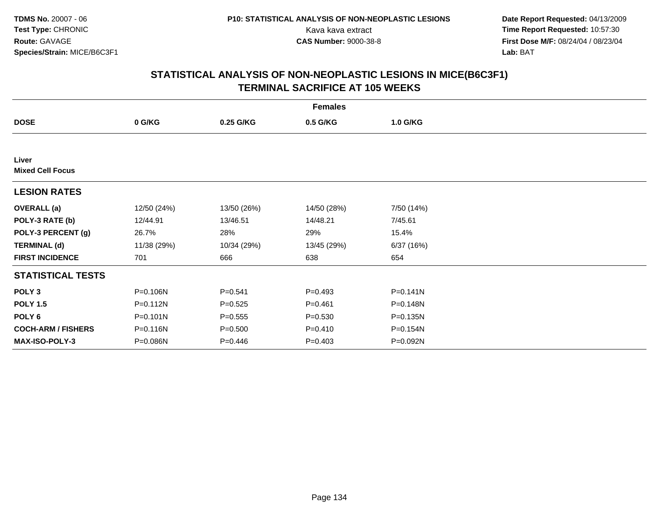**Date Report Requested:** 04/13/2009 Kava kava extract **Time Report Requested:** 10:57:30<br>**CAS Number:** 9000-38-8 **Time Report Requested:** 10:57:30 **First Dose M/F:** 08/24/04 / 08/23/04<br>Lab: BAT **Lab:** BAT

|                                  | <b>Females</b> |             |             |              |  |  |  |
|----------------------------------|----------------|-------------|-------------|--------------|--|--|--|
| <b>DOSE</b>                      | 0 G/KG         | 0.25 G/KG   | 0.5 G/KG    | 1.0 G/KG     |  |  |  |
|                                  |                |             |             |              |  |  |  |
| Liver<br><b>Mixed Cell Focus</b> |                |             |             |              |  |  |  |
| <b>LESION RATES</b>              |                |             |             |              |  |  |  |
| <b>OVERALL</b> (a)               | 12/50 (24%)    | 13/50 (26%) | 14/50 (28%) | 7/50 (14%)   |  |  |  |
| POLY-3 RATE (b)                  | 12/44.91       | 13/46.51    | 14/48.21    | 7/45.61      |  |  |  |
| POLY-3 PERCENT (g)               | 26.7%          | 28%         | 29%         | 15.4%        |  |  |  |
| <b>TERMINAL (d)</b>              | 11/38 (29%)    | 10/34 (29%) | 13/45 (29%) | 6/37(16%)    |  |  |  |
| <b>FIRST INCIDENCE</b>           | 701            | 666         | 638         | 654          |  |  |  |
| <b>STATISTICAL TESTS</b>         |                |             |             |              |  |  |  |
| POLY <sub>3</sub>                | P=0.106N       | $P = 0.541$ | $P=0.493$   | $P = 0.141N$ |  |  |  |
| <b>POLY 1.5</b>                  | P=0.112N       | $P = 0.525$ | $P = 0.461$ | $P = 0.148N$ |  |  |  |
| POLY <sub>6</sub>                | $P = 0.101N$   | $P = 0.555$ | $P = 0.530$ | P=0.135N     |  |  |  |
| <b>COCH-ARM / FISHERS</b>        | P=0.116N       | $P = 0.500$ | $P = 0.410$ | P=0.154N     |  |  |  |
| <b>MAX-ISO-POLY-3</b>            | $P = 0.086N$   | $P=0.446$   | $P = 0.403$ | P=0.092N     |  |  |  |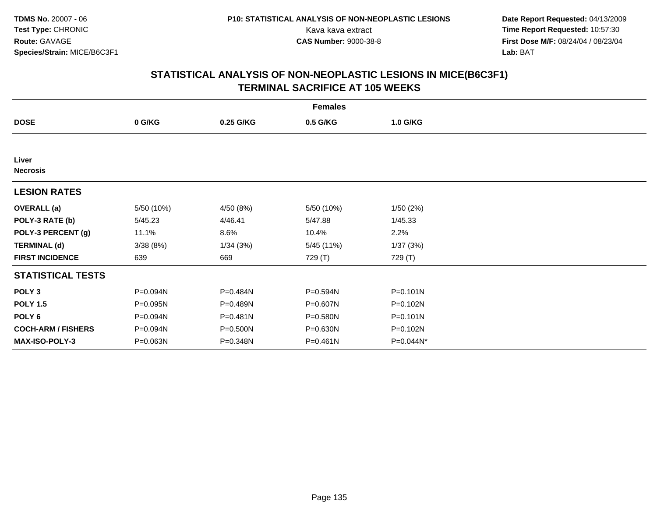**Date Report Requested:** 04/13/2009 Kava kava extract **Time Report Requested:** 10:57:30<br>**CAS Number:** 9000-38-8 **Time Report Requested:** 10:57:30 **First Dose M/F:** 08/24/04 / 08/23/04<br>Lab: BAT **Lab:** BAT

|                           |            |              | <b>Females</b> |              |  |
|---------------------------|------------|--------------|----------------|--------------|--|
| <b>DOSE</b>               | 0 G/KG     | 0.25 G/KG    | 0.5 G/KG       | 1.0 G/KG     |  |
|                           |            |              |                |              |  |
| Liver<br><b>Necrosis</b>  |            |              |                |              |  |
| <b>LESION RATES</b>       |            |              |                |              |  |
| <b>OVERALL</b> (a)        | 5/50 (10%) | 4/50 (8%)    | 5/50 (10%)     | 1/50(2%)     |  |
| POLY-3 RATE (b)           | 5/45.23    | 4/46.41      | 5/47.88        | 1/45.33      |  |
| POLY-3 PERCENT (g)        | 11.1%      | 8.6%         | 10.4%          | 2.2%         |  |
| <b>TERMINAL (d)</b>       | 3/38(8%)   | 1/34(3%)     | 5/45 (11%)     | 1/37(3%)     |  |
| <b>FIRST INCIDENCE</b>    | 639        | 669          | 729 (T)        | 729 (T)      |  |
| <b>STATISTICAL TESTS</b>  |            |              |                |              |  |
| POLY <sub>3</sub>         | P=0.094N   | P=0.484N     | P=0.594N       | $P = 0.101N$ |  |
| <b>POLY 1.5</b>           | P=0.095N   | P=0.489N     | P=0.607N       | P=0.102N     |  |
| POLY 6                    | P=0.094N   | $P = 0.481N$ | P=0.580N       | $P = 0.101N$ |  |
| <b>COCH-ARM / FISHERS</b> | P=0.094N   | P=0.500N     | P=0.630N       | P=0.102N     |  |
| <b>MAX-ISO-POLY-3</b>     | P=0.063N   | P=0.348N     | $P = 0.461N$   | P=0.044N*    |  |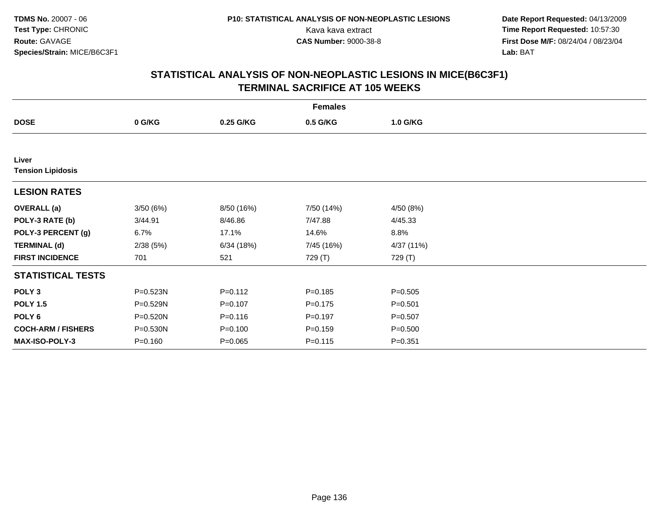**Date Report Requested:** 04/13/2009 Kava kava extract **Time Report Requested:** 10:57:30<br>**CAS Number:** 9000-38-8 **Time Report Requested:** 10:57:30 **First Dose M/F:** 08/24/04 / 08/23/04<br>Lab: BAT **Lab:** BAT

|                                   |             |             | <b>Females</b> |             |  |
|-----------------------------------|-------------|-------------|----------------|-------------|--|
| <b>DOSE</b>                       | 0 G/KG      | 0.25 G/KG   | 0.5 G/KG       | 1.0 G/KG    |  |
|                                   |             |             |                |             |  |
| Liver<br><b>Tension Lipidosis</b> |             |             |                |             |  |
| <b>LESION RATES</b>               |             |             |                |             |  |
| <b>OVERALL</b> (a)                | 3/50(6%)    | 8/50 (16%)  | 7/50 (14%)     | 4/50 (8%)   |  |
| POLY-3 RATE (b)                   | 3/44.91     | 8/46.86     | 7/47.88        | 4/45.33     |  |
| POLY-3 PERCENT (g)                | 6.7%        | 17.1%       | 14.6%          | 8.8%        |  |
| <b>TERMINAL (d)</b>               | 2/38(5%)    | 6/34(18%)   | 7/45 (16%)     | 4/37 (11%)  |  |
| <b>FIRST INCIDENCE</b>            | 701         | 521         | 729 (T)        | 729 (T)     |  |
| <b>STATISTICAL TESTS</b>          |             |             |                |             |  |
| POLY <sub>3</sub>                 | P=0.523N    | $P = 0.112$ | $P = 0.185$    | $P = 0.505$ |  |
| <b>POLY 1.5</b>                   | P=0.529N    | $P = 0.107$ | $P = 0.175$    | $P = 0.501$ |  |
| POLY <sub>6</sub>                 | P=0.520N    | $P = 0.116$ | $P=0.197$      | $P = 0.507$ |  |
| <b>COCH-ARM / FISHERS</b>         | P=0.530N    | $P = 0.100$ | $P = 0.159$    | $P = 0.500$ |  |
| <b>MAX-ISO-POLY-3</b>             | $P = 0.160$ | $P = 0.065$ | $P = 0.115$    | $P = 0.351$ |  |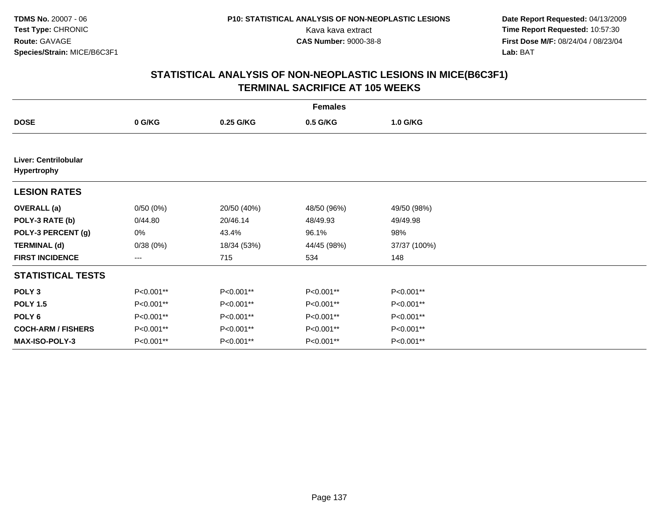**Date Report Requested:** 04/13/2009 Kava kava extract **Time Report Requested:** 10:57:30<br>**CAS Number:** 9000-38-8 **Time Report Requested:** 10:57:30 **First Dose M/F:** 08/24/04 / 08/23/04<br>Lab: BAT **Lab:** BAT

|                                            | <b>Females</b> |             |             |              |  |  |  |
|--------------------------------------------|----------------|-------------|-------------|--------------|--|--|--|
| <b>DOSE</b>                                | 0 G/KG         | 0.25 G/KG   | 0.5 G/KG    | 1.0 G/KG     |  |  |  |
|                                            |                |             |             |              |  |  |  |
| Liver: Centrilobular<br><b>Hypertrophy</b> |                |             |             |              |  |  |  |
| <b>LESION RATES</b>                        |                |             |             |              |  |  |  |
| <b>OVERALL</b> (a)                         | 0/50(0%)       | 20/50 (40%) | 48/50 (96%) | 49/50 (98%)  |  |  |  |
| POLY-3 RATE (b)                            | 0/44.80        | 20/46.14    | 48/49.93    | 49/49.98     |  |  |  |
| POLY-3 PERCENT (g)                         | 0%             | 43.4%       | 96.1%       | 98%          |  |  |  |
| <b>TERMINAL (d)</b>                        | 0/38(0%)       | 18/34 (53%) | 44/45 (98%) | 37/37 (100%) |  |  |  |
| <b>FIRST INCIDENCE</b>                     | ---            | 715         | 534         | 148          |  |  |  |
| <b>STATISTICAL TESTS</b>                   |                |             |             |              |  |  |  |
| POLY <sub>3</sub>                          | P<0.001**      | P<0.001**   | P<0.001**   | P<0.001**    |  |  |  |
| <b>POLY 1.5</b>                            | P<0.001**      | P<0.001**   | P<0.001**   | P<0.001**    |  |  |  |
| POLY <sub>6</sub>                          | P<0.001**      | P<0.001**   | P<0.001**   | P<0.001**    |  |  |  |
| <b>COCH-ARM / FISHERS</b>                  | P<0.001**      | P<0.001**   | P<0.001**   | P<0.001**    |  |  |  |
| <b>MAX-ISO-POLY-3</b>                      | P<0.001**      | P<0.001**   | P<0.001**   | P<0.001**    |  |  |  |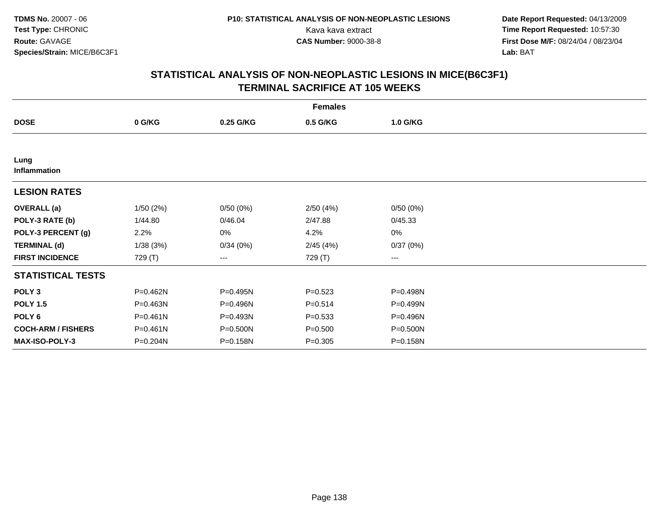**Date Report Requested:** 04/13/2009 Kava kava extract **Time Report Requested:** 10:57:30<br>**CAS Number:** 9000-38-8 **Time Report Requested:** 10:57:30 **First Dose M/F:** 08/24/04 / 08/23/04<br>Lab: BAT **Lab:** BAT

|                           | <b>Females</b> |           |             |          |  |  |  |
|---------------------------|----------------|-----------|-------------|----------|--|--|--|
| <b>DOSE</b>               | 0 G/KG         | 0.25 G/KG | 0.5 G/KG    | 1.0 G/KG |  |  |  |
|                           |                |           |             |          |  |  |  |
| Lung<br>Inflammation      |                |           |             |          |  |  |  |
| <b>LESION RATES</b>       |                |           |             |          |  |  |  |
| <b>OVERALL</b> (a)        | 1/50(2%)       | 0/50(0%)  | 2/50(4%)    | 0/50(0%) |  |  |  |
| POLY-3 RATE (b)           | 1/44.80        | 0/46.04   | 2/47.88     | 0/45.33  |  |  |  |
| POLY-3 PERCENT (g)        | 2.2%           | 0%        | 4.2%        | 0%       |  |  |  |
| <b>TERMINAL (d)</b>       | 1/38(3%)       | 0/34(0%)  | 2/45(4%)    | 0/37(0%) |  |  |  |
| <b>FIRST INCIDENCE</b>    | 729 (T)        | ---       | 729 (T)     | ---      |  |  |  |
| <b>STATISTICAL TESTS</b>  |                |           |             |          |  |  |  |
| POLY <sub>3</sub>         | P=0.462N       | P=0.495N  | $P = 0.523$ | P=0.498N |  |  |  |
| <b>POLY 1.5</b>           | P=0.463N       | P=0.496N  | $P = 0.514$ | P=0.499N |  |  |  |
| POLY <sub>6</sub>         | $P = 0.461N$   | P=0.493N  | $P = 0.533$ | P=0.496N |  |  |  |
| <b>COCH-ARM / FISHERS</b> | $P = 0.461N$   | P=0.500N  | $P = 0.500$ | P=0.500N |  |  |  |
| <b>MAX-ISO-POLY-3</b>     | P=0.204N       | P=0.158N  | $P = 0.305$ | P=0.158N |  |  |  |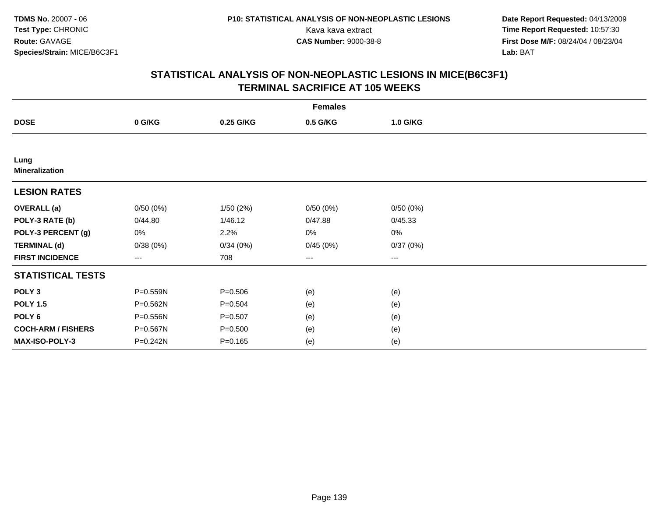**Date Report Requested:** 04/13/2009 Kava kava extract **Time Report Requested:** 10:57:30<br>**CAS Number:** 9000-38-8 **Time Report Requested:** 10:57:30 **First Dose M/F:** 08/24/04 / 08/23/04<br>Lab: BAT **Lab:** BAT

|                               | <b>Females</b> |             |          |                        |  |  |  |
|-------------------------------|----------------|-------------|----------|------------------------|--|--|--|
| <b>DOSE</b>                   | 0 G/KG         | 0.25 G/KG   | 0.5 G/KG | 1.0 G/KG               |  |  |  |
|                               |                |             |          |                        |  |  |  |
| Lung<br><b>Mineralization</b> |                |             |          |                        |  |  |  |
| <b>LESION RATES</b>           |                |             |          |                        |  |  |  |
| <b>OVERALL</b> (a)            | 0/50(0%)       | 1/50(2%)    | 0/50(0%) | 0/50(0%)               |  |  |  |
| POLY-3 RATE (b)               | 0/44.80        | 1/46.12     | 0/47.88  | 0/45.33                |  |  |  |
| POLY-3 PERCENT (g)            | 0%             | 2.2%        | 0%       | 0%                     |  |  |  |
| <b>TERMINAL (d)</b>           | 0/38(0%)       | 0/34(0%)    | 0/45(0%) | 0/37(0%)               |  |  |  |
| <b>FIRST INCIDENCE</b>        | ---            | 708         | ---      | $\qquad \qquad \cdots$ |  |  |  |
| <b>STATISTICAL TESTS</b>      |                |             |          |                        |  |  |  |
| POLY <sub>3</sub>             | P=0.559N       | $P = 0.506$ | (e)      | (e)                    |  |  |  |
| <b>POLY 1.5</b>               | P=0.562N       | $P = 0.504$ | (e)      | (e)                    |  |  |  |
| POLY 6                        | P=0.556N       | $P = 0.507$ | (e)      | (e)                    |  |  |  |
| <b>COCH-ARM / FISHERS</b>     | P=0.567N       | $P = 0.500$ | (e)      | (e)                    |  |  |  |
| MAX-ISO-POLY-3                | P=0.242N       | $P = 0.165$ | (e)      | (e)                    |  |  |  |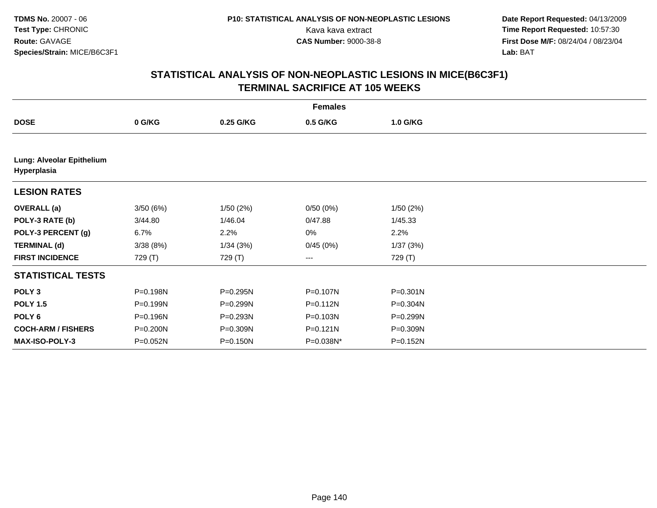**Date Report Requested:** 04/13/2009 Kava kava extract **Time Report Requested:** 10:57:30<br>**CAS Number:** 9000-38-8 **Time Report Requested:** 10:57:30 **First Dose M/F:** 08/24/04 / 08/23/04<br>Lab: BAT **Lab:** BAT

|                                          | <b>Females</b> |           |              |          |  |  |  |  |
|------------------------------------------|----------------|-----------|--------------|----------|--|--|--|--|
| <b>DOSE</b>                              | 0 G/KG         | 0.25 G/KG | 0.5 G/KG     | 1.0 G/KG |  |  |  |  |
|                                          |                |           |              |          |  |  |  |  |
| Lung: Alveolar Epithelium<br>Hyperplasia |                |           |              |          |  |  |  |  |
| <b>LESION RATES</b>                      |                |           |              |          |  |  |  |  |
| <b>OVERALL</b> (a)                       | 3/50(6%)       | 1/50(2%)  | 0/50(0%)     | 1/50(2%) |  |  |  |  |
| POLY-3 RATE (b)                          | 3/44.80        | 1/46.04   | 0/47.88      | 1/45.33  |  |  |  |  |
| POLY-3 PERCENT (g)                       | 6.7%           | 2.2%      | 0%           | 2.2%     |  |  |  |  |
| <b>TERMINAL (d)</b>                      | 3/38(8%)       | 1/34(3%)  | 0/45(0%)     | 1/37(3%) |  |  |  |  |
| <b>FIRST INCIDENCE</b>                   | 729 (T)        | 729 (T)   | ---          | 729 (T)  |  |  |  |  |
| <b>STATISTICAL TESTS</b>                 |                |           |              |          |  |  |  |  |
| POLY <sub>3</sub>                        | P=0.198N       | P=0.295N  | P=0.107N     | P=0.301N |  |  |  |  |
| <b>POLY 1.5</b>                          | P=0.199N       | P=0.299N  | P=0.112N     | P=0.304N |  |  |  |  |
| POLY 6                                   | P=0.196N       | P=0.293N  | P=0.103N     | P=0.299N |  |  |  |  |
| <b>COCH-ARM / FISHERS</b>                | P=0.200N       | P=0.309N  | $P = 0.121N$ | P=0.309N |  |  |  |  |
| <b>MAX-ISO-POLY-3</b>                    | P=0.052N       | P=0.150N  | P=0.038N*    | P=0.152N |  |  |  |  |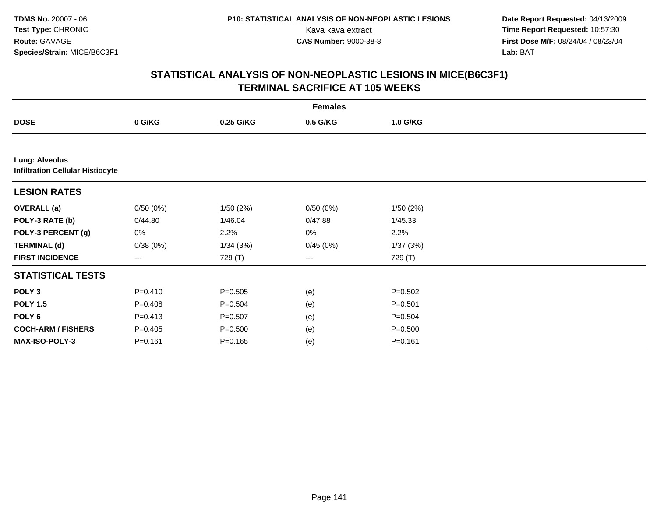**Date Report Requested:** 04/13/2009 Kava kava extract **Time Report Requested:** 10:57:30<br>**CAS Number:** 9000-38-8 **Time Report Requested:** 10:57:30 **First Dose M/F:** 08/24/04 / 08/23/04<br>Lab: BAT **Lab:** BAT

|                                                                  | <b>Females</b> |             |          |             |  |  |  |
|------------------------------------------------------------------|----------------|-------------|----------|-------------|--|--|--|
| <b>DOSE</b>                                                      | 0 G/KG         | 0.25 G/KG   | 0.5 G/KG | 1.0 G/KG    |  |  |  |
|                                                                  |                |             |          |             |  |  |  |
| <b>Lung: Alveolus</b><br><b>Infiltration Cellular Histiocyte</b> |                |             |          |             |  |  |  |
| <b>LESION RATES</b>                                              |                |             |          |             |  |  |  |
| <b>OVERALL</b> (a)                                               | 0/50(0%)       | 1/50(2%)    | 0/50(0%) | 1/50(2%)    |  |  |  |
| POLY-3 RATE (b)                                                  | 0/44.80        | 1/46.04     | 0/47.88  | 1/45.33     |  |  |  |
| POLY-3 PERCENT (g)                                               | 0%             | 2.2%        | 0%       | 2.2%        |  |  |  |
| <b>TERMINAL (d)</b>                                              | 0/38(0%)       | 1/34(3%)    | 0/45(0%) | 1/37(3%)    |  |  |  |
| <b>FIRST INCIDENCE</b>                                           | ---            | 729 (T)     | ---      | 729 (T)     |  |  |  |
| <b>STATISTICAL TESTS</b>                                         |                |             |          |             |  |  |  |
| POLY <sub>3</sub>                                                | $P = 0.410$    | $P = 0.505$ | (e)      | $P = 0.502$ |  |  |  |
| <b>POLY 1.5</b>                                                  | $P = 0.408$    | $P = 0.504$ | (e)      | $P = 0.501$ |  |  |  |
| POLY 6                                                           | $P = 0.413$    | $P = 0.507$ | (e)      | $P = 0.504$ |  |  |  |
| <b>COCH-ARM / FISHERS</b>                                        | $P = 0.405$    | $P = 0.500$ | (e)      | $P = 0.500$ |  |  |  |
| MAX-ISO-POLY-3                                                   | $P = 0.161$    | $P = 0.165$ | (e)      | $P = 0.161$ |  |  |  |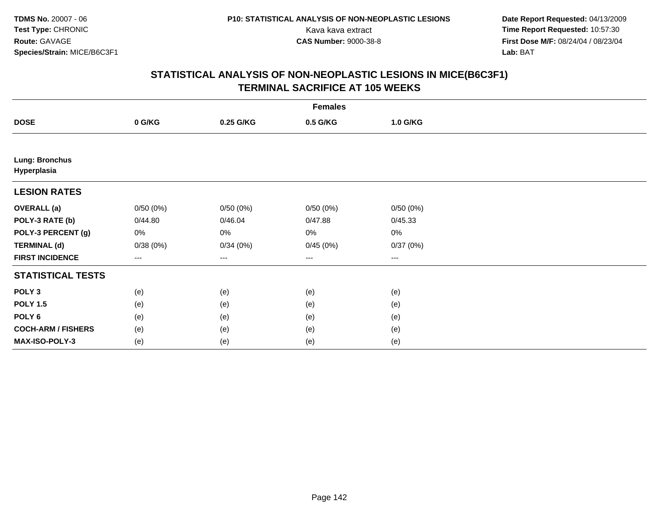**Date Report Requested:** 04/13/2009 Kava kava extract **Time Report Requested:** 10:57:30<br>**CAS Number:** 9000-38-8 **Time Report Requested:** 10:57:30 **First Dose M/F:** 08/24/04 / 08/23/04<br>Lab: BAT **Lab:** BAT

|                                      | <b>Females</b> |           |          |          |  |  |  |
|--------------------------------------|----------------|-----------|----------|----------|--|--|--|
| <b>DOSE</b>                          | 0 G/KG         | 0.25 G/KG | 0.5 G/KG | 1.0 G/KG |  |  |  |
|                                      |                |           |          |          |  |  |  |
| <b>Lung: Bronchus</b><br>Hyperplasia |                |           |          |          |  |  |  |
| <b>LESION RATES</b>                  |                |           |          |          |  |  |  |
| <b>OVERALL</b> (a)                   | 0/50(0%)       | 0/50(0%)  | 0/50(0%) | 0/50(0%) |  |  |  |
| POLY-3 RATE (b)                      | 0/44.80        | 0/46.04   | 0/47.88  | 0/45.33  |  |  |  |
| POLY-3 PERCENT (g)                   | 0%             | 0%        | 0%       | 0%       |  |  |  |
| <b>TERMINAL (d)</b>                  | 0/38(0%)       | 0/34(0%)  | 0/45(0%) | 0/37(0%) |  |  |  |
| <b>FIRST INCIDENCE</b>               | $---$          | ---       | ---      | $---$    |  |  |  |
| <b>STATISTICAL TESTS</b>             |                |           |          |          |  |  |  |
| POLY <sub>3</sub>                    | (e)            | (e)       | (e)      | (e)      |  |  |  |
| <b>POLY 1.5</b>                      | (e)            | (e)       | (e)      | (e)      |  |  |  |
| POLY <sub>6</sub>                    | (e)            | (e)       | (e)      | (e)      |  |  |  |
| <b>COCH-ARM / FISHERS</b>            | (e)            | (e)       | (e)      | (e)      |  |  |  |
| MAX-ISO-POLY-3                       | (e)            | (e)       | (e)      | (e)      |  |  |  |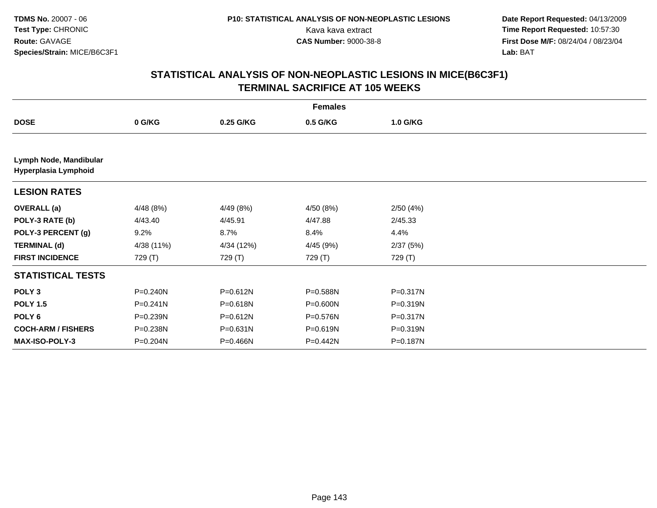**Date Report Requested:** 04/13/2009 Kava kava extract **Time Report Requested:** 10:57:30<br>**CAS Number:** 9000-38-8 **Time Report Requested:** 10:57:30 **First Dose M/F:** 08/24/04 / 08/23/04<br>Lab: BAT **Lab:** BAT

|                                                | <b>Females</b> |              |           |              |  |  |  |
|------------------------------------------------|----------------|--------------|-----------|--------------|--|--|--|
| <b>DOSE</b>                                    | 0 G/KG         | 0.25 G/KG    | 0.5 G/KG  | 1.0 G/KG     |  |  |  |
|                                                |                |              |           |              |  |  |  |
| Lymph Node, Mandibular<br>Hyperplasia Lymphoid |                |              |           |              |  |  |  |
| <b>LESION RATES</b>                            |                |              |           |              |  |  |  |
| <b>OVERALL</b> (a)                             | 4/48 (8%)      | 4/49 (8%)    | 4/50 (8%) | 2/50(4%)     |  |  |  |
| POLY-3 RATE (b)                                | 4/43.40        | 4/45.91      | 4/47.88   | 2/45.33      |  |  |  |
| POLY-3 PERCENT (g)                             | $9.2\%$        | 8.7%         | 8.4%      | 4.4%         |  |  |  |
| <b>TERMINAL (d)</b>                            | 4/38 (11%)     | 4/34 (12%)   | 4/45 (9%) | 2/37(5%)     |  |  |  |
| <b>FIRST INCIDENCE</b>                         | 729 (T)        | 729 (T)      | 729 (T)   | 729 (T)      |  |  |  |
| <b>STATISTICAL TESTS</b>                       |                |              |           |              |  |  |  |
| POLY <sub>3</sub>                              | P=0.240N       | $P = 0.612N$ | P=0.588N  | $P = 0.317N$ |  |  |  |
| <b>POLY 1.5</b>                                | $P = 0.241N$   | P=0.618N     | P=0.600N  | $P = 0.319N$ |  |  |  |
| POLY <sub>6</sub>                              | P=0.239N       | $P = 0.612N$ | P=0.576N  | $P = 0.317N$ |  |  |  |
| <b>COCH-ARM / FISHERS</b>                      | P=0.238N       | P=0.631N     | P=0.619N  | P=0.319N     |  |  |  |
| <b>MAX-ISO-POLY-3</b>                          | P=0.204N       | P=0.466N     | P=0.442N  | P=0.187N     |  |  |  |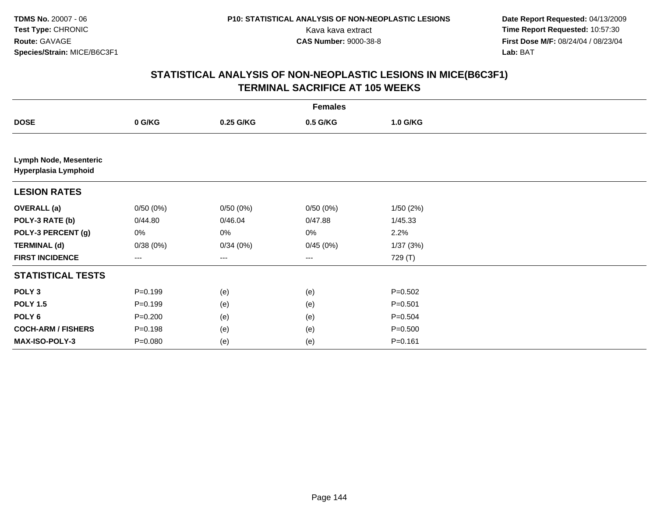**Date Report Requested:** 04/13/2009 Kava kava extract **Time Report Requested:** 10:57:30<br>**CAS Number:** 9000-38-8 **Time Report Requested:** 10:57:30 **First Dose M/F:** 08/24/04 / 08/23/04<br>Lab: BAT **Lab:** BAT

|                                                | <b>Females</b> |           |          |             |  |  |  |
|------------------------------------------------|----------------|-----------|----------|-------------|--|--|--|
| <b>DOSE</b>                                    | 0 G/KG         | 0.25 G/KG | 0.5 G/KG | 1.0 G/KG    |  |  |  |
|                                                |                |           |          |             |  |  |  |
| Lymph Node, Mesenteric<br>Hyperplasia Lymphoid |                |           |          |             |  |  |  |
| <b>LESION RATES</b>                            |                |           |          |             |  |  |  |
| <b>OVERALL (a)</b>                             | 0/50(0%)       | 0/50(0%)  | 0/50(0%) | 1/50(2%)    |  |  |  |
| POLY-3 RATE (b)                                | 0/44.80        | 0/46.04   | 0/47.88  | 1/45.33     |  |  |  |
| POLY-3 PERCENT (g)                             | 0%             | 0%        | $0\%$    | 2.2%        |  |  |  |
| <b>TERMINAL (d)</b>                            | 0/38(0%)       | 0/34(0%)  | 0/45(0%) | 1/37(3%)    |  |  |  |
| <b>FIRST INCIDENCE</b>                         | ---            | $--$      | ---      | 729 (T)     |  |  |  |
| <b>STATISTICAL TESTS</b>                       |                |           |          |             |  |  |  |
| POLY <sub>3</sub>                              | $P = 0.199$    | (e)       | (e)      | $P = 0.502$ |  |  |  |
| <b>POLY 1.5</b>                                | $P = 0.199$    | (e)       | (e)      | $P = 0.501$ |  |  |  |
| POLY 6                                         | $P = 0.200$    | (e)       | (e)      | $P = 0.504$ |  |  |  |
| <b>COCH-ARM / FISHERS</b>                      | $P = 0.198$    | (e)       | (e)      | $P = 0.500$ |  |  |  |
| MAX-ISO-POLY-3                                 | $P = 0.080$    | (e)       | (e)      | $P = 0.161$ |  |  |  |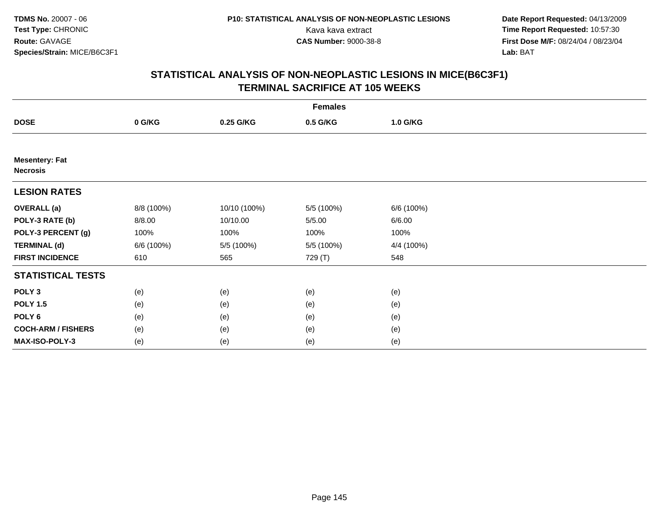**Date Report Requested:** 04/13/2009 Kava kava extract **Time Report Requested:** 10:57:30<br>**CAS Number:** 9000-38-8 **Time Report Requested:** 10:57:30 **First Dose M/F:** 08/24/04 / 08/23/04<br>Lab: BAT **Lab:** BAT

|                                          |            |              | <b>Females</b> |            |  |
|------------------------------------------|------------|--------------|----------------|------------|--|
| <b>DOSE</b>                              | 0 G/KG     | 0.25 G/KG    | 0.5 G/KG       | 1.0 G/KG   |  |
|                                          |            |              |                |            |  |
| <b>Mesentery: Fat</b><br><b>Necrosis</b> |            |              |                |            |  |
| <b>LESION RATES</b>                      |            |              |                |            |  |
| <b>OVERALL (a)</b>                       | 8/8 (100%) | 10/10 (100%) | 5/5 (100%)     | 6/6 (100%) |  |
| POLY-3 RATE (b)                          | 8/8.00     | 10/10.00     | 5/5.00         | 6/6.00     |  |
| POLY-3 PERCENT (g)                       | 100%       | 100%         | 100%           | 100%       |  |
| <b>TERMINAL (d)</b>                      | 6/6 (100%) | 5/5 (100%)   | 5/5 (100%)     | 4/4 (100%) |  |
| <b>FIRST INCIDENCE</b>                   | 610        | 565          | 729 (T)        | 548        |  |
| <b>STATISTICAL TESTS</b>                 |            |              |                |            |  |
| POLY <sub>3</sub>                        | (e)        | (e)          | (e)            | (e)        |  |
| <b>POLY 1.5</b>                          | (e)        | (e)          | (e)            | (e)        |  |
| POLY 6                                   | (e)        | (e)          | (e)            | (e)        |  |
| <b>COCH-ARM / FISHERS</b>                | (e)        | (e)          | (e)            | (e)        |  |
| <b>MAX-ISO-POLY-3</b>                    | (e)        | (e)          | (e)            | (e)        |  |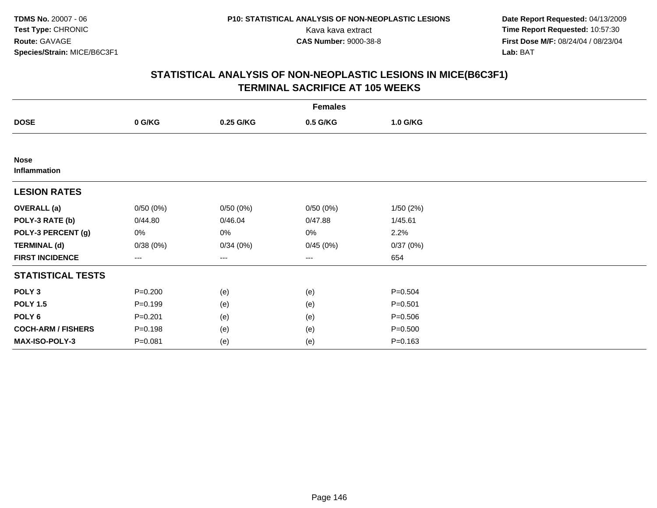**Date Report Requested:** 04/13/2009 Kava kava extract **Time Report Requested:** 10:57:30<br>**CAS Number:** 9000-38-8 **Time Report Requested:** 10:57:30 **First Dose M/F:** 08/24/04 / 08/23/04<br>Lab: BAT **Lab:** BAT

|                             | <b>Females</b> |           |          |             |  |  |  |  |
|-----------------------------|----------------|-----------|----------|-------------|--|--|--|--|
| <b>DOSE</b>                 | 0 G/KG         | 0.25 G/KG | 0.5 G/KG | 1.0 G/KG    |  |  |  |  |
|                             |                |           |          |             |  |  |  |  |
| <b>Nose</b><br>Inflammation |                |           |          |             |  |  |  |  |
| <b>LESION RATES</b>         |                |           |          |             |  |  |  |  |
| <b>OVERALL</b> (a)          | 0/50(0%)       | 0/50(0%)  | 0/50(0%) | 1/50(2%)    |  |  |  |  |
| POLY-3 RATE (b)             | 0/44.80        | 0/46.04   | 0/47.88  | 1/45.61     |  |  |  |  |
| POLY-3 PERCENT (g)          | 0%             | 0%        | 0%       | 2.2%        |  |  |  |  |
| <b>TERMINAL (d)</b>         | 0/38(0%)       | 0/34(0%)  | 0/45(0%) | 0/37(0%)    |  |  |  |  |
| <b>FIRST INCIDENCE</b>      | ---            | ---       | $--$     | 654         |  |  |  |  |
| <b>STATISTICAL TESTS</b>    |                |           |          |             |  |  |  |  |
| POLY <sub>3</sub>           | $P = 0.200$    | (e)       | (e)      | $P = 0.504$ |  |  |  |  |
| <b>POLY 1.5</b>             | $P = 0.199$    | (e)       | (e)      | $P = 0.501$ |  |  |  |  |
| POLY 6                      | $P = 0.201$    | (e)       | (e)      | $P = 0.506$ |  |  |  |  |
| <b>COCH-ARM / FISHERS</b>   | $P = 0.198$    | (e)       | (e)      | $P = 0.500$ |  |  |  |  |
| MAX-ISO-POLY-3              | $P = 0.081$    | (e)       | (e)      | $P = 0.163$ |  |  |  |  |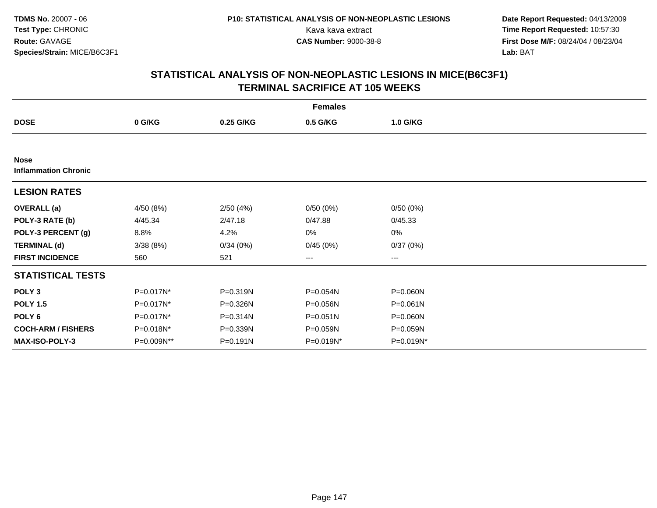**Date Report Requested:** 04/13/2009 Kava kava extract **Time Report Requested:** 10:57:30<br>**CAS Number:** 9000-38-8 **Time Report Requested:** 10:57:30 **First Dose M/F:** 08/24/04 / 08/23/04<br>Lab: BAT **Lab:** BAT

| <b>Females</b>                             |              |              |                   |           |  |  |  |  |
|--------------------------------------------|--------------|--------------|-------------------|-----------|--|--|--|--|
| <b>DOSE</b>                                | 0 G/KG       | 0.25 G/KG    | 0.5 G/KG          | 1.0 G/KG  |  |  |  |  |
|                                            |              |              |                   |           |  |  |  |  |
| <b>Nose</b><br><b>Inflammation Chronic</b> |              |              |                   |           |  |  |  |  |
| <b>LESION RATES</b>                        |              |              |                   |           |  |  |  |  |
| <b>OVERALL</b> (a)                         | 4/50 (8%)    | 2/50(4%)     | 0/50(0%)          | 0/50(0%)  |  |  |  |  |
| POLY-3 RATE (b)                            | 4/45.34      | 2/47.18      | 0/47.88           | 0/45.33   |  |  |  |  |
| POLY-3 PERCENT (g)                         | 8.8%         | 4.2%         | 0%                | $0\%$     |  |  |  |  |
| <b>TERMINAL (d)</b>                        | 3/38(8%)     | 0/34(0%)     | 0/45(0%)          | 0/37(0%)  |  |  |  |  |
| <b>FIRST INCIDENCE</b>                     | 560          | 521          | $\qquad \qquad -$ | ---       |  |  |  |  |
| <b>STATISTICAL TESTS</b>                   |              |              |                   |           |  |  |  |  |
| POLY <sub>3</sub>                          | P=0.017N*    | P=0.319N     | P=0.054N          | P=0.060N  |  |  |  |  |
| <b>POLY 1.5</b>                            | P=0.017N*    | P=0.326N     | P=0.056N          | P=0.061N  |  |  |  |  |
| POLY <sub>6</sub>                          | $P=0.017N^*$ | $P = 0.314N$ | $P = 0.051N$      | P=0.060N  |  |  |  |  |
| <b>COCH-ARM / FISHERS</b>                  | P=0.018N*    | P=0.339N     | P=0.059N          | P=0.059N  |  |  |  |  |
| <b>MAX-ISO-POLY-3</b>                      | P=0.009N**   | $P = 0.191N$ | P=0.019N*         | P=0.019N* |  |  |  |  |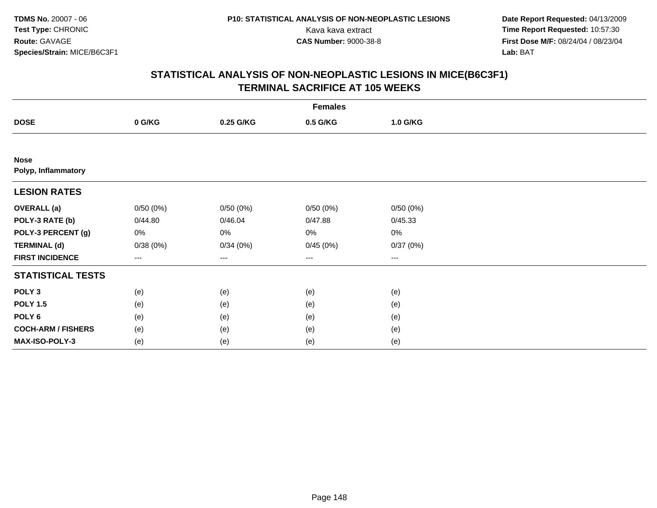**Date Report Requested:** 04/13/2009 Kava kava extract **Time Report Requested:** 10:57:30<br>**CAS Number:** 9000-38-8 **Time Report Requested:** 10:57:30 **First Dose M/F:** 08/24/04 / 08/23/04<br>Lab: BAT **Lab:** BAT

|                                    | <b>Females</b> |           |          |          |  |  |  |  |
|------------------------------------|----------------|-----------|----------|----------|--|--|--|--|
| <b>DOSE</b>                        | 0 G/KG         | 0.25 G/KG | 0.5 G/KG | 1.0 G/KG |  |  |  |  |
|                                    |                |           |          |          |  |  |  |  |
| <b>Nose</b><br>Polyp, Inflammatory |                |           |          |          |  |  |  |  |
| <b>LESION RATES</b>                |                |           |          |          |  |  |  |  |
| <b>OVERALL</b> (a)                 | 0/50(0%)       | 0/50(0%)  | 0/50(0%) | 0/50(0%) |  |  |  |  |
| POLY-3 RATE (b)                    | 0/44.80        | 0/46.04   | 0/47.88  | 0/45.33  |  |  |  |  |
| POLY-3 PERCENT (g)                 | 0%             | 0%        | 0%       | 0%       |  |  |  |  |
| <b>TERMINAL (d)</b>                | 0/38(0%)       | 0/34(0%)  | 0/45(0%) | 0/37(0%) |  |  |  |  |
| <b>FIRST INCIDENCE</b>             | ---            | $--$      | $---$    | ---      |  |  |  |  |
| <b>STATISTICAL TESTS</b>           |                |           |          |          |  |  |  |  |
| POLY <sub>3</sub>                  | (e)            | (e)       | (e)      | (e)      |  |  |  |  |
| <b>POLY 1.5</b>                    | (e)            | (e)       | (e)      | (e)      |  |  |  |  |
| POLY <sub>6</sub>                  | (e)            | (e)       | (e)      | (e)      |  |  |  |  |
| <b>COCH-ARM / FISHERS</b>          | (e)            | (e)       | (e)      | (e)      |  |  |  |  |
| MAX-ISO-POLY-3                     | (e)            | (e)       | (e)      | (e)      |  |  |  |  |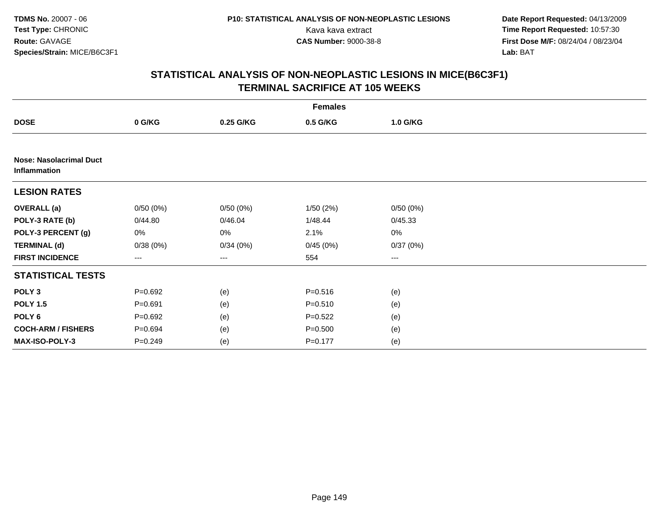**Date Report Requested:** 04/13/2009 Kava kava extract **Time Report Requested:** 10:57:30<br>**CAS Number:** 9000-38-8 **Time Report Requested:** 10:57:30 **First Dose M/F:** 08/24/04 / 08/23/04<br>Lab: BAT **Lab:** BAT

|                                                | <b>Females</b> |           |             |          |  |  |  |  |
|------------------------------------------------|----------------|-----------|-------------|----------|--|--|--|--|
| <b>DOSE</b>                                    | 0 G/KG         | 0.25 G/KG | 0.5 G/KG    | 1.0 G/KG |  |  |  |  |
|                                                |                |           |             |          |  |  |  |  |
| <b>Nose: Nasolacrimal Duct</b><br>Inflammation |                |           |             |          |  |  |  |  |
| <b>LESION RATES</b>                            |                |           |             |          |  |  |  |  |
| <b>OVERALL (a)</b>                             | 0/50(0%)       | 0/50(0%)  | 1/50(2%)    | 0/50(0%) |  |  |  |  |
| POLY-3 RATE (b)                                | 0/44.80        | 0/46.04   | 1/48.44     | 0/45.33  |  |  |  |  |
| POLY-3 PERCENT (g)                             | 0%             | 0%        | 2.1%        | $0\%$    |  |  |  |  |
| <b>TERMINAL (d)</b>                            | 0/38(0%)       | 0/34(0%)  | 0/45(0%)    | 0/37(0%) |  |  |  |  |
| <b>FIRST INCIDENCE</b>                         | ---            | $--$      | 554         | $\cdots$ |  |  |  |  |
| <b>STATISTICAL TESTS</b>                       |                |           |             |          |  |  |  |  |
| POLY <sub>3</sub>                              | $P=0.692$      | (e)       | $P = 0.516$ | (e)      |  |  |  |  |
| <b>POLY 1.5</b>                                | $P = 0.691$    | (e)       | $P = 0.510$ | (e)      |  |  |  |  |
| POLY 6                                         | $P = 0.692$    | (e)       | $P=0.522$   | (e)      |  |  |  |  |
| <b>COCH-ARM / FISHERS</b>                      | $P = 0.694$    | (e)       | $P = 0.500$ | (e)      |  |  |  |  |
| MAX-ISO-POLY-3                                 | $P = 0.249$    | (e)       | $P = 0.177$ | (e)      |  |  |  |  |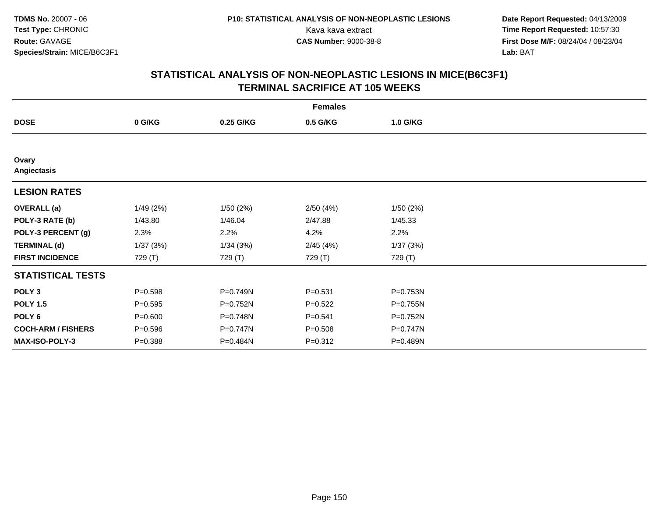**Date Report Requested:** 04/13/2009 Kava kava extract **Time Report Requested:** 10:57:30<br>**CAS Number:** 9000-38-8 **Time Report Requested:** 10:57:30 **First Dose M/F:** 08/24/04 / 08/23/04<br>Lab: BAT **Lab:** BAT

| <b>Females</b>            |             |           |             |          |  |  |  |  |
|---------------------------|-------------|-----------|-------------|----------|--|--|--|--|
| <b>DOSE</b>               | 0 G/KG      | 0.25 G/KG | 0.5 G/KG    | 1.0 G/KG |  |  |  |  |
|                           |             |           |             |          |  |  |  |  |
| Ovary<br>Angiectasis      |             |           |             |          |  |  |  |  |
| <b>LESION RATES</b>       |             |           |             |          |  |  |  |  |
| <b>OVERALL</b> (a)        | 1/49(2%)    | 1/50(2%)  | 2/50(4%)    | 1/50(2%) |  |  |  |  |
| POLY-3 RATE (b)           | 1/43.80     | 1/46.04   | 2/47.88     | 1/45.33  |  |  |  |  |
| POLY-3 PERCENT (g)        | 2.3%        | 2.2%      | 4.2%        | 2.2%     |  |  |  |  |
| <b>TERMINAL (d)</b>       | 1/37(3%)    | 1/34(3%)  | 2/45(4%)    | 1/37(3%) |  |  |  |  |
| <b>FIRST INCIDENCE</b>    | 729 (T)     | 729 (T)   | 729 (T)     | 729 (T)  |  |  |  |  |
| <b>STATISTICAL TESTS</b>  |             |           |             |          |  |  |  |  |
| POLY <sub>3</sub>         | $P = 0.598$ | P=0.749N  | $P = 0.531$ | P=0.753N |  |  |  |  |
| <b>POLY 1.5</b>           | $P = 0.595$ | P=0.752N  | $P=0.522$   | P=0.755N |  |  |  |  |
| POLY <sub>6</sub>         | $P = 0.600$ | P=0.748N  | $P = 0.541$ | P=0.752N |  |  |  |  |
| <b>COCH-ARM / FISHERS</b> | $P = 0.596$ | P=0.747N  | $P = 0.508$ | P=0.747N |  |  |  |  |
| MAX-ISO-POLY-3            | $P = 0.388$ | P=0.484N  | $P = 0.312$ | P=0.489N |  |  |  |  |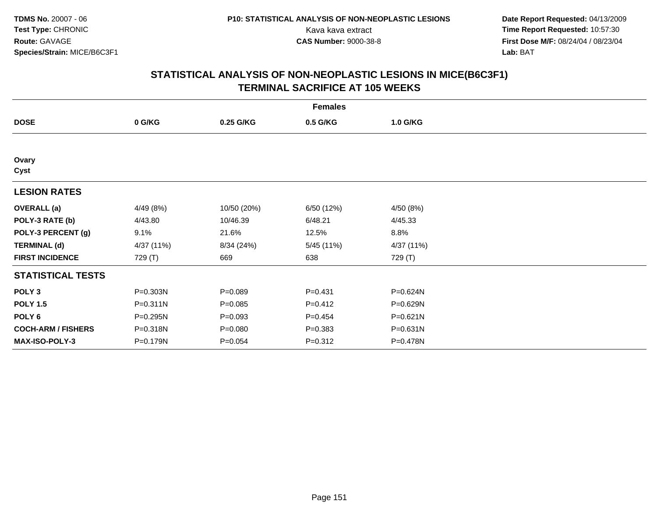**Date Report Requested:** 04/13/2009 Kava kava extract **Time Report Requested:** 10:57:30<br>**CAS Number:** 9000-38-8 **Time Report Requested:** 10:57:30 **First Dose M/F:** 08/24/04 / 08/23/04<br>Lab: BAT **Lab:** BAT

| <b>Females</b>            |            |             |             |              |  |  |  |
|---------------------------|------------|-------------|-------------|--------------|--|--|--|
| <b>DOSE</b>               | 0 G/KG     | 0.25 G/KG   | 0.5 G/KG    | 1.0 G/KG     |  |  |  |
|                           |            |             |             |              |  |  |  |
| Ovary<br>Cyst             |            |             |             |              |  |  |  |
| <b>LESION RATES</b>       |            |             |             |              |  |  |  |
| <b>OVERALL</b> (a)        | 4/49 (8%)  | 10/50 (20%) | 6/50 (12%)  | 4/50 (8%)    |  |  |  |
| POLY-3 RATE (b)           | 4/43.80    | 10/46.39    | 6/48.21     | 4/45.33      |  |  |  |
| POLY-3 PERCENT (g)        | 9.1%       | 21.6%       | 12.5%       | 8.8%         |  |  |  |
| <b>TERMINAL (d)</b>       | 4/37 (11%) | 8/34 (24%)  | 5/45 (11%)  | 4/37 (11%)   |  |  |  |
| <b>FIRST INCIDENCE</b>    | 729 (T)    | 669         | 638         | 729 (T)      |  |  |  |
| <b>STATISTICAL TESTS</b>  |            |             |             |              |  |  |  |
| POLY <sub>3</sub>         | P=0.303N   | $P = 0.089$ | $P = 0.431$ | P=0.624N     |  |  |  |
| <b>POLY 1.5</b>           | P=0.311N   | $P = 0.085$ | $P = 0.412$ | P=0.629N     |  |  |  |
| POLY 6                    | P=0.295N   | $P = 0.093$ | $P=0.454$   | $P = 0.621N$ |  |  |  |
| <b>COCH-ARM / FISHERS</b> | P=0.318N   | $P = 0.080$ | $P = 0.383$ | $P = 0.631N$ |  |  |  |
| MAX-ISO-POLY-3            | P=0.179N   | $P = 0.054$ | $P = 0.312$ | P=0.478N     |  |  |  |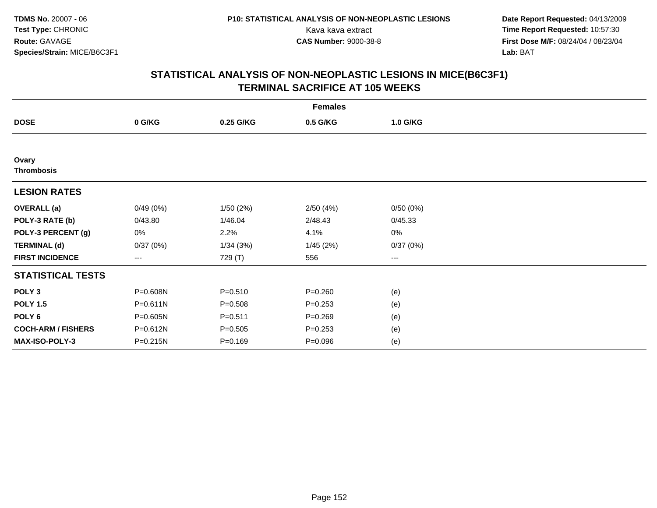**Date Report Requested:** 04/13/2009 Kava kava extract **Time Report Requested:** 10:57:30<br>**CAS Number:** 9000-38-8 **Time Report Requested:** 10:57:30 **First Dose M/F:** 08/24/04 / 08/23/04<br>Lab: BAT **Lab:** BAT

| <b>Females</b>            |                        |             |             |          |  |  |  |  |
|---------------------------|------------------------|-------------|-------------|----------|--|--|--|--|
| <b>DOSE</b>               | 0 G/KG                 | 0.25 G/KG   | 0.5 G/KG    | 1.0 G/KG |  |  |  |  |
|                           |                        |             |             |          |  |  |  |  |
| Ovary                     |                        |             |             |          |  |  |  |  |
| <b>Thrombosis</b>         |                        |             |             |          |  |  |  |  |
| <b>LESION RATES</b>       |                        |             |             |          |  |  |  |  |
| <b>OVERALL</b> (a)        | 0/49(0%)               | 1/50(2%)    | 2/50(4%)    | 0/50(0%) |  |  |  |  |
| POLY-3 RATE (b)           | 0/43.80                | 1/46.04     | 2/48.43     | 0/45.33  |  |  |  |  |
| POLY-3 PERCENT (g)        | 0%                     | 2.2%        | 4.1%        | 0%       |  |  |  |  |
| <b>TERMINAL (d)</b>       | 0/37(0%)               | 1/34(3%)    | 1/45(2%)    | 0/37(0%) |  |  |  |  |
| <b>FIRST INCIDENCE</b>    | $\qquad \qquad \cdots$ | 729 (T)     | 556         | $---$    |  |  |  |  |
| <b>STATISTICAL TESTS</b>  |                        |             |             |          |  |  |  |  |
| POLY <sub>3</sub>         | P=0.608N               | $P = 0.510$ | $P = 0.260$ | (e)      |  |  |  |  |
| <b>POLY 1.5</b>           | $P = 0.611N$           | $P = 0.508$ | $P = 0.253$ | (e)      |  |  |  |  |
| POLY <sub>6</sub>         | P=0.605N               | $P = 0.511$ | $P = 0.269$ | (e)      |  |  |  |  |
| <b>COCH-ARM / FISHERS</b> | P=0.612N               | $P = 0.505$ | $P = 0.253$ | (e)      |  |  |  |  |
| <b>MAX-ISO-POLY-3</b>     | $P = 0.215N$           | $P = 0.169$ | $P = 0.096$ | (e)      |  |  |  |  |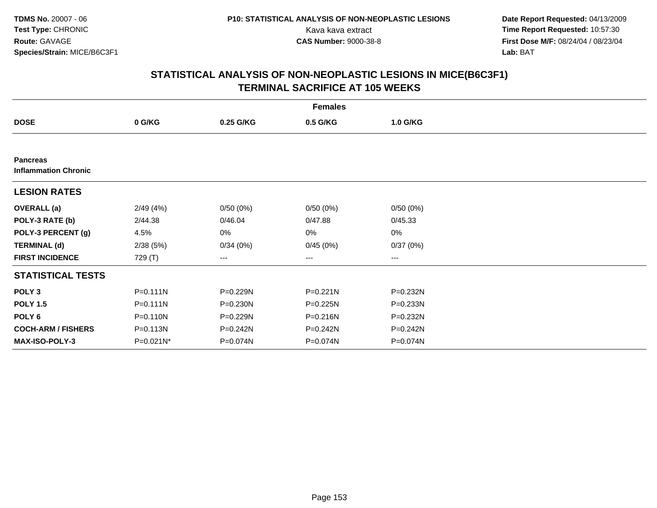**Date Report Requested:** 04/13/2009 Kava kava extract **Time Report Requested:** 10:57:30<br>**CAS Number:** 9000-38-8 **Time Report Requested:** 10:57:30 **First Dose M/F:** 08/24/04 / 08/23/04<br>Lab: BAT **Lab:** BAT

| <b>Females</b>                                 |              |              |              |          |  |  |  |  |
|------------------------------------------------|--------------|--------------|--------------|----------|--|--|--|--|
| <b>DOSE</b>                                    | 0 G/KG       | 0.25 G/KG    | 0.5 G/KG     | 1.0 G/KG |  |  |  |  |
|                                                |              |              |              |          |  |  |  |  |
| <b>Pancreas</b><br><b>Inflammation Chronic</b> |              |              |              |          |  |  |  |  |
| <b>LESION RATES</b>                            |              |              |              |          |  |  |  |  |
| <b>OVERALL</b> (a)                             | 2/49(4%)     | 0/50(0%)     | 0/50(0%)     | 0/50(0%) |  |  |  |  |
| POLY-3 RATE (b)                                | 2/44.38      | 0/46.04      | 0/47.88      | 0/45.33  |  |  |  |  |
| POLY-3 PERCENT (g)                             | 4.5%         | 0%           | 0%           | $0\%$    |  |  |  |  |
| <b>TERMINAL (d)</b>                            | 2/38(5%)     | 0/34(0%)     | 0/45(0%)     | 0/37(0%) |  |  |  |  |
| <b>FIRST INCIDENCE</b>                         | 729 (T)      | ---          | $---$        | $---$    |  |  |  |  |
| <b>STATISTICAL TESTS</b>                       |              |              |              |          |  |  |  |  |
| POLY <sub>3</sub>                              | $P = 0.111N$ | P=0.229N     | $P = 0.221N$ | P=0.232N |  |  |  |  |
| <b>POLY 1.5</b>                                | $P = 0.111N$ | $P = 0.230N$ | P=0.225N     | P=0.233N |  |  |  |  |
| POLY 6                                         | P=0.110N     | P=0.229N     | P=0.216N     | P=0.232N |  |  |  |  |
| <b>COCH-ARM / FISHERS</b>                      | P=0.113N     | P=0.242N     | P=0.242N     | P=0.242N |  |  |  |  |
| <b>MAX-ISO-POLY-3</b>                          | $P=0.021N^*$ | P=0.074N     | P=0.074N     | P=0.074N |  |  |  |  |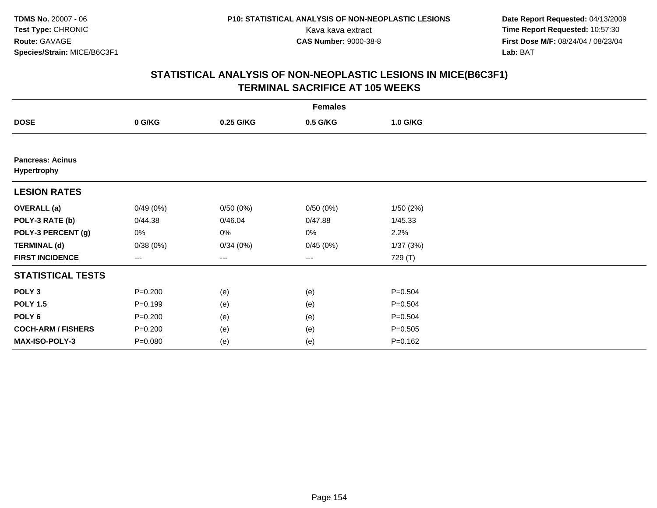**Date Report Requested:** 04/13/2009 Kava kava extract **Time Report Requested:** 10:57:30<br>**CAS Number:** 9000-38-8 **Time Report Requested:** 10:57:30 **First Dose M/F:** 08/24/04 / 08/23/04<br>Lab: BAT **Lab:** BAT

|                                        | <b>Females</b> |           |          |             |  |  |  |  |
|----------------------------------------|----------------|-----------|----------|-------------|--|--|--|--|
| <b>DOSE</b>                            | 0 G/KG         | 0.25 G/KG | 0.5 G/KG | 1.0 G/KG    |  |  |  |  |
|                                        |                |           |          |             |  |  |  |  |
| <b>Pancreas: Acinus</b><br>Hypertrophy |                |           |          |             |  |  |  |  |
| <b>LESION RATES</b>                    |                |           |          |             |  |  |  |  |
| <b>OVERALL</b> (a)                     | 0/49(0%)       | 0/50(0%)  | 0/50(0%) | 1/50(2%)    |  |  |  |  |
| POLY-3 RATE (b)                        | 0/44.38        | 0/46.04   | 0/47.88  | 1/45.33     |  |  |  |  |
| POLY-3 PERCENT (g)                     | 0%             | 0%        | 0%       | 2.2%        |  |  |  |  |
| <b>TERMINAL (d)</b>                    | 0/38(0%)       | 0/34(0%)  | 0/45(0%) | 1/37(3%)    |  |  |  |  |
| <b>FIRST INCIDENCE</b>                 | ---            | ---       | ---      | 729 (T)     |  |  |  |  |
| <b>STATISTICAL TESTS</b>               |                |           |          |             |  |  |  |  |
| POLY <sub>3</sub>                      | $P = 0.200$    | (e)       | (e)      | $P = 0.504$ |  |  |  |  |
| <b>POLY 1.5</b>                        | $P = 0.199$    | (e)       | (e)      | $P = 0.504$ |  |  |  |  |
| POLY <sub>6</sub>                      | $P = 0.200$    | (e)       | (e)      | $P = 0.504$ |  |  |  |  |
| <b>COCH-ARM / FISHERS</b>              | $P = 0.200$    | (e)       | (e)      | $P = 0.505$ |  |  |  |  |
| MAX-ISO-POLY-3                         | $P = 0.080$    | (e)       | (e)      | $P = 0.162$ |  |  |  |  |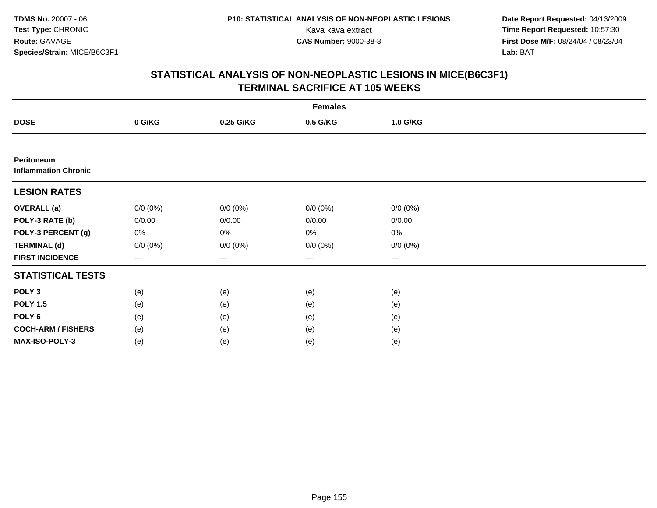**Date Report Requested:** 04/13/2009 Kava kava extract **Time Report Requested:** 10:57:30<br>**CAS Number:** 9000-38-8 **Time Report Requested:** 10:57:30 **First Dose M/F:** 08/24/04 / 08/23/04<br>Lab: BAT **Lab:** BAT

|                                           | <b>Females</b> |             |             |             |  |  |  |  |
|-------------------------------------------|----------------|-------------|-------------|-------------|--|--|--|--|
| <b>DOSE</b>                               | 0 G/KG         | 0.25 G/KG   | 0.5 G/KG    | 1.0 G/KG    |  |  |  |  |
|                                           |                |             |             |             |  |  |  |  |
| Peritoneum<br><b>Inflammation Chronic</b> |                |             |             |             |  |  |  |  |
| <b>LESION RATES</b>                       |                |             |             |             |  |  |  |  |
| <b>OVERALL (a)</b>                        | $0/0 (0\%)$    | $0/0 (0\%)$ | $0/0 (0\%)$ | $0/0 (0\%)$ |  |  |  |  |
| POLY-3 RATE (b)                           | 0/0.00         | 0/0.00      | 0/0.00      | 0/0.00      |  |  |  |  |
| POLY-3 PERCENT (g)                        | 0%             | 0%          | 0%          | 0%          |  |  |  |  |
| <b>TERMINAL (d)</b>                       | $0/0 (0\%)$    | $0/0 (0\%)$ | $0/0 (0\%)$ | $0/0 (0\%)$ |  |  |  |  |
| <b>FIRST INCIDENCE</b>                    | ---            | ---         | $---$       | ---         |  |  |  |  |
| <b>STATISTICAL TESTS</b>                  |                |             |             |             |  |  |  |  |
| POLY <sub>3</sub>                         | (e)            | (e)         | (e)         | (e)         |  |  |  |  |
| <b>POLY 1.5</b>                           | (e)            | (e)         | (e)         | (e)         |  |  |  |  |
| POLY <sub>6</sub>                         | (e)            | (e)         | (e)         | (e)         |  |  |  |  |
| <b>COCH-ARM / FISHERS</b>                 | (e)            | (e)         | (e)         | (e)         |  |  |  |  |
| MAX-ISO-POLY-3                            | (e)            | (e)         | (e)         | (e)         |  |  |  |  |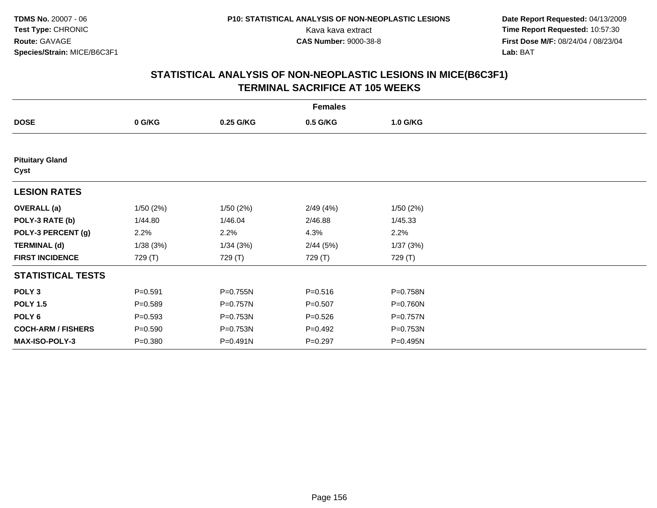**Date Report Requested:** 04/13/2009 Kava kava extract **Time Report Requested:** 10:57:30<br>**CAS Number:** 9000-38-8 **Time Report Requested:** 10:57:30 **First Dose M/F:** 08/24/04 / 08/23/04<br>Lab: BAT **Lab:** BAT

| <b>Females</b>                 |             |           |             |          |  |  |  |  |
|--------------------------------|-------------|-----------|-------------|----------|--|--|--|--|
| <b>DOSE</b>                    | 0 G/KG      | 0.25 G/KG | 0.5 G/KG    | 1.0 G/KG |  |  |  |  |
|                                |             |           |             |          |  |  |  |  |
| <b>Pituitary Gland</b><br>Cyst |             |           |             |          |  |  |  |  |
| <b>LESION RATES</b>            |             |           |             |          |  |  |  |  |
| <b>OVERALL</b> (a)             | 1/50(2%)    | 1/50(2%)  | 2/49(4%)    | 1/50(2%) |  |  |  |  |
| POLY-3 RATE (b)                | 1/44.80     | 1/46.04   | 2/46.88     | 1/45.33  |  |  |  |  |
| POLY-3 PERCENT (g)             | 2.2%        | 2.2%      | 4.3%        | 2.2%     |  |  |  |  |
| <b>TERMINAL (d)</b>            | 1/38(3%)    | 1/34(3%)  | 2/44(5%)    | 1/37(3%) |  |  |  |  |
| <b>FIRST INCIDENCE</b>         | 729 (T)     | 729 (T)   | 729 (T)     | 729 (T)  |  |  |  |  |
| <b>STATISTICAL TESTS</b>       |             |           |             |          |  |  |  |  |
| POLY <sub>3</sub>              | $P = 0.591$ | P=0.755N  | $P = 0.516$ | P=0.758N |  |  |  |  |
| <b>POLY 1.5</b>                | $P = 0.589$ | P=0.757N  | $P = 0.507$ | P=0.760N |  |  |  |  |
| POLY <sub>6</sub>              | $P = 0.593$ | P=0.753N  | $P = 0.526$ | P=0.757N |  |  |  |  |
| <b>COCH-ARM / FISHERS</b>      | $P = 0.590$ | P=0.753N  | $P=0.492$   | P=0.753N |  |  |  |  |
| MAX-ISO-POLY-3                 | $P = 0.380$ | P=0.491N  | $P = 0.297$ | P=0.495N |  |  |  |  |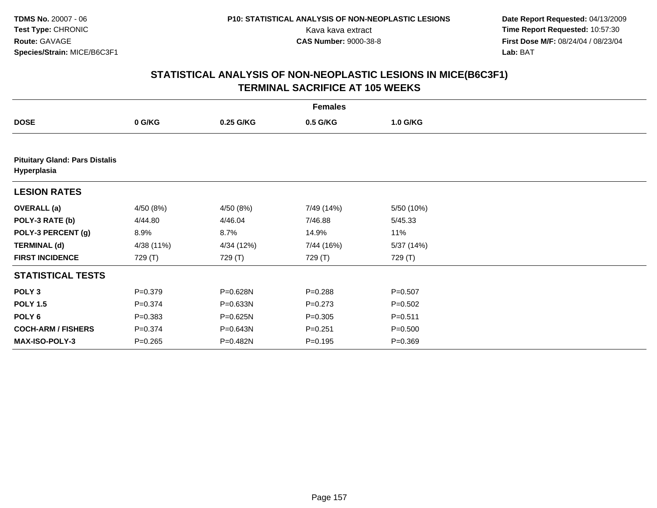**Date Report Requested:** 04/13/2009 Kava kava extract **Time Report Requested:** 10:57:30<br>**CAS Number:** 9000-38-8 **Time Report Requested:** 10:57:30 **First Dose M/F:** 08/24/04 / 08/23/04<br>Lab: BAT **Lab:** BAT

| <b>Females</b>                                       |             |            |             |             |  |  |  |
|------------------------------------------------------|-------------|------------|-------------|-------------|--|--|--|
| <b>DOSE</b>                                          | 0 G/KG      | 0.25 G/KG  | 0.5 G/KG    | 1.0 G/KG    |  |  |  |
|                                                      |             |            |             |             |  |  |  |
| <b>Pituitary Gland: Pars Distalis</b><br>Hyperplasia |             |            |             |             |  |  |  |
| <b>LESION RATES</b>                                  |             |            |             |             |  |  |  |
| <b>OVERALL</b> (a)                                   | 4/50 (8%)   | 4/50 (8%)  | 7/49 (14%)  | 5/50 (10%)  |  |  |  |
| POLY-3 RATE (b)                                      | 4/44.80     | 4/46.04    | 7/46.88     | 5/45.33     |  |  |  |
| POLY-3 PERCENT (g)                                   | 8.9%        | 8.7%       | 14.9%       | 11%         |  |  |  |
| <b>TERMINAL (d)</b>                                  | 4/38 (11%)  | 4/34 (12%) | 7/44 (16%)  | 5/37 (14%)  |  |  |  |
| <b>FIRST INCIDENCE</b>                               | 729 (T)     | 729 (T)    | 729 (T)     | 729 (T)     |  |  |  |
| <b>STATISTICAL TESTS</b>                             |             |            |             |             |  |  |  |
| POLY <sub>3</sub>                                    | $P = 0.379$ | P=0.628N   | $P = 0.288$ | $P = 0.507$ |  |  |  |
| <b>POLY 1.5</b>                                      | $P = 0.374$ | P=0.633N   | $P = 0.273$ | $P = 0.502$ |  |  |  |
| POLY 6                                               | $P = 0.383$ | P=0.625N   | $P = 0.305$ | $P = 0.511$ |  |  |  |
| <b>COCH-ARM / FISHERS</b>                            | $P = 0.374$ | P=0.643N   | $P = 0.251$ | $P = 0.500$ |  |  |  |
| <b>MAX-ISO-POLY-3</b>                                | $P = 0.265$ | P=0.482N   | $P = 0.195$ | $P = 0.369$ |  |  |  |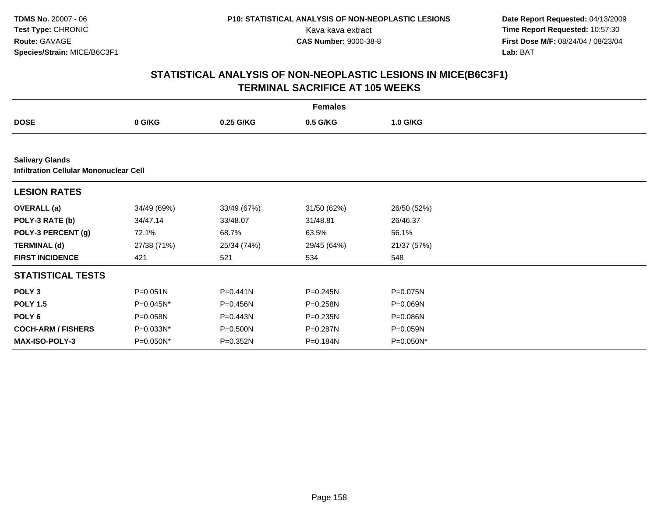**Date Report Requested:** 04/13/2009 Kava kava extract **Time Report Requested:** 10:57:30<br>**CAS Number:** 9000-38-8 **Time Report Requested:** 10:57:30 **First Dose M/F:** 08/24/04 / 08/23/04<br>Lab: BAT **Lab:** BAT

| <b>Females</b>                                                          |              |              |              |             |  |  |  |
|-------------------------------------------------------------------------|--------------|--------------|--------------|-------------|--|--|--|
| <b>DOSE</b>                                                             | 0 G/KG       | 0.25 G/KG    | 0.5 G/KG     | 1.0 G/KG    |  |  |  |
|                                                                         |              |              |              |             |  |  |  |
| <b>Salivary Glands</b><br><b>Infiltration Cellular Mononuclear Cell</b> |              |              |              |             |  |  |  |
| <b>LESION RATES</b>                                                     |              |              |              |             |  |  |  |
| <b>OVERALL</b> (a)                                                      | 34/49 (69%)  | 33/49 (67%)  | 31/50 (62%)  | 26/50 (52%) |  |  |  |
| POLY-3 RATE (b)                                                         | 34/47.14     | 33/48.07     | 31/48.81     | 26/46.37    |  |  |  |
| POLY-3 PERCENT (g)                                                      | 72.1%        | 68.7%        | 63.5%        | 56.1%       |  |  |  |
| <b>TERMINAL (d)</b>                                                     | 27/38 (71%)  | 25/34 (74%)  | 29/45 (64%)  | 21/37 (57%) |  |  |  |
| <b>FIRST INCIDENCE</b>                                                  | 421          | 521          | 534          | 548         |  |  |  |
| <b>STATISTICAL TESTS</b>                                                |              |              |              |             |  |  |  |
| POLY <sub>3</sub>                                                       | $P = 0.051N$ | $P = 0.441N$ | $P = 0.245N$ | P=0.075N    |  |  |  |
| <b>POLY 1.5</b>                                                         | P=0.045N*    | P=0.456N     | P=0.258N     | P=0.069N    |  |  |  |
| POLY <sub>6</sub>                                                       | P=0.058N     | P=0.443N     | P=0.235N     | P=0.086N    |  |  |  |
| <b>COCH-ARM / FISHERS</b>                                               | P=0.033N*    | P=0.500N     | P=0.287N     | P=0.059N    |  |  |  |
| <b>MAX-ISO-POLY-3</b>                                                   | P=0.050N*    | P=0.352N     | P=0.184N     | P=0.050N*   |  |  |  |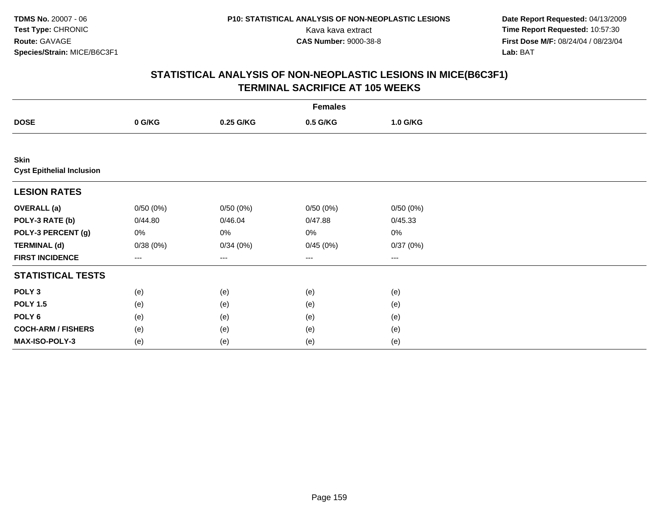**Date Report Requested:** 04/13/2009 Kava kava extract **Time Report Requested:** 10:57:30<br>**CAS Number:** 9000-38-8 **Time Report Requested:** 10:57:30 **First Dose M/F:** 08/24/04 / 08/23/04<br>Lab: BAT **Lab:** BAT

| <b>Females</b>                           |          |           |                        |          |  |  |  |
|------------------------------------------|----------|-----------|------------------------|----------|--|--|--|
| <b>DOSE</b>                              | 0 G/KG   | 0.25 G/KG | 0.5 G/KG               | 1.0 G/KG |  |  |  |
|                                          |          |           |                        |          |  |  |  |
| Skin<br><b>Cyst Epithelial Inclusion</b> |          |           |                        |          |  |  |  |
| <b>LESION RATES</b>                      |          |           |                        |          |  |  |  |
| <b>OVERALL (a)</b>                       | 0/50(0%) | 0/50(0%)  | 0/50(0%)               | 0/50(0%) |  |  |  |
| POLY-3 RATE (b)                          | 0/44.80  | 0/46.04   | 0/47.88                | 0/45.33  |  |  |  |
| POLY-3 PERCENT (g)                       | 0%       | 0%        | 0%                     | 0%       |  |  |  |
| <b>TERMINAL (d)</b>                      | 0/38(0%) | 0/34(0%)  | 0/45(0%)               | 0/37(0%) |  |  |  |
| <b>FIRST INCIDENCE</b>                   | ---      | ---       | $\qquad \qquad \cdots$ | ---      |  |  |  |
| <b>STATISTICAL TESTS</b>                 |          |           |                        |          |  |  |  |
| POLY <sub>3</sub>                        | (e)      | (e)       | (e)                    | (e)      |  |  |  |
| <b>POLY 1.5</b>                          | (e)      | (e)       | (e)                    | (e)      |  |  |  |
| POLY <sub>6</sub>                        | (e)      | (e)       | (e)                    | (e)      |  |  |  |
| <b>COCH-ARM / FISHERS</b>                | (e)      | (e)       | (e)                    | (e)      |  |  |  |
| MAX-ISO-POLY-3                           | (e)      | (e)       | (e)                    | (e)      |  |  |  |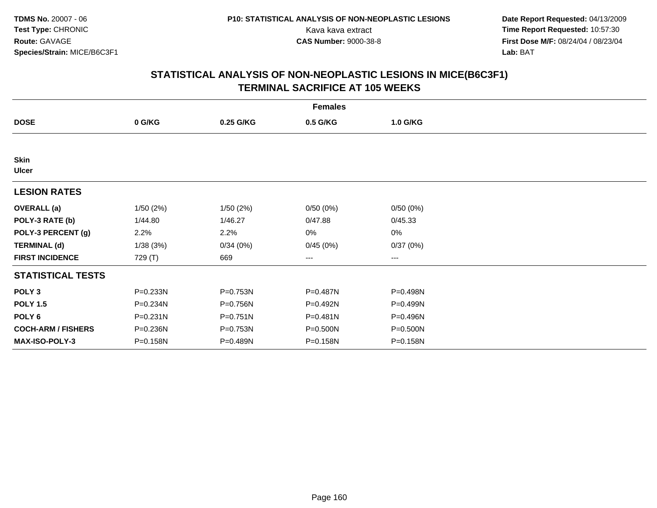**Date Report Requested:** 04/13/2009 Kava kava extract **Time Report Requested:** 10:57:30<br>**CAS Number:** 9000-38-8 **Time Report Requested:** 10:57:30 **First Dose M/F:** 08/24/04 / 08/23/04<br>Lab: BAT **Lab:** BAT

| <b>Females</b>              |              |              |              |          |  |  |  |
|-----------------------------|--------------|--------------|--------------|----------|--|--|--|
| <b>DOSE</b>                 | 0 G/KG       | 0.25 G/KG    | 0.5 G/KG     | 1.0 G/KG |  |  |  |
|                             |              |              |              |          |  |  |  |
| <b>Skin</b><br><b>Ulcer</b> |              |              |              |          |  |  |  |
| <b>LESION RATES</b>         |              |              |              |          |  |  |  |
| <b>OVERALL</b> (a)          | 1/50(2%)     | 1/50(2%)     | 0/50(0%)     | 0/50(0%) |  |  |  |
| POLY-3 RATE (b)             | 1/44.80      | 1/46.27      | 0/47.88      | 0/45.33  |  |  |  |
| POLY-3 PERCENT (g)          | 2.2%         | 2.2%         | 0%           | 0%       |  |  |  |
| <b>TERMINAL (d)</b>         | 1/38(3%)     | 0/34(0%)     | 0/45(0%)     | 0/37(0%) |  |  |  |
| <b>FIRST INCIDENCE</b>      | 729 (T)      | 669          | $--$         | ---      |  |  |  |
| <b>STATISTICAL TESTS</b>    |              |              |              |          |  |  |  |
| POLY <sub>3</sub>           | P=0.233N     | P=0.753N     | P=0.487N     | P=0.498N |  |  |  |
| <b>POLY 1.5</b>             | P=0.234N     | P=0.756N     | P=0.492N     | P=0.499N |  |  |  |
| POLY <sub>6</sub>           | $P = 0.231N$ | $P = 0.751N$ | $P = 0.481N$ | P=0.496N |  |  |  |
| <b>COCH-ARM / FISHERS</b>   | P=0.236N     | P=0.753N     | P=0.500N     | P=0.500N |  |  |  |
| <b>MAX-ISO-POLY-3</b>       | P=0.158N     | P=0.489N     | P=0.158N     | P=0.158N |  |  |  |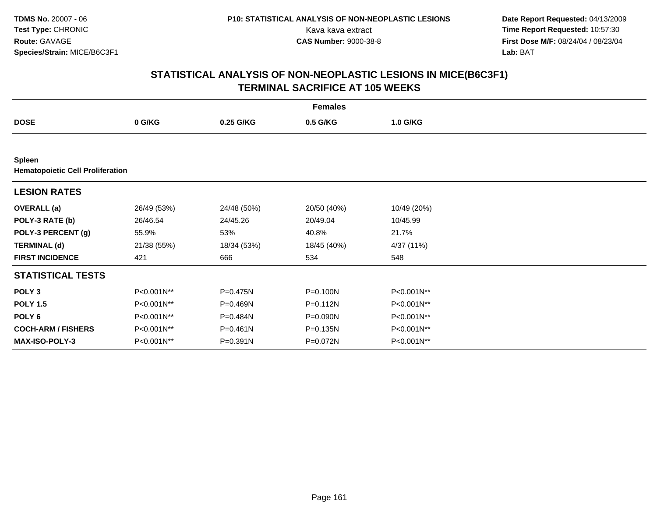**Date Report Requested:** 04/13/2009 Kava kava extract **Time Report Requested:** 10:57:30<br>**CAS Number:** 9000-38-8 **Time Report Requested:** 10:57:30 **First Dose M/F:** 08/24/04 / 08/23/04<br>Lab: BAT **Lab:** BAT

|                                                          |             |              | <b>Females</b> |             |  |
|----------------------------------------------------------|-------------|--------------|----------------|-------------|--|
| <b>DOSE</b>                                              | 0 G/KG      | 0.25 G/KG    | 0.5 G/KG       | 1.0 G/KG    |  |
|                                                          |             |              |                |             |  |
| <b>Spleen</b><br><b>Hematopoietic Cell Proliferation</b> |             |              |                |             |  |
| <b>LESION RATES</b>                                      |             |              |                |             |  |
| <b>OVERALL</b> (a)                                       | 26/49 (53%) | 24/48 (50%)  | 20/50 (40%)    | 10/49 (20%) |  |
| POLY-3 RATE (b)                                          | 26/46.54    | 24/45.26     | 20/49.04       | 10/45.99    |  |
| POLY-3 PERCENT (g)                                       | 55.9%       | 53%          | 40.8%          | 21.7%       |  |
| <b>TERMINAL (d)</b>                                      | 21/38 (55%) | 18/34 (53%)  | 18/45 (40%)    | 4/37 (11%)  |  |
| <b>FIRST INCIDENCE</b>                                   | 421         | 666          | 534            | 548         |  |
| <b>STATISTICAL TESTS</b>                                 |             |              |                |             |  |
| POLY <sub>3</sub>                                        | P<0.001N**  | P=0.475N     | P=0.100N       | P<0.001N**  |  |
| <b>POLY 1.5</b>                                          | P<0.001N**  | $P = 0.469N$ | $P = 0.112N$   | P<0.001N**  |  |
| POLY <sub>6</sub>                                        | P<0.001N**  | P=0.484N     | P=0.090N       | P<0.001N**  |  |
| <b>COCH-ARM / FISHERS</b>                                | P<0.001N**  | P=0.461N     | $P = 0.135N$   | P<0.001N**  |  |
| MAX-ISO-POLY-3                                           | P<0.001N**  | P=0.391N     | P=0.072N       | P<0.001N**  |  |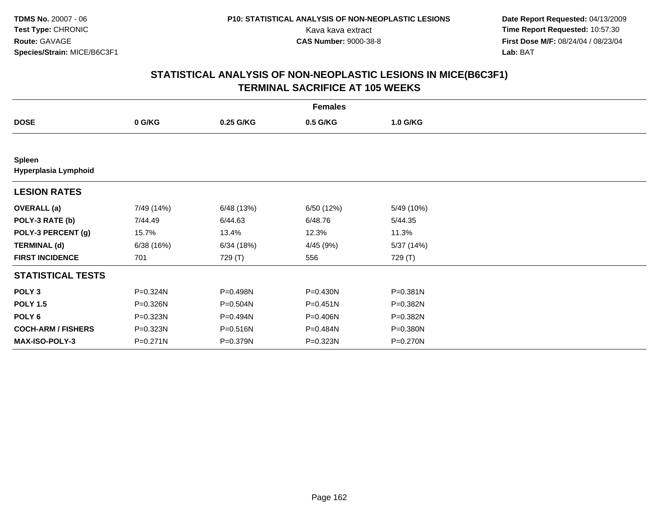**Date Report Requested:** 04/13/2009 Kava kava extract **Time Report Requested:** 10:57:30<br>**CAS Number:** 9000-38-8 **Time Report Requested:** 10:57:30 **First Dose M/F:** 08/24/04 / 08/23/04<br>Lab: BAT **Lab:** BAT

| <b>Females</b>                        |            |            |              |            |  |  |  |
|---------------------------------------|------------|------------|--------------|------------|--|--|--|
| <b>DOSE</b>                           | 0 G/KG     | 0.25 G/KG  | 0.5 G/KG     | 1.0 G/KG   |  |  |  |
|                                       |            |            |              |            |  |  |  |
| <b>Spleen</b><br>Hyperplasia Lymphoid |            |            |              |            |  |  |  |
| <b>LESION RATES</b>                   |            |            |              |            |  |  |  |
| <b>OVERALL</b> (a)                    | 7/49 (14%) | 6/48 (13%) | 6/50 (12%)   | 5/49 (10%) |  |  |  |
| POLY-3 RATE (b)                       | 7/44.49    | 6/44.63    | 6/48.76      | 5/44.35    |  |  |  |
| POLY-3 PERCENT (g)                    | 15.7%      | 13.4%      | 12.3%        | 11.3%      |  |  |  |
| <b>TERMINAL (d)</b>                   | 6/38(16%)  | 6/34(18%)  | 4/45 (9%)    | 5/37 (14%) |  |  |  |
| <b>FIRST INCIDENCE</b>                | 701        | 729 (T)    | 556          | 729 (T)    |  |  |  |
| <b>STATISTICAL TESTS</b>              |            |            |              |            |  |  |  |
| POLY <sub>3</sub>                     | P=0.324N   | P=0.498N   | $P = 0.430N$ | P=0.381N   |  |  |  |
| <b>POLY 1.5</b>                       | P=0.326N   | P=0.504N   | P=0.451N     | P=0.382N   |  |  |  |
| POLY 6                                | P=0.323N   | P=0.494N   | P=0.406N     | P=0.382N   |  |  |  |
| <b>COCH-ARM / FISHERS</b>             | P=0.323N   | P=0.516N   | P=0.484N     | P=0.380N   |  |  |  |
| <b>MAX-ISO-POLY-3</b>                 | P=0.271N   | P=0.379N   | P=0.323N     | P=0.270N   |  |  |  |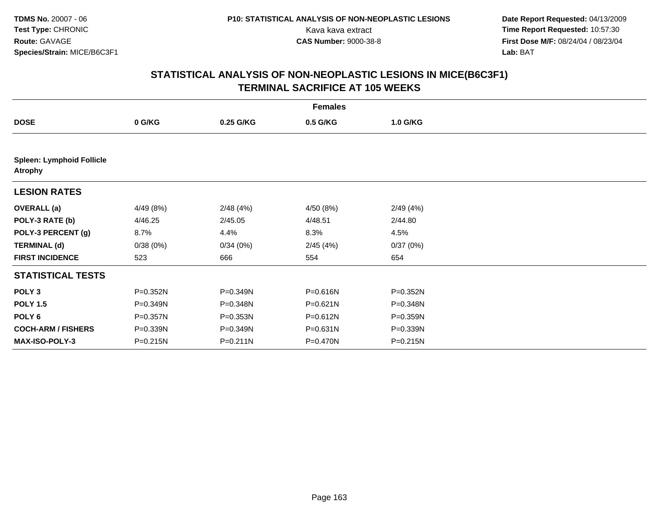**Date Report Requested:** 04/13/2009 Kava kava extract **Time Report Requested:** 10:57:30<br>**CAS Number:** 9000-38-8 **Time Report Requested:** 10:57:30 **First Dose M/F:** 08/24/04 / 08/23/04<br>Lab: BAT **Lab:** BAT

| <b>Females</b>                                     |           |              |           |          |  |  |  |
|----------------------------------------------------|-----------|--------------|-----------|----------|--|--|--|
| <b>DOSE</b>                                        | 0 G/KG    | 0.25 G/KG    | 0.5 G/KG  | 1.0 G/KG |  |  |  |
|                                                    |           |              |           |          |  |  |  |
| <b>Spleen: Lymphoid Follicle</b><br><b>Atrophy</b> |           |              |           |          |  |  |  |
| <b>LESION RATES</b>                                |           |              |           |          |  |  |  |
| <b>OVERALL</b> (a)                                 | 4/49 (8%) | 2/48(4%)     | 4/50 (8%) | 2/49(4%) |  |  |  |
| POLY-3 RATE (b)                                    | 4/46.25   | 2/45.05      | 4/48.51   | 2/44.80  |  |  |  |
| POLY-3 PERCENT (g)                                 | 8.7%      | 4.4%         | 8.3%      | 4.5%     |  |  |  |
| <b>TERMINAL (d)</b>                                | 0/38(0%)  | 0/34(0%)     | 2/45(4%)  | 0/37(0%) |  |  |  |
| <b>FIRST INCIDENCE</b>                             | 523       | 666          | 554       | 654      |  |  |  |
| <b>STATISTICAL TESTS</b>                           |           |              |           |          |  |  |  |
| POLY <sub>3</sub>                                  | P=0.352N  | P=0.349N     | P=0.616N  | P=0.352N |  |  |  |
| <b>POLY 1.5</b>                                    | P=0.349N  | P=0.348N     | P=0.621N  | P=0.348N |  |  |  |
| POLY 6                                             | P=0.357N  | P=0.353N     | P=0.612N  | P=0.359N |  |  |  |
| <b>COCH-ARM / FISHERS</b>                          | P=0.339N  | P=0.349N     | P=0.631N  | P=0.339N |  |  |  |
| MAX-ISO-POLY-3                                     | P=0.215N  | $P = 0.211N$ | P=0.470N  | P=0.215N |  |  |  |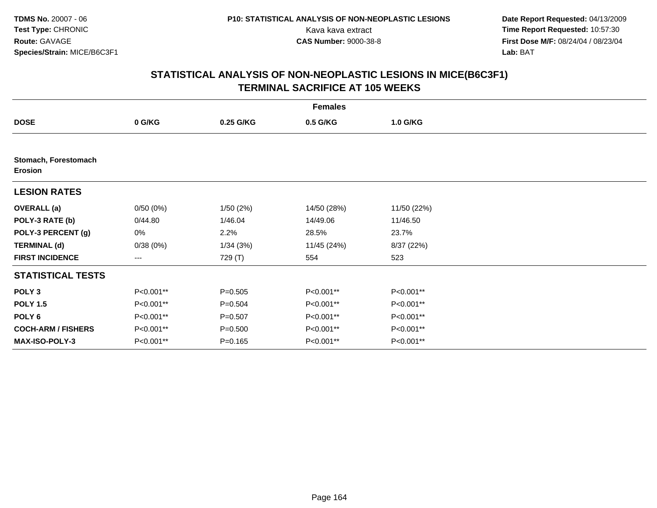**Date Report Requested:** 04/13/2009 Kava kava extract **Time Report Requested:** 10:57:30<br>**CAS Number:** 9000-38-8 **Time Report Requested:** 10:57:30 **First Dose M/F:** 08/24/04 / 08/23/04<br>Lab: BAT **Lab:** BAT

| <b>Females</b>                         |           |             |             |             |  |  |  |
|----------------------------------------|-----------|-------------|-------------|-------------|--|--|--|
| <b>DOSE</b>                            | 0 G/KG    | 0.25 G/KG   | 0.5 G/KG    | 1.0 G/KG    |  |  |  |
|                                        |           |             |             |             |  |  |  |
| Stomach, Forestomach<br><b>Erosion</b> |           |             |             |             |  |  |  |
| <b>LESION RATES</b>                    |           |             |             |             |  |  |  |
| <b>OVERALL</b> (a)                     | 0/50(0%)  | 1/50(2%)    | 14/50 (28%) | 11/50 (22%) |  |  |  |
| POLY-3 RATE (b)                        | 0/44.80   | 1/46.04     | 14/49.06    | 11/46.50    |  |  |  |
| POLY-3 PERCENT (g)                     | 0%        | 2.2%        | 28.5%       | 23.7%       |  |  |  |
| <b>TERMINAL (d)</b>                    | 0/38(0%)  | 1/34(3%)    | 11/45 (24%) | 8/37 (22%)  |  |  |  |
| <b>FIRST INCIDENCE</b>                 | ---       | 729 (T)     | 554         | 523         |  |  |  |
| <b>STATISTICAL TESTS</b>               |           |             |             |             |  |  |  |
| POLY <sub>3</sub>                      | P<0.001** | $P = 0.505$ | P<0.001**   | P<0.001**   |  |  |  |
| <b>POLY 1.5</b>                        | P<0.001** | $P = 0.504$ | P<0.001**   | P<0.001**   |  |  |  |
| POLY <sub>6</sub>                      | P<0.001** | $P = 0.507$ | P<0.001**   | P<0.001**   |  |  |  |
| <b>COCH-ARM / FISHERS</b>              | P<0.001** | $P = 0.500$ | P<0.001**   | P<0.001**   |  |  |  |
| <b>MAX-ISO-POLY-3</b>                  | P<0.001** | $P = 0.165$ | P<0.001**   | P<0.001**   |  |  |  |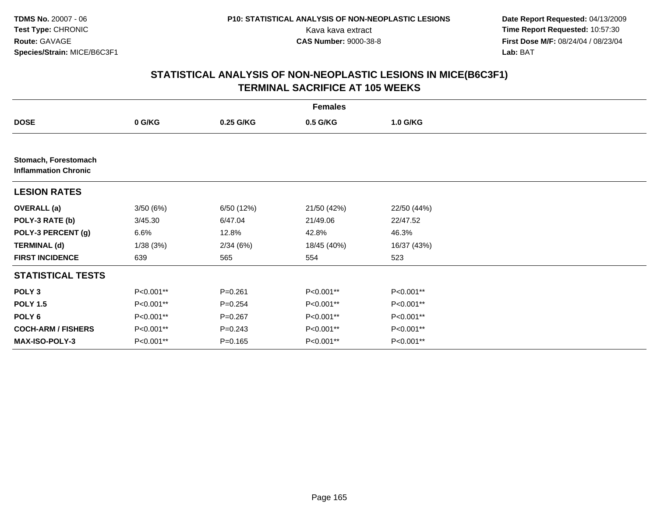**Date Report Requested:** 04/13/2009 Kava kava extract **Time Report Requested:** 10:57:30<br>**CAS Number:** 9000-38-8 **Time Report Requested:** 10:57:30 **First Dose M/F:** 08/24/04 / 08/23/04<br>Lab: BAT **Lab:** BAT

| <b>Females</b>                                      |           |             |             |             |  |  |  |
|-----------------------------------------------------|-----------|-------------|-------------|-------------|--|--|--|
| <b>DOSE</b>                                         | 0 G/KG    | 0.25 G/KG   | 0.5 G/KG    | 1.0 G/KG    |  |  |  |
|                                                     |           |             |             |             |  |  |  |
| Stomach, Forestomach<br><b>Inflammation Chronic</b> |           |             |             |             |  |  |  |
| <b>LESION RATES</b>                                 |           |             |             |             |  |  |  |
| <b>OVERALL (a)</b>                                  | 3/50(6%)  | 6/50 (12%)  | 21/50 (42%) | 22/50 (44%) |  |  |  |
| POLY-3 RATE (b)                                     | 3/45.30   | 6/47.04     | 21/49.06    | 22/47.52    |  |  |  |
| POLY-3 PERCENT (g)                                  | $6.6\%$   | 12.8%       | 42.8%       | 46.3%       |  |  |  |
| <b>TERMINAL (d)</b>                                 | 1/38(3%)  | 2/34(6%)    | 18/45 (40%) | 16/37 (43%) |  |  |  |
| <b>FIRST INCIDENCE</b>                              | 639       | 565         | 554         | 523         |  |  |  |
| <b>STATISTICAL TESTS</b>                            |           |             |             |             |  |  |  |
| POLY <sub>3</sub>                                   | P<0.001** | $P = 0.261$ | P<0.001**   | P<0.001**   |  |  |  |
| <b>POLY 1.5</b>                                     | P<0.001** | $P = 0.254$ | P<0.001**   | P<0.001**   |  |  |  |
| POLY 6                                              | P<0.001** | $P = 0.267$ | P<0.001**   | P<0.001**   |  |  |  |
| <b>COCH-ARM / FISHERS</b>                           | P<0.001** | $P = 0.243$ | P<0.001**   | P<0.001**   |  |  |  |
| MAX-ISO-POLY-3                                      | P<0.001** | $P = 0.165$ | P<0.001**   | P<0.001**   |  |  |  |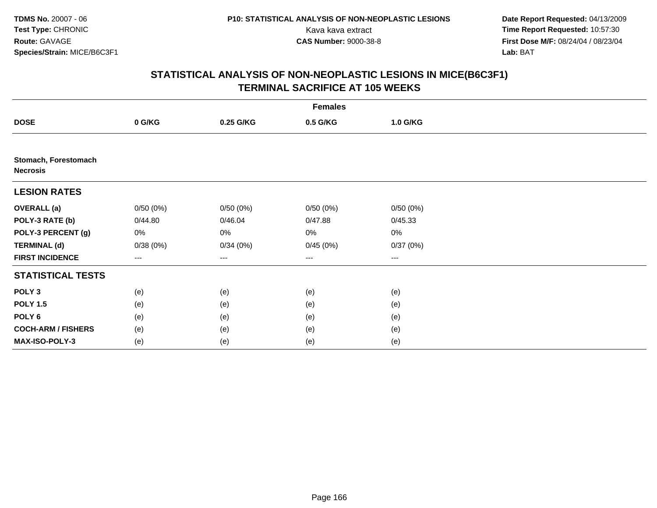**Date Report Requested:** 04/13/2009 Kava kava extract **Time Report Requested:** 10:57:30<br>**CAS Number:** 9000-38-8 **Time Report Requested:** 10:57:30 **First Dose M/F:** 08/24/04 / 08/23/04<br>Lab: BAT **Lab:** BAT

| <b>Females</b>                          |          |           |                                          |          |  |  |  |
|-----------------------------------------|----------|-----------|------------------------------------------|----------|--|--|--|
| <b>DOSE</b>                             | 0 G/KG   | 0.25 G/KG | 0.5 G/KG                                 | 1.0 G/KG |  |  |  |
|                                         |          |           |                                          |          |  |  |  |
| Stomach, Forestomach<br><b>Necrosis</b> |          |           |                                          |          |  |  |  |
| <b>LESION RATES</b>                     |          |           |                                          |          |  |  |  |
| <b>OVERALL (a)</b>                      | 0/50(0%) | 0/50(0%)  | 0/50(0%)                                 | 0/50(0%) |  |  |  |
| POLY-3 RATE (b)                         | 0/44.80  | 0/46.04   | 0/47.88                                  | 0/45.33  |  |  |  |
| POLY-3 PERCENT (g)                      | 0%       | 0%        | 0%                                       | $0\%$    |  |  |  |
| <b>TERMINAL (d)</b>                     | 0/38(0%) | 0/34(0%)  | 0/45(0%)                                 | 0/37(0%) |  |  |  |
| <b>FIRST INCIDENCE</b>                  | $---$    | ---       | $\hspace{0.05cm} \ldots \hspace{0.05cm}$ | $\cdots$ |  |  |  |
| <b>STATISTICAL TESTS</b>                |          |           |                                          |          |  |  |  |
| POLY <sub>3</sub>                       | (e)      | (e)       | (e)                                      | (e)      |  |  |  |
| <b>POLY 1.5</b>                         | (e)      | (e)       | (e)                                      | (e)      |  |  |  |
| POLY <sub>6</sub>                       | (e)      | (e)       | (e)                                      | (e)      |  |  |  |
| <b>COCH-ARM / FISHERS</b>               | (e)      | (e)       | (e)                                      | (e)      |  |  |  |
| MAX-ISO-POLY-3                          | (e)      | (e)       | (e)                                      | (e)      |  |  |  |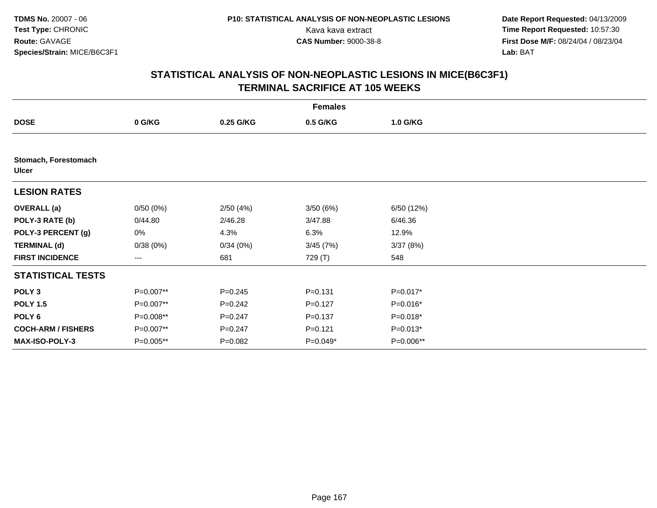**Date Report Requested:** 04/13/2009 Kava kava extract **Time Report Requested:** 10:57:30<br>**CAS Number:** 9000-38-8 **Time Report Requested:** 10:57:30 **First Dose M/F:** 08/24/04 / 08/23/04<br>Lab: BAT **Lab:** BAT

| <b>Females</b>                       |           |             |             |            |  |  |  |
|--------------------------------------|-----------|-------------|-------------|------------|--|--|--|
| <b>DOSE</b>                          | 0 G/KG    | 0.25 G/KG   | 0.5 G/KG    | 1.0 G/KG   |  |  |  |
|                                      |           |             |             |            |  |  |  |
| Stomach, Forestomach<br><b>Ulcer</b> |           |             |             |            |  |  |  |
| <b>LESION RATES</b>                  |           |             |             |            |  |  |  |
| <b>OVERALL</b> (a)                   | 0/50(0%)  | 2/50(4%)    | 3/50(6%)    | 6/50 (12%) |  |  |  |
| POLY-3 RATE (b)                      | 0/44.80   | 2/46.28     | 3/47.88     | 6/46.36    |  |  |  |
| POLY-3 PERCENT (g)                   | 0%        | 4.3%        | 6.3%        | 12.9%      |  |  |  |
| <b>TERMINAL (d)</b>                  | 0/38(0%)  | 0/34(0%)    | 3/45(7%)    | 3/37(8%)   |  |  |  |
| <b>FIRST INCIDENCE</b>               | $---$     | 681         | 729 (T)     | 548        |  |  |  |
| <b>STATISTICAL TESTS</b>             |           |             |             |            |  |  |  |
| POLY <sub>3</sub>                    | P=0.007** | $P = 0.245$ | $P = 0.131$ | P=0.017*   |  |  |  |
| <b>POLY 1.5</b>                      | P=0.007** | $P = 0.242$ | $P=0.127$   | P=0.016*   |  |  |  |
| POLY 6                               | P=0.008** | $P = 0.247$ | $P = 0.137$ | P=0.018*   |  |  |  |
| <b>COCH-ARM / FISHERS</b>            | P=0.007** | $P = 0.247$ | $P = 0.121$ | $P=0.013*$ |  |  |  |
| <b>MAX-ISO-POLY-3</b>                | P=0.005** | $P = 0.082$ | P=0.049*    | P=0.006**  |  |  |  |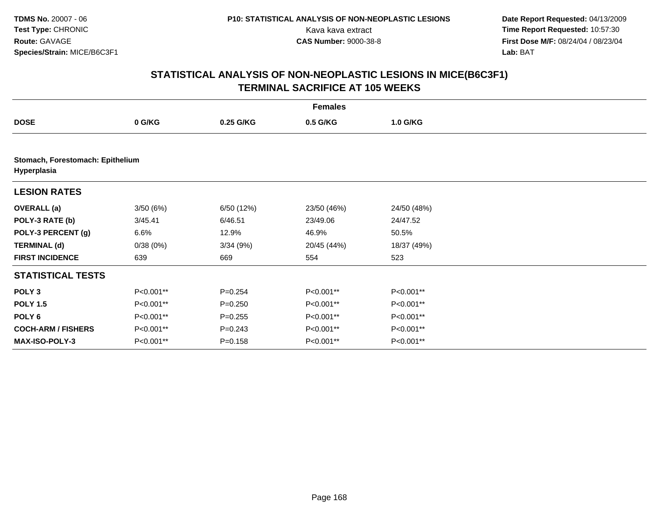**Date Report Requested:** 04/13/2009 Kava kava extract **Time Report Requested:** 10:57:30<br>**CAS Number:** 9000-38-8 **Time Report Requested:** 10:57:30 **First Dose M/F:** 08/24/04 / 08/23/04<br>Lab: BAT **Lab:** BAT

| <b>Females</b>                                  |           |             |             |             |  |  |  |
|-------------------------------------------------|-----------|-------------|-------------|-------------|--|--|--|
| <b>DOSE</b>                                     | 0 G/KG    | 0.25 G/KG   | 0.5 G/KG    | 1.0 G/KG    |  |  |  |
|                                                 |           |             |             |             |  |  |  |
| Stomach, Forestomach: Epithelium<br>Hyperplasia |           |             |             |             |  |  |  |
| <b>LESION RATES</b>                             |           |             |             |             |  |  |  |
| <b>OVERALL</b> (a)                              | 3/50(6%)  | 6/50 (12%)  | 23/50 (46%) | 24/50 (48%) |  |  |  |
| POLY-3 RATE (b)                                 | 3/45.41   | 6/46.51     | 23/49.06    | 24/47.52    |  |  |  |
| POLY-3 PERCENT (g)                              | 6.6%      | 12.9%       | 46.9%       | 50.5%       |  |  |  |
| <b>TERMINAL (d)</b>                             | 0/38(0%)  | 3/34(9%)    | 20/45 (44%) | 18/37 (49%) |  |  |  |
| <b>FIRST INCIDENCE</b>                          | 639       | 669         | 554         | 523         |  |  |  |
| <b>STATISTICAL TESTS</b>                        |           |             |             |             |  |  |  |
| POLY <sub>3</sub>                               | P<0.001** | $P=0.254$   | P<0.001**   | P<0.001**   |  |  |  |
| <b>POLY 1.5</b>                                 | P<0.001** | $P = 0.250$ | P<0.001**   | P<0.001**   |  |  |  |
| POLY <sub>6</sub>                               | P<0.001** | $P = 0.255$ | P<0.001**   | P<0.001**   |  |  |  |
| <b>COCH-ARM / FISHERS</b>                       | P<0.001** | $P=0.243$   | P<0.001**   | P<0.001**   |  |  |  |
| <b>MAX-ISO-POLY-3</b>                           | P<0.001** | $P = 0.158$ | P<0.001**   | P<0.001**   |  |  |  |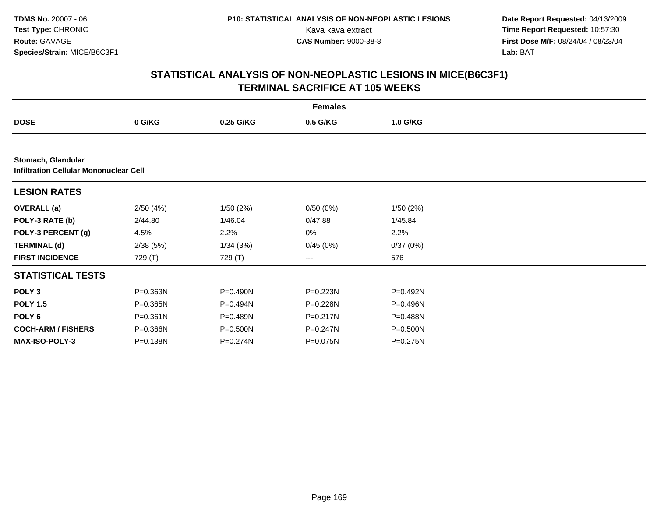**Date Report Requested:** 04/13/2009 Kava kava extract **Time Report Requested:** 10:57:30<br>**CAS Number:** 9000-38-8 **Time Report Requested:** 10:57:30 **First Dose M/F:** 08/24/04 / 08/23/04<br>Lab: BAT **Lab:** BAT

|                                                                     | <b>Females</b> |           |              |          |  |  |  |  |
|---------------------------------------------------------------------|----------------|-----------|--------------|----------|--|--|--|--|
| <b>DOSE</b>                                                         | 0 G/KG         | 0.25 G/KG | 0.5 G/KG     | 1.0 G/KG |  |  |  |  |
|                                                                     |                |           |              |          |  |  |  |  |
| Stomach, Glandular<br><b>Infiltration Cellular Mononuclear Cell</b> |                |           |              |          |  |  |  |  |
| <b>LESION RATES</b>                                                 |                |           |              |          |  |  |  |  |
| <b>OVERALL</b> (a)                                                  | 2/50(4%)       | 1/50(2%)  | 0/50(0%)     | 1/50(2%) |  |  |  |  |
| POLY-3 RATE (b)                                                     | 2/44.80        | 1/46.04   | 0/47.88      | 1/45.84  |  |  |  |  |
| POLY-3 PERCENT (g)                                                  | 4.5%           | 2.2%      | 0%           | 2.2%     |  |  |  |  |
| <b>TERMINAL (d)</b>                                                 | 2/38(5%)       | 1/34(3%)  | 0/45(0%)     | 0/37(0%) |  |  |  |  |
| <b>FIRST INCIDENCE</b>                                              | 729 (T)        | 729 (T)   | $--$         | 576      |  |  |  |  |
| <b>STATISTICAL TESTS</b>                                            |                |           |              |          |  |  |  |  |
| POLY <sub>3</sub>                                                   | P=0.363N       | P=0.490N  | P=0.223N     | P=0.492N |  |  |  |  |
| <b>POLY 1.5</b>                                                     | P=0.365N       | P=0.494N  | P=0.228N     | P=0.496N |  |  |  |  |
| POLY <sub>6</sub>                                                   | P=0.361N       | P=0.489N  | P=0.217N     | P=0.488N |  |  |  |  |
| <b>COCH-ARM / FISHERS</b>                                           | P=0.366N       | P=0.500N  | $P = 0.247N$ | P=0.500N |  |  |  |  |
| <b>MAX-ISO-POLY-3</b>                                               | P=0.138N       | P=0.274N  | P=0.075N     | P=0.275N |  |  |  |  |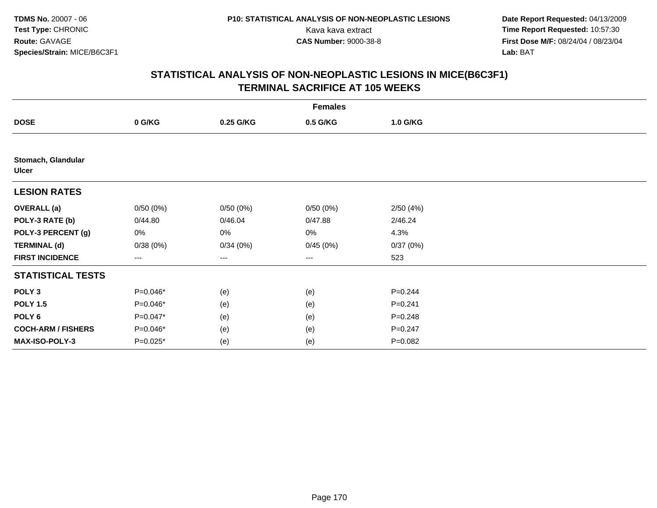**Date Report Requested:** 04/13/2009 Kava kava extract **Time Report Requested:** 10:57:30<br>**CAS Number:** 9000-38-8 **Time Report Requested:** 10:57:30 **First Dose M/F:** 08/24/04 / 08/23/04<br>Lab: BAT **Lab:** BAT

|                                    | <b>Females</b>    |           |                   |             |  |  |  |  |
|------------------------------------|-------------------|-----------|-------------------|-------------|--|--|--|--|
| <b>DOSE</b>                        | 0 G/KG            | 0.25 G/KG | 0.5 G/KG          | 1.0 G/KG    |  |  |  |  |
|                                    |                   |           |                   |             |  |  |  |  |
| Stomach, Glandular<br><b>Ulcer</b> |                   |           |                   |             |  |  |  |  |
| <b>LESION RATES</b>                |                   |           |                   |             |  |  |  |  |
| <b>OVERALL</b> (a)                 | 0/50(0%)          | 0/50(0%)  | 0/50(0%)          | 2/50(4%)    |  |  |  |  |
| POLY-3 RATE (b)                    | 0/44.80           | 0/46.04   | 0/47.88           | 2/46.24     |  |  |  |  |
| POLY-3 PERCENT (g)                 | 0%                | 0%        | 0%                | 4.3%        |  |  |  |  |
| <b>TERMINAL (d)</b>                | 0/38(0%)          | 0/34(0%)  | 0/45(0%)          | 0/37(0%)    |  |  |  |  |
| <b>FIRST INCIDENCE</b>             | $\qquad \qquad -$ | ---       | $\qquad \qquad -$ | 523         |  |  |  |  |
| <b>STATISTICAL TESTS</b>           |                   |           |                   |             |  |  |  |  |
| POLY <sub>3</sub>                  | P=0.046*          | (e)       | (e)               | $P=0.244$   |  |  |  |  |
| <b>POLY 1.5</b>                    | P=0.046*          | (e)       | (e)               | $P = 0.241$ |  |  |  |  |
| POLY 6                             | P=0.047*          | (e)       | (e)               | $P = 0.248$ |  |  |  |  |
| <b>COCH-ARM / FISHERS</b>          | P=0.046*          | (e)       | (e)               | $P = 0.247$ |  |  |  |  |
| MAX-ISO-POLY-3                     | P=0.025*          | (e)       | (e)               | $P=0.082$   |  |  |  |  |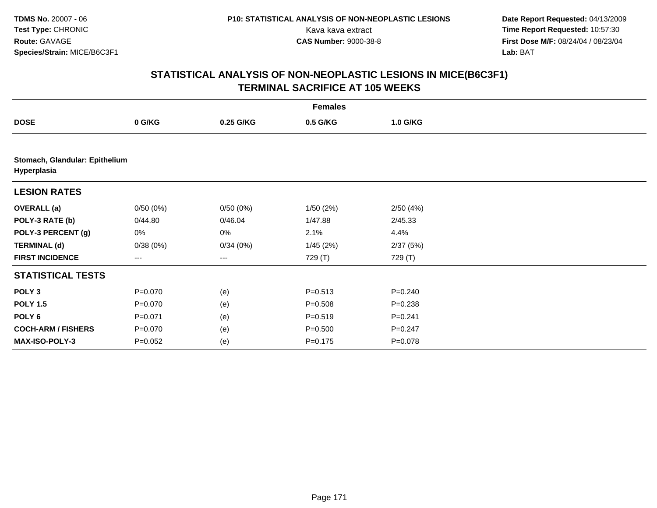**Date Report Requested:** 04/13/2009 Kava kava extract **Time Report Requested:** 10:57:30<br>**CAS Number:** 9000-38-8 **Time Report Requested:** 10:57:30 **First Dose M/F:** 08/24/04 / 08/23/04<br>Lab: BAT **Lab:** BAT

|                                               | <b>Females</b> |           |             |             |  |  |  |  |
|-----------------------------------------------|----------------|-----------|-------------|-------------|--|--|--|--|
| <b>DOSE</b>                                   | 0 G/KG         | 0.25 G/KG | 0.5 G/KG    | 1.0 G/KG    |  |  |  |  |
|                                               |                |           |             |             |  |  |  |  |
| Stomach, Glandular: Epithelium<br>Hyperplasia |                |           |             |             |  |  |  |  |
| <b>LESION RATES</b>                           |                |           |             |             |  |  |  |  |
| <b>OVERALL</b> (a)                            | 0/50(0%)       | 0/50(0%)  | 1/50(2%)    | 2/50(4%)    |  |  |  |  |
| POLY-3 RATE (b)                               | 0/44.80        | 0/46.04   | 1/47.88     | 2/45.33     |  |  |  |  |
| POLY-3 PERCENT (g)                            | 0%             | 0%        | 2.1%        | 4.4%        |  |  |  |  |
| <b>TERMINAL (d)</b>                           | 0/38(0%)       | 0/34(0%)  | 1/45(2%)    | 2/37(5%)    |  |  |  |  |
| <b>FIRST INCIDENCE</b>                        | ---            | $--$      | 729 (T)     | 729 (T)     |  |  |  |  |
| <b>STATISTICAL TESTS</b>                      |                |           |             |             |  |  |  |  |
| POLY <sub>3</sub>                             | $P = 0.070$    | (e)       | $P = 0.513$ | $P = 0.240$ |  |  |  |  |
| <b>POLY 1.5</b>                               | $P = 0.070$    | (e)       | $P = 0.508$ | $P = 0.238$ |  |  |  |  |
| POLY <sub>6</sub>                             | $P = 0.071$    | (e)       | $P = 0.519$ | $P = 0.241$ |  |  |  |  |
| <b>COCH-ARM / FISHERS</b>                     | $P = 0.070$    | (e)       | $P = 0.500$ | $P = 0.247$ |  |  |  |  |
| MAX-ISO-POLY-3                                | $P = 0.052$    | (e)       | $P = 0.175$ | $P = 0.078$ |  |  |  |  |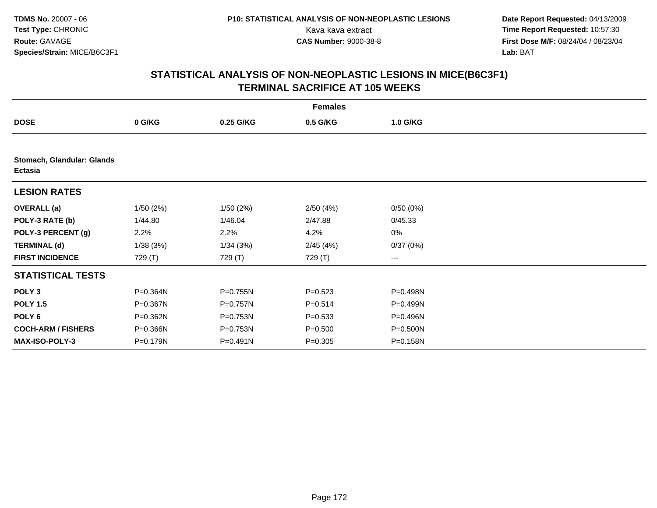**Date Report Requested:** 04/13/2009 Kava kava extract **Time Report Requested:** 10:57:30<br>**CAS Number:** 9000-38-8 **Time Report Requested:** 10:57:30 **First Dose M/F:** 08/24/04 / 08/23/04<br>Lab: BAT **Lab:** BAT

|                                              | <b>Females</b> |              |             |          |  |  |  |  |
|----------------------------------------------|----------------|--------------|-------------|----------|--|--|--|--|
| <b>DOSE</b>                                  | 0 G/KG         | 0.25 G/KG    | 0.5 G/KG    | 1.0 G/KG |  |  |  |  |
|                                              |                |              |             |          |  |  |  |  |
| Stomach, Glandular: Glands<br><b>Ectasia</b> |                |              |             |          |  |  |  |  |
| <b>LESION RATES</b>                          |                |              |             |          |  |  |  |  |
| <b>OVERALL</b> (a)                           | 1/50(2%)       | 1/50(2%)     | 2/50(4%)    | 0/50(0%) |  |  |  |  |
| POLY-3 RATE (b)                              | 1/44.80        | 1/46.04      | 2/47.88     | 0/45.33  |  |  |  |  |
| POLY-3 PERCENT (g)                           | 2.2%           | 2.2%         | 4.2%        | 0%       |  |  |  |  |
| <b>TERMINAL (d)</b>                          | 1/38(3%)       | 1/34(3%)     | 2/45(4%)    | 0/37(0%) |  |  |  |  |
| <b>FIRST INCIDENCE</b>                       | 729 (T)        | 729 (T)      | 729 (T)     | ---      |  |  |  |  |
| <b>STATISTICAL TESTS</b>                     |                |              |             |          |  |  |  |  |
| POLY <sub>3</sub>                            | P=0.364N       | P=0.755N     | $P = 0.523$ | P=0.498N |  |  |  |  |
| <b>POLY 1.5</b>                              | P=0.367N       | P=0.757N     | $P = 0.514$ | P=0.499N |  |  |  |  |
| POLY 6                                       | P=0.362N       | $P = 0.753N$ | $P = 0.533$ | P=0.496N |  |  |  |  |
| <b>COCH-ARM / FISHERS</b>                    | P=0.366N       | P=0.753N     | $P = 0.500$ | P=0.500N |  |  |  |  |
| <b>MAX-ISO-POLY-3</b>                        | P=0.179N       | $P = 0.491N$ | $P = 0.305$ | P=0.158N |  |  |  |  |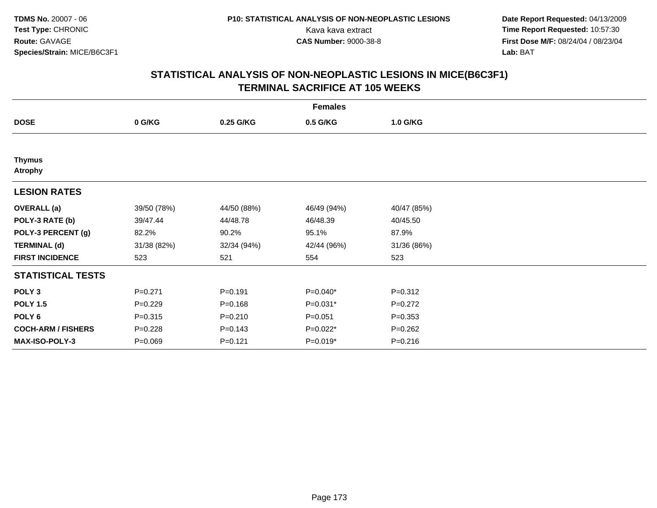**Date Report Requested:** 04/13/2009 Kava kava extract **Time Report Requested:** 10:57:30<br>**CAS Number:** 9000-38-8 **Time Report Requested:** 10:57:30 **First Dose M/F:** 08/24/04 / 08/23/04<br>Lab: BAT **Lab:** BAT

|                                 | <b>Females</b> |             |             |             |  |  |  |  |
|---------------------------------|----------------|-------------|-------------|-------------|--|--|--|--|
| <b>DOSE</b>                     | 0 G/KG         | 0.25 G/KG   | 0.5 G/KG    | 1.0 G/KG    |  |  |  |  |
|                                 |                |             |             |             |  |  |  |  |
| <b>Thymus</b><br><b>Atrophy</b> |                |             |             |             |  |  |  |  |
| <b>LESION RATES</b>             |                |             |             |             |  |  |  |  |
| <b>OVERALL</b> (a)              | 39/50 (78%)    | 44/50 (88%) | 46/49 (94%) | 40/47 (85%) |  |  |  |  |
| POLY-3 RATE (b)                 | 39/47.44       | 44/48.78    | 46/48.39    | 40/45.50    |  |  |  |  |
| POLY-3 PERCENT (g)              | 82.2%          | 90.2%       | 95.1%       | 87.9%       |  |  |  |  |
| <b>TERMINAL (d)</b>             | 31/38 (82%)    | 32/34 (94%) | 42/44 (96%) | 31/36 (86%) |  |  |  |  |
| <b>FIRST INCIDENCE</b>          | 523            | 521         | 554         | 523         |  |  |  |  |
| <b>STATISTICAL TESTS</b>        |                |             |             |             |  |  |  |  |
| POLY <sub>3</sub>               | $P = 0.271$    | $P = 0.191$ | $P=0.040*$  | $P = 0.312$ |  |  |  |  |
| <b>POLY 1.5</b>                 | $P=0.229$      | $P = 0.168$ | P=0.031*    | $P=0.272$   |  |  |  |  |
| POLY <sub>6</sub>               | $P = 0.315$    | $P = 0.210$ | $P = 0.051$ | $P = 0.353$ |  |  |  |  |
| <b>COCH-ARM / FISHERS</b>       | $P = 0.228$    | $P = 0.143$ | P=0.022*    | $P = 0.262$ |  |  |  |  |
| <b>MAX-ISO-POLY-3</b>           | $P = 0.069$    | $P = 0.121$ | $P=0.019*$  | $P = 0.216$ |  |  |  |  |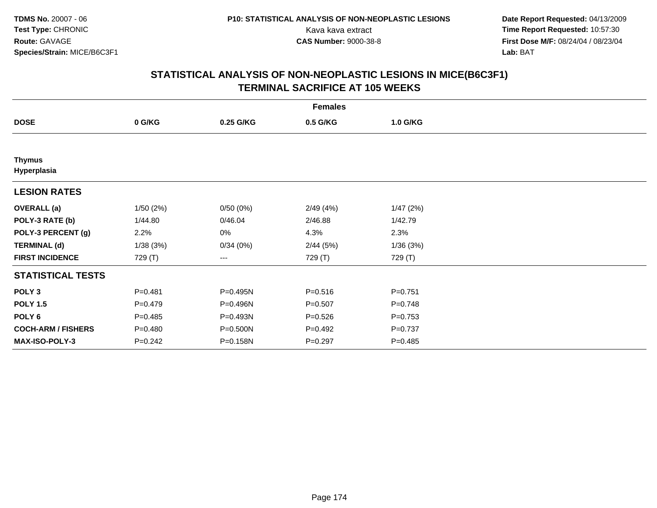**Date Report Requested:** 04/13/2009 Kava kava extract **Time Report Requested:** 10:57:30<br>**CAS Number:** 9000-38-8 **Time Report Requested:** 10:57:30 **First Dose M/F:** 08/24/04 / 08/23/04<br>Lab: BAT **Lab:** BAT

|                              | <b>Females</b> |           |             |             |  |  |  |  |  |
|------------------------------|----------------|-----------|-------------|-------------|--|--|--|--|--|
| <b>DOSE</b>                  | 0 G/KG         | 0.25 G/KG | 0.5 G/KG    | 1.0 G/KG    |  |  |  |  |  |
|                              |                |           |             |             |  |  |  |  |  |
| <b>Thymus</b><br>Hyperplasia |                |           |             |             |  |  |  |  |  |
| <b>LESION RATES</b>          |                |           |             |             |  |  |  |  |  |
| <b>OVERALL</b> (a)           | 1/50(2%)       | 0/50(0%)  | 2/49 (4%)   | 1/47(2%)    |  |  |  |  |  |
| POLY-3 RATE (b)              | 1/44.80        | 0/46.04   | 2/46.88     | 1/42.79     |  |  |  |  |  |
| POLY-3 PERCENT (g)           | 2.2%           | 0%        | 4.3%        | 2.3%        |  |  |  |  |  |
| <b>TERMINAL (d)</b>          | 1/38(3%)       | 0/34(0%)  | 2/44(5%)    | 1/36(3%)    |  |  |  |  |  |
| <b>FIRST INCIDENCE</b>       | 729 (T)        | ---       | 729 (T)     | 729 (T)     |  |  |  |  |  |
| <b>STATISTICAL TESTS</b>     |                |           |             |             |  |  |  |  |  |
| POLY <sub>3</sub>            | $P = 0.481$    | P=0.495N  | $P = 0.516$ | $P = 0.751$ |  |  |  |  |  |
| <b>POLY 1.5</b>              | $P=0.479$      | P=0.496N  | $P = 0.507$ | $P=0.748$   |  |  |  |  |  |
| POLY <sub>6</sub>            | $P=0.485$      | P=0.493N  | $P = 0.526$ | $P=0.753$   |  |  |  |  |  |
| <b>COCH-ARM / FISHERS</b>    | $P = 0.480$    | P=0.500N  | $P=0.492$   | $P = 0.737$ |  |  |  |  |  |
| <b>MAX-ISO-POLY-3</b>        | $P = 0.242$    | P=0.158N  | $P = 0.297$ | $P = 0.485$ |  |  |  |  |  |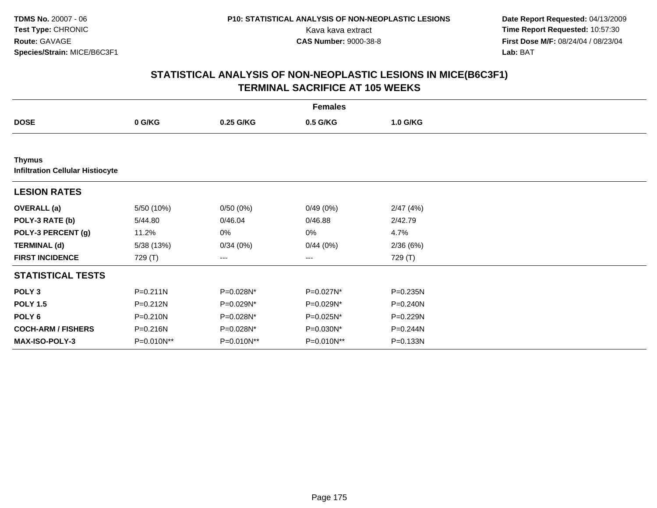**Date Report Requested:** 04/13/2009 Kava kava extract **Time Report Requested:** 10:57:30<br>**CAS Number:** 9000-38-8 **Time Report Requested:** 10:57:30 **First Dose M/F:** 08/24/04 / 08/23/04<br>Lab: BAT **Lab:** BAT

|                                                          | <b>Females</b> |            |                        |              |  |  |  |  |
|----------------------------------------------------------|----------------|------------|------------------------|--------------|--|--|--|--|
| <b>DOSE</b>                                              | 0 G/KG         | 0.25 G/KG  | 0.5 G/KG               | 1.0 G/KG     |  |  |  |  |
|                                                          |                |            |                        |              |  |  |  |  |
| <b>Thymus</b><br><b>Infiltration Cellular Histiocyte</b> |                |            |                        |              |  |  |  |  |
| <b>LESION RATES</b>                                      |                |            |                        |              |  |  |  |  |
| <b>OVERALL</b> (a)                                       | 5/50 (10%)     | 0/50(0%)   | 0/49(0%)               | 2/47(4%)     |  |  |  |  |
| POLY-3 RATE (b)                                          | 5/44.80        | 0/46.04    | 0/46.88                | 2/42.79      |  |  |  |  |
| POLY-3 PERCENT (g)                                       | 11.2%          | 0%         | 0%                     | 4.7%         |  |  |  |  |
| <b>TERMINAL (d)</b>                                      | 5/38 (13%)     | 0/34(0%)   | 0/44(0%)               | 2/36(6%)     |  |  |  |  |
| <b>FIRST INCIDENCE</b>                                   | 729 (T)        | ---        | $\qquad \qquad \cdots$ | 729 (T)      |  |  |  |  |
| <b>STATISTICAL TESTS</b>                                 |                |            |                        |              |  |  |  |  |
| POLY <sub>3</sub>                                        | $P = 0.211N$   | P=0.028N*  | P=0.027N*              | $P = 0.235N$ |  |  |  |  |
| <b>POLY 1.5</b>                                          | $P = 0.212N$   | P=0.029N*  | P=0.029N*              | $P = 0.240N$ |  |  |  |  |
| POLY 6                                                   | $P = 0.210N$   | P=0.028N*  | P=0.025N*              | $P = 0.229N$ |  |  |  |  |
| <b>COCH-ARM / FISHERS</b>                                | P=0.216N       | P=0.028N*  | P=0.030N*              | P=0.244N     |  |  |  |  |
| <b>MAX-ISO-POLY-3</b>                                    | P=0.010N**     | P=0.010N** | P=0.010N**             | P=0.133N     |  |  |  |  |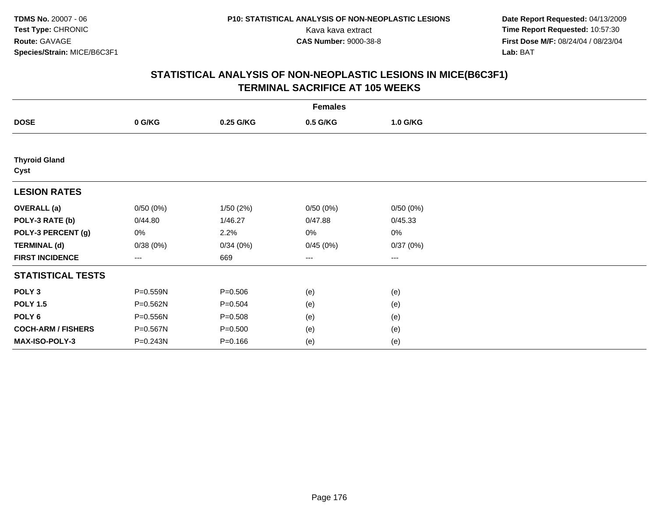**Date Report Requested:** 04/13/2009 Kava kava extract **Time Report Requested:** 10:57:30<br>**CAS Number:** 9000-38-8 **Time Report Requested:** 10:57:30 **First Dose M/F:** 08/24/04 / 08/23/04<br>Lab: BAT **Lab:** BAT

|                              | <b>Females</b>         |             |          |          |  |  |  |  |
|------------------------------|------------------------|-------------|----------|----------|--|--|--|--|
| <b>DOSE</b>                  | 0 G/KG                 | 0.25 G/KG   | 0.5 G/KG | 1.0 G/KG |  |  |  |  |
|                              |                        |             |          |          |  |  |  |  |
| <b>Thyroid Gland</b><br>Cyst |                        |             |          |          |  |  |  |  |
| <b>LESION RATES</b>          |                        |             |          |          |  |  |  |  |
| <b>OVERALL</b> (a)           | 0/50(0%)               | 1/50(2%)    | 0/50(0%) | 0/50(0%) |  |  |  |  |
| POLY-3 RATE (b)              | 0/44.80                | 1/46.27     | 0/47.88  | 0/45.33  |  |  |  |  |
| POLY-3 PERCENT (g)           | 0%                     | 2.2%        | 0%       | 0%       |  |  |  |  |
| <b>TERMINAL (d)</b>          | 0/38(0%)               | 0/34(0%)    | 0/45(0%) | 0/37(0%) |  |  |  |  |
| <b>FIRST INCIDENCE</b>       | $\qquad \qquad \cdots$ | 669         | ---      | $--$     |  |  |  |  |
| <b>STATISTICAL TESTS</b>     |                        |             |          |          |  |  |  |  |
| POLY <sub>3</sub>            | P=0.559N               | $P = 0.506$ | (e)      | (e)      |  |  |  |  |
| <b>POLY 1.5</b>              | P=0.562N               | $P = 0.504$ | (e)      | (e)      |  |  |  |  |
| POLY <sub>6</sub>            | P=0.556N               | $P = 0.508$ | (e)      | (e)      |  |  |  |  |
| <b>COCH-ARM / FISHERS</b>    | P=0.567N               | $P = 0.500$ | (e)      | (e)      |  |  |  |  |
| MAX-ISO-POLY-3               | P=0.243N               | $P = 0.166$ | (e)      | (e)      |  |  |  |  |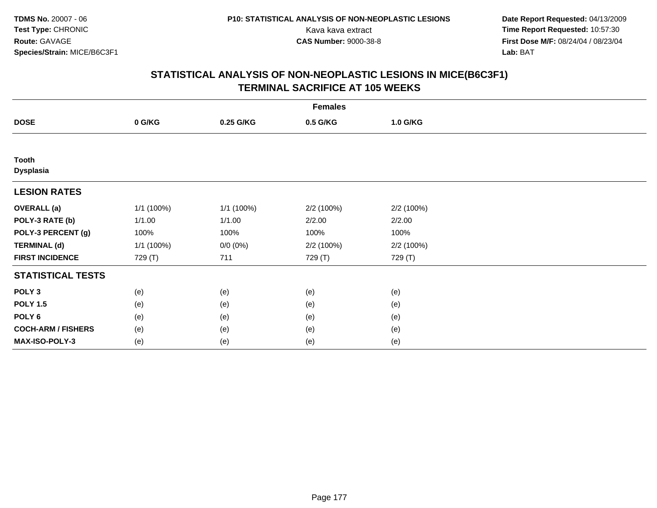**Date Report Requested:** 04/13/2009 Kava kava extract **Time Report Requested:** 10:57:30<br>**CAS Number:** 9000-38-8 **Time Report Requested:** 10:57:30 **First Dose M/F:** 08/24/04 / 08/23/04<br>Lab: BAT **Lab:** BAT

| <b>Females</b>            |            |             |            |            |  |  |  |
|---------------------------|------------|-------------|------------|------------|--|--|--|
| <b>DOSE</b>               | 0 G/KG     | 0.25 G/KG   | 0.5 G/KG   | 1.0 G/KG   |  |  |  |
|                           |            |             |            |            |  |  |  |
| Tooth<br><b>Dysplasia</b> |            |             |            |            |  |  |  |
| <b>LESION RATES</b>       |            |             |            |            |  |  |  |
| <b>OVERALL</b> (a)        | 1/1 (100%) | 1/1 (100%)  | 2/2 (100%) | 2/2 (100%) |  |  |  |
| POLY-3 RATE (b)           | 1/1.00     | 1/1.00      | 2/2.00     | 2/2.00     |  |  |  |
| POLY-3 PERCENT (g)        | 100%       | 100%        | 100%       | 100%       |  |  |  |
| <b>TERMINAL (d)</b>       | 1/1 (100%) | $0/0 (0\%)$ | 2/2 (100%) | 2/2 (100%) |  |  |  |
| <b>FIRST INCIDENCE</b>    | 729 (T)    | 711         | 729 (T)    | 729 (T)    |  |  |  |
| <b>STATISTICAL TESTS</b>  |            |             |            |            |  |  |  |
| POLY <sub>3</sub>         | (e)        | (e)         | (e)        | (e)        |  |  |  |
| <b>POLY 1.5</b>           | (e)        | (e)         | (e)        | (e)        |  |  |  |
| POLY <sub>6</sub>         | (e)        | (e)         | (e)        | (e)        |  |  |  |
| <b>COCH-ARM / FISHERS</b> | (e)        | (e)         | (e)        | (e)        |  |  |  |
| MAX-ISO-POLY-3            | (e)        | (e)         | (e)        | (e)        |  |  |  |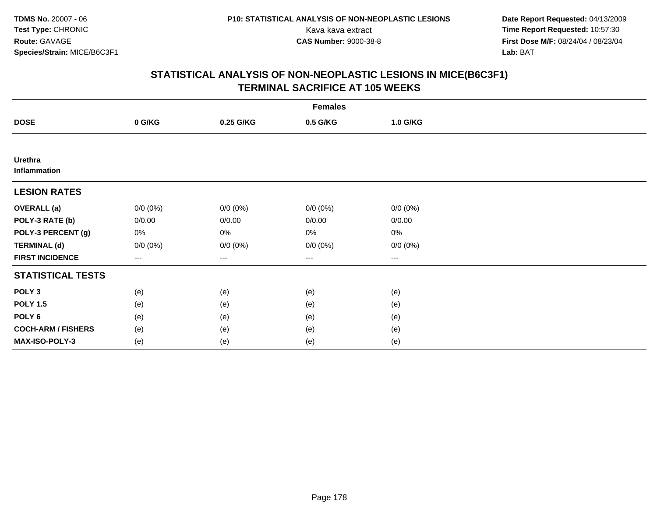**Date Report Requested:** 04/13/2009 Kava kava extract **Time Report Requested:** 10:57:30<br>**CAS Number:** 9000-38-8 **Time Report Requested:** 10:57:30 **First Dose M/F:** 08/24/04 / 08/23/04<br>Lab: BAT **Lab:** BAT

|                                | <b>Females</b> |             |             |             |  |  |  |  |
|--------------------------------|----------------|-------------|-------------|-------------|--|--|--|--|
| <b>DOSE</b>                    | 0 G/KG         | 0.25 G/KG   | 0.5 G/KG    | 1.0 G/KG    |  |  |  |  |
|                                |                |             |             |             |  |  |  |  |
| <b>Urethra</b><br>Inflammation |                |             |             |             |  |  |  |  |
| <b>LESION RATES</b>            |                |             |             |             |  |  |  |  |
| <b>OVERALL</b> (a)             | $0/0 (0\%)$    | $0/0 (0\%)$ | $0/0 (0\%)$ | $0/0 (0\%)$ |  |  |  |  |
| POLY-3 RATE (b)                | 0/0.00         | 0/0.00      | 0/0.00      | 0/0.00      |  |  |  |  |
| POLY-3 PERCENT (g)             | 0%             | 0%          | 0%          | $0\%$       |  |  |  |  |
| <b>TERMINAL (d)</b>            | $0/0 (0\%)$    | $0/0 (0\%)$ | $0/0 (0\%)$ | $0/0 (0\%)$ |  |  |  |  |
| <b>FIRST INCIDENCE</b>         | $---$          | $---$       | $\cdots$    | $\cdots$    |  |  |  |  |
| <b>STATISTICAL TESTS</b>       |                |             |             |             |  |  |  |  |
| POLY <sub>3</sub>              | (e)            | (e)         | (e)         | (e)         |  |  |  |  |
| <b>POLY 1.5</b>                | (e)            | (e)         | (e)         | (e)         |  |  |  |  |
| POLY <sub>6</sub>              | (e)            | (e)         | (e)         | (e)         |  |  |  |  |
| <b>COCH-ARM / FISHERS</b>      | (e)            | (e)         | (e)         | (e)         |  |  |  |  |
| MAX-ISO-POLY-3                 | (e)            | (e)         | (e)         | (e)         |  |  |  |  |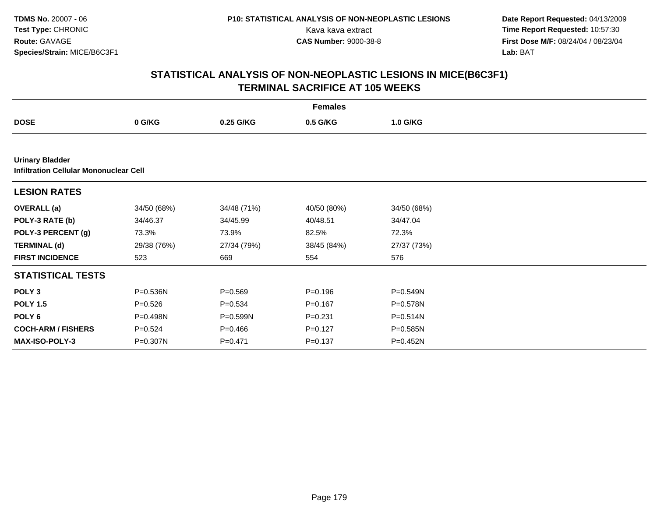**Date Report Requested:** 04/13/2009 Kava kava extract **Time Report Requested:** 10:57:30<br>**CAS Number:** 9000-38-8 **Time Report Requested:** 10:57:30 **First Dose M/F:** 08/24/04 / 08/23/04<br>Lab: BAT **Lab:** BAT

|                                                                  | <b>Females</b> |              |             |             |  |  |  |  |
|------------------------------------------------------------------|----------------|--------------|-------------|-------------|--|--|--|--|
| <b>DOSE</b>                                                      | 0 G/KG         | 0.25 G/KG    | 0.5 G/KG    | 1.0 G/KG    |  |  |  |  |
|                                                                  |                |              |             |             |  |  |  |  |
| <b>Urinary Bladder</b><br>Infiltration Cellular Mononuclear Cell |                |              |             |             |  |  |  |  |
| <b>LESION RATES</b>                                              |                |              |             |             |  |  |  |  |
| <b>OVERALL</b> (a)                                               | 34/50 (68%)    | 34/48 (71%)  | 40/50 (80%) | 34/50 (68%) |  |  |  |  |
| POLY-3 RATE (b)                                                  | 34/46.37       | 34/45.99     | 40/48.51    | 34/47.04    |  |  |  |  |
| POLY-3 PERCENT (g)                                               | 73.3%          | 73.9%        | 82.5%       | 72.3%       |  |  |  |  |
| <b>TERMINAL (d)</b>                                              | 29/38 (76%)    | 27/34 (79%)  | 38/45 (84%) | 27/37 (73%) |  |  |  |  |
| <b>FIRST INCIDENCE</b>                                           | 523            | 669          | 554         | 576         |  |  |  |  |
| <b>STATISTICAL TESTS</b>                                         |                |              |             |             |  |  |  |  |
| POLY <sub>3</sub>                                                | P=0.536N       | $P = 0.569$  | $P = 0.196$ | P=0.549N    |  |  |  |  |
| <b>POLY 1.5</b>                                                  | $P = 0.526$    | $P = 0.534$  | $P = 0.167$ | P=0.578N    |  |  |  |  |
| POLY <sub>6</sub>                                                | $P = 0.498N$   | $P = 0.599N$ | $P = 0.231$ | P=0.514N    |  |  |  |  |
| <b>COCH-ARM / FISHERS</b>                                        | $P = 0.524$    | $P = 0.466$  | $P=0.127$   | P=0.585N    |  |  |  |  |
| <b>MAX-ISO-POLY-3</b>                                            | P=0.307N       | $P=0.471$    | $P = 0.137$ | P=0.452N    |  |  |  |  |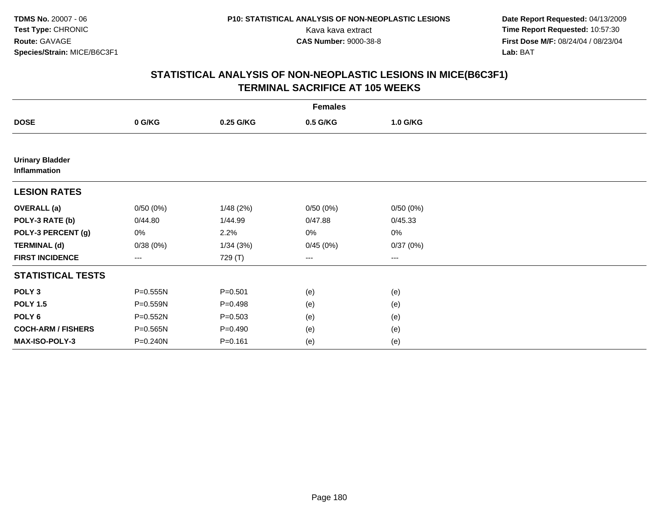**Date Report Requested:** 04/13/2009 Kava kava extract **Time Report Requested:** 10:57:30<br>**CAS Number:** 9000-38-8 **Time Report Requested:** 10:57:30 **First Dose M/F:** 08/24/04 / 08/23/04<br>Lab: BAT **Lab:** BAT

|                                        | <b>Females</b> |             |          |          |  |  |  |  |
|----------------------------------------|----------------|-------------|----------|----------|--|--|--|--|
| <b>DOSE</b>                            | 0 G/KG         | 0.25 G/KG   | 0.5 G/KG | 1.0 G/KG |  |  |  |  |
|                                        |                |             |          |          |  |  |  |  |
| <b>Urinary Bladder</b><br>Inflammation |                |             |          |          |  |  |  |  |
| <b>LESION RATES</b>                    |                |             |          |          |  |  |  |  |
| <b>OVERALL</b> (a)                     | 0/50(0%)       | 1/48(2%)    | 0/50(0%) | 0/50(0%) |  |  |  |  |
| POLY-3 RATE (b)                        | 0/44.80        | 1/44.99     | 0/47.88  | 0/45.33  |  |  |  |  |
| POLY-3 PERCENT (g)                     | 0%             | 2.2%        | 0%       | 0%       |  |  |  |  |
| <b>TERMINAL (d)</b>                    | 0/38(0%)       | 1/34(3%)    | 0/45(0%) | 0/37(0%) |  |  |  |  |
| <b>FIRST INCIDENCE</b>                 | ---            | 729 (T)     | $--$     | ---      |  |  |  |  |
| <b>STATISTICAL TESTS</b>               |                |             |          |          |  |  |  |  |
| POLY <sub>3</sub>                      | P=0.555N       | $P = 0.501$ | (e)      | (e)      |  |  |  |  |
| <b>POLY 1.5</b>                        | P=0.559N       | $P = 0.498$ | (e)      | (e)      |  |  |  |  |
| POLY 6                                 | P=0.552N       | $P = 0.503$ | (e)      | (e)      |  |  |  |  |
| <b>COCH-ARM / FISHERS</b>              | P=0.565N       | $P = 0.490$ | (e)      | (e)      |  |  |  |  |
| MAX-ISO-POLY-3                         | P=0.240N       | $P = 0.161$ | (e)      | (e)      |  |  |  |  |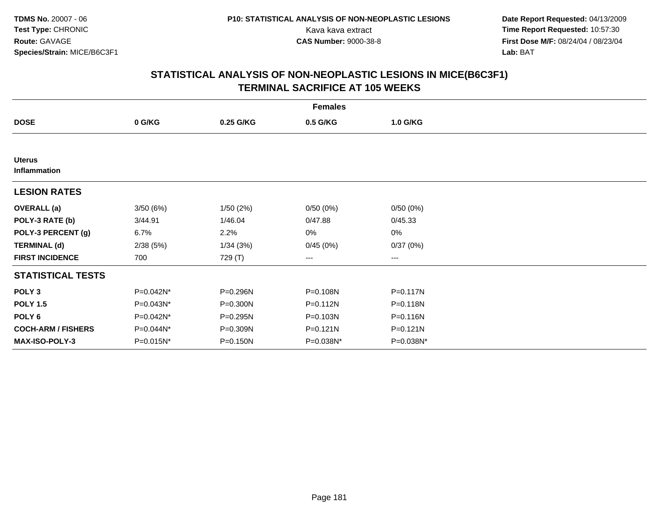**TDMS No.** 20007 - 06**Test Type:** CHRONIC**Route:** GAVAGE**Species/Strain:** MICE/B6C3F1

 **Date Report Requested:** 04/13/2009 Kava kava extract **Time Report Requested:** 10:57:30<br>**CAS Number:** 9000-38-8 **Time Report Requested:** 10:57:30 **First Dose M/F:** 08/24/04 / 08/23/04<br>Lab: BAT **Lab:** BAT

## **STATISTICAL ANALYSIS OF NON-NEOPLASTIC LESIONS IN MICE(B6C3F1)TERMINAL SACRIFICE AT 105 WEEKS**

| <b>Females</b>                |           |           |           |              |  |
|-------------------------------|-----------|-----------|-----------|--------------|--|
| <b>DOSE</b>                   | 0 G/KG    | 0.25 G/KG | 0.5 G/KG  | 1.0 G/KG     |  |
|                               |           |           |           |              |  |
| <b>Uterus</b><br>Inflammation |           |           |           |              |  |
| <b>LESION RATES</b>           |           |           |           |              |  |
| <b>OVERALL</b> (a)            | 3/50(6%)  | 1/50(2%)  | 0/50(0%)  | 0/50(0%)     |  |
| POLY-3 RATE (b)               | 3/44.91   | 1/46.04   | 0/47.88   | 0/45.33      |  |
| POLY-3 PERCENT (g)            | 6.7%      | 2.2%      | 0%        | 0%           |  |
| <b>TERMINAL (d)</b>           | 2/38(5%)  | 1/34(3%)  | 0/45(0%)  | 0/37(0%)     |  |
| <b>FIRST INCIDENCE</b>        | 700       | 729 (T)   | ---       | ---          |  |
| <b>STATISTICAL TESTS</b>      |           |           |           |              |  |
| POLY <sub>3</sub>             | P=0.042N* | P=0.296N  | P=0.108N  | P=0.117N     |  |
| <b>POLY 1.5</b>               | P=0.043N* | P=0.300N  | P=0.112N  | P=0.118N     |  |
| POLY <sub>6</sub>             | P=0.042N* | P=0.295N  | P=0.103N  | P=0.116N     |  |
| <b>COCH-ARM / FISHERS</b>     | P=0.044N* | P=0.309N  | P=0.121N  | $P = 0.121N$ |  |
| <b>MAX-ISO-POLY-3</b>         | P=0.015N* | P=0.150N  | P=0.038N* | P=0.038N*    |  |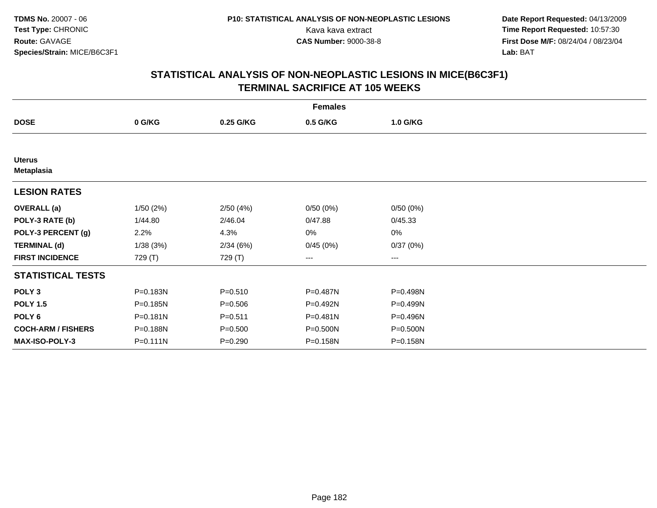**TDMS No.** 20007 - 06**Test Type:** CHRONIC**Route:** GAVAGE**Species/Strain:** MICE/B6C3F1

 **Date Report Requested:** 04/13/2009 Kava kava extract **Time Report Requested:** 10:57:30<br>**CAS Number:** 9000-38-8 **Time Report Requested:** 10:57:30 **First Dose M/F:** 08/24/04 / 08/23/04<br>Lab: BAT **Lab:** BAT

## **STATISTICAL ANALYSIS OF NON-NEOPLASTIC LESIONS IN MICE(B6C3F1)TERMINAL SACRIFICE AT 105 WEEKS**

| <b>Females</b>              |              |             |          |          |  |
|-----------------------------|--------------|-------------|----------|----------|--|
| <b>DOSE</b>                 | 0 G/KG       | 0.25 G/KG   | 0.5 G/KG | 1.0 G/KG |  |
|                             |              |             |          |          |  |
| <b>Uterus</b><br>Metaplasia |              |             |          |          |  |
| <b>LESION RATES</b>         |              |             |          |          |  |
| <b>OVERALL (a)</b>          | 1/50(2%)     | 2/50(4%)    | 0/50(0%) | 0/50(0%) |  |
| POLY-3 RATE (b)             | 1/44.80      | 2/46.04     | 0/47.88  | 0/45.33  |  |
| POLY-3 PERCENT (g)          | 2.2%         | 4.3%        | 0%       | 0%       |  |
| <b>TERMINAL (d)</b>         | 1/38(3%)     | 2/34(6%)    | 0/45(0%) | 0/37(0%) |  |
| <b>FIRST INCIDENCE</b>      | 729 (T)      | 729 (T)     | ---      | ---      |  |
| <b>STATISTICAL TESTS</b>    |              |             |          |          |  |
| POLY <sub>3</sub>           | P=0.183N     | $P = 0.510$ | P=0.487N | P=0.498N |  |
| <b>POLY 1.5</b>             | P=0.185N     | $P = 0.506$ | P=0.492N | P=0.499N |  |
| POLY <sub>6</sub>           | $P = 0.181N$ | $P = 0.511$ | P=0.481N | P=0.496N |  |
| <b>COCH-ARM / FISHERS</b>   | P=0.188N     | $P = 0.500$ | P=0.500N | P=0.500N |  |
| <b>MAX-ISO-POLY-3</b>       | $P = 0.111N$ | $P = 0.290$ | P=0.158N | P=0.158N |  |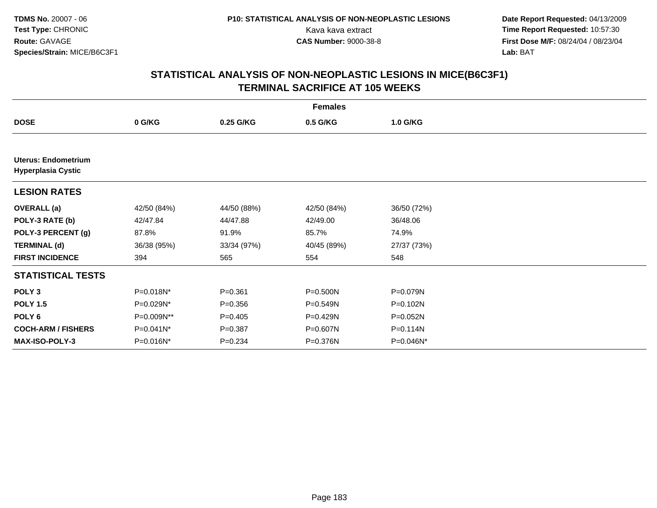**TDMS No.** 20007 - 06**Test Type:** CHRONIC**Route:** GAVAGE**Species/Strain:** MICE/B6C3F1

 **Date Report Requested:** 04/13/2009 Kava kava extract **Time Report Requested:** 10:57:30<br>**CAS Number:** 9000-38-8 **Time Report Requested:** 10:57:30 **First Dose M/F:** 08/24/04 / 08/23/04<br>Lab: BAT **Lab:** BAT

## **STATISTICAL ANALYSIS OF NON-NEOPLASTIC LESIONS IN MICE(B6C3F1)TERMINAL SACRIFICE AT 105 WEEKS**

| <b>Females</b>                                          |             |             |              |              |  |
|---------------------------------------------------------|-------------|-------------|--------------|--------------|--|
| <b>DOSE</b>                                             | 0 G/KG      | 0.25 G/KG   | 0.5 G/KG     | 1.0 G/KG     |  |
|                                                         |             |             |              |              |  |
| <b>Uterus: Endometrium</b><br><b>Hyperplasia Cystic</b> |             |             |              |              |  |
| <b>LESION RATES</b>                                     |             |             |              |              |  |
| <b>OVERALL</b> (a)                                      | 42/50 (84%) | 44/50 (88%) | 42/50 (84%)  | 36/50 (72%)  |  |
| POLY-3 RATE (b)                                         | 42/47.84    | 44/47.88    | 42/49.00     | 36/48.06     |  |
| POLY-3 PERCENT (g)                                      | 87.8%       | 91.9%       | 85.7%        | 74.9%        |  |
| <b>TERMINAL (d)</b>                                     | 36/38 (95%) | 33/34 (97%) | 40/45 (89%)  | 27/37 (73%)  |  |
| <b>FIRST INCIDENCE</b>                                  | 394         | 565         | 554          | 548          |  |
| <b>STATISTICAL TESTS</b>                                |             |             |              |              |  |
| POLY <sub>3</sub>                                       | P=0.018N*   | $P = 0.361$ | $P = 0.500N$ | P=0.079N     |  |
| <b>POLY 1.5</b>                                         | P=0.029N*   | $P = 0.356$ | $P = 0.549N$ | P=0.102N     |  |
| POLY <sub>6</sub>                                       | P=0.009N**  | $P=0.405$   | P=0.429N     | $P=0.052N$   |  |
| <b>COCH-ARM / FISHERS</b>                               | P=0.041N*   | $P = 0.387$ | P=0.607N     | P=0.114N     |  |
| <b>MAX-ISO-POLY-3</b>                                   | P=0.016N*   | $P=0.234$   | P=0.376N     | $P=0.046N^*$ |  |